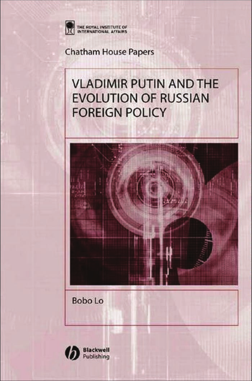

THE ROYAL INSTITUTE OF

#### **Chatham House Papers**

## **VLADIMIR PUTIN AND THE EVOLUTION OF RUSSIAN FOREIGN POLICY**



**Blackwell** Publishing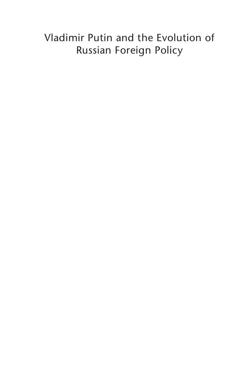# Vladimir Putin and the Evolution of Russian Foreign Policy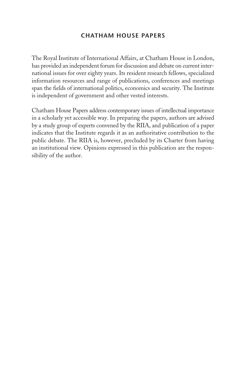#### **CHATHAM HOUSE PAPERS**

The Royal Institute of International Affairs, at Chatham House in London, has provided an independent forum for discussion and debate on current international issues for over eighty years. Its resident research fellows, specialized information resources and range of publications, conferences and meetings span the fields of international politics, economics and security. The Institute is independent of government and other vested interests.

Chatham House Papers address contemporary issues of intellectual importance in a scholarly yet accessible way. In preparing the papers, authors are advised by a study group of experts convened by the RIIA, and publication of a paper indicates that the Institute regards it as an authoritative contribution to the public debate. The RIIA is, however, precluded by its Charter from having an institutional view. Opinions expressed in this publication are the responsibility of the author.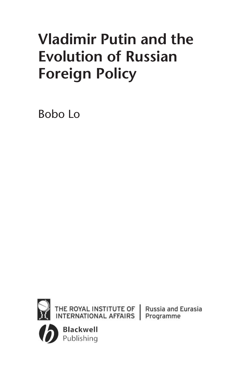# **Vladimir Putin and the Evolution of Russian Foreign Policy**

Bobo Lo

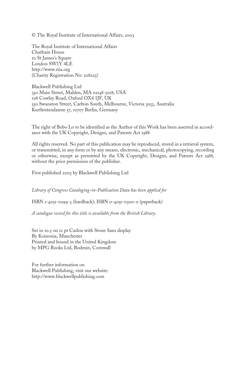© The Royal Institute of International Affairs, 2003

The Royal Institute of International Affairs Chatham House 10 St James's Square London SW1Y 4LE http://www.riia.org (Charity Registration No: 208223)

Blackwell Publishing Ltd 350 Main Street, Malden, MA 02148-5018, USA 108 Cowley Road, Oxford OX4 1JF, UK 550 Swanston Street, Carlton South, Melbourne, Victoria 3053, Australia Kurfürstendamm 57, 10707 Berlin, Germany

The right of Bobo Lo to be identified as the Author of this Work has been asserted in accordance with the UK Copyright, Designs, and Patents Act 1988.

All rights reserved. No part of this publication may be reproduced, stored in a retrieval system, or transmitted, in any form or by any means, electronic, mechanical, photocopying, recording or otherwise, except as permitted by the UK Copyright, Designs, and Patents Act 1988, without the prior permission of the publisher.

First published 2003 by Blackwell Publishing Ltd

*Library of Congress Cataloging-in-Publication Data has been applied for*

ISBN 1-4051-0299-3 (hardback); ISBN 0-4051-0300-0 (paperback)

*A catalogue record for this title is available from the British Library.*

Set in 10.5 on 12 pt Caslon with Stone Sans display By Koinonia, Manchester Printed and bound in the United Kingdom by MPG Books Ltd, Bodmin, Cornwall

For further information on Blackwell Publishing, visit our website: http://www.blackwellpublishing.com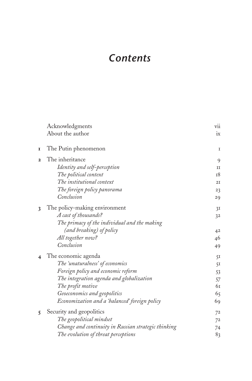# *Contents*

|                          | Acknowledgments                                     | vii            |
|--------------------------|-----------------------------------------------------|----------------|
|                          | About the author                                    | ix             |
| 1                        | The Putin phenomenon                                | 1              |
| $\mathbf{2}$             | The inheritance                                     | 9              |
|                          | Identity and self-perception                        | $\rm II$       |
|                          | The political context                               | 18             |
|                          | The institutional context                           | 2I             |
|                          | The foreign policy panorama                         | 23             |
|                          | Conclusion                                          | 29             |
| 3                        | The policy-making environment                       | 3 <sup>I</sup> |
|                          | A cast of thousands?                                | 32             |
|                          | The primacy of the individual and the making        |                |
|                          | (and breaking) of policy                            | 42             |
|                          | All together now?                                   | 46             |
|                          | Conclusion                                          | 49             |
| $\overline{\mathbf{4}}$  | The economic agenda                                 | 5I             |
|                          | The 'unaturalness' of economics                     | 51             |
|                          | Foreign policy and economic reform                  | 53             |
|                          | The integration agenda and globalization            | 57             |
|                          | The profit motive                                   | 61             |
|                          | Geoeconomics and geopolitics                        | 65             |
|                          | Economization and a 'balanced' foreign policy       | 69             |
| $\overline{\phantom{0}}$ | Security and geopolitics                            | $7^2$          |
|                          | The geopolitical mindset                            | $7^2$          |
|                          | Change and continuity in Russian strategic thinking | 74             |
|                          | The evolution of threat perceptions                 | 83             |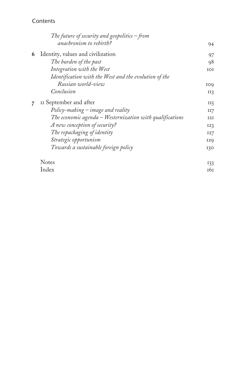#### Contents

|   | The future of security and geopolitics $-$ from            |     |
|---|------------------------------------------------------------|-----|
|   | anachronism to rebirth?                                    | 94  |
| 6 | Identity, values and civilization                          | 97  |
|   | The burden of the past                                     | 98  |
|   | Integration with the West                                  | IOI |
|   | Identification with the West and the evolution of the      |     |
|   | Russian world-view                                         | 109 |
|   | Conclusion                                                 | II3 |
|   | II September and after                                     | II5 |
|   | Policy-making – image and reality                          | II7 |
|   | The economic agenda $-$ Westernization with qualifications | 12I |
|   | A new conception of security?                              | 123 |
|   | The repackaging of identity                                | 127 |
|   | Strategic opportunism                                      | 129 |
|   | Towards a sustainable foreign policy                       | 130 |
|   | <b>Notes</b>                                               | 133 |
|   | Index                                                      | 161 |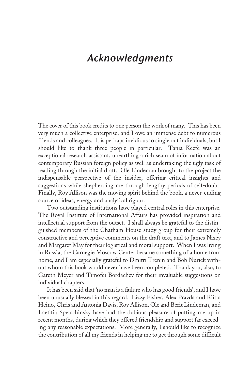### <span id="page-8-0"></span>*Acknowledgments*

The cover of this book credits to one person the work of many. This has been very much a collective enterprise, and I owe an immense debt to numerous friends and colleagues. It is perhaps invidious to single out individuals, but I should like to thank three people in particular. Tania Keefe was an exceptional research assistant, unearthing a rich seam of information about contemporary Russian foreign policy as well as undertaking the ugly task of reading through the initial draft. Ole Lindeman brought to the project the indispensable perspective of the insider, offering critical insights and suggestions while shepherding me through lengthy periods of self-doubt. Finally, Roy Allison was the moving spirit behind the book, a never-ending source of ideas, energy and analytical rigour.

Two outstanding institutions have played central roles in this enterprise. The Royal Institute of International Affairs has provided inspiration and intellectual support from the outset. I shall always be grateful to the distinguished members of the Chatham House study group for their extremely constructive and perceptive comments on the draft text, and to James Nixey and Margaret May for their logistical and moral support. When I was living in Russia, the Carnegie Moscow Center became something of a home from home, and I am especially grateful to Dmitri Trenin and Bob Nurick without whom this book would never have been completed. Thank you, also, to Gareth Meyer and Timofei Bordachev for their invaluable suggestions on individual chapters.

It has been said that 'no man is a failure who has good friends', and I have been unusually blessed in this regard. Lizzy Fisher, Alex Pravda and Riitta Heino, Chris and Antonia Davis, Roy Allison, Ole and Berit Lindeman, and Laetitia Spetschinsky have had the dubious pleasure of putting me up in recent months, during which they offered friendship and support far exceeding any reasonable expectations. More generally, I should like to recognize the contribution of all my friends in helping me to get through some difficult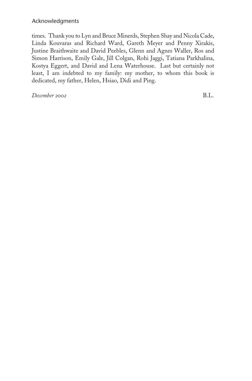#### Acknowledgments

times. Thank you to Lyn and Bruce Minerds, Stephen Shay and Nicola Cade, Linda Kouvaras and Richard Ward, Gareth Meyer and Penny Xirakis, Justine Braithwaite and David Peebles, Glenn and Agnes Waller, Ros and Simon Harrison, Emily Gale, Jill Colgan, Rohi Jaggi, Tatiana Parkhalina, Kostya Eggert, and David and Lena Waterhouse. Last but certainly not least, I am indebted to my family: my mother, to whom this book is dedicated, my father, Helen, Hsiao, Didi and Ping.

*December 2002* B.L.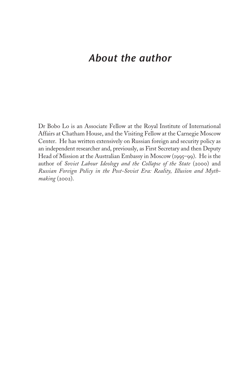### <span id="page-10-0"></span>*About the author*

Dr Bobo Lo is an Associate Fellow at the Royal Institute of International Affairs at Chatham House, and the Visiting Fellow at the Carnegie Moscow Center. He has written extensively on Russian foreign and security policy as an independent researcher and, previously, as First Secretary and then Deputy Head of Mission at the Australian Embassy in Moscow (1995–99). He is the author of *Soviet Labour Ideology and the Collapse of the State* (2000) and *Russian Foreign Policy in the Post-Soviet Era: Reality, Illusion and Mythmaking* (2002).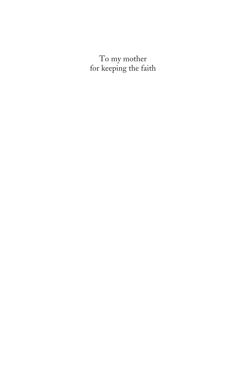To my mother for keeping the faith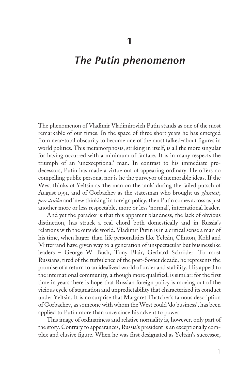### <span id="page-12-0"></span>*The Putin phenomenon*

The phenomenon of Vladimir Vladimirovich Putin stands as one of the most remarkable of our times. In the space of three short years he has emerged from near-total obscurity to become one of the most talked-about figures in world politics. This metamorphosis, striking in itself, is all the more singular for having occurred with a minimum of fanfare. It is in many respects the triumph of an 'unexceptional' man. In contrast to his immediate predecessors, Putin has made a virtue out of appearing ordinary. He offers no compelling public persona, nor is he the purveyor of memorable ideas. If the West thinks of Yeltsin as 'the man on the tank' during the failed putsch of August 1991, and of Gorbachev as the statesman who brought us *glasnost*, *perestroika* and 'new thinking' in foreign policy, then Putin comes across as just another more or less respectable, more or less 'normal', international leader.

And yet the paradox is that this apparent blandness, the lack of obvious distinction, has struck a real chord both domestically and in Russia's relations with the outside world. Vladimir Putin is in a critical sense a man of his time, when larger-than-life personalities like Yeltsin, Clinton, Kohl and Mitterrand have given way to a generation of unspectacular but businesslike leaders – George W. Bush, Tony Blair, Gerhard Schröder. To most Russians, tired of the turbulence of the post-Soviet decade, he represents the promise of a return to an idealized world of order and stability. His appeal to the international community, although more qualified, is similar: for the first time in years there is hope that Russian foreign policy is moving out of the vicious cycle of stagnation and unpredictability that characterized its conduct under Yeltsin. It is no surprise that Margaret Thatcher's famous description of Gorbachev, as someone with whom the West could 'do business', has been applied to Putin more than once since his advent to power.

This image of ordinariness and relative normality is, however, only part of the story. Contrary to appearances, Russia's president is an exceptionally complex and elusive figure. When he was first designated as Yeltsin's successor,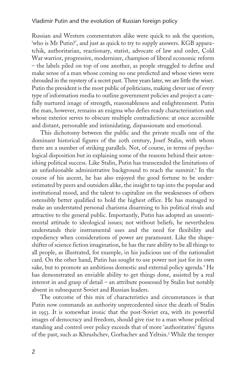Russian and Western commentators alike were quick to ask the question, 'who is Mr Putin?', and just as quick to try to supply answers. KGB apparatchik, authoritarian, reactionary, statist, advocate of law and order, Cold War warrior, progressive, modernizer, champion of liberal economic reform – the labels piled on top of one another, as people struggled to define and make sense of a man whose coming no one predicted and whose views were shrouded in the mystery of a secret past. Three years later, we are little the wiser. Putin the president is the most public of politicians, making clever use of every type of information media to outline government policies and project a carefully nurtured image of strength, reasonableness and enlightenment. Putin the man, however, remains an enigma who defies ready characterization and whose exterior serves to obscure multiple contradictions: at once accessible and distant, personable and intimidating, dispassionate and emotional.

This dichotomy between the public and the private recalls one of the dominant historical figures of the 20th century, Josef Stalin, with whom there are a number of striking parallels. Not, of course, in terms of psychological disposition but in explaining some of the reasons behind their astonishing political success. Like Stalin, Putin has transcended the limitations of an unfashionable administrative background to reach the summit.<sup>1</sup> In the course of his ascent, he has also enjoyed the good fortune to be underestimated by peers and outsiders alike, the insight to tap into the popular and institutional mood, and the talent to capitalize on the weaknesses of others ostensibly better qualified to hold the highest office. He has managed to make an understated personal charisma disarming to his political rivals and attractive to the general public. Importantly, Putin has adopted an unsentimental attitude to ideological issues; not without beliefs, he nevertheless understands their instrumental uses and the need for flexibility and expediency when considerations of power are paramount. Like the shapeshifter of science fiction imagination, he has the rare ability to be all things to all people, as illustrated, for example, in his judicious use of the nationalist card. On the other hand, Putin has sought to use power not just for its own sake, but to promote an ambitious domestic and external policy agenda.<sup>2</sup> He has demonstrated an enviable ability to get things done, assisted by a real interest in and grasp of detail – an attribute possessed by Stalin but notably absent in subsequent Soviet and Russian leaders.

The outcome of this mix of characteristics and circumstances is that Putin now commands an authority unprecedented since the death of Stalin in 1953. It is somewhat ironic that the post-Soviet era, with its powerful images of democracy and freedom, should give rise to a man whose political standing and control over policy exceeds that of more 'authoritative' figures of the past, such as Khrushchev, Gorbachev and Yeltsin.<sup>3</sup> While the temper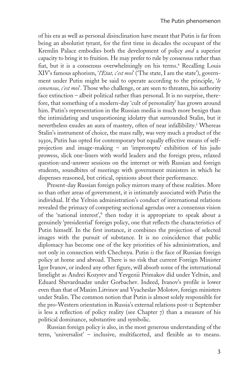of his era as well as personal disinclination have meant that Putin is far from being an absolutist tyrant, for the first time in decades the occupant of the Kremlin Palace embodies both the development of policy *and* a superior capacity to bring it to fruition. He may prefer to rule by consensus rather than fiat, but it is a consensus overwhelmingly on his terms.<sup>4</sup> Recalling Louis XIV's famous aphorism, '*l'Etat, c'est moi*' ('The state, I am the state'), government under Putin might be said to operate according to the principle, '*le consensus, c'est moi*'. Those who challenge, or are seen to threaten, his authority face extinction – albeit political rather than personal. It is no surprise, therefore, that something of a modern-day 'cult of personality' has grown around him. Putin's representation in the Russian media is much more benign than the intimidating and unquestioning idolatry that surrounded Stalin, but it nevertheless exudes an aura of mastery, often of near infallibility.<sup>5</sup> Whereas Stalin's instrument of choice, the mass rally, was very much a product of the 1930s, Putin has opted for contemporary but equally effective means of selfprojection and image-making – an 'impromptu' exhibition of his judo prowess, slick one-liners with world leaders and the foreign press, relaxed question-and-answer sessions on the internet or with Russian and foreign students, soundbites of meetings with government ministers in which he dispenses reasoned, but critical, opinions about their performance.

Present-day Russian foreign policy mirrors many of these realities. More so than other areas of government, it is intimately associated with Putin the individual. If the Yeltsin administration's conduct of international relations revealed the primacy of competing sectional agendas over a consensus vision of the 'national interest', 6 then today it is appropriate to speak about a genuinely 'presidential' foreign policy, one that reflects the characteristics of Putin himself. In the first instance, it combines the projection of selected images with the pursuit of substance. It is no coincidence that public diplomacy has become one of the key priorities of his administration, and not only in connection with Chechnya. Putin *is* the face of Russian foreign policy at home and abroad. There is no risk that current Foreign Minister Igor Ivanov, or indeed any other figure, will absorb some of the international limelight as Andrei Kozyrev and Yevgenii Primakov did under Yeltsin, and Eduard Shevardnadze under Gorbachev. Indeed, Ivanov's profile is lower even than that of Maxim Litvinov and Vyacheslav Molotov, foreign ministers under Stalin. The common notion that Putin is almost solely responsible for the pro-Western orientation in Russia's external relations post-11 September is less a reflection of policy reality (see Chapter 7) than a measure of his political dominance, substantive and symbolic.

Russian foreign policy is also, in the most generous understanding of the term, 'universalist' – inclusive, multifaceted, and flexible as to means.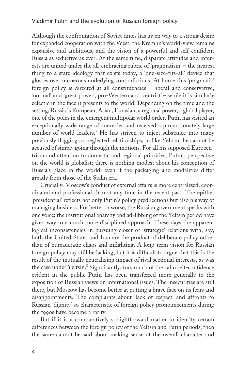Although the confrontation of Soviet times has given way to a strong desire for expanded cooperation with the West, the Kremlin's world-view remains expansive and ambitious, and the vision of a powerful and self-confident Russia as seductive as ever. At the same time, disparate attitudes and interests are united under the all-embracing rubric of 'pragmatism' – the nearest thing to a state ideology that exists today, a 'one-size-fits-all' device that glosses over numerous underlying contradictions. At home this 'pragmatic' foreign policy is directed at all constituencies – liberal and conservative, 'normal' and 'great power', pro-Western and 'centrist' – while it is similarly eclectic in the face it presents to the world. Depending on the time and the setting, Russia is European, Asian, Eurasian, a regional power, a global player, one of the poles in the emergent multipolar world order. Putin has visited an exceptionally wide range of countries and received a proportionately large number of world leaders.7 He has striven to inject substance into many previously flagging or neglected relationships; unlike Yeltsin, he cannot be accused of simply going through the motions. For all his supposed Eurocentrism and attention to domestic and regional priorities, Putin's perspective on the world is globalist; there is nothing modest about his conception of Russia's place in the world, even if the packaging and modalities differ greatly from those of the Stalin era.

Crucially, Moscow's conduct of external affairs is more centralized, coordinated and professional than at any time in the recent past. The epithet 'presidential' reflects not only Putin's policy predilections but also his way of managing business. For better or worse, the Russian government speaks with one voice; the institutional anarchy and ad-libbing of the Yeltsin period have given way to a much more disciplined approach. These days the apparent logical inconsistencies in pursuing closer or 'strategic' relations with, say, both the United States and Iran are the product of deliberate policy rather than of bureaucratic chaos and infighting. A long-term vision for Russian foreign policy may still be lacking, but it is difficult to argue that this is the result of the mutually neutralizing impact of rival sectional interests, as was the case under Yeltsin.<sup>8</sup> Significantly, too, much of the calm self-confidence evident in the public Putin has been transferred more generally to the exposition of Russian views on international issues. The insecurities are still there, but Moscow has become better at putting a brave face on its fears and disappointments. The complaints about 'lack of respect' and affronts to Russian 'dignity' so characteristic of foreign policy pronouncements during the 1990s have become a rarity.

But if it is a comparatively straightforward matter to identify certain differences between the foreign policy of the Yeltsin and Putin periods, then the same cannot be said about making sense of the overall character and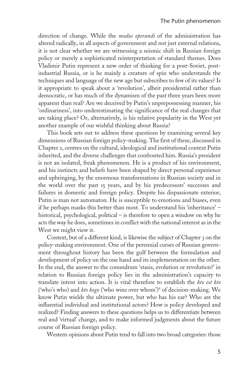direction of change. While the *modus operandi* of the administration has altered radically, in all aspects of government and not just external relations, it is not clear whether we are witnessing a seismic shift in Russian foreign policy or merely a sophisticated reinterpretation of standard themes. Does Vladimir Putin represent a new order of thinking for a post-Soviet, postindustrial Russia, or is he mainly a creature of spin who understands the techniques and language of the new age but subscribes to few of its values? Is it appropriate to speak about a 'revolution', albeit presidential rather than democratic, or has much of the dynamism of the past three years been more apparent than real? Are we deceived by Putin's unprepossessing manner, his 'ordinariness', into underestimating the significance of the real changes that are taking place? Or, alternatively, is his relative popularity in the West yet another example of our wishful thinking about Russia?

This book sets out to address these questions by examining several key dimensions of Russian foreign policy-making. The first of these, discussed in Chapter 2, centres on the cultural, ideological and institutional context Putin inherited, and the diverse challenges that confronted him. Russia's president is not an isolated, freak phenomenon. He is a product of his environment, and his instincts and beliefs have been shaped by direct personal experience and upbringing, by the enormous transformations in Russian society and in the world over the past 15 years, and by his predecessors' successes and failures in domestic and foreign policy. Despite his dispassionate exterior, Putin is man not automaton. He is susceptible to emotions and biases, even if he perhaps masks this better than most. To understand his 'inheritance' – historical, psychological, political – is therefore to open a window on why he acts the way he does, sometimes in conflict with the national interest as in the West we might view it.

Context, but of a different kind, is likewise the subject of Chapter 3 on the policy-making environment. One of the perennial curses of Russian government throughout history has been the gulf between the formulation and development of policy on the one hand and its implementation on the other. In the end, the answer to the conundrum 'stasis, evolution or revolution?' in relation to Russian foreign policy lies in the administration's capacity to translate intent into action. It is vital therefore to establish the *kto est kto* ('who's who) and *kto kogo* ('who wins over whom')9 of decision-making. We know Putin wields the ultimate power, but who has his ear? Who are the influential individual and institutional actors? How is policy developed and realized? Finding answers to these questions helps us to differentiate between real and 'virtual' change, and to make informed judgments about the future course of Russian foreign policy.

Western opinions about Putin tend to fall into two broad categories: those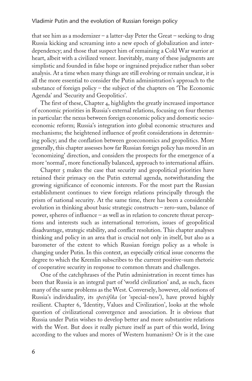that see him as a modernizer – a latter-day Peter the Great – seeking to drag Russia kicking and screaming into a new epoch of globalization and interdependency; and those that suspect him of remaining a Cold War warrior at heart, albeit with a civilized veneer. Inevitably, many of these judgments are simplistic and founded in false hope or ingrained prejudice rather than sober analysis. At a time when many things are still evolving or remain unclear, it is all the more essential to consider the Putin administration's approach to the substance of foreign policy – the subject of the chapters on 'The Economic Agenda' and 'Security and Geopolitics'.

The first of these, Chapter 4, highlights the greatly increased importance of economic priorities in Russia's external relations, focusing on four themes in particular: the nexus between foreign economic policy and domestic socioeconomic reform; Russia's integration into global economic structures and mechanisms; the heightened influence of profit considerations in determining policy; and the conflation between geoeconomics and geopolitics. More generally, this chapter assesses how far Russian foreign policy has moved in an 'economizing' direction, and considers the prospects for the emergence of a more 'normal', more functionally balanced, approach to international affairs.

Chapter 5 makes the case that security and geopolitical priorities have retained their primacy on the Putin external agenda, notwithstanding the growing significance of economic interests. For the most part the Russian establishment continues to view foreign relations principally through the prism of national security. At the same time, there has been a considerable evolution in thinking about basic strategic constructs – zero-sum, balance of power, spheres of influence – as well as in relation to concrete threat perceptions and interests such as international terrorism, issues of geopolitical disadvantage, strategic stability, and conflict resolution. This chapter analyses thinking and policy in an area that is crucial not only in itself, but also as a barometer of the extent to which Russian foreign policy as a whole is changing under Putin. In this context, an especially critical issue concerns the degree to which the Kremlin subscribes to the current positive-sum rhetoric of cooperative security in response to common threats and challenges.

One of the catchphrases of the Putin administration in recent times has been that Russia is an integral part of 'world civilization' and, as such, faces many of the same problems as the West. Conversely, however, old notions of Russia's individuality, its *spetsifika* (or 'special-ness'), have proved highly resilient. Chapter 6, 'Identity, Values and Civilization', looks at the whole question of civilizational convergence and association. It is obvious that Russia under Putin wishes to develop better and more substantive relations with the West. But does it really picture itself as part of this world, living according to the values and mores of Western humanism? Or is it the case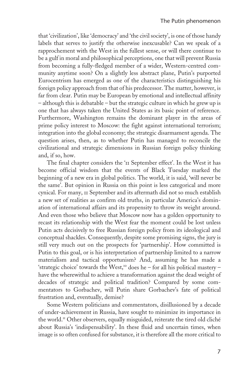that 'civilization', like 'democracy' and 'the civil society', is one of those handy labels that serves to justify the otherwise inexcusable? Can we speak of a rapprochement with the West in the fullest sense, or will there continue to be a gulf in moral and philosophical perceptions, one that will prevent Russia from becoming a fully-fledged member of a wider, Western-centred community anytime soon? On a slightly less abstract plane, Putin's purported Eurocentrism has emerged as one of the characteristics distinguishing his foreign policy approach from that of his predecessor. The matter, however, is far from clear. Putin may be European by emotional and intellectual affinity – although this is debatable – but the strategic culture in which he grew up is one that has always taken the United States as its basic point of reference. Furthermore, Washington remains the dominant player in the areas of prime policy interest to Moscow: the fight against international terrorism; integration into the global economy; the strategic disarmament agenda. The question arises, then, as to whether Putin has managed to reconcile the civilizational and strategic dimensions in Russian foreign policy thinking and, if so, how.

The final chapter considers the '11 September effect'. In the West it has become official wisdom that the events of Black Tuesday marked the beginning of a new era in global politics. The world, it is said, 'will never be the same'. But opinion in Russia on this point is less categorical and more cynical. For many, 11 September and its aftermath did not so much establish a new set of realities as confirm old truths, in particular America's domination of international affairs and its propensity to throw its weight around. And even those who believe that Moscow now has a golden opportunity to recast its relationship with the West fear the moment could be lost unless Putin acts decisively to free Russian foreign policy from its ideological and conceptual shackles. Consequently, despite some promising signs, the jury is still very much out on the prospects for 'partnership'. How committed is Putin to this goal, or is his interpretation of partnership limited to a narrow materialism and tactical opportunism? And, assuming he has made a 'strategic choice' towards the West,<sup>10</sup> does he – for all his political mastery – have the wherewithal to achieve a transformation against the dead weight of decades of strategic and political tradition? Compared by some commentators to Gorbachev, will Putin share Gorbachev's fate of political frustration and, eventually, demise?

Some Western politicians and commentators, disillusioned by a decade of under-achievement in Russia, have sought to minimize its importance in the world.<sup>11</sup> Other observers, equally misguided, reiterate the tired old cliché about Russia's 'indispensability'. In these fluid and uncertain times, when image is so often confused for substance, it is therefore all the more critical to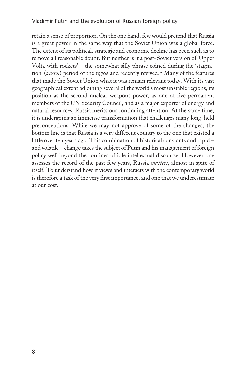#### Vladimir Putin and the evolution of Russian foreign policy

retain a sense of proportion. On the one hand, few would pretend that Russia is a great power in the same way that the Soviet Union was a global force. The extent of its political, strategic and economic decline has been such as to remove all reasonable doubt. But neither is it a post-Soviet version of 'Upper Volta with rockets' – the somewhat silly phrase coined during the 'stagnation' (*zastoi*) period of the 1970s and recently revived.<sup>12</sup> Many of the features that made the Soviet Union what it was remain relevant today. With its vast geographical extent adjoining several of the world's most unstable regions, its position as the second nuclear weapons power, as one of five permanent members of the UN Security Council, and as a major exporter of energy and natural resources, Russia merits our continuing attention. At the same time, it is undergoing an immense transformation that challenges many long-held preconceptions. While we may not approve of some of the changes, the bottom line is that Russia is a very different country to the one that existed a little over ten years ago. This combination of historical constants and rapid – and volatile – change takes the subject of Putin and his management of foreign policy well beyond the confines of idle intellectual discourse. However one assesses the record of the past few years, Russia *matters*, almost in spite of itself. To understand how it views and interacts with the contemporary world is therefore a task of the very first importance, and one that we underestimate at our cost.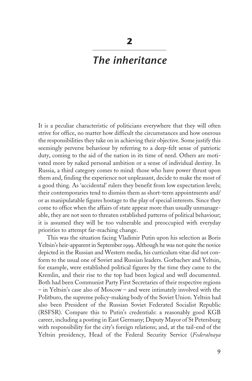# <span id="page-20-0"></span>*The inheritance*

It is a peculiar characteristic of politicians everywhere that they will often strive for office, no matter how difficult the circumstances and how onerous the responsibilities they take on in achieving their objective. Some justify this seemingly perverse behaviour by referring to a deep-felt sense of patriotic duty, coming to the aid of the nation in its time of need. Others are motivated more by naked personal ambition or a sense of individual destiny. In Russia, a third category comes to mind: those who have power thrust upon them and, finding the experience not unpleasant, decide to make the most of a good thing. As 'accidental' rulers they benefit from low expectation levels; their contemporaries tend to dismiss them as short-term appointments and/ or as manipulatable figures hostage to the play of special interests. Since they come to office when the affairs of state appear more than usually unmanageable, they are not seen to threaten established patterns of political behaviour; it is assumed they will be too vulnerable and preoccupied with everyday priorities to attempt far-reaching change.

This was the situation facing Vladimir Putin upon his selection as Boris Yeltsin's heir-apparent in September 1999. Although he was not quite the novice depicted in the Russian and Western media, his curriculum vitae did not conform to the usual one of Soviet and Russian leaders. Gorbachev and Yeltsin, for example, were established political figures by the time they came to the Kremlin, and their rise to the top had been logical and well documented. Both had been Communist Party First Secretaries of their respective regions – in Yeltsin's case also of Moscow – and were intimately involved with the Politburo, the supreme policy-making body of the Soviet Union. Yeltsin had also been President of the Russian Soviet Federated Socialist Republic (RSFSR). Compare this to Putin's credentials: a reasonably good KGB career, including a posting in East Germany; Deputy Mayor of St Petersburg with responsibility for the city's foreign relations; and, at the tail-end of the Yeltsin presidency, Head of the Federal Security Service (*Federalnaya*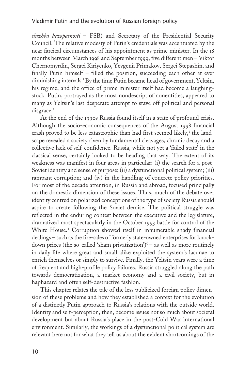*sluzhba bezopasnosti* – FSB) and Secretary of the Presidential Security Council. The relative modesty of Putin's credentials was accentuated by the near farcical circumstances of his appointment as prime minister. In the 18 months between March 1998 and September 1999, five different men – Viktor Chernomyrdin, Sergei Kiriyenko, Yevgenii Primakov, Sergei Stepashin, and finally Putin himself – filled the position, succeeding each other at ever diminishing intervals.<sup>1</sup> By the time Putin became head of government, Yeltsin, his regime, and the office of prime minister itself had become a laughingstock. Putin, portrayed as the most nondescript of nonentities, appeared to many as Yeltsin's last desperate attempt to stave off political and personal disgrace.<sup>2</sup>

At the end of the 1990s Russia found itself in a state of profound crisis. Although the socio-economic consequences of the August 1998 financial crash proved to be less catastrophic than had first seemed likely,<sup>3</sup> the landscape revealed a society riven by fundamental cleavages, chronic decay and a collective lack of self-confidence. Russia, while not yet a 'failed state' in the classical sense, certainly looked to be heading that way. The extent of its weakness was manifest in four areas in particular: (i) the search for a post-Soviet identity and sense of purpose; (ii) a dysfunctional political system; (iii) rampant corruption; and (iv) in the handling of concrete policy priorities. For most of the decade attention, in Russia and abroad, focused principally on the domestic dimension of these issues. Thus, much of the debate over identity centred on polarized conceptions of the type of society Russia should aspire to create following the Soviet demise. The political struggle was reflected in the enduring contest between the executive and the legislature, dramatized most spectacularly in the October 1993 battle for control of the White House.<sup>4</sup> Corruption showed itself in innumerable shady financial dealings – such as the fire-sales of formerly state-owned enterprises for knockdown prices (the so-called 'sham privatization') $5 -$  as well as more routinely in daily life where great and small alike exploited the system's lacunae to enrich themselves or simply to survive. Finally, the Yeltsin years were a time of frequent and high-profile policy failures. Russia struggled along the path towards democratization, a market economy and a civil society, but in haphazard and often self-destructive fashion.

This chapter relates the tale of the less publicized foreign policy dimension of these problems and how they established a context for the evolution of a distinctly Putin approach to Russia's relations with the outside world. Identity and self-perception, then, become issues not so much about societal development but about Russia's place in the post-Cold War international environment. Similarly, the workings of a dysfunctional political system are relevant here not for what they tell us about the evident shortcomings of the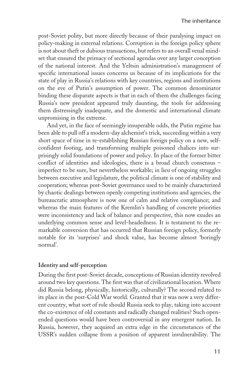<span id="page-22-0"></span>post-Soviet polity, but more directly because of their paralysing impact on policy-making in external relations. Corruption in the foreign policy sphere is not about theft or dubious transactions, but refers to an overall venal mindset that ensured the primacy of sectional agendas over any larger conception of the national interest. And the Yeltsin administration's management of specific international issues concerns us because of its implications for the state of play in Russia's relations with key countries, regions and institutions on the eve of Putin's assumption of power. The common denominator binding these disparate aspects is that in each of them the challenges facing Russia's new president appeared truly daunting, the tools for addressing them distressingly inadequate, and the domestic and international climate unpromising in the extreme.

And yet, in the face of seemingly insuperable odds, the Putin regime has been able to pull off a modern-day alchemist's trick, succeeding within a very short space of time in re-establishing Russian foreign policy on a new, selfconfident footing, and transforming multiple poisoned chalices into surprisingly solid foundations of power and policy. In place of the former bitter conflict of identities and ideologies, there is a broad church consensus – imperfect to be sure, but nevertheless workable; in lieu of ongoing struggles between executive and legislature, the political climate is one of stability and cooperation; whereas post-Soviet governance used to be mainly characterized by chaotic dealings between openly competing institutions and agencies, the bureaucratic atmosphere is now one of calm and relative compliance; and whereas the main features of the Kremlin's handling of concrete priorities were inconsistency and lack of balance and perspective, this now exudes an underlying common sense and level-headedness. It is testament to the remarkable conversion that has occurred that Russian foreign policy, formerly notable for its 'surprises' and shock value, has become almost 'boringly normal'.

#### **Identity and self-perception**

During the first post-Soviet decade, conceptions of Russian identity revolved around two key questions. The first was that of civilizational location. Where did Russia belong, physically, historically, culturally? The second related to its place in the post-Cold War world. Granted that it was now a very different country, what sort of role should Russia seek to play, taking into account the c0-existence of old constants and radically changed realities? Such openended questions would have been controversial in any emergent nation. In Russia, however, they acquired an extra edge in the circumstances of the USSR's sudden collapse from a position of apparent invulnerability. The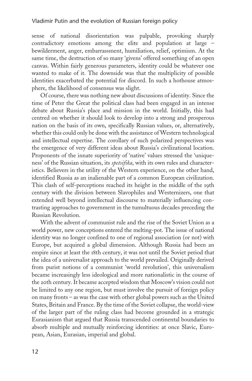sense of national disorientation was palpable, provoking sharply contradictory emotions among the elite and population at large – bewilderment, anger, embarrassment, humiliation, relief, optimism. At the same time, the destruction of so many 'givens' offered something of an open canvas. Within fairly generous parameters, identity could be whatever one wanted to make of it. The downside was that the multiplicity of possible identities exacerbated the potential for discord. In such a hothouse atmosphere, the likelihood of consensus was slight.

Of course, there was nothing new about discussions of identity. Since the time of Peter the Great the political class had been engaged in an intense debate about Russia's place and mission in the world. Initially, this had centred on whether it should look to develop into a strong and prosperous nation on the basis of its own, specifically Russian values, or, alternatively, whether this could only be done with the assistance of Western technological and intellectual expertise. The corollary of such polarized perspectives was the emergence of very different ideas about Russia's civilizational location. Proponents of the innate superiority of 'native' values stressed the 'uniqueness' of the Russian situation, its *spetsifika*, with its own rules and characteristics. Believers in the utility of the Western experience, on the other hand, identified Russia as an inalienable part of a common European civilization. This clash of self-perceptions reached its height in the middle of the 19th century with the division between Slavophiles and Westernizers, one that extended well beyond intellectual discourse to materially influencing contrasting approaches to government in the tumultuous decades preceding the Russian Revolution.

With the advent of communist rule and the rise of the Soviet Union as a world power, new conceptions entered the melting-pot. The issue of national identity was no longer confined to one of regional association (or not) with Europe, but acquired a global dimension. Although Russia had been an empire since at least the 18th century, it was not until the Soviet period that the idea of a universalist approach to the world prevailed. Originally derived from purist notions of a communist 'world revolution', this universalism became increasingly less ideological and more nationalistic in the course of the 20th century. It became accepted wisdom that Moscow's vision could not be limited to any one region, but must involve the pursuit of foreign policy on many fronts – as was the case with other global powers such as the United States, Britain and France. By the time of the Soviet collapse, the world-view of the larger part of the ruling class had become grounded in a strategic Eurasianism that argued that Russia transcended continental boundaries to absorb multiple and mutually reinforcing identities: at once Slavic, European, Asian, Eurasian, imperial and global.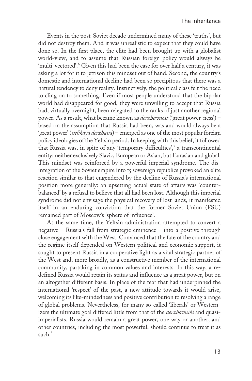Events in the post-Soviet decade undermined many of these 'truths', but did not destroy them. And it was unrealistic to expect that they could have done so. In the first place, the elite had been brought up with a globalist world-view, and to assume that Russian foreign policy would always be 'multi-vectored'.6 Given this had been the case for over half a century, it was asking a lot for it to jettison this mindset out of hand. Second, the country's domestic and international decline had been so precipitous that there was a natural tendency to deny reality. Instinctively, the political class felt the need to cling on to something. Even if most people understood that the bipolar world had disappeared for good, they were unwilling to accept that Russia had, virtually overnight, been relegated to the ranks of just another regional power. As a result, what became known as *derzhavnost* ('great power-ness') – based on the assumption that Russia had been, was and would always be a 'great power' (*velikaya derzhava*) – emerged as one of the most popular foreign policy ideologies of the Yeltsin period. In keeping with this belief, it followed that Russia was, in spite of any 'temporary difficulties',7 a transcontinental entity: neither exclusively Slavic, European or Asian, but Eurasian and global. This mindset was reinforced by a powerful imperial syndrome. The disintegration of the Soviet empire into 15 sovereign republics provoked an elite reaction similar to that engendered by the decline of Russia's international position more generally: an upsetting actual state of affairs was 'counterbalanced' by a refusal to believe that all had been lost. Although this imperial syndrome did not envisage the physical recovery of lost lands, it manifested itself in an enduring conviction that the former Soviet Union (FSU) remained part of Moscow's 'sphere of influence'.

At the same time, the Yeltsin administration attempted to convert a negative – Russia's fall from strategic eminence – into a positive through close engagement with the West. Convinced that the fate of the country and the regime itself depended on Western political and economic support, it sought to present Russia in a cooperative light as a vital strategic partner of the West and, more broadly, as a constructive member of the international community, partaking in common values and interests. In this way, a redefined Russia would retain its status and influence as a great power, but on an altogether different basis. In place of the fear that had underpinned the international 'respect' of the past, a new attitude towards it would arise, welcoming its like-mindedness and positive contribution to resolving a range of global problems. Nevertheless, for many so-called 'liberals' or Westernizers the ultimate goal differed little from that of the *derzhavniki* and quasiimperialists. Russia would remain a great power, one way or another, and other countries, including the most powerful, should continue to treat it as such.<sup>8</sup>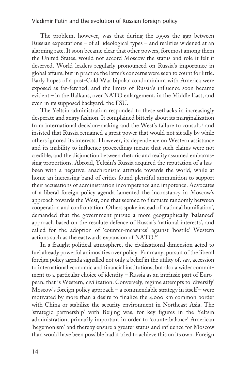#### Vladimir Putin and the evolution of Russian foreign policy

The problem, however, was that during the 1990s the gap between Russian expectations – of all ideological types – and realities widened at an alarming rate. It soon became clear that other powers, foremost among them the United States, would not accord Moscow the status and role it felt it deserved. World leaders regularly pronounced on Russia's importance in global affairs, but in practice the latter's concerns were seen to count for little. Early hopes of a post-Cold War bipolar condominium with America were exposed as far-fetched, and the limits of Russia's influence soon became evident – in the Balkans, over NATO enlargement, in the Middle East, and even in its supposed backyard, the FSU.

The Yeltsin administration responded to these setbacks in increasingly desperate and angry fashion. It complained bitterly about its marginalization from international decision-making and the West's failure to consult,<sup>9</sup> and insisted that Russia remained a great power that would not sit idly by while others ignored its interests. However, its dependence on Western assistance and its inability to influence proceedings meant that such claims were not credible, and the disjunction between rhetoric and reality assumed embarrassing proportions. Abroad, Yeltsin's Russia acquired the reputation of a hasbeen with a negative, anachronistic attitude towards the world, while at home an increasing band of critics found plentiful ammunition to support their accusations of administration incompetence and impotence. Advocates of a liberal foreign policy agenda lamented the inconstancy in Moscow's approach towards the West, one that seemed to fluctuate randomly between cooperation and confrontation. Others spoke instead of 'national humiliation', demanded that the government pursue a more geographically 'balanced' approach based on the resolute defence of Russia's 'national interests', and called for the adoption of 'counter-measures' against 'hostile' Western actions such as the eastwards expansion of NATO.<sup>10</sup>

In a fraught political atmosphere, the civilizational dimension acted to fuel already powerful animosities over policy. For many, pursuit of the liberal foreign policy agenda signalled not only a belief in the utility of, say, accession to international economic and financial institutions, but also a wider commitment to a particular choice of identity – Russia as an intrinsic part of European, that is Western, civilization. Conversely, regime attempts to 'diversify' Moscow's foreign policy approach – a commendable strategy in itself – were motivated by more than a desire to finalize the 4,000 km common border with China or stabilize the security environment in Northeast Asia. The 'strategic partnership' with Beijing was, for key figures in the Yeltsin administration, primarily important in order to 'counterbalance' American 'hegemonism' and thereby ensure a greater status and influence for Moscow than would have been possible had it tried to achieve this on its own. Foreign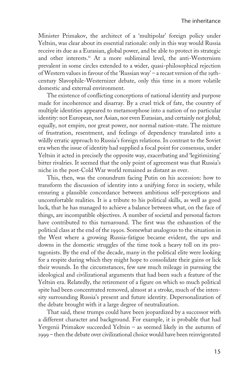Minister Primakov, the architect of a 'multipolar' foreign policy under Yeltsin, was clear about its essential rationale: only in this way would Russia receive its due as a Eurasian, global power, and be able to protect its strategic and other interests.<sup> $\text{II}$ </sup> At a more subliminal level, the anti-Westernism prevalent in some circles extended to a wider, quasi-philosophical rejection of Western values in favour of the 'Russian way' – a recast version of the 19thcentury Slavophile-Westernizer debate, only this time in a more volatile domestic and external environment.

The existence of conflicting conceptions of national identity and purpose made for incoherence and disarray. By a cruel trick of fate, the country of multiple identities appeared to metamorphose into a nation of no particular identity: not European, nor Asian, nor even Eurasian, and certainly not global; equally, not empire, nor great power, nor normal nation-state. The mixture of frustration, resentment, and feelings of dependency translated into a wildly erratic approach to Russia's foreign relations. In contrast to the Soviet era when the issue of identity had supplied a focal point for consensus, under Yeltsin it acted in precisely the opposite way, exacerbating and 'legitimizing' bitter rivalries. It seemed that the only point of agreement was that Russia's niche in the post-Cold War world remained as distant as ever.

This, then, was the conundrum facing Putin on his accession: how to transform the discussion of identity into a unifying force in society, while ensuring a plausible concordance between ambitious self-perceptions and uncomfortable realities. It is a tribute to his political skills, as well as good luck, that he has managed to achieve a balance between what, on the face of things, are incompatible objectives. A number of societal and personal factors have contributed to this turnaround. The first was the exhaustion of the political class at the end of the 1990s. Somewhat analogous to the situation in the West where a growing Russia-fatigue became evident, the ups and downs in the domestic struggles of the time took a heavy toll on its protagonists. By the end of the decade, many in the political elite were looking for a respite during which they might hope to consolidate their gains or lick their wounds. In the circumstances, few saw much mileage in pursuing the ideological and civilizational arguments that had been such a feature of the Yeltsin era. Relatedly, the retirement of a figure on which so much political spite had been concentrated removed, almost at a stroke, much of the intensity surrounding Russia's present and future identity. Depersonalization of the debate brought with it a large degree of neutralization.

That said, these trumps could have been jeopardized by a successor with a different character and background. For example, it is probable that had Yevgenii Primakov succeeded Yeltsin – as seemed likely in the autumn of 1999 – then the debate over civilizational choice would have been reinvigorated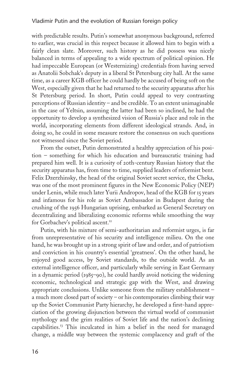with predictable results. Putin's somewhat anonymous background, referred to earlier, was crucial in this respect because it allowed him to begin with a fairly clean slate. Moreover, such history as he did possess was nicely balanced in terms of appealing to a wide spectrum of political opinion. He had impeccable European (or Westernizing) credentials from having served as Anatolii Sobchak's deputy in a liberal St Petersburg city hall. At the same time, as a career KGB officer he could hardly be accused of being soft on the West, especially given that he had returned to the security apparatus after his St Petersburg period. In short, Putin could appeal to very contrasting perceptions of Russian identity – and be credible. To an extent unimaginable in the case of Yeltsin, assuming the latter had been so inclined, he had the opportunity to develop a synthesized vision of Russia's place and role in the world, incorporating elements from different ideological strands. And, in doing so, he could in some measure restore the consensus on such questions not witnessed since the Soviet period.

From the outset, Putin demonstrated a healthy appreciation of his position – something for which his education and bureaucratic training had prepared him well. It is a curiosity of 20th-century Russian history that the security apparatus has, from time to time, supplied leaders of reformist bent. Felix Dzerzhinsky, the head of the original Soviet secret service, the Cheka, was one of the most prominent figures in the New Economic Policy (NEP) under Lenin, while much later Yurii Andropov, head of the KGB for 15 years and infamous for his role as Soviet Ambassador in Budapest during the crushing of the 1956 Hungarian uprising, embarked as General Secretary on decentralizing and liberalizing economic reforms while smoothing the way for Gorbachev's political ascent.<sup>12</sup>

Putin, with his mixture of semi-authoritarian and reformist urges, is far from unrepresentative of his security and intelligence milieu. On the one hand, he was brought up in a strong spirit of law and order, and of patriotism and conviction in his country's essential 'greatness'. On the other hand, he enjoyed good access, by Soviet standards, to the outside world. As an external intelligence officer, and particularly while serving in East Germany in a dynamic period (1985–90), he could hardly avoid noticing the widening economic, technological and strategic gap with the West, and drawing appropriate conclusions. Unlike someone from the military establishment – a much more closed part of society – or his contemporaries climbing their way up the Soviet Communist Party hierarchy, he developed a first-hand appreciation of the growing disjunction between the virtual world of communist mythology and the grim realities of Soviet life and the nation's declining capabilities.13 This inculcated in him a belief in the need for managed change, a middle way between the systemic complacency and graft of the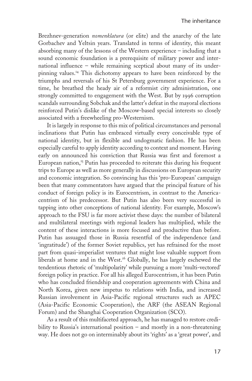Brezhnev-generation *nomenklatura* (or elite) and the anarchy of the late Gorbachev and Yeltsin years. Translated in terms of identity, this meant absorbing many of the lessons of the Western experience – including that a sound economic foundation is a prerequisite of military power and international influence – while remaining sceptical about many of its underpinning values.14 This dichotomy appears to have been reinforced by the triumphs and reversals of his St Petersburg government experience. For a time, he breathed the heady air of a reformist city administration, one strongly committed to engagement with the West. But by 1996 corruption scandals surrounding Sobchak and the latter's defeat in the mayoral elections reinforced Putin's dislike of the Moscow-based special interests so closely associated with a freewheeling pro-Westernism.

It is largely in response to this mix of political circumstances and personal inclinations that Putin has embraced virtually every conceivable type of national identity, but in flexible and undogmatic fashion. He has been especially careful to apply identity according to context and moment. Having early on announced his conviction that Russia was first and foremost a European nation,<sup>15</sup> Putin has proceeded to reiterate this during his frequent trips to Europe as well as more generally in discussions on European security and economic integration. So convincing has this 'pro-European' campaign been that many commentators have argued that the principal feature of his conduct of foreign policy is its Eurocentrism, in contrast to the Americacentrism of his predecessor. But Putin has also been very successful in tapping into other conceptions of national identity. For example, Moscow's approach to the FSU is far more activist these days: the number of bilateral and multilateral meetings with regional leaders has multiplied, while the content of these interactions is more focused and productive than before. Putin has assuaged those in Russia resentful of the independence (and 'ingratitude') of the former Soviet republics, yet has refrained for the most part from quasi-imperialist ventures that might lose valuable support from liberals at home and in the West.16 Globally, he has largely eschewed the tendentious rhetoric of 'multipolarity' while pursuing a more 'multi-vectored' foreign policy in practice. For all his alleged Eurocentrism, it has been Putin who has concluded friendship and cooperation agreements with China and North Korea, given new impetus to relations with India, and increased Russian involvement in Asia-Pacific regional structures such as APEC (Asia-Pacific Economic Cooperation), the ARF (the ASEAN Regional Forum) and the Shanghai Cooperation Organization (SCO).

As a result of this multifaceted approach, he has managed to restore credibility to Russia's international position – and mostly in a non-threatening way. He does not go on interminably about its 'rights' as a 'great power', and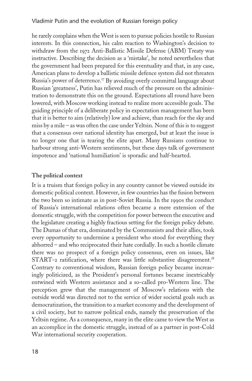#### <span id="page-29-0"></span>Vladimir Putin and the evolution of Russian foreign policy

he rarely complains when the West is seen to pursue policies hostile to Russian interests. In this connection, his calm reaction to Washington's decision to withdraw from the 1972 Anti-Ballistic Missile Defense (ABM) Treaty was instructive. Describing the decision as a 'mistake', he noted nevertheless that the government had been prepared for this eventuality and that, in any case, American plans to develop a ballistic missile defence system did not threaten Russia's power of deterrence.<sup>17</sup> By avoiding overly committal language about Russian 'greatness', Putin has relieved much of the pressure on the administration to demonstrate this on the ground. Expectations all round have been lowered, with Moscow working instead to realize more accessible goals. The guiding principle of a deliberate policy in expectation management has been that it is better to aim (relatively) low and achieve, than reach for the sky and miss by a mile – as was often the case under Yeltsin. None of this is to suggest that a consensus over national identity has emerged, but at least the issue is no longer one that is tearing the elite apart. Many Russians continue to harbour strong anti-Western sentiments, but these days talk of government impotence and 'national humiliation' is sporadic and half-hearted.

#### **The political context**

It is a truism that foreign policy in any country cannot be viewed outside its domestic political context. However, in few countries has the fusion between the two been so intimate as in post-Soviet Russia. In the 1990s the conduct of Russia's international relations often became a mere extension of the domestic struggle, with the competition for power between the executive and the legislature creating a highly fractious setting for the foreign policy debate. The Dumas of that era, dominated by the Communists and their allies, took every opportunity to undermine a president who stood for everything they abhorred – and who reciprocated their hate cordially. In such a hostile climate there was no prospect of a foreign policy consensus, even on issues, like  $STAT$ -2 ratification, where there was little substantive disagreement.<sup>18</sup> Contrary to conventional wisdom, Russian foreign policy became increasingly politicized, as the President's personal fortunes became inextricably entwined with Western assistance and a so-called pro-Western line. The perception grew that the management of Moscow's relations with the outside world was directed not to the service of wider societal goals such as democratization, the transition to a market economy and the development of a civil society, but to narrow political ends, namely the preservation of the Yeltsin regime. As a consequence, many in the elite came to view the West as an accomplice in the domestic struggle, instead of as a partner in post-Cold War international security cooperation.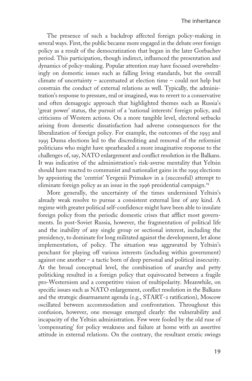The presence of such a backdrop affected foreign policy-making in several ways. First, the public became more engaged in the debate over foreign policy as a result of the democratization that began in the later Gorbachev period. This participation, though indirect, influenced the presentation and dynamics of policy-making. Popular attention may have focused overwhelmingly on domestic issues such as falling living standards, but the overall climate of uncertainty – accentuated at election time – could not help but constrain the conduct of external relations as well. Typically, the administration's response to pressure, real or imagined, was to revert to a conservative and often demagogic approach that highlighted themes such as Russia's 'great power' status, the pursuit of a 'national interests' foreign policy, and criticisms of Western actions. On a more tangible level, electoral setbacks arising from domestic dissatisfaction had adverse consequences for the liberalization of foreign policy. For example, the outcomes of the 1993 and 1995 Duma elections led to the discrediting and removal of the reformist politicians who might have spearheaded a more imaginative response to the challenges of, say, NATO enlargement and conflict resolution in the Balkans. It was indicative of the administration's risk-averse mentality that Yeltsin should have reacted to communist and nationalist gains in the 1995 elections by appointing the 'centrist' Yevgenii Primakov in a (successful) attempt to eliminate foreign policy as an issue in the 1996 presidential campaign.<sup>19</sup>

More generally, the uncertainty of the times undermined Yeltsin's already weak resolve to pursue a consistent external line of any kind. A regime with greater political self-confidence might have been able to insulate foreign policy from the periodic domestic crises that afflict most governments. In post-Soviet Russia, however, the fragmentation of political life and the inability of any single group or sectional interest, including the presidency, to dominate for long militated against the development, let alone implementation, of policy. The situation was aggravated by Yeltsin's penchant for playing off various interests (including within government) against one another – a tactic born of deep personal and political insecurity. At the broad conceptual level, the combination of anarchy and petty politicking resulted in a foreign policy that equivocated between a fragile pro-Westernism and a competitive vision of multipolarity. Meanwhile, on specific issues such as NATO enlargement, conflict resolution in the Balkans and the strategic disarmament agenda (e.g., START-2 ratification), Moscow oscillated between accommodation and confrontation. Throughout this confusion, however, one message emerged clearly: the vulnerability and incapacity of the Yeltsin administration. Few were fooled by the old ruse of 'compensating' for policy weakness and failure at home with an assertive attitude in external relations. On the contrary, the resultant erratic swings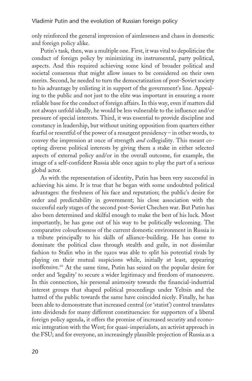only reinforced the general impression of aimlessness and chaos in domestic and foreign policy alike.

Putin's task, then, was a multiple one. First, it was vital to depoliticize the conduct of foreign policy by minimizing its instrumental, party political, aspects. And this required achieving some kind of broader political and societal consensus that might allow issues to be considered on their own merits. Second, he needed to turn the democratization of post-Soviet society to his advantage by enlisting it in support of the government's line. Appealing to the public and not just to the elite was important in ensuring a more reliable base for the conduct of foreign affairs. In this way, even if matters did not always unfold ideally, he would be less vulnerable to the influence and/or pressure of special interests. Third, it was essential to provide discipline and constancy in leadership, but without uniting opposition from quarters either fearful or resentful of the power of a resurgent presidency – in other words, to convey the impression at once of strength *and* collegiality. This meant coopting diverse political interests by giving them a stake in either selected aspects of external policy and/or in the overall outcome, for example, the image of a self-confident Russia able once again to play the part of a serious global actor.

As with the representation of identity, Putin has been very successful in achieving his aims. It is true that he began with some undoubted political advantages: the freshness of his face and reputation; the public's desire for order and predictability in government; his close association with the successful early stages of the second post-Soviet Chechen war. But Putin has also been determined and skilful enough to make the best of his luck. Most importantly, he has gone out of his way to be politically welcoming. The comparative colourlessness of the current domestic environment in Russia is a tribute principally to his skills of alliance-building. He has come to dominate the political class through stealth and guile, in not dissimilar fashion to Stalin who in the 1920s was able to split his potential rivals by playing on their mutual suspicions while, initially at least, appearing inoffensive.20 At the same time, Putin has seized on the popular desire for order and 'legality' to secure a wider legitimacy and freedom of manoeuvre. In this connection, his personal animosity towards the financial-industrial interest groups that shaped political proceedings under Yeltsin and the hatred of the public towards the same have coincided nicely. Finally, he has been able to demonstrate that increased central (or 'statist') control translates into dividends for many different constituencies: for supporters of a liberal foreign policy agenda, it offers the promise of increased security and economic integration with the West; for quasi-imperialists, an activist approach in the FSU; and for everyone, an increasingly plausible projection of Russia as a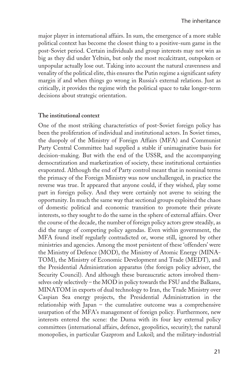<span id="page-32-0"></span>major player in international affairs. In sum, the emergence of a more stable political context has become the closest thing to a positive-sum game in the post-Soviet period. Certain individuals and group interests may not win as big as they did under Yeltsin, but only the most recalcitrant, outspoken or unpopular actually lose out. Taking into account the natural cravenness and venality of the political elite, this ensures the Putin regime a significant safety margin if and when things go wrong in Russia's external relations. Just as critically, it provides the regime with the political space to take longer-term decisions about strategic orientation.

#### **The institutional context**

One of the most striking characteristics of post-Soviet foreign policy has been the proliferation of individual and institutional actors. In Soviet times, the duopoly of the Ministry of Foreign Affairs (MFA) and Communist Party Central Committee had supplied a stable if unimaginative basis for decision-making. But with the end of the USSR, and the accompanying democratization and marketization of society, these institutional certainties evaporated. Although the end of Party control meant that in nominal terms the primacy of the Foreign Ministry was now unchallenged, in practice the reverse was true. It appeared that anyone could, if they wished, play some part in foreign policy. And they were certainly not averse to seizing the opportunity. In much the same way that sectional groups exploited the chaos of domestic political and economic transition to promote their private interests, so they sought to do the same in the sphere of external affairs. Over the course of the decade, the number of foreign policy actors grew steadily, as did the range of competing policy agendas. Even within government, the MFA found itself regularly contradicted or, worse still, ignored by other ministries and agencies. Among the most persistent of these 'offenders' were the Ministry of Defence (MOD), the Ministry of Atomic Energy (MINA-TOM), the Ministry of Economic Development and Trade (MEDT), and the Presidential Administration apparatus (the foreign policy adviser, the Security Council). And although these bureaucratic actors involved themselves only selectively – the MOD in policy towards the FSU and the Balkans, MINATOM in exports of dual technology to Iran, the Trade Ministry over Caspian Sea energy projects, the Presidential Administration in the relationship with Japan – the cumulative outcome was a comprehensive usurpation of the MFA's management of foreign policy. Furthermore, new interests entered the scene: the Duma with its four key external policy committees (international affairs, defence, geopolitics, security); the natural monopolies, in particular Gazprom and Lukoil; and the military-industrial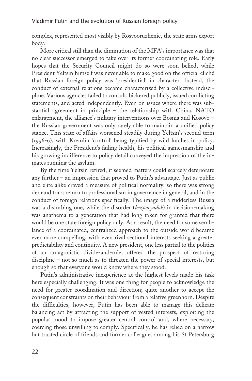#### Vladimir Putin and the evolution of Russian foreign policy

complex, represented most visibly by Rosvooruzhenie, the state arms export body.

More critical still than the diminution of the MFA's importance was that no clear successor emerged to take over its former coordinating role. Early hopes that the Security Council might do so were soon belied, while President Yeltsin himself was never able to make good on the official cliché that Russian foreign policy was 'presidential' in character. Instead, the conduct of external relations became characterized by a collective indiscipline. Various agencies failed to consult, bickered publicly, issued conflicting statements, and acted independently. Even on issues where there was substantial agreement in principle – the relationship with China, NATO enlargement, the alliance's military interventions over Bosnia and Kosovo – the Russian government was only rarely able to maintain a unified policy stance. This state of affairs worsened steadily during Yeltsin's second term (1996-9), with Kremlin 'control' being typified by wild lurches in policy. Increasingly, the President's failing health, his political gamesmanship and his growing indifference to policy detail conveyed the impression of the inmates running the asylum.

By the time Yeltsin retired, it seemed matters could scarcely deteriorate any further – an impression that proved to Putin's advantage. Just as public and elite alike craved a measure of political normality, so there was strong demand for a return to professionalism in governance in general, and in the conduct of foreign relations specifically. The image of a rudderless Russia was a disturbing one, while the disorder (*bezporyadok*) in decision-making was anathema to a generation that had long taken for granted that there would be one state foreign policy only. As a result, the need for some semblance of a coordinated, centralized approach to the outside world became ever more compelling, with even rival sectional interests seeking a greater predictability and continuity. A new president, one less partial to the politics of an antagonistic divide-and-rule, offered the prospect of restoring discipline – not so much as to threaten the power of special interests, but enough so that everyone would know where they stood.

Putin's administrative inexperience at the highest levels made his task here especially challenging. It was one thing for people to acknowledge the need for greater coordination and direction; quite another to accept the consequent constraints on their behaviour from a relative greenhorn. Despite the difficulties, however, Putin has been able to manage this delicate balancing act by attracting the support of vested interests, exploiting the popular mood to impose greater central control and, where necessary, coercing those unwilling to comply. Specifically, he has relied on a narrow but trusted circle of friends and former colleagues among his St Petersburg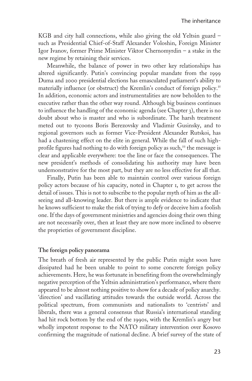<span id="page-34-0"></span>KGB and city hall connections, while also giving the old Yeltsin guard – such as Presidential Chief-of-Staff Alexander Voloshin, Foreign Minister Igor Ivanov, former Prime Minister Viktor Chernomyrdin – a stake in the new regime by retaining their services.

Meanwhile, the balance of power in two other key relationships has altered significantly. Putin's convincing popular mandate from the 1999 Duma and 2000 presidential elections has emasculated parliament's ability to materially influence (or obstruct) the Kremlin's conduct of foreign policy.<sup>21</sup> In addition, economic actors and instrumentalities are now beholden to the executive rather than the other way round. Although big business continues to influence the handling of the economic agenda (see Chapter 3), there is no doubt about who is master and who is subordinate. The harsh treatment meted out to tycoons Boris Berezovsky and Vladimir Gusinsky, and to regional governors such as former Vice-President Alexander Rutskoi, has had a chastening effect on the elite in general. While the fall of such highprofile figures had nothing to do with foreign policy as such,<sup>22</sup> the message is clear and applicable everywhere: toe the line or face the consequences. The new president's methods of consolidating his authority may have been undemonstrative for the most part, but they are no less effective for all that.

Finally, Putin has been able to maintain control over various foreign policy actors because of his capacity, noted in Chapter 1, to get across the detail of issues. This is not to subscribe to the popular myth of him as the allseeing and all-knowing leader. But there is ample evidence to indicate that he knows sufficient to make the risk of trying to defy or deceive him a foolish one. If the days of government ministries and agencies doing their own thing are not necessarily over, then at least they are now more inclined to observe the proprieties of government discipline.

#### **The foreign policy panorama**

The breath of fresh air represented by the public Putin might soon have dissipated had he been unable to point to some concrete foreign policy achievements. Here, he was fortunate in benefiting from the overwhelmingly negative perception of the Yeltsin administration's performance, where there appeared to be almost nothing positive to show for a decade of policy anarchy. 'direction' and vacillating attitudes towards the outside world. Across the political spectrum, from communists and nationalists to 'centrists' and liberals, there was a general consensus that Russia's international standing had hit rock bottom by the end of the 1990s, with the Kremlin's angry but wholly impotent response to the NATO military intervention over Kosovo confirming the magnitude of national decline. A brief survey of the state of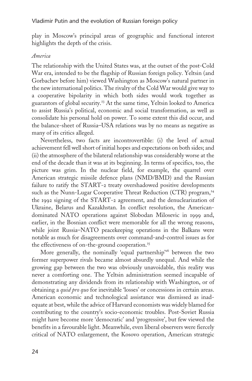Vladimir Putin and the evolution of Russian foreign policy

play in Moscow's principal areas of geographic and functional interest highlights the depth of the crisis.

#### *America*

The relationship with the United States was, at the outset of the post-Cold War era, intended to be the flagship of Russian foreign policy. Yeltsin (and Gorbachev before him) viewed Washington as Moscow's natural partner in the new international politics. The rivalry of the Cold War would give way to a cooperative bipolarity in which both sides would work together as guarantors of global security.<sup>23</sup> At the same time, Yeltsin looked to America to assist Russia's political, economic and social transformation, as well as consolidate his personal hold on power. To some extent this did occur, and the balance-sheet of Russia–USA relations was by no means as negative as many of its critics alleged.

Nevertheless, two facts are incontrovertible: (i) the level of actual achievement fell well short of initial hopes and expectations on both sides; and (ii) the atmosphere of the bilateral relationship was considerably worse at the end of the decade than it was at its beginning. In terms of specifics, too, the picture was grim. In the nuclear field, for example, the quarrel over American strategic missile defence plans (NMD/BMD) and the Russian failure to ratify the START-2 treaty overshadowed positive developments such as the Nunn-Lugar Cooperative Threat Reduction (CTR) program,<sup>24</sup> the 1992 signing of the START-2 agreement, and the denuclearization of Ukraine, Belarus and Kazakhstan. In conflict resolution, the Americandominated NATO operations against Slobodan Milosevic in 1999 and, earlier, in the Bosnian conflict were memorable for all the wrong reasons, while joint Russia–NATO peacekeeping operations in the Balkans were notable as much for disagreements over command-and-control issues as for the effectiveness of on-the-ground cooperation.<sup>25</sup>

More generally, the nominally 'equal partnership'<sup>26</sup> between the two former superpower rivals became almost absurdly unequal. And while the growing gap between the two was obviously unavoidable, this reality was never a comforting one. The Yeltsin administration seemed incapable of demonstrating any dividends from its relationship with Washington, or of obtaining a *quid pro quo* for inevitable 'losses' or concessions in certain areas. American economic and technological assistance was dismissed as inadequate at best, while the advice of Harvard economists was widely blamed for contributing to the country's socio-economic troubles. Post-Soviet Russia might have become more 'democratic' and 'progressive', but few viewed the benefits in a favourable light. Meanwhile, even liberal observers were fiercely critical of NATO enlargement, the Kosovo operation, American strategic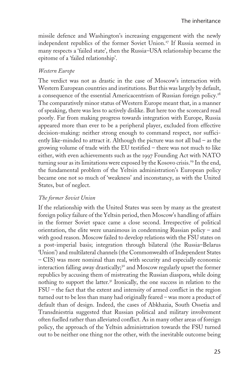missile defence and Washington's increasing engagement with the newly independent republics of the former Soviet Union.<sup>27</sup> If Russia seemed in many respects a 'failed state', then the Russia–USA relationship became the epitome of a 'failed relationship'.

## *Western Europe*

The verdict was not as drastic in the case of Moscow's interaction with Western European countries and institutions. But this was largely by default, a consequence of the essential Americacentrism of Russian foreign policy.<sup>28</sup> The comparatively minor status of Western Europe meant that, in a manner of speaking, there was less to actively dislike. But here too the scorecard read poorly. Far from making progress towards integration with Europe, Russia appeared more than ever to be a peripheral player, excluded from effective decision-making: neither strong enough to command respect, nor sufficiently like-minded to attract it. Although the picture was not all bad – as the growing volume of trade with the EU testified – there was not much to like either, with even achievements such as the 1997 Founding Act with NATO turning sour as its limitations were exposed by the Kosovo crisis.<sup>29</sup> In the end, the fundamental problem of the Yeltsin administration's European policy became one not so much of 'weakness' and inconstancy, as with the United States, but of neglect.

## *The former Soviet Union*

If the relationship with the United States was seen by many as the greatest foreign policy failure of the Yeltsin period, then Moscow's handling of affairs in the former Soviet space came a close second. Irrespective of political orientation, the elite were unanimous in condemning Russian policy – and with good reason. Moscow failed to develop relations with the FSU states on a post-imperial basis; integration through bilateral (the Russia–Belarus 'Union') and multilateral channels (the Commonwealth of Independent States – CIS) was more nominal than real, with security and especially economic interaction falling away drastically;<sup>30</sup> and Moscow regularly upset the former republics by accusing them of mistreating the Russian diaspora, while doing nothing to support the latter.<sup>31</sup> Ironically, the one success in relation to the FSU – the fact that the extent and intensity of armed conflict in the region turned out to be less than many had originally feared – was more a product of default than of design. Indeed, the cases of Abkhazia, South Ossetia and Transdniestria suggested that Russian political and military involvement often fuelled rather than alleviated conflict. As in many other areas of foreign policy, the approach of the Yeltsin administration towards the FSU turned out to be neither one thing nor the other, with the inevitable outcome being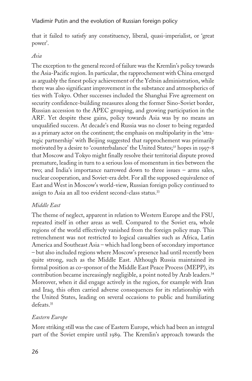that it failed to satisfy any constituency, liberal, quasi-imperialist, or 'great power'.

## *Asia*

The exception to the general record of failure was the Kremlin's policy towards the Asia-Pacific region. In particular, the rapprochement with China emerged as arguably the finest policy achievement of the Yeltsin administration, while there was also significant improvement in the substance and atmospherics of ties with Tokyo. Other successes included the Shanghai Five agreement on security confidence-building measures along the former Sino-Soviet border, Russian accession to the APEC grouping, and growing participation in the ARF. Yet despite these gains, policy towards Asia was by no means an unqualified success. At decade's end Russia was no closer to being regarded as a primary actor on the continent; the emphasis on multipolarity in the 'strategic partnership' with Beijing suggested that rapprochement was primarily motivated by a desire to 'counterbalance' the United States;<sup>32</sup> hopes in 1997-8 that Moscow and Tokyo might finally resolve their territorial dispute proved premature, leading in turn to a serious loss of momentum in ties between the two; and India's importance narrowed down to three issues – arms sales, nuclear cooperation, and Soviet-era debt. For all the supposed equivalence of East and West in Moscow's world-view, Russian foreign policy continued to assign to Asia an all too evident second-class status.<sup>33</sup>

## *Middle East*

The theme of neglect, apparent in relation to Western Europe and the FSU, repeated itself in other areas as well. Compared to the Soviet era, whole regions of the world effectively vanished from the foreign policy map. This retrenchment was not restricted to logical casualties such as Africa, Latin America and Southeast Asia – which had long been of secondary importance – but also included regions where Moscow's presence had until recently been quite strong, such as the Middle East. Although Russia maintained its formal position as co-sponsor of the Middle East Peace Process (MEPP), its contribution became increasingly negligible, a point noted by Arab leaders.<sup>34</sup> Moreover, when it did engage actively in the region, for example with Iran and Iraq, this often carried adverse consequences for its relationship with the United States, leading on several occasions to public and humiliating defeats.<sup>35</sup>

## *Eastern Europe*

More striking still was the case of Eastern Europe, which had been an integral part of the Soviet empire until 1989. The Kremlin's approach towards the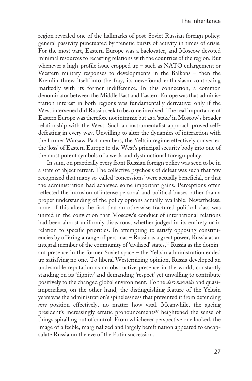region revealed one of the hallmarks of post-Soviet Russian foreign policy: general passivity punctuated by frenetic bursts of activity in times of crisis. For the most part, Eastern Europe was a backwater, and Moscow devoted minimal resources to recasting relations with the countries of the region. But whenever a high-profile issue cropped up – such as NATO enlargement or Western military responses to developments in the Balkans – then the Kremlin threw itself into the fray, its new-found enthusiasm contrasting markedly with its former indifference. In this connection, a common denominator between the Middle East and Eastern Europe was that administration interest in both regions was fundamentally derivative: only if the West intervened did Russia seek to become involved. The real importance of Eastern Europe was therefore not intrinsic but as a 'stake' in Moscow's broader relationship with the West. Such an instrumentalist approach proved selfdefeating in every way. Unwilling to alter the dynamics of interaction with the former Warsaw Pact members, the Yeltsin regime effectively converted the 'loss' of Eastern Europe to the West's principal security body into one of the most potent symbols of a weak and dysfunctional foreign policy.

In sum, on practically every front Russian foreign policy was seen to be in a state of abject retreat. The collective psychosis of defeat was such that few recognized that many so-called 'concessions' were actually beneficial, or that the administration had achieved some important gains. Perceptions often reflected the intrusion of intense personal and political biases rather than a proper understanding of the policy options actually available. Nevertheless, none of this alters the fact that an otherwise fractured political class was united in the conviction that Moscow's conduct of international relations had been almost uniformly disastrous, whether judged in its entirety or in relation to specific priorities. In attempting to satisfy opposing constituencies by offering a range of personas – Russia as a great power, Russia as an integral member of the community of 'civilized' states,<sup>36</sup> Russia as the dominant presence in the former Soviet space – the Yeltsin administration ended up satisfying no one. To liberal Westernizing opinion, Russia developed an undesirable reputation as an obstructive presence in the world, constantly standing on its 'dignity' and demanding 'respect' yet unwilling to contribute positively to the changed global environment. To the *derzhavniki* and quasiimperialists, on the other hand, the distinguishing feature of the Yeltsin years was the administration's spinelessness that prevented it from defending *any* position effectively, no matter how vital. Meanwhile, the ageing president's increasingly erratic pronouncements<sup>37</sup> heightened the sense of things spiralling out of control. From whichever perspective one looked, the image of a feeble, marginalized and largely bereft nation appeared to encapsulate Russia on the eve of the Putin succession.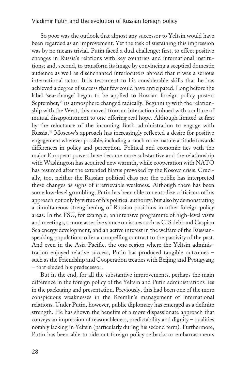So poor was the outlook that almost any successor to Yeltsin would have been regarded as an improvement. Yet the task of sustaining this impression was by no means trivial. Putin faced a dual challenge: first, to effect positive changes in Russia's relations with key countries and international institutions; and, second, to transform its image by convincing a sceptical domestic audience as well as disenchanted interlocutors abroad that it was a serious international actor. It is testament to his considerable skills that he has achieved a degree of success that few could have anticipated. Long before the label 'sea-change' began to be applied to Russian foreign policy post-11 September,<sup>38</sup> its atmosphere changed radically. Beginning with the relationship with the West, this moved from an interaction imbued with a culture of mutual disappointment to one offering real hope. Although limited at first by the reluctance of the incoming Bush administration to engage with Russia,39 Moscow's approach has increasingly reflected a desire for positive engagement wherever possible, including a much more mature attitude towards differences in policy and perception. Political and economic ties with the major European powers have become more substantive and the relationship with Washington has acquired new warmth, while cooperation with NATO has resumed after the extended hiatus provoked by the Kosovo crisis. Crucially, too, neither the Russian political class nor the public has interpreted these changes as signs of irretrievable weakness. Although there has been some low-level grumbling, Putin has been able to neutralize criticisms of his approach not only by virtue of his political authority, but also by demonstrating a simultaneous strengthening of Russian positions in other foreign policy areas. In the FSU, for example, an intensive programme of high-level visits and meetings, a more assertive stance on issues such as CIS debt and Caspian Sea energy development, and an active interest in the welfare of the Russianspeaking populations offer a compelling contrast to the passivity of the past. And even in the Asia-Pacific, the one region where the Yeltsin administration enjoyed relative success, Putin has produced tangible outcomes – such as the Friendship and Cooperation treaties with Beijing and Pyongyang – that eluded his predecessor.

But in the end, for all the substantive improvements, perhaps the main difference in the foreign policy of the Yeltsin and Putin administrations lies in the packaging and presentation. Previously, this had been one of the more conspicuous weaknesses in the Kremlin's management of international relations. Under Putin, however, public diplomacy has emerged as a definite strength. He has shown the benefits of a more dispassionate approach that conveys an impression of reasonableness, predictability and dignity – qualities notably lacking in Yeltsin (particularly during his second term). Furthermore, Putin has been able to ride out foreign policy setbacks or embarrassments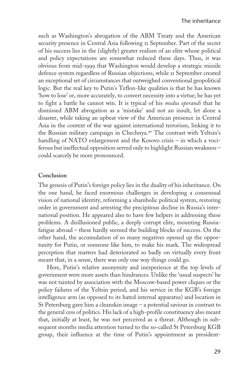such as Washington's abrogation of the ABM Treaty and the American security presence in Central Asia following  $\pi$  September. Part of the secret of his success lies in the (slightly) greater realism of an elite whose political and policy expectations are somewhat reduced these days. Thus, it was obvious from mid-1999 that Washington would develop a strategic missile defence system regardless of Russian objections, while 11 September created an exceptional set of circumstances that outweighed conventional geopolitical logic. But the real key to Putin's Teflon-like qualities is that he has known 'how to lose' or, more accurately, to convert necessity into a virtue; he has yet to fight a battle he cannot win. It is typical of his *modus operandi* that he dismissed ABM abrogation as a 'mistake' and not an insult, let alone a disaster, while taking an upbeat view of the American presence in Central Asia in the context of the war against international terrorism, linking it to the Russian military campaign in Chechnya.40 The contrast with Yeltsin's handling of NATO enlargement and the Kosovo crisis – in which a vociferous but ineffectual opposition served only to highlight Russian weakness – could scarcely be more pronounced.

#### **Conclusion**

The genesis of Putin's foreign policy lies in the duality of his inheritance. On the one hand, he faced enormous challenges in developing a consensual vision of national identity, reforming a shambolic political system, restoring order in government and arresting the precipitous decline in Russia's international position. He appeared also to have few helpers in addressing these problems. A disillusioned public, a deeply corrupt elite, mounting Russiafatigue abroad – these hardly seemed the building blocks of success. On the other hand, the accumulation of so many negatives opened up the opportunity for Putin, or someone like him, to make his mark. The widespread perception that matters had deteriorated so badly on virtually every front meant that, in a sense, there was only one way things could go.

Here, Putin's relative anonymity and inexperience at the top levels of government were more assets than hindrances. Unlike the 'usual suspects' he was not tainted by association with the Moscow-based power cliques or the policy failures of the Yeltsin period, and his service in the KGB's foreign intelligence arm (as opposed to its hated internal apparatus) and location in St Petersburg gave him a cleanskin image – a potential saviour in contrast to the general cess of politics. His lack of a high-profile constituency also meant that, initially at least, he was not perceived as a threat. Although in subsequent months media attention turned to the so-called St Petersburg KGB group, their influence at the time of Putin's appointment as president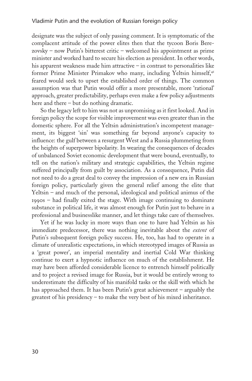designate was the subject of only passing comment. It is symptomatic of the complacent attitude of the power elites then that the tycoon Boris Berezovsky – now Putin's bitterest critic – welcomed his appointment as prime minister and worked hard to secure his election as president. In other words, his apparent weakness made him attractive – in contrast to personalities like former Prime Minister Primakov who many, including Yeltsin himself,<sup>41</sup> feared would seek to upset the established order of things. The common assumption was that Putin would offer a more presentable, more 'rational' approach, greater predictability, perhaps even make a few policy adjustments here and there – but do nothing dramatic.

So the legacy left to him was not as unpromising as it first looked. And in foreign policy the scope for visible improvement was even greater than in the domestic sphere. For all the Yeltsin administration's incompetent management, its biggest 'sin' was something far beyond anyone's capacity to influence: the gulf between a resurgent West and a Russia plummeting from the heights of superpower bipolarity. In wearing the consequences of decades of unbalanced Soviet economic development that were bound, eventually, to tell on the nation's military and strategic capabilities, the Yeltsin regime suffered principally from guilt by association. As a consequence, Putin did not need to do a great deal to convey the impression of a new era in Russian foreign policy, particularly given the general relief among the elite that Yeltsin – and much of the personal, ideological and political animus of the 1990s – had finally exited the stage. With image continuing to dominate substance in political life, it was almost enough for Putin just to behave in a professional and businesslike manner, and let things take care of themselves.

Yet if he was lucky in more ways than one to have had Yeltsin as his immediate predecessor, there was nothing inevitable about the *extent* of Putin's subsequent foreign policy success. He, too, has had to operate in a climate of unrealistic expectations, in which stereotyped images of Russia as a 'great power', an imperial mentality and inertial Cold War thinking continue to exert a hypnotic influence on much of the establishment. He may have been afforded considerable licence to entrench himself politically and to project a revised image for Russia, but it would be entirely wrong to underestimate the difficulty of his manifold tasks or the skill with which he has approached them. It has been Putin's great achievement – arguably the greatest of his presidency – to make the very best of his mixed inheritance.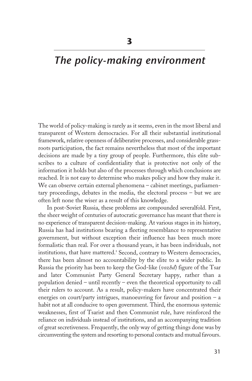# *The policy-making environment*

The world of policy-making is rarely as it seems, even in the most liberal and transparent of Western democracies. For all their substantial institutional framework, relative openness of deliberative processes, and considerable grassroots participation, the fact remains nevertheless that most of the important decisions are made by a tiny group of people. Furthermore, this elite subscribes to a culture of confidentiality that is protective not only of the information it holds but also of the processes through which conclusions are reached. It is not easy to determine who makes policy and how they make it. We can observe certain external phenomena – cabinet meetings, parliamentary proceedings, debates in the media, the electoral process – but we are often left none the wiser as a result of this knowledge.

In post-Soviet Russia, these problems are compounded severalfold. First, the sheer weight of centuries of autocratic governance has meant that there is no experience of transparent decision-making. At various stages in its history, Russia has had institutions bearing a fleeting resemblance to representative government, but without exception their influence has been much more formalistic than real. For over a thousand years, it has been individuals, not institutions, that have mattered.<sup>1</sup> Second, contrary to Western democracies, there has been almost no accountability by the elite to a wider public. In Russia the priority has been to keep the God-like (*vozhd*) figure of the Tsar and later Communist Party General Secretary happy, rather than a population denied – until recently – even the theoretical opportunity to call their rulers to account. As a result, policy-makers have concentrated their energies on court/party intrigues, manoeuvring for favour and position  $- a$ habit not at all conducive to open government. Third, the enormous systemic weaknesses, first of Tsarist and then Communist rule, have reinforced the reliance on individuals instead of institutions, and an accompanying tradition of great secretiveness. Frequently, the only way of getting things done was by circumventing the system and resorting to personal contacts and mutual favours.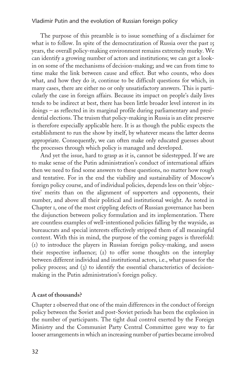The purpose of this preamble is to issue something of a disclaimer for what is to follow. In spite of the democratization of Russia over the past 15 years, the overall policy-making environment remains extremely murky. We can identify a growing number of actors and institutions; we can get a lookin on some of the mechanisms of decision-making; and we can from time to time make the link between cause and effect. But who counts, who does what, and how they do it, continue to be difficult questions for which, in many cases, there are either no or only unsatisfactory answers. This is particularly the case in foreign affairs. Because its impact on people's daily lives tends to be indirect at best, there has been little broader level interest in its doings – as reflected in its marginal profile during parliamentary and presidential elections. The truism that policy-making in Russia is an elite preserve is therefore especially applicable here. It is as though the public expects the establishment to run the show by itself, by whatever means the latter deems appropriate. Consequently, we can often make only educated guesses about the processes through which policy is managed and developed.

And yet the issue, hard to grasp as it is, cannot be sidestepped. If we are to make sense of the Putin administration's conduct of international affairs then we need to find some answers to these questions, no matter how rough and tentative. For in the end the viability and sustainability of Moscow's foreign policy course, and of individual policies, depends less on their 'objective' merits than on the alignment of supporters and opponents, their number, and above all their political and institutional weight. As noted in Chapter 1, one of the most crippling defects of Russian governance has been the disjunction between policy formulation and its implementation. There are countless examples of well-intentioned policies falling by the wayside, as bureaucrats and special interests effectively stripped them of all meaningful content. With this in mind, the purpose of the coming pages is threefold: (1) to introduce the players in Russian foreign policy-making, and assess their respective influence; (2) to offer some thoughts on the interplay between different individual and institutional actors, i.e., what passes for the policy process; and (3) to identify the essential characteristics of decisionmaking in the Putin administration's foreign policy.

#### **A cast of thousands?**

Chapter 2 observed that one of the main differences in the conduct of foreign policy between the Soviet and post-Soviet periods has been the explosion in the number of participants. The tight dual control exerted by the Foreign Ministry and the Communist Party Central Committee gave way to far looser arrangements in which an increasing number of parties became involved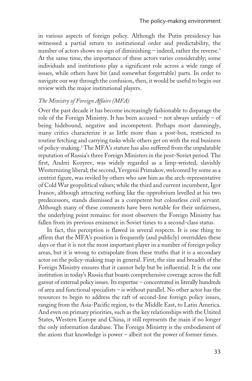in various aspects of foreign policy. Although the Putin presidency has witnessed a partial return to institutional order and predictability, the number of actors shows no sign of diminishing – indeed, rather the reverse.<sup>2</sup> At the same time, the importance of these actors varies considerably; some individuals and institutions play a significant role across a wide range of issues, while others have bit (and somewhat forgettable) parts. In order to navigate our way through the confusion, then, it would be useful to begin our review with the major institutional players.

## *The Ministry of Foreign Affairs (MFA)*

Over the past decade it has become increasingly fashionable to disparage the role of the Foreign Ministry. It has been accused – not always unfairly – of being hidebound, negative and incompetent. Perhaps most damningly, many critics characterize it as little more than a post-box, restricted to routine fetching and carrying tasks while others get on with the real business of policy-making.<sup>3</sup> The MFA's stature has also suffered from the unpalatable reputation of Russia's three Foreign Ministers in the post-Soviet period. The first, Andrei Kozyrev, was widely regarded as a limp-wristed, slavishly Westernizing liberal; the second, Yevgenii Primakov, welcomed by some as a centrist figure, was reviled by others who saw him as the arch-representative of Cold War geopolitical values; while the third and current incumbent, Igor Ivanov, although attracting nothing like the opprobrium levelled at his two predecessors, stands dismissed as a competent but colourless civil servant. Although many of these comments have been notable for their unfairness, the underlying point remains: for most observers the Foreign Ministry has fallen from its previous eminence in Soviet times to a second-class status.

In fact, this perception is flawed in several respects. It is one thing to affirm that the MFA's position is frequently (and publicly) overridden these days or that it is not the most important player in a number of foreign policy areas, but it is wrong to extrapolate from these truths that it is a secondary actor on the policy-making map in general. First, the size and breadth of the Foreign Ministry ensures that it cannot help but be influential. It is the one institution in today's Russia that boasts comprehensive coverage across the full gamut of external policy issues. Its expertise – concentrated in literally hundreds of area and functional specialists – is without parallel. No other actor has the resources to begin to address the raft of second-line foreign policy issues, ranging from the Asia-Pacific region, to the Middle East, to Latin America. And even on primary priorities, such as the key relationships with the United States, Western Europe and China, it still represents the main if no longer the only information database. The Foreign Ministry is the embodiment of the axiom that knowledge is power – albeit not the power of former times.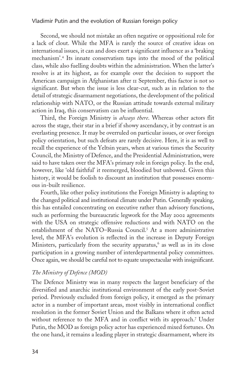Second, we should not mistake an often negative or oppositional role for a lack of clout. While the MFA is rarely the source of creative ideas on international issues, it can and does exert a significant influence as a 'braking mechanism'.<sup>4</sup> Its innate conservatism taps into the mood of the political class, while also fuelling doubts within the administration. When the latter's resolve is at its highest, as for example over the decision to support the American campaign in Afghanistan after 11 September, this factor is not so significant. But when the issue is less clear-cut, such as in relation to the detail of strategic disarmament negotiations, the development of the political relationship with NATO, or the Russian attitude towards external military action in Iraq, this conservatism can be influential.

Third, the Foreign Ministry is *always there*. Whereas other actors flit across the stage, their star in a brief if showy ascendancy, it by contrast is an everlasting presence. It may be overruled on particular issues, or over foreign policy orientation, but such defeats are rarely decisive. Here, it is as well to recall the experience of the Yeltsin years, when at various times the Security Council, the Ministry of Defence, and the Presidential Administration, were said to have taken over the MFA's primary role in foreign policy. In the end, however, like 'old faithful' it reemerged, bloodied but unbowed. Given this history, it would be foolish to discount an institution that possesses enormous in-built resilience.

Fourth, like other policy institutions the Foreign Ministry is adapting to the changed political and institutional climate under Putin. Generally speaking, this has entailed concentrating on executive rather than advisory functions, such as performing the bureaucratic legwork for the May 2002 agreements with the USA on strategic offensive reductions and with NATO on the establishment of the NATO-Russia Council.<sup>5</sup> At a more administrative level, the MFA's evolution is reflected in the increase in Deputy Foreign Ministers, particularly from the security apparatus, $^6$  as well as in its close participation in a growing number of interdepartmental policy committees. Once again, we should be careful not to equate unspectacular with insignificant.

## *The Ministry of Defence (MOD)*

The Defence Ministry was in many respects the largest beneficiary of the diversified and anarchic institutional environment of the early post-Soviet period. Previously excluded from foreign policy, it emerged as the primary actor in a number of important areas, most visibly in international conflict resolution in the former Soviet Union and the Balkans where it often acted without reference to the MFA and in conflict with its approach.<sup>7</sup> Under Putin, the MOD as foreign policy actor has experienced mixed fortunes. On the one hand, it remains a leading player in strategic disarmament, where its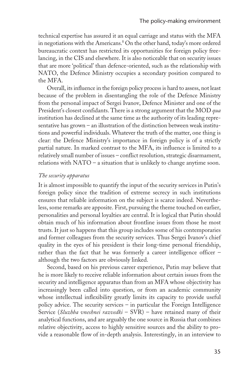technical expertise has assured it an equal carriage and status with the MFA in negotiations with the Americans.<sup>8</sup> On the other hand, today's more ordered bureaucratic context has restricted its opportunities for foreign policy freelancing, in the CIS and elsewhere. It is also noticeable that on security issues that are more 'political' than defence-oriented, such as the relationship with NATO, the Defence Ministry occupies a secondary position compared to the MFA.

Overall, its influence in the foreign policy process is hard to assess, not least because of the problem in disentangling the role of the Defence Ministry from the personal impact of Sergei Ivanov, Defence Minister and one of the President's closest confidants. There is a strong argument that the MOD *qua* institution has declined at the same time as the authority of its leading representative has grown – an illustration of the distinction between weak institutions and powerful individuals. Whatever the truth of the matter, one thing is clear: the Defence Ministry's importance in foreign policy is of a strictly partial nature. In marked contrast to the MFA, its influence is limited to a relatively small number of issues – conflict resolution, strategic disarmament, relations with  $NATO - a$  situation that is unlikely to change anytime soon.

## *The security apparatus*

It is almost impossible to quantify the input of the security services in Putin's foreign policy since the tradition of extreme secrecy in such institutions ensures that reliable information on the subject is scarce indeed. Nevertheless, some remarks are apposite. First, pursuing the theme touched on earlier, personalities and personal loyalties are central. It is logical that Putin should obtain much of his information about frontline issues from those he most trusts. It just so happens that this group includes some of his contemporaries and former colleagues from the security services. Thus Sergei Ivanov's chief quality in the eyes of his president is their long-time personal friendship, rather than the fact that he was formerly a career intelligence officer – although the two factors are obviously linked.

Second, based on his previous career experience, Putin may believe that he is more likely to receive reliable information about certain issues from the security and intelligence apparatus than from an MFA whose objectivity has increasingly been called into question, or from an academic community whose intellectual inflexibility greatly limits its capacity to provide useful policy advice. The security services – in particular the Foreign Intelligence Service (*Sluzhba vneshnei razvedki* – SVR) – have retained many of their analytical functions, and are arguably the one source in Russia that combines relative objectivity, access to highly sensitive sources and the ability to provide a reasonable flow of in-depth analysis. Interestingly, in an interview to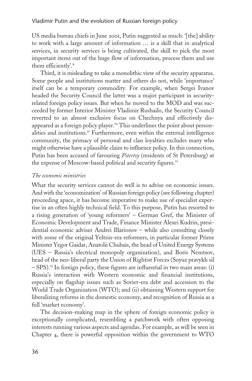US media bureau chiefs in June 2001, Putin suggested as much: '[the] ability to work with a large amount of information … is a skill that in analytical services, in security services is being cultivated, the skill to pick the most important items out of the huge flow of information, process them and use them efficiently'.<sup>9</sup>

Third, it is misleading to take a monolithic view of the security apparatus. Some people and institutions matter and others do not, while 'importance' itself can be a temporary commodity. For example, when Sergei Ivanov headed the Security Council the latter was a major participant in securityrelated foreign policy issues. But when he moved to the MOD and was succeeded by former Interior Minister Vladimir Rushailo, the Security Council reverted to an almost exclusive focus on Chechnya and effectively disappeared as a foreign policy player.<sup>10</sup> This underlines the point about personalities and institutions.<sup>11</sup> Furthermore, even within the external intelligence community, the primacy of personal and clan loyalties excludes many who might otherwise have a plausible claim to influence policy. In this connection, Putin has been accused of favouring *Pitertsy* (residents of St Petersburg) at the expense of Moscow-based political and security figures.<sup>12</sup>

#### *The economic ministries*

What the security services cannot do well is to advise on economic issues. And with the 'economization' of Russian foreign policy (see following chapter) proceeding apace, it has become imperative to make use of specialist expertise in an often highly technical field. To this purpose, Putin has resorted to a rising generation of 'young reformers' – German Gref, the Minister of Economic Development and Trade, Finance Minister Alexei Kudrin, presidential economic adviser Andrei Illarionov – while also consulting closely with some of the original Yeltsin-era reformers, in particular former Prime Minister Yegor Gaidar, Anatolii Chubais, the head of United Energy Systems (UES – Russia's electrical monopoly organization), and Boris Nemtsov, head of the neo-liberal party the Union of Rightist Forces (Soyuz pravykh sil  $-$  SPS).<sup>13</sup> In foreign policy, these figures are influential in two main areas: (i) Russia's interaction with Western economic and financial institutions, especially on flagship issues such as Soviet-era debt and accession to the World Trade Organization (WTO); and (ii) obtaining Western support for liberalizing reforms in the domestic economy, and recognition of Russia as a full 'market economy'.

The decision-making map in the sphere of foreign economic policy is exceptionally complicated, resembling a patchwork with often opposing interests running various aspects and agendas. For example, as will be seen in Chapter 4, there is powerful opposition within the government to WTO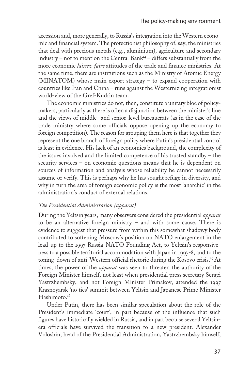accession and, more generally, to Russia's integration into the Western economic and financial system. The protectionist philosophy of, say, the ministries that deal with precious metals (e.g., aluminium), agriculture and secondary industry – not to mention the Central Bank<sup>14</sup> – differs substantially from the more economic *laissez-faire* attitudes of the trade and finance ministries. At the same time, there are institutions such as the Ministry of Atomic Energy (MINATOM) whose main export strategy – to expand cooperation with countries like Iran and China – runs against the Westernizing integrationist world-view of the Gref-Kudrin team.

The economic ministries do not, then, constitute a unitary bloc of policymakers, particularly as there is often a disjunction between the minister's line and the views of middle- and senior-level bureaucrats (as in the case of the trade ministry where some officials oppose opening up the economy to foreign competition). The reason for grouping them here is that together they represent the one branch of foreign policy where Putin's presidential control is least in evidence. His lack of an economics background, the complexity of the issues involved and the limited competence of his trusted standby – the security services – on economic questions means that he is dependent on sources of information and analysis whose reliability he cannot necessarily assume or verify. This is perhaps why he has sought refuge in diversity, and why in turn the area of foreign economic policy is the most 'anarchic' in the administration's conduct of external relations.

## *The Presidential Administration (apparat)*

During the Yeltsin years, many observers considered the presidential *apparat* to be an alternative foreign ministry – and with some cause. There is evidence to suggest that pressure from within this somewhat shadowy body contributed to softening Moscow's position on NATO enlargement in the lead-up to the 1997 Russia-NATO Founding Act, to Yeltsin's responsiveness to a possible territorial accommodation with Japan in 1997-8, and to the toning-down of anti-Western official rhetoric during the Kosovo crisis.15 At times, the power of the *apparat* was seen to threaten the authority of the Foreign Minister himself, not least when presidential press secretary Sergei Yastrzhembsky, and not Foreign Minister Primakov, attended the 1997 Krasnoyarsk 'no ties' summit between Yeltsin and Japanese Prime Minister Hashimoto.<sup>16</sup>

Under Putin, there has been similar speculation about the role of the President's immediate 'court', in part because of the influence that such figures have historically wielded in Russia, and in part because several Yeltsinera officials have survived the transition to a new president. Alexander Voloshin, head of the Presidential Administration, Yastrzhembsky himself,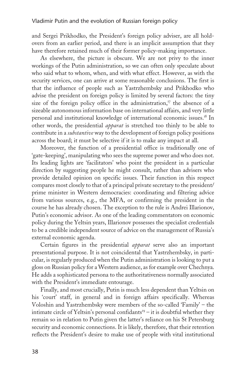and Sergei Prikhodko, the President's foreign policy adviser, are all holdovers from an earlier period, and there is an implicit assumption that they have therefore retained much of their former policy-making importance.

As elsewhere, the picture is obscure. We are not privy to the inner workings of the Putin administration, so we can often only speculate about who said what to whom, when, and with what effect. However, as with the security services, one can arrive at some reasonable conclusions. The first is that the influence of people such as Yastrzhembsky and Prikhodko who advise the president on foreign policy is limited by several factors: the tiny size of the foreign policy office in the administration, $17$  the absence of a sizeable autonomous information base on international affairs, and very little personal and institutional knowledge of international economic issues.<sup>18</sup> In other words, the presidential *apparat* is stretched too thinly to be able to contribute in a *substantive* way to the development of foreign policy positions across the board; it must be selective if it is to make any impact at all.

Moreover, the function of a presidential office is traditionally one of 'gate-keeping', manipulating who sees the supreme power and who does not. Its leading lights are 'facilitators' who point the president in a particular direction by suggesting people he might consult, rather than advisers who provide detailed opinion on specific issues. Their function in this respect compares most closely to that of a principal private secretary to the president/ prime minister in Western democracies: coordinating and filtering advice from various sources, e.g., the MFA, or confirming the president in the course he has already chosen. The exception to the rule is Andrei Illarionov, Putin's economic advisor. As one of the leading commentators on economic policy during the Yeltsin years, Illarionov possesses the specialist credentials to be a credible independent source of advice on the management of Russia's external economic agenda.

Certain figures in the presidential *apparat* serve also an important presentational purpose. It is not coincidental that Yastrzhembsky, in particular, is regularly produced when the Putin administration is looking to put a gloss on Russian policy for a Western audience, as for example over Chechnya. He adds a sophisticated persona to the authoritativeness normally associated with the President's immediate entourage.

Finally, and most crucially, Putin is much less dependent than Yeltsin on his 'court' staff, in general and in foreign affairs specifically. Whereas Voloshin and Yastrzhembsky were members of the so-called 'Family' – the intimate circle of Yeltsin's personal confidants<sup>19</sup> – it is doubtful whether they remain so in relation to Putin given the latter's reliance on his St Petersburg security and economic connections. It is likely, therefore, that their retention reflects the President's desire to make use of people with vital institutional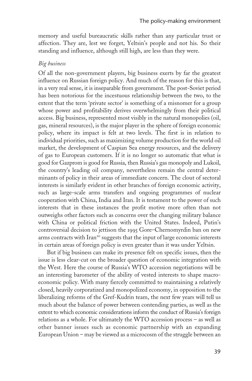memory and useful bureaucratic skills rather than any particular trust or affection. They are, lest we forget, Yeltsin's people and not his. So their standing and influence, although still high, are less than they were.

## *Big business*

Of all the non-government players, big business exerts by far the greatest influence on Russian foreign policy. And much of the reason for this is that, in a very real sense, it is inseparable from government. The post-Soviet period has been notorious for the incestuous relationship between the two, to the extent that the term 'private sector' is something of a misnomer for a group whose power and profitability derives overwhelmingly from their political access. Big business, represented most visibly in the natural monopolies (oil, gas, mineral resources), is the major player in the sphere of foreign economic policy, where its impact is felt at two levels. The first is in relation to individual priorities, such as maximizing volume production for the world oil market, the development of Caspian Sea energy resources, and the delivery of gas to European customers. If it is no longer so automatic that what is good for Gazprom is good for Russia, then Russia's gas monopoly and Lukoil, the country's leading oil company, nevertheless remain the central determinants of policy in their areas of immediate concern. The clout of sectoral interests is similarly evident in other branches of foreign economic activity, such as large-scale arms transfers and ongoing programmes of nuclear cooperation with China, India and Iran. It is testament to the power of such interests that in these instances the profit motive more often than not outweighs other factors such as concerns over the changing military balance with China or political friction with the United States. Indeed, Putin's controversial decision to jettison the 1995 Gore–Chernomyrdin ban on new arms contracts with Iran<sup>20</sup> suggests that the input of large economic interests in certain areas of foreign policy is even greater than it was under Yeltsin.

But if big business can make its presence felt on specific issues, then the issue is less clear-cut on the broader question of economic integration with the West. Here the course of Russia's WTO accession negotiations will be an interesting barometer of the ability of vested interests to shape macroeconomic policy. With many fiercely committed to maintaining a relatively closed, heavily corporatized and monopolized economy, in opposition to the liberalizing reforms of the Gref-Kudrin team, the next few years will tell us much about the balance of power between contending parties, as well as the extent to which economic considerations inform the conduct of Russia's foreign relations as a whole. For ultimately the WTO accession process – as well as other banner issues such as economic partnership with an expanding European Union – may be viewed as a microcosm of the struggle between an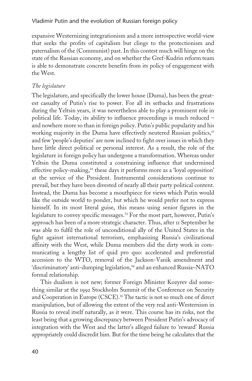expansive Westernizing integrationism and a more introspective world-view that seeks the profits of capitalism but clings to the protectionism and paternalism of the (Communist) past. In this contest much will hinge on the state of the Russian economy, and on whether the Gref-Kudrin reform team is able to demonstrate concrete benefits from its policy of engagement with the West.

#### *The legislature*

The legislature, and specifically the lower house (Duma), has been the greatest casualty of Putin's rise to power. For all its setbacks and frustrations during the Yeltsin years, it was nevertheless able to play a prominent role in political life. Today, its ability to influence proceedings is much reduced – and nowhere more so than in foreign policy. Putin's public popularity and his working majority in the Duma have effectively neutered Russian politics,<sup>21</sup> and few 'people's deputies' are now inclined to fight over issues in which they have little direct political or personal interest. As a result, the role of the legislature in foreign policy has undergone a transformation. Whereas under Yeltsin the Duma constituted a constraining influence that undermined effective policy-making,<sup>22</sup> these days it performs more as a 'loyal opposition' at the service of the President. Instrumental considerations continue to prevail, but they have been divested of nearly all their party political content. Instead, the Duma has become a mouthpiece for views which Putin would like the outside world to ponder, but which he would prefer not to express himself. In its most literal guise, this means using senior figures in the legislature to convey specific messages.23 For the most part, however, Putin's approach has been of a more strategic character. Thus, after 11 September he was able to fulfil the role of unconditional ally of the United States in the fight against international terrorism, emphasizing Russia's civilizational affinity with the West, while Duma members did the dirty work in communicating a lengthy list of quid pro quo: accelerated and preferential accession to the WTO, removal of the Jackson-Vanik amendment and 'discriminatory' anti-dumping legislation,<sup>24</sup> and an enhanced Russia-NATO formal relationship.

This dualism is not new; former Foreign Minister Kozyrev did something similar at the 1992 Stockholm Summit of the Conference on Security and Cooperation in Europe (CSCE).<sup>25</sup> The tactic is not so much one of direct manipulation, but of allowing the extent of the very real anti-Westernism in Russia to reveal itself naturally, as it were. This course has its risks, not the least being that a growing discrepancy between President Putin's advocacy of integration with the West and the latter's alleged failure to 'reward' Russia appropriately could discredit him. But for the time being he calculates that the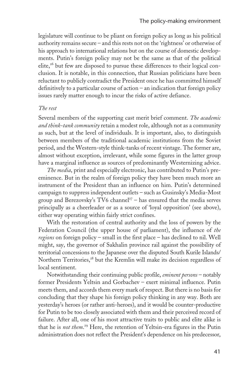legislature will continue to be pliant on foreign policy as long as his political authority remains secure – and this rests not on the 'rightness' or otherwise of his approach to international relations but on the course of domestic developments. Putin's foreign policy may not be the same as that of the political elite,<sup>26</sup> but few are disposed to pursue these differences to their logical conclusion. It is notable, in this connection, that Russian politicians have been reluctant to publicly contradict the President once he has committed himself definitively to a particular course of action – an indication that foreign policy issues rarely matter enough to incur the risks of active defiance.

#### *The rest*

Several members of the supporting cast merit brief comment. *The academic and think-tank community* retain a modest role, although not as a community as such, but at the level of individuals. It is important, also, to distinguish between members of the traditional academic institutions from the Soviet period, and the Western-style think-tanks of recent vintage. The former are, almost without exception, irrelevant, while some figures in the latter group have a marginal influence as sources of predominantly Westernizing advice.

*The media*, print and especially electronic, has contributed to Putin's preeminence. But in the realm of foreign policy they have been much more an instrument of the President than an influence on him. Putin's determined campaign to suppress independent outlets – such as Gusinsky's Media-Most group and Berezovsky's TV6 channel<sup>27</sup> – has ensured that the media serves principally as a cheerleader or as a source of 'loyal opposition' (see above), either way operating within fairly strict confines.

With the restoration of central authority and the loss of powers by the Federation Council (the upper house of parliament), the influence of *the regions* on foreign policy – small in the first place – has declined to nil. Well might, say, the governor of Sakhalin province rail against the possibility of territorial concessions to the Japanese over the disputed South Kurile Islands/ Northern Territories,<sup>28</sup> but the Kremlin will make its decision regardless of local sentiment.

Notwithstanding their continuing public profile, *eminent persons* – notably former Presidents Yeltsin and Gorbachev – exert minimal influence. Putin meets them, and accords them every mark of respect. But there is no basis for concluding that they shape his foreign policy thinking in any way. Both are yesterday's heroes (or rather anti-heroes), and it would be counter-productive for Putin to be too closely associated with them and their perceived record of failure. After all, one of his most attractive traits to public and elite alike is that he is *not them*. 29 Here, the retention of Yeltsin-era figures in the Putin administration does not reflect the President's dependence on his predecessor,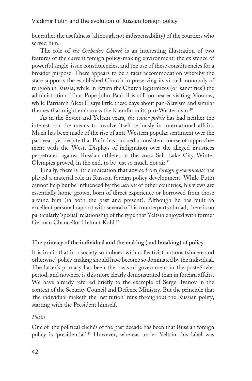but rather the usefulness (although not indispensability) of the courtiers who served him.

The role of *the Orthodox Church* is an interesting illustration of two features of the current foreign policy-making environment: the existence of powerful single-issue constituencies, and the use of these constituencies for a broader purpose. There appears to be a tacit accommodation whereby the state supports the established Church in preserving its virtual monopoly of religion in Russia, while in return the Church legitimizes (or 'sanctifies') the administration. Thus Pope John Paul II is still no nearer visiting Moscow, while Patriarch Alexi II says little these days about pan-Slavism and similar themes that might embarrass the Kremlin in its pro-Westernism.<sup>30</sup>

As in the Soviet and Yeltsin years, *the wider public* has had neither the interest nor the means to involve itself seriously in international affairs. Much has been made of the rise of anti-Western popular sentiment over the past year, yet despite that Putin has pursued a consistent course of rapprochement with the West. Displays of indignation over the alleged injustices perpetrated against Russian athletes at the 2002 Salt Lake City Winter Olympics proved, in the end, to be just so much hot air. $3<sup>T</sup>$ 

Finally, there is little indication that advice from *foreign governments* has played a material role in Russian foreign policy development. While Putin cannot help but be influenced by the *actions* of other countries, his views are essentially home-grown, born of direct experience or borrowed from those around him (in both the past and present). Although he has built an excellent personal rapport with several of his counterparts abroad, there is no particularly 'special' relationship of the type that Yeltsin enjoyed with former German Chancellor Helmut Kohl.32

## **The primacy of the individual and the making (and breaking) of policy**

It is ironic that in a society so imbued with collectivist notions (sincere and otherwise) policy-making should have become so dominated by the individual. The latter's primacy has been the basis of government in the post-Soviet period, and nowhere is this more clearly demonstrated than in foreign affairs. We have already referred briefly to the example of Sergei Ivanov in the context of the Security Council and Defence Ministry. But the principle that 'the individual maketh the institution' runs throughout the Russian polity, starting with the President himself.

#### *Putin*

One of the political clichés of the past decade has been that Russian foreign policy is 'presidential'.33 However, whereas under Yeltsin this label was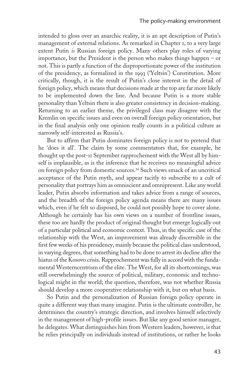intended to gloss over an anarchic reality, it is an apt description of Putin's management of external relations. As remarked in Chapter 1, to a very large extent Putin *is* Russian foreign policy. Many others play roles of varying importance, but the President is the person who makes things happen – or not. This is partly a function of the disproportionate power of the institution of the presidency, as formalized in the 1993 ('Yeltsin') Constitution. More critically, though, it is the result of Putin's close interest in the detail of foreign policy, which means that decisions made at the top are far more likely to be implemented down the line. And because Putin is a more stable personality than Yeltsin there is also greater consistency in decision-making. Returning to an earlier theme, the privileged class may disagree with the Kremlin on specific issues and even on overall foreign policy orientation, but in the final analysis only one opinion really counts in a political culture as narrowly self-interested as Russia's.

But to affirm that Putin dominates foreign policy is not to pretend that he 'does it all'. The claim by some commentators that, for example, he thought up the post-11 September rapprochement with the West all by himself is implausible, as is the inference that he receives no meaningful advice on foreign policy from domestic sources.34 Such views smack of an uncritical acceptance of the Putin myth, and appear tacitly to subscribe to a cult of personality that portrays him as omniscient and omnipresent. Like any world leader, Putin absorbs information and takes advice from a range of sources, and the breadth of the foreign policy agenda means there are many issues which, even if he felt so disposed, he could not possibly hope to cover alone. Although he certainly has his own views on a number of frontline issues, these too are hardly the product of original thought but emerge logically out of a particular political and economic context. Thus, in the specific case of the relationship with the West, an improvement was already discernible in the first few weeks of his presidency, mainly because the political class understood, in varying degrees, that something had to be done to arrest its decline after the hiatus of the Kosovo crisis. Rapprochement was fully in accord with the fundamental Westerncentrism of the elite. The West, for all its shortcomings, was still overwhelmingly the source of political, military, economic and technological might in the world; the question, therefore, was not whether Russia should develop a more cooperative relationship with it, but on what basis.

So Putin and the personalization of Russian foreign policy operate in quite a different way than many imagine. Putin is the ultimate controller, he determines the country's strategic direction, and involves himself selectively in the management of high-profile issues. But like any good senior manager, he delegates. What distinguishes him from Western leaders, however, is that he relies principally on individuals instead of institutions, or rather he looks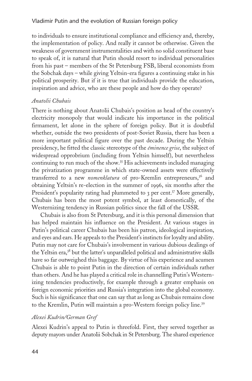to individuals to ensure institutional compliance and efficiency and, thereby, the implementation of policy. And really it cannot be otherwise. Given the weakness of government instrumentalities and with no solid constituent base to speak of, it is natural that Putin should resort to individual personalities from his past – members of the St Petersburg FSB, liberal economists from the Sobchak days – while giving Yeltsin-era figures a continuing stake in his political prosperity. But if it is true that individuals provide the education, inspiration and advice, who are these people and how do they operate?

## *Anatolii Chubais*

There is nothing about Anatolii Chubais's position as head of the country's electricity monopoly that would indicate his importance in the political firmament, let alone in the sphere of foreign policy. But it is doubtful whether, outside the two presidents of post-Soviet Russia, there has been a more important political figure over the past decade. During the Yeltsin presidency, he fitted the classic stereotype of the *éminence grise*, the subject of widespread opprobrium (including from Yeltsin himself), but nevertheless continuing to run much of the show.35 His achievements included managing the privatization programme in which state-owned assets were effectively transferred to a new *nomenklatura* of pro-Kremlin entrepreneurs,<sup>36</sup> and obtaining Yeltsin's re-election in the summer of 1996, six months after the President's popularity rating had plummeted to 3 per cent.<sup>37</sup> More generally, Chubais has been the most potent symbol, at least domestically, of the Westernizing tendency in Russian politics since the fall of the USSR.

Chubais is also from St Petersburg, and it is this personal dimension that has helped maintain his influence on the President. At various stages in Putin's political career Chubais has been his patron, ideological inspiration, and eyes and ears. He appeals to the President's instincts for loyalty and ability. Putin may not care for Chubais's involvement in various dubious dealings of the Yeltsin era,38 but the latter's unparalleled political and administrative skills have so far outweighed this baggage. By virtue of his experience and acumen Chubais is able to point Putin in the direction of certain individuals rather than others. And he has played a critical role in channelling Putin's Westernizing tendencies productively, for example through a greater emphasis on foreign economic priorities and Russia's integration into the global economy. Such is his significance that one can say that as long as Chubais remains close to the Kremlin, Putin will maintain a pro-Western foreign policy line.<sup>39</sup>

#### *Alexei Kudrin/German Gref*

Alexei Kudrin's appeal to Putin is threefold. First, they served together as deputy mayors under Anatolii Sobchak in St Petersburg. The shared experience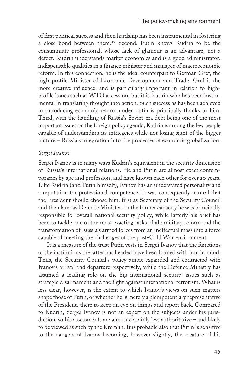of first political success and then hardship has been instrumental in fostering a close bond between them.40 Second, Putin knows Kudrin to be the consummate professional, whose lack of glamour is an advantage, not a defect. Kudrin understands market economics and is a good administrator, indispensable qualities in a finance minister and manager of macroeconomic reform. In this connection, he is the ideal counterpart to German Gref, the high-profile Minister of Economic Development and Trade. Gref is the more creative influence, and is particularly important in relation to highprofile issues such as WTO accession, but it is Kudrin who has been instrumental in translating thought into action. Such success as has been achieved in introducing economic reform under Putin is principally thanks to him. Third, with the handling of Russia's Soviet-era debt being one of the most important issues on the foreign policy agenda, Kudrin is among the few people capable of understanding its intricacies while not losing sight of the bigger picture – Russia's integration into the processes of economic globalization.

#### *Sergei Ivanov*

Sergei Ivanov is in many ways Kudrin's equivalent in the security dimension of Russia's international relations. He and Putin are almost exact contemporaries by age and profession, and have known each other for over 20 years. Like Kudrin (and Putin himself), Ivanov has an understated personality and a reputation for professional competence. It was consequently natural that the President should choose him, first as Secretary of the Security Council and then later as Defence Minister. In the former capacity he was principally responsible for overall national security policy, while latterly his brief has been to tackle one of the most exacting tasks of all: military reform and the transformation of Russia's armed forces from an ineffectual mass into a force capable of meeting the challenges of the post-Cold War environment.

It is a measure of the trust Putin vests in Sergei Ivanov that the functions of the institutions the latter has headed have been framed with him in mind. Thus, the Security Council's policy ambit expanded and contracted with Ivanov's arrival and departure respectively, while the Defence Ministry has assumed a leading role on the big international security issues such as strategic disarmament and the fight against international terrorism. What is less clear, however, is the extent to which Ivanov's views on such matters shape those of Putin, or whether he is merely a plenipotentiary representative of the President, there to keep an eye on things and report back. Compared to Kudrin, Sergei Ivanov is not an expert on the subjects under his jurisdiction, so his assessments are almost certainly less authoritative – and likely to be viewed as such by the Kremlin. It is probable also that Putin is sensitive to the dangers of Ivanov becoming, however slightly, the creature of his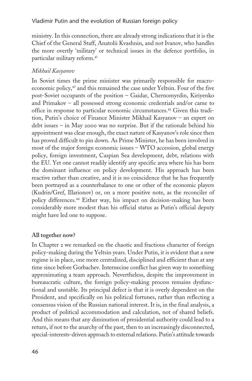ministry. In this connection, there are already strong indications that it is the Chief of the General Staff, Anatolii Kvashnin, and not Ivanov, who handles the more overtly 'military' or technical issues in the defence portfolio, in particular military reform.<sup>41</sup>

# *Mikhail Kasyanov*

In Soviet times the prime minister was primarily responsible for macroeconomic policy,<sup>42</sup> and this remained the case under Yeltsin. Four of the five post-Soviet occupants of the position – Gaidar, Chernomyrdin, Kiriyenko and Primakov – all possessed strong economic credentials and/or came to office in response to particular economic circumstances.43 Given this tradition, Putin's choice of Finance Minister Mikhail Kasyanov – an expert on debt issues – in May 2000 was no surprise. But if the rationale behind his appointment was clear enough, the exact nature of Kasyanov's role since then has proved difficult to pin down. As Prime Minister, he has been involved in most of the major foreign economic issues – WTO accession, global energy policy, foreign investment, Caspian Sea development, debt, relations with the EU. Yet one cannot readily identify any specific area where his has been the dominant influence on policy development. His approach has been reactive rather than creative, and it is no coincidence that he has frequently been portrayed as a counterbalance to one or other of the economic players (Kudrin/Gref, Illarionov) or, on a more positive note, as the reconciler of policy differences.44 Either way, his impact on decision-making has been considerably more modest than his official status as Putin's official deputy might have led one to suppose.

## **All together now?**

In Chapter 2 we remarked on the chaotic and fractious character of foreign policy-making during the Yeltsin years. Under Putin, it is evident that a new regime is in place, one more centralized, disciplined and efficient than at any time since before Gorbachev. Internecine conflict has given way to something approximating a team approach. Nevertheless, despite the improvement in bureaucratic culture, the foreign policy-making process remains dysfunctional and unstable. Its principal defect is that it is overly dependent on the President, and specifically on his political fortunes, rather than reflecting a consensus vision of the Russian national interest. It is, in the final analysis, a product of political accommodation and calculation, not of shared beliefs. And this means that any diminution of presidential authority could lead to a return, if not to the anarchy of the past, then to an increasingly disconnected, special-interests-driven approach to external relations. Putin's attitude towards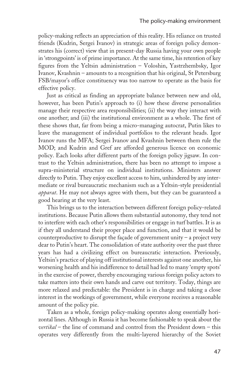policy-making reflects an appreciation of this reality. His reliance on trusted friends (Kudrin, Sergei Ivanov) in strategic areas of foreign policy demonstrates his (correct) view that in present-day Russia having your own people in 'strongpoints' is of prime importance. At the same time, his retention of key figures from the Yeltsin administration – Voloshin, Yastrzhembsky, Igor Ivanov, Kvashnin – amounts to a recognition that his original, St Petersburg FSB/mayor's office constituency was too narrow to operate as the basis for effective policy.

Just as critical as finding an appropriate balance between new and old, however, has been Putin's approach to (i) how these diverse personalities manage their respective area responsibilities; (ii) the way they interact with one another; and (iii) the institutional environment as a whole. The first of these shows that, far from being a micro-managing autocrat, Putin likes to leave the management of individual portfolios to the relevant heads. Igor Ivanov runs the MFA; Sergei Ivanov and Kvashnin between them rule the MOD; and Kudrin and Gref are afforded generous licence on economic policy. Each looks after different parts of the foreign policy jigsaw. In contrast to the Yeltsin administration, there has been no attempt to impose a supra-ministerial structure on individual institutions. Ministers answer directly to Putin. They enjoy excellent access to him, unhindered by any intermediate or rival bureaucratic mechanism such as a Yeltsin-style presidential *apparat*. He may not always agree with them, but they can be guaranteed a good hearing at the very least.

This brings us to the interaction between different foreign policy-related institutions. Because Putin allows them substantial autonomy, they tend not to interfere with each other's responsibilities or engage in turf battles. It is as if they all understand their proper place and function, and that it would be counterproductive to disrupt the façade of government unity – a project very dear to Putin's heart. The consolidation of state authority over the past three years has had a civilizing effect on bureaucratic interaction. Previously, Yeltsin's practice of playing off institutional interests against one another, his worsening health and his indifference to detail had led to many 'empty spots' in the exercise of power, thereby encouraging various foreign policy actors to take matters into their own hands and carve out territory. Today, things are more relaxed and predictable: the President is in charge and taking a close interest in the workings of government, while everyone receives a reasonable amount of the policy pie.

Taken as a whole, foreign policy-making operates along essentially horizontal lines. Although in Russia it has become fashionable to speak about the *vertikal* – the line of command and control from the President down – this operates very differently from the multi-layered hierarchy of the Soviet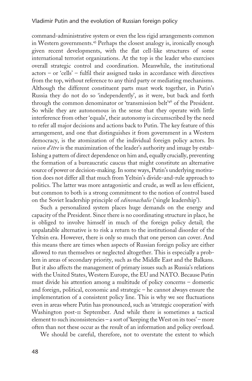command-administrative system or even the less rigid arrangements common in Western governments.<sup>45</sup> Perhaps the closest analogy is, ironically enough given recent developments, with the flat cell-like structures of some international terrorist organizations. At the top is the leader who exercises overall strategic control and coordination. Meanwhile, the institutional actors – or 'cells' – fulfil their assigned tasks in accordance with directives from the top, without reference to any third party or mediating mechanisms. Although the different constituent parts must work together, in Putin's Russia they do not do so 'independently', as it were, but back and forth through the common denominator or 'transmission belt'46 of the President. So while they are autonomous in the sense that they operate with little interference from other 'equals', their autonomy is circumscribed by the need to refer all major decisions and actions back to Putin. The key feature of this arrangement, and one that distinguishes it from government in a Western democracy, is the atomization of the individual foreign policy actors. Its *raison d'être* is the maximization of the leader's authority and image by establishing a pattern of direct dependence on him and, equally crucially, preventing the formation of a bureaucratic caucus that might constitute an alternative source of power or decision-making. In some ways, Putin's underlying motivation does not differ all that much from Yeltsin's divide-and-rule approach to politics. The latter was more antagonistic and crude, as well as less efficient, but common to both is a strong commitment to the notion of control based on the Soviet leadership principle of *edinonachalie* ('single leadership').

Such a personalized system places huge demands on the energy and capacity of the President. Since there is no coordinating structure in place, he is obliged to involve himself in much of the foreign policy detail; the unpalatable alternative is to risk a return to the institutional disorder of the Yeltsin era. However, there is only so much that one person can cover. And this means there are times when aspects of Russian foreign policy are either allowed to run themselves or neglected altogether. This is especially a problem in areas of secondary priority, such as the Middle East and the Balkans. But it also affects the management of primary issues such as Russia's relations with the United States, Western Europe, the EU and NATO. Because Putin must divide his attention among a multitude of policy concerns – domestic and foreign, political, economic and strategic – he cannot always ensure the implementation of a consistent policy line. This is why we see fluctuations even in areas where Putin has pronounced, such as 'strategic cooperation' with Washington post-11 September. And while there is sometimes a tactical element to such inconsistencies – a sort of 'keeping the West on its toes' – more often than not these occur as the result of an information and policy overload.

We should be careful, therefore, not to overstate the extent to which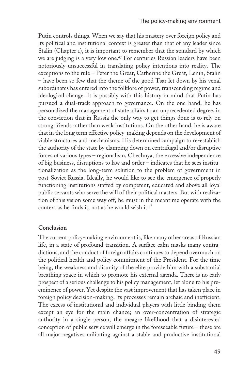Putin controls things. When we say that his mastery over foreign policy and its political and institutional context is greater than that of any leader since Stalin (Chapter 1), it is important to remember that the standard by which we are judging is a very low one.47 For centuries Russian leaders have been notoriously unsuccessful in translating policy intentions into reality. The exceptions to the rule – Peter the Great, Catherine the Great, Lenin, Stalin – have been so few that the theme of the good Tsar let down by his venal subordinates has entered into the folklore of power, transcending regime and ideological change. It is possibly with this history in mind that Putin has pursued a dual-track approach to governance. On the one hand, he has personalized the management of state affairs to an unprecedented degree, in the conviction that in Russia the only way to get things done is to rely on strong friends rather than weak institutions. On the other hand, he is aware that in the long term effective policy-making depends on the development of viable structures and mechanisms. His determined campaign to re-establish the authority of the state by clamping down on centrifugal and/or disruptive forces of various types – regionalism, Chechnya, the excessive independence of big business, disruptions to law and order – indicates that he sees institutionalization as the long-term solution to the problem of government in post-Soviet Russia. Ideally, he would like to see the emergence of properly functioning institutions staffed by competent, educated and above all loyal public servants who serve the will of their political masters. But with realization of this vision some way off, he must in the meantime operate with the context as he finds it, not as he would wish it.<sup>48</sup>

## **Conclusion**

The current policy-making environment is, like many other areas of Russian life, in a state of profound transition. A surface calm masks many contradictions, and the conduct of foreign affairs continues to depend overmuch on the political health and policy commitment of the President. For the time being, the weakness and disunity of the elite provide him with a substantial breathing space in which to promote his external agenda. There is no early prospect of a serious challenge to his policy management, let alone to his preeminence of power. Yet despite the vast improvement that has taken place in foreign policy decision-making, its processes remain archaic and inefficient. The excess of institutional and individual players with little binding them except an eye for the main chance; an over-concentration of strategic authority in a single person; the meagre likelihood that a disinterested conception of public service will emerge in the foreseeable future – these are all major negatives militating against a stable and productive institutional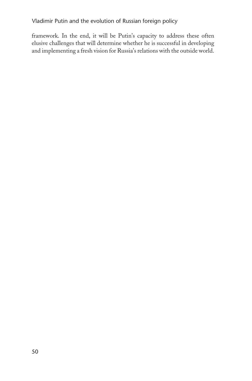framework. In the end, it will be Putin's capacity to address these often elusive challenges that will determine whether he is successful in developing and implementing a fresh vision for Russia's relations with the outside world.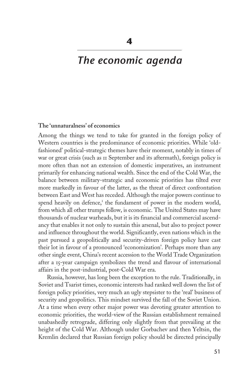# *The economic agenda*

#### **The 'unnaturalness' of economics**

Among the things we tend to take for granted in the foreign policy of Western countries is the predominance of economic priorities. While 'oldfashioned' political-strategic themes have their moment, notably in times of war or great crisis (such as 11 September and its aftermath), foreign policy is more often than not an extension of domestic imperatives, an instrument primarily for enhancing national wealth. Since the end of the Cold War, the balance between military-strategic and economic priorities has tilted ever more markedly in favour of the latter, as the threat of direct confrontation between East and West has receded. Although the major powers continue to spend heavily on defence,<sup>1</sup> the fundament of power in the modern world, from which all other trumps follow, is economic. The United States may have thousands of nuclear warheads, but it is its financial and commercial ascendancy that enables it not only to sustain this arsenal, but also to project power and influence throughout the world. Significantly, even nations which in the past pursued a geopolitically and security-driven foreign policy have cast their lot in favour of a pronounced 'economization'. Perhaps more than any other single event, China's recent accession to the World Trade Organization after a 15-year campaign symbolizes the trend and flavour of international affairs in the post-industrial, post-Cold War era.

Russia, however, has long been the exception to the rule. Traditionally, in Soviet and Tsarist times, economic interests had ranked well down the list of foreign policy priorities, very much an ugly stepsister to the 'real' business of security and geopolitics. This mindset survived the fall of the Soviet Union. At a time when every other major power was devoting greater attention to economic priorities, the world-view of the Russian establishment remained unabashedly retrograde, differing only slightly from that prevailing at the height of the Cold War. Although under Gorbachev and then Yeltsin, the Kremlin declared that Russian foreign policy should be directed principally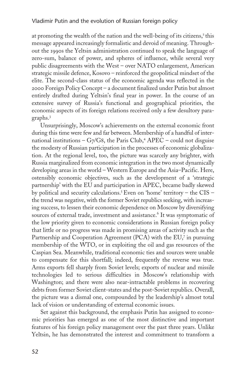at promoting the wealth of the nation and the well-being of its citizens,<sup>2</sup> this message appeared increasingly formalistic and devoid of meaning. Throughout the 1990s the Yeltsin administration continued to speak the language of zero-sum, balance of power, and spheres of influence, while several very public disagreements with the West – over NATO enlargement, American strategic missile defence, Kosovo – reinforced the geopolitical mindset of the elite. The second-class status of the economic agenda was reflected in the 2000 Foreign Policy Concept – a document finalized under Putin but almost entirely drafted during Yeltsin's final year in power. In the course of an extensive survey of Russia's functional and geographical priorities, the economic aspects of its foreign relations received only a few desultory paragraphs.<sup>3</sup>

Unsurprisingly, Moscow's achievements on the external economic front during this time were few and far between. Membership of a handful of international institutions  $-G_7/G8$ , the Paris Club,<sup>4</sup> APEC – could not disguise the modesty of Russian participation in the processes of economic globalization. At the regional level, too, the picture was scarcely any brighter, with Russia marginalized from economic integration in the two most dynamically developing areas in the world – Western Europe and the Asia–Pacific. Here, ostensibly economic objectives, such as the development of a 'strategic partnership' with the EU and participation in APEC, became badly skewed by political and security calculations.<sup>5</sup> Even on 'home' territory - the CIS the trend was negative, with the former Soviet republics seeking, with increasing success, to lessen their economic dependence on Moscow by diversifying sources of external trade, investment and assistance.<sup>6</sup> It was symptomatic of the low priority given to economic considerations in Russian foreign policy that little or no progress was made in promising areas of activity such as the Partnership and Cooperation Agreement (PCA) with the EU,7 in pursuing membership of the WTO, or in exploiting the oil and gas resources of the Caspian Sea. Meanwhile, traditional economic ties and sources were unable to compensate for this shortfall; indeed, frequently the reverse was true. Arms exports fell sharply from Soviet levels; exports of nuclear and missile technologies led to serious difficulties in Moscow's relationship with Washington; and there were also near-intractable problems in recovering debts from former Soviet client-states and the post-Soviet republics. Overall, the picture was a dismal one, compounded by the leadership's almost total lack of vision or understanding of external economic issues.

Set against this background, the emphasis Putin has assigned to economic priorities has emerged as one of the most distinctive and important features of his foreign policy management over the past three years. Unlike Yeltsin, he has demonstrated the interest and commitment to transform a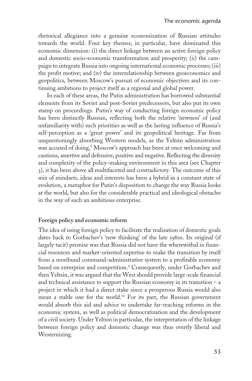rhetorical allegiance into a genuine economization of Russian attitudes towards the world. Four key themes, in particular, have dominated this economic dimension: (i) the direct linkage between an active foreign policy and domestic socio-economic transformation and prosperity; (ii) the campaign to integrate Russia into ongoing international economic processes; (iii) the profit motive; and (iv) the interrelationship between geoeconomics and geopolitics, between Moscow's pursuit of economic objectives and its continuing ambitions to project itself as a regional and global power.

In each of these areas, the Putin administration has borrowed substantial elements from its Soviet and post-Soviet predecessors, but also put its own stamp on proceedings. Putin's way of conducting foreign economic policy has been distinctly Russian, reflecting both the relative 'newness' of (and unfamiliarity with) such priorities as well as the lasting influence of Russia's self-perception as a 'great power' and its geopolitical heritage. Far from unquestioningly absorbing Western models, as the Yeltsin administration was accused of doing,<sup>8</sup> Moscow's approach has been at once welcoming and cautious, assertive and defensive, positive and negative. Reflecting the diversity and complexity of the policy-making environment in this area (see Chapter 3), it has been above all multifaceted and contradictory. The outcome of this mix of mindsets, ideas and interests has been a hybrid in a constant state of evolution, a metaphor for Putin's disposition to change the way Russia looks at the world, but also for the considerable practical and ideological obstacles in the way of such an ambitious enterprise.

## **Foreign policy and economic reform**

The idea of using foreign policy to facilitate the realization of domestic goals dates back to Gorbachev's 'new thinking' of the late 1980s. Its original (if largely tacit) premise was that Russia did not have the wherewithal in financial resources and market-oriented expertise to make the transition by itself from a moribund command-administrative system to a profitable economy based on enterprise and competition.9 Consequently, under Gorbachev and then Yeltsin, it was argued that the West should provide large-scale financial and technical assistance to support the Russian economy in its transition  $-a$ project in which it had a direct stake since a prosperous Russia would also mean a stable one for the world.10 For its part, the Russian government would absorb this aid and advice to undertake far-reaching reforms in the economic system, as well as political democratization and the development of a civil society. Under Yeltsin in particular, the interpretation of the linkage between foreign policy and domestic change was thus overtly liberal and Westernizing.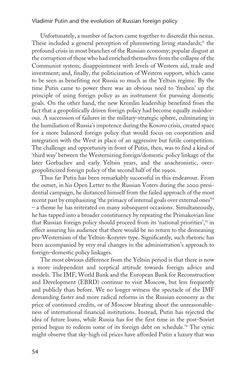Unfortunately, a number of factors came together to discredit this nexus. These included a general perception of plummeting living standards; $\mu$  the profound crisis in most branches of the Russian economy; popular disgust at the corruption of those who had enriched themselves from the collapse of the Communist system; disappointment with levels of Western aid, trade and investment; and, finally, the politicization of Western support, which came to be seen as benefiting not Russia so much as the Yeltsin regime. By the time Putin came to power there was an obvious need to 'freshen' up the principle of using foreign policy as an instrument for pursuing domestic goals. On the other hand, the new Kremlin leadership benefited from the fact that a geopolitically driven foreign policy had become equally malodorous. A succession of failures in the military-strategic sphere, culminating in the humiliation of Russia's impotence during the Kosovo crisis, created space for a more balanced foreign policy that would focus on cooperation and integration with the West in place of an aggressive but futile competition. The challenge and opportunity in front of Putin, then, was to find a kind of 'third way' between the Westernizing foreign/domestic policy linkage of the later Gorbachev and early Yeltsin years, and the anachronistic, overgeopoliticized foreign policy of the second half of the 1990s.

Thus far Putin has been remarkably successful in this endeavour. From the outset, in his Open Letter to the Russian Voters during the 2000 presidential campaign, he distanced himself from the failed approach of the most recent past by emphasizing 'the primacy of internal goals over external ones<sup>712</sup> – a theme he has reiterated on many subsequent occasions. Simultaneously, he has tapped into a broader constituency by repeating the Primakovian line that Russian foreign policy should proceed from its 'national priorities',<sup>13</sup> in effect assuring his audience that there would be no return to the demeaning pro-Westernism of the Yeltsin-Kozyrev type. Significantly, such rhetoric has been accompanied by very real changes in the administration's approach to foreign–domestic policy linkages.

The most obvious difference from the Yeltsin period is that there is now a more independent and sceptical attitude towards foreign advice and models. The IMF, World Bank and the European Bank for Reconstruction and Development (EBRD) continue to visit Moscow, but less frequently and publicly than before. We no longer witness the spectacle of the IMF demanding faster and more radical reforms in the Russian economy as the price of continued credits, or of Moscow bleating about the unreasonableness of international financial institutions. Instead, Putin has rejected the idea of future loans, while Russia has for the first time in the post-Soviet period begun to redeem some of its foreign debt on schedule.14 The cynic might observe that sky-high oil prices have afforded Putin a luxury that was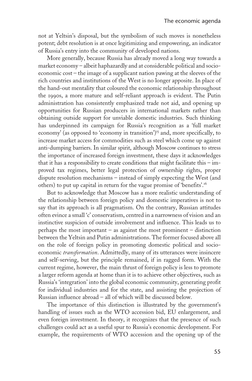not at Yeltsin's disposal, but the symbolism of such moves is nonetheless potent; debt resolution is at once legitimizing and empowering, an indicator of Russia's entry into the community of developed nations.

More generally, because Russia has already moved a long way towards a market economy – albeit haphazardly and at considerable political and socioeconomic cost – the image of a supplicant nation pawing at the sleeves of the rich countries and institutions of the West is no longer apposite. In place of the hand-out mentality that coloured the economic relationship throughout the 1990s, a more mature and self-reliant approach is evident. The Putin administration has consistently emphasized trade not aid, and opening up opportunities for Russian producers in international markets rather than obtaining outside support for unviable domestic industries. Such thinking has underpinned its campaign for Russia's recognition as a 'full market economy' (as opposed to 'economy in transition')<sup>15</sup> and, more specifically, to increase market access for commodities such as steel which come up against anti-dumping barriers. In similar spirit, although Moscow continues to stress the importance of increased foreign investment, these days it acknowledges that it has a responsibility to create conditions that might facilitate this – improved tax regimes, better legal protection of ownership rights, proper dispute resolution mechanisms – instead of simply expecting the West (and others) to put up capital in return for the vague promise of 'benefits'.16

But to acknowledge that Moscow has a more realistic understanding of the relationship between foreign policy and domestic imperatives is not to say that its approach is all pragmatism. On the contrary, Russian attitudes often evince a small 'c' conservatism, centred in a narrowness of vision and an instinctive suspicion of outside involvement and influence. This leads us to perhaps the most important – as against the most prominent – distinction between the Yeltsin and Putin administrations. The former focused above all on the role of foreign policy in promoting domestic political and socioeconomic *transformation*. Admittedly, many of its utterances were insincere and self-serving, but the principle remained, if in ragged form. With the current regime, however, the main thrust of foreign policy is less to promote a larger reform agenda at home than it is to achieve other objectives, such as Russia's 'integration' into the global economic community, generating profit for individual industries and for the state, and assisting the projection of Russian influence abroad – all of which will be discussed below.

The importance of this distinction is illustrated by the government's handling of issues such as the WTO accession bid, EU enlargement, and even foreign investment. In theory, it recognizes that the presence of such challenges could act as a useful spur to Russia's economic development. For example, the requirements of WTO accession and the opening up of the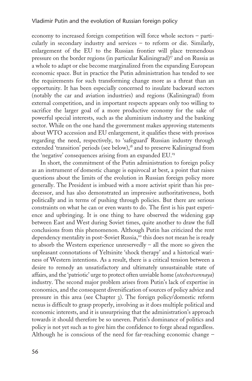economy to increased foreign competition will force whole sectors – particularly in secondary industry and services – to reform or die. Similarly, enlargement of the EU to the Russian frontier will place tremendous pressure on the border regions (in particular Kaliningrad)<sup>17</sup> and on Russia as a whole to adapt or else become marginalized from the expanding European economic space. But in practice the Putin administration has tended to see the requirements for such transforming change more as a threat than an opportunity. It has been especially concerned to insulate backward sectors (notably the car and aviation industries) and regions (Kaliningrad) from external competition, and in important respects appears only too willing to sacrifice the larger goal of a more productive economy for the sake of powerful special interests, such as the aluminium industry and the banking sector. While on the one hand the government makes approving statements about WTO accession and EU enlargement, it qualifies these with provisos regarding the need, respectively, to 'safeguard' Russian industry through extended 'transition' periods (see below),<sup>18</sup> and to preserve Kaliningrad from the 'negative' consequences arising from an expanded EU.19

In short, the commitment of the Putin administration to foreign policy as an instrument of domestic change is equivocal at best, a point that raises questions about the limits of the evolution in Russian foreign policy more generally. The President is imbued with a more activist spirit than his predecessor, and has also demonstrated an impressive authoritativeness, both politically and in terms of pushing through policies. But there are serious constraints on what he can or even wants to do. The first is his past experience and upbringing. It is one thing to have observed the widening gap between East and West during Soviet times, quite another to draw the full conclusions from this phenomenon. Although Putin has criticized the rent dependency mentality in post-Soviet Russia,<sup>20</sup> this does not mean he is ready to absorb the Western experience unreservedly – all the more so given the unpleasant connotations of Yeltsinite 'shock therapy' and a historical wariness of Western intentions. As a result, there is a critical tension between a desire to remedy an unsatisfactory and ultimately unsustainable state of affairs, and the 'patriotic' urge to protect often unviable home (*otechestvennaya*) industry. The second major problem arises from Putin's lack of expertise in economics, and the consequent diversification of sources of policy advice and pressure in this area (see Chapter 3). The foreign policy/domestic reform nexus is difficult to grasp properly, involving as it does multiple political and economic interests, and it is unsurprising that the administration's approach towards it should therefore be so uneven. Putin's dominance of politics and policy is not yet such as to give him the confidence to forge ahead regardless. Although he is conscious of the need for far-reaching economic change –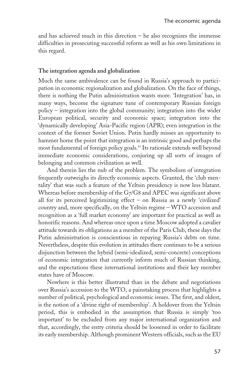and has achieved much in this direction  $-$  he also recognizes the immense difficulties in prosecuting successful reform as well as his own limitations in this regard.

#### **The integration agenda and globalization**

Much the same ambivalence can be found in Russia's approach to participation in economic regionalization and globalization. On the face of things, there is nothing the Putin administration wants more. 'Integration' has, in many ways, become the signature tune of contemporary Russian foreign policy – integration into the global community; integration into the wider European political, security and economic space; integration into the 'dynamically developing' Asia-Pacific region (APR); even integration in the context of the former Soviet Union. Putin hardly misses an opportunity to hammer home the point that integration is an intrinsic good and perhaps the most fundamental of foreign policy goals.21 Its rationale extends well beyond immediate economic considerations, conjuring up all sorts of images of belonging and common civilization as well.

And therein lies the nub of the problem. The symbolism of integration frequently outweighs its directly economic aspects. Granted, the 'club mentality' that was such a feature of the Yeltsin presidency is now less blatant. Whereas before membership of the G7/G8 and APEC was significant above all for its perceived legitimizing effect – on Russia as a newly 'civilized' country and, more specifically, on the Yeltsin regime – WTO accession and recognition as a 'full market economy' are important for practical as well as honorific reasons. And whereas once upon a time Moscow adopted a cavalier attitude towards its obligations as a member of the Paris Club, these days the Putin administration is conscientious in repaying Russia's debts on time. Nevertheless, despite this evolution in attitudes there continues to be a serious disjunction between the hybrid (semi-idealized, semi-concrete) conceptions of economic integration that currently inform much of Russian thinking, and the expectations these international institutions and their key member states have of Moscow.

Nowhere is this better illustrated than in the debate and negotiations over Russia's accession to the WTO, a painstaking process that highlights a number of political, psychological and economic issues. The first, and oldest, is the notion of a 'divine right of membership'. A holdover from the Yeltsin period, this is embodied in the assumption that Russia is simply 'too important' to be excluded from any major international organization and that, accordingly, the entry criteria should be loosened in order to facilitate its early membership. Although prominent Western officials, such as the EU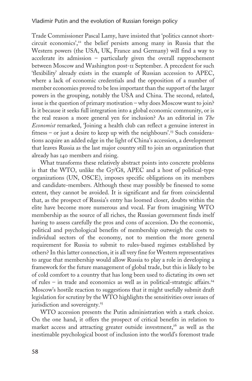Trade Commissioner Pascal Lamy, have insisted that 'politics cannot shortcircuit economics', $22$  the belief persists among many in Russia that the Western powers (the USA, UK, France and Germany) will find a way to accelerate its admission – particularly given the overall rapprochement between Moscow and Washington post-11 September. A precedent for such 'flexibility' already exists in the example of Russian accession to APEC, where a lack of economic credentials and the opposition of a number of member economies proved to be less important than the support of the larger powers in the grouping, notably the USA and China. The second, related, issue is the question of primary motivation – why does Moscow want to join? Is it because it seeks full integration into a global economic community, or is the real reason a more general yen for inclusion? As an editorial in *The Economist* remarked, 'Joining a health club can reflect a genuine interest in fitness – or just a desire to keep up with the neighbours'.<sup>23</sup> Such considerations acquire an added edge in the light of China's accession, a development that leaves Russia as the last major country still to join an organization that already has 140 members and rising.

What transforms these relatively abstract points into concrete problems is that the WTO, unlike the G7/G8, APEC and a host of political-type organizations (UN, OSCE), imposes specific obligations on its members and candidate-members. Although these may possibly be finessed to some extent, they cannot be avoided. It is significant and far from coincidental that, as the prospect of Russia's entry has loomed closer, doubts within the elite have become more numerous and vocal. Far from imagining WTO membership as the source of all riches, the Russian government finds itself having to assess carefully the pros and cons of accession. Do the economic, political and psychological benefits of membership outweigh the costs to individual sectors of the economy, not to mention the more general requirement for Russia to submit to rules-based regimes established by others? In this latter connection, it is all very fine for Western representatives to argue that membership would allow Russia to play a role in developing a framework for the future management of global trade, but this is likely to be of cold comfort to a country that has long been used to dictating its own set of rules – in trade and economics as well as in political-strategic affairs.<sup>24</sup> Moscow's hostile reaction to suggestions that it might usefully submit draft legislation for scrutiny by the WTO highlights the sensitivities over issues of jurisdiction and sovereignty.<sup>25</sup>

WTO accession presents the Putin administration with a stark choice. On the one hand, it offers the prospect of critical benefits in relation to market access and attracting greater outside investment,<sup>26</sup> as well as the inestimable psychological boost of inclusion into the world's foremost trade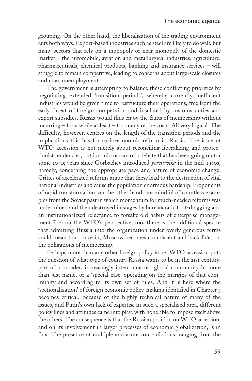grouping. On the other hand, the liberalization of the trading environment cuts both ways. Export-based industries such as steel are likely to do well, but many sectors that rely on a monopoly or near-monopoly of the domestic market – the automobile, aviation and metallurgical industries, agriculture, pharmaceuticals, chemical products, banking and insurance services – will struggle to remain competitive, leading to concerns about large-scale closures and mass unemployment.

The government is attempting to balance these conflicting priorities by negotiating extended 'transition periods', whereby currently inefficient industries would be given time to restructure their operations, free from the early threat of foreign competition and insulated by customs duties and export subsidies. Russia would thus enjoy the fruits of membership without incurring – for a while at least – too many of the costs. All very logical. The difficulty, however, centres on the length of the transition periods and the implications this has for socio-economic reform in Russia. The issue of WTO accession is not merely about reconciling liberalizing and protectionist tendencies, but is a microcosm of a debate that has been going on for some 10–15 years since Gorbachev introduced *perestroika* in the mid-1980s, namely, concerning the appropriate pace and nature of economic change. Critics of accelerated reforms argue that these lead to the destruction of vital national industries and cause the population enormous hardship. Proponents of rapid transformation, on the other hand, are mindful of countless examples from the Soviet past in which momentum for much-needed reforms was undermined and then destroyed in stages by bureaucratic foot-dragging and an institutionalized reluctance to forsake old habits of enterprise management.<sup>27</sup> From the WTO's perspective, too, there is the additional spectre that admitting Russia into the organization under overly generous terms could mean that, once in, Moscow becomes complacent and backslides on the obligations of membership.

Perhaps more than any other foreign policy issue, WTO accession puts the question of what type of country Russia wants to be in the 21st century: part of a broader, increasingly interconnected global community in more than just name, or a 'special case' operating on the margins of that community and according to its own set of rules. And it is here where the 'sectionalization' of foreign economic policy-making identified in Chapter 3 becomes critical. Because of the highly technical nature of many of the issues, and Putin's own lack of expertise in such a specialized area, different policy lines and attitudes came into play, with none able to impose itself above the others. The consequence is that the Russian position on WTO accession, and on its involvement in larger processes of economic globalization, is in flux. The presence of multiple and acute contradictions, ranging from the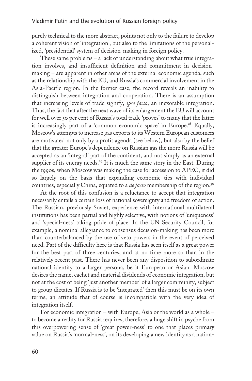purely technical to the more abstract, points not only to the failure to develop a coherent vision of 'integration', but also to the limitations of the personalized, 'presidential' system of decision-making in foreign policy.

These same problems – a lack of understanding about what true integration involves, and insufficient definition and commitment in decisionmaking – are apparent in other areas of the external economic agenda, such as the relationship with the EU, and Russia's commercial involvement in the Asia-Pacific region. In the former case, the record reveals an inability to distinguish between integration and cooperation. There is an assumption that increasing levels of trade signify, *ipso facto*, an inexorable integration. Thus, the fact that after the next wave of its enlargement the EU will account for well over 50 per cent of Russia's total trade 'proves' to many that the latter is increasingly part of a 'common economic space' in Europe.<sup>28</sup> Equally, Moscow's attempts to increase gas exports to its Western European customers are motivated not only by a profit agenda (see below), but also by the belief that the greater Europe's dependence on Russian gas the more Russia will be accepted as an 'integral' part of the continent, and not simply as an external supplier of its energy needs.<sup>29</sup> It is much the same story in the East. During the 1990s, when Moscow was making the case for accession to APEC, it did so largely on the basis that expanding economic ties with individual countries, especially China, equated to a *de facto* membership of the region.30

At the root of this confusion is a reluctance to accept that integration necessarily entails a certain loss of national sovereignty and freedom of action. The Russian, previously Soviet, experience with international multilateral institutions has been partial and highly selective, with notions of 'uniqueness' and 'special-ness' taking pride of place. In the UN Security Council, for example, a nominal allegiance to consensus decision-making has been more than counterbalanced by the use of veto powers in the event of perceived need. Part of the difficulty here is that Russia has seen itself as a great power for the best part of three centuries, and at no time more so than in the relatively recent past. There has never been any disposition to subordinate national identity to a larger persona, be it European or Asian. Moscow desires the name, cachet and material dividends of economic integration, but not at the cost of being 'just another member' of a larger community, subject to group dictates. If Russia is to be 'integrated' then this must be on its own terms, an attitude that of course is incompatible with the very idea of integration itself.

For economic integration – with Europe, Asia or the world as a whole – to become a reality for Russia requires, therefore, a huge shift in psyche from this overpowering sense of 'great power-ness' to one that places primary value on Russia's 'normal-ness', on its developing a new identity as a nation-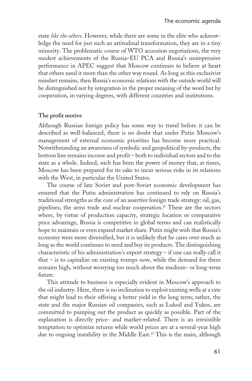state *like the others*. However, while there are some in the elite who acknowledge the need for just such an attitudinal transformation, they are in a tiny minority. The problematic course of WTO accession negotiations, the very modest achievements of the Russia–EU PCA and Russia's unimpressive performance in APEC suggest that Moscow continues to believe at heart that others need it more than the other way round. As long as this exclusivist mindset remains, then Russia's economic relations with the outside world will be distinguished not by integration in the proper meaning of the word but by cooperation, in varying degrees, with different countries and institutions.

#### **The profit motive**

Although Russian foreign policy has some way to travel before it can be described as well-balanced, there is no doubt that under Putin Moscow's management of external economic priorities has become more practical. Notwithstanding an awareness of symbolic and geopolitical by-products, the bottom line remains income and profit – both to individual sectors and to the state as a whole. Indeed, such has been the power of money that, at times, Moscow has been prepared for its sake to incur serious risks in its relations with the West, in particular the United States.

The course of late Soviet and post-Soviet economic development has ensured that the Putin administration has continued to rely on Russia's traditional strengths as the core of an assertive foreign trade strategy: oil, gas, pipelines, the arms trade and nuclear cooperation.<sup>31</sup> These are the sectors where, by virtue of production capacity, strategic location or comparative price advantage, Russia is competitive in global terms and can realistically hope to maintain or even expand market share. Putin might wish that Russia's economy were more diversified, but it is unlikely that he cares over much as long as the world continues to need and buy its products. The distinguishing characteristic of his administration's export strategy – if one can really call it that  $-$  is to capitalize on existing trumps now, while the demand for them remains high, without worrying too much about the medium- or long-term future.

This attitude to business is especially evident in Moscow's approach to the oil industry. Here, there is no inclination to exploit existing wells at a rate that might lead to their offering a better yield in the long term; rather, the state and the major Russian oil companies, such as Lukoil and Yukos, are committed to pumping out the product as quickly as possible. Part of the explanation is directly price- and market-related. There is an irresistible temptation to optimize returns while world prices are at a several-year high due to ongoing instability in the Middle East.<sup>32</sup> This is the main, although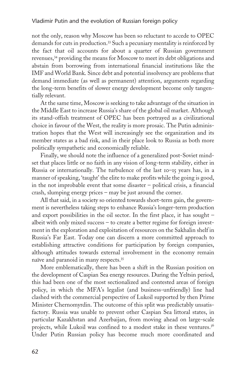not the only, reason why Moscow has been so reluctant to accede to OPEC demands for cuts in production.33 Such a pecuniary mentality is reinforced by the fact that oil accounts for about a quarter of Russian government revenues,<sup>34</sup> providing the means for Moscow to meet its debt obligations and abstain from borrowing from international financial institutions like the IMF and World Bank. Since debt and potential insolvency are problems that demand immediate (as well as permanent) attention, arguments regarding the long-term benefits of slower energy development become only tangentially relevant.

At the same time, Moscow is seeking to take advantage of the situation in the Middle East to increase Russia's share of the global oil market. Although its stand-offish treatment of OPEC has been portrayed as a civilizational choice in favour of the West, the reality is more prosaic. The Putin administration hopes that the West will increasingly see the organization and its member states as a bad risk, and in their place look to Russia as both more politically sympathetic and economically reliable.

Finally, we should note the influence of a generalized post-Soviet mindset that places little or no faith in any vision of long-term stability, either in Russia or internationally. The turbulence of the last 10–15 years has, in a manner of speaking, 'taught' the elite to make profits while the going is good, in the not improbable event that some disaster – political crisis, a financial crash, slumping energy prices – may be just around the corner.

All that said, in a society so oriented towards short-term gain, the government is nevertheless taking steps to enhance Russia's longer-term production and export possibilities in the oil sector. In the first place, it has sought – albeit with only mixed success – to create a better regime for foreign investment in the exploration and exploitation of resources on the Sakhalin shelf in Russia's Far East. Today one can discern a more committed approach to establishing attractive conditions for participation by foreign companies, although attitudes towards external involvement in the economy remain naïve and paranoid in many respects.35

More emblematically, there has been a shift in the Russian position on the development of Caspian Sea energy resources. During the Yeltsin period, this had been one of the most sectionalized and contested areas of foreign policy, in which the MFA's legalist (and business-unfriendly) line had clashed with the commercial perspective of Lukoil supported by then Prime Minister Chernomyrdin. The outcome of this split was predictably unsatisfactory. Russia was unable to prevent other Caspian Sea littoral states, in particular Kazakhstan and Azerbaijan, from moving ahead on large-scale projects, while Lukoil was confined to a modest stake in these ventures.<sup>36</sup> Under Putin Russian policy has become much more coordinated and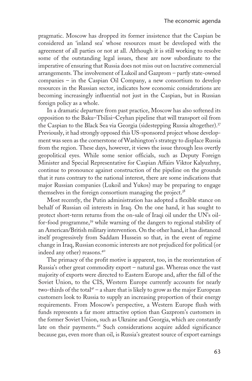pragmatic. Moscow has dropped its former insistence that the Caspian be considered an 'inland sea' whose resources must be developed with the agreement of all parties or not at all. Although it is still working to resolve some of the outstanding legal issues, these are now subordinate to the imperative of ensuring that Russia does not miss out on lucrative commercial arrangements. The involvement of Lukoil and Gazprom – partly state-owned companies – in the Caspian Oil Company, a new consortium to develop resources in the Russian sector, indicates how economic considerations are becoming increasingly influential not just in the Caspian, but in Russian foreign policy as a whole.

In a dramatic departure from past practice, Moscow has also softened its opposition to the Baku–Tbilisi–Ceyhan pipeline that will transport oil from the Caspian to the Black Sea via Georgia (sidestepping Russia altogether).37 Previously, it had strongly opposed this US-sponsored project whose development was seen as the cornerstone of Washington's strategy to displace Russia from the region. These days, however, it views the issue through less overtly geopolitical eyes. While some senior officials, such as Deputy Foreign Minister and Special Representative for Caspian Affairs Viktor Kalyuzhny, continue to pronounce against construction of the pipeline on the grounds that it runs contrary to the national interest, there are some indications that major Russian companies (Lukoil and Yukos) may be preparing to engage themselves in the foreign consortium managing the project.<sup>38</sup>

Most recently, the Putin administration has adopted a flexible stance on behalf of Russian oil interests in Iraq. On the one hand, it has sought to protect short-term returns from the on-sale of Iraqi oil under the UN's oilfor-food programme,<sup>39</sup> while warning of the dangers to regional stability of an American/British military intervention. On the other hand, it has distanced itself progressively from Saddam Hussein so that, in the event of regime change in Iraq, Russian economic interests are not prejudiced for political (or indeed any other) reasons.40

The primacy of the profit motive is apparent, too, in the reorientation of Russia's other great commodity export – natural gas. Whereas once the vast majority of exports were directed to Eastern Europe and, after the fall of the Soviet Union, to the CIS, Western Europe currently accounts for nearly two-thirds of the total $4^1$  – a share that is likely to grow as the major European customers look to Russia to supply an increasing proportion of their energy requirements. From Moscow's perspective, a Western Europe flush with funds represents a far more attractive option than Gazprom's customers in the former Soviet Union, such as Ukraine and Georgia, which are constantly late on their payments.<sup>42</sup> Such considerations acquire added significance because gas, even more than oil, is Russia's greatest source of export earnings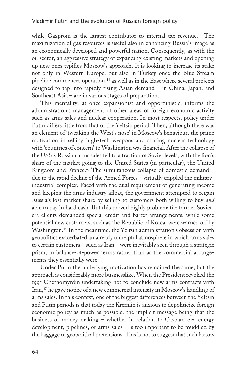while Gazprom is the largest contributor to internal tax revenue.<sup>43</sup> The maximization of gas resources is useful also in enhancing Russia's image as an economically developed and powerful nation. Consequently, as with the oil sector, an aggressive strategy of expanding existing markets and opening up new ones typifies Moscow's approach. It is looking to increase its stake not only in Western Europe, but also in Turkey once the Blue Stream pipeline commences operation,<sup>44</sup> as well as in the East where several projects designed to tap into rapidly rising Asian demand – in China, Japan, and Southeast Asia – are in various stages of preparation.

This mentality, at once expansionist and opportunistic, informs the administration's management of other areas of foreign economic activity such as arms sales and nuclear cooperation. In most respects, policy under Putin differs little from that of the Yeltsin period. Then, although there was an element of 'tweaking the West's nose' in Moscow's behaviour, the prime motivation in selling high-tech weapons and sharing nuclear technology with 'countries of concern' to Washington was financial. After the collapse of the USSR Russian arms sales fell to a fraction of Soviet levels, with the lion's share of the market going to the United States (in particular), the United Kingdom and France.<sup>45</sup> The simultaneous collapse of domestic demand due to the rapid decline of the Armed Forces – virtually crippled the militaryindustrial complex. Faced with the dual requirement of generating income and keeping the arms industry afloat, the government attempted to regain Russia's lost market share by selling to customers both willing to buy *and* able to pay in hard cash. But this proved highly problematic; former Sovietera clients demanded special credit and barter arrangements, while some potential new customers, such as the Republic of Korea, were warned off by Washington.46 In the meantime, the Yeltsin administration's obsession with geopolitics exacerbated an already unhelpful atmosphere in which arms sales to certain customers – such as Iran – were inevitably seen through a strategic prism, in balance-of-power terms rather than as the commercial arrangements they essentially were.

Under Putin the underlying motivation has remained the same, but the approach is considerably more businesslike. When the President revoked the 1995 Chernomyrdin undertaking not to conclude new arms contracts with Iran,<sup>47</sup> he gave notice of a new commercial intensity in Moscow's handling of arms sales. In this context, one of the biggest differences between the Yeltsin and Putin periods is that today the Kremlin is anxious to depoliticize foreign economic policy as much as possible; the implicit message being that the business of money-making – whether in relation to Caspian Sea energy development, pipelines, or arms sales – is too important to be muddied by the baggage of geopolitical pretensions. This is not to suggest that such factors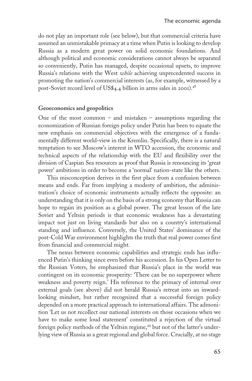do not play an important role (see below), but that commercial criteria have assumed an unmistakable primacy at a time when Putin is looking to develop Russia as a modern great power on solid economic foundations. And although political and economic considerations cannot always be separated so conveniently, Putin has managed, despite occasional upsets, to improve Russia's relations with the West *while* achieving unprecedented success in promoting the nation's commercial interests (as, for example, witnessed by a post-Soviet record level of US\$4.4 billion in arms sales in 2001).48

#### **Geoeconomics and geopolitics**

One of the most common – and mistaken – assumptions regarding the economization of Russian foreign policy under Putin has been to equate the new emphasis on commercial objectives with the emergence of a fundamentally different world-view in the Kremlin. Specifically, there is a natural temptation to see Moscow's interest in WTO accession, the economic and technical aspects of the relationship with the EU and flexibility over the division of Caspian Sea resources as proof that Russia is renouncing its 'great power' ambitions in order to become a 'normal' nation-state like the others.

This misconception derives in the first place from a confusion between means and ends. Far from implying a modesty of ambition, the administration's choice of economic instruments actually reflects the opposite: an understanding that it is only on the basis of a strong economy that Russia can hope to regain its position as a global power. The great lesson of the late Soviet and Yeltsin periods is that economic weakness has a devastating impact not just on living standards but also on a country's international standing and influence. Conversely, the United States' dominance of the post-Cold War environment highlights the truth that real power comes first from financial and commercial might.

The nexus between economic capabilities and strategic ends has influenced Putin's thinking since even before his accession. In his Open Letter to the Russian Voters, he emphasized that Russia's place in the world was contingent on its economic prosperity: 'There can be no superpower where weakness and poverty reign.' His reference to the primacy of internal over external goals (see above) did not herald Russia's retreat into an inwardlooking mindset, but rather recognized that a successful foreign policy depended on a more practical approach to international affairs. The admonition 'Let us not recollect our national interests on those occasions when we have to make some loud statement' constituted a rejection of the virtual foreign policy methods of the Yeltsin regime,<sup>49</sup> but not of the latter's underlying view of Russia as a great regional and global force. Crucially, at no stage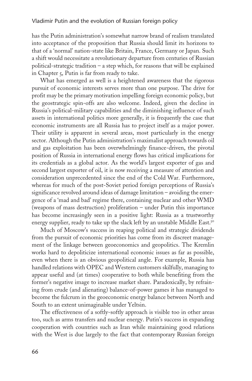has the Putin administration's somewhat narrow brand of realism translated into acceptance of the proposition that Russia should limit its horizons to that of a 'normal' nation-state like Britain, France, Germany or Japan. Such a shift would necessitate a revolutionary departure from centuries of Russian political-strategic tradition – a step which, for reasons that will be explained in Chapter 5, Putin is far from ready to take.

What has emerged as well is a heightened awareness that the rigorous pursuit of economic interests serves more than one purpose. The drive for profit may be the primary motivation impelling foreign economic policy, but the geostrategic spin-offs are also welcome. Indeed, given the decline in Russia's political-military capabilities and the diminishing influence of such assets in international politics more generally, it is frequently the case that economic instruments are all Russia has to project itself as a major power. Their utility is apparent in several areas, most particularly in the energy sector. Although the Putin administration's maximalist approach towards oil and gas exploitation has been overwhelmingly finance-driven, the pivotal position of Russia in international energy flows has critical implications for its credentials as a global actor. As the world's largest exporter of gas and second largest exporter of oil, it is now receiving a measure of attention and consideration unprecedented since the end of the Cold War. Furthermore, whereas for much of the post-Soviet period foreign perceptions of Russia's significance revolved around ideas of damage limitation – avoiding the emergence of a 'mad and bad' regime there, containing nuclear and other WMD (weapons of mass destruction) proliferation – under Putin this importance has become increasingly seen in a positive light: Russia as a trustworthy energy supplier, ready to take up the slack left by an unstable Middle East.<sup>50</sup>

Much of Moscow's success in reaping political and strategic dividends from the pursuit of economic priorities has come from its discreet management of the linkage between geoeconomics and geopolitics. The Kremlin works hard to depoliticize international economic issues as far as possible, even when there is an obvious geopolitical angle. For example, Russia has handled relations with OPEC and Western customers skilfully, managing to appear useful and (at times) cooperative to both while benefiting from the former's negative image to increase market share. Paradoxically, by refraining from crude (and alienating) balance-of-power games it has managed to become the fulcrum in the geoeconomic energy balance between North and South to an extent unimaginable under Yeltsin.

The effectiveness of a softly-softly approach is visible too in other areas too, such as arms transfers and nuclear energy. Putin's success in expanding cooperation with countries such as Iran while maintaining good relations with the West is due largely to the fact that contemporary Russian foreign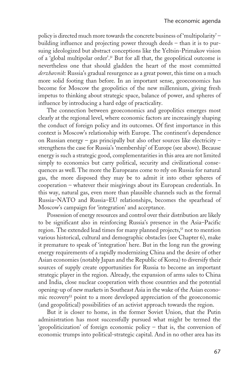policy is directed much more towards the concrete business of 'multipolarity' – building influence and projecting power through deeds – than it is to pursuing ideologized but abstract conceptions like the Yeltsin-Primakov vision of a 'global multipolar order'.51 But for all that, the geopolitical outcome is nevertheless one that should gladden the heart of the most committed *derzhavnik*: Russia's gradual resurgence as a great power, this time on a much more solid footing than before. In an important sense, geoeconomics has become for Moscow the geopolitics of the new millennium, giving fresh impetus to thinking about strategic space, balance of power, and spheres of influence by introducing a hard edge of practicality.

The connection between geoeconomics and geopolitics emerges most clearly at the regional level, where economic factors are increasingly shaping the conduct of foreign policy and its outcomes. Of first importance in this context is Moscow's relationship with Europe. The continent's dependence on Russian energy – gas principally but also other sources like electricity – strengthens the case for Russia's 'membership' of Europe (see above). Because energy is such a strategic good, complementarities in this area are not limited simply to economics but carry political, security and civilizational consequences as well. The more the Europeans come to rely on Russia for natural gas, the more disposed they may be to admit it into other spheres of cooperation – whatever their misgivings about its European credentials. In this way, natural gas, even more than plausible channels such as the formal Russia–NATO and Russia–EU relationships, becomes the spearhead of Moscow's campaign for 'integration' and acceptance.

Possession of energy resources and control over their distribution are likely to be significant also in reinforcing Russia's presence in the Asia–Pacific region. The extended lead times for many planned projects,<sup>52</sup> not to mention various historical, cultural and demographic obstacles (see Chapter 6), make it premature to speak of 'integration' here. But in the long run the growing energy requirements of a rapidly modernizing China and the desire of other Asian economies (notably Japan and the Republic of Korea) to diversify their sources of supply create opportunities for Russia to become an important strategic player in the region. Already, the expansion of arms sales to China and India, close nuclear cooperation with those countries and the potential opening-up of new markets in Southeast Asia in the wake of the Asian economic recovery<sup>53</sup> point to a more developed appreciation of the geoeconomic (and geopolitical) possibilities of an activist approach towards the region.

But it is closer to home, in the former Soviet Union, that the Putin administration has most successfully pursued what might be termed the 'geopoliticization' of foreign economic policy – that is, the conversion of economic trumps into political-strategic capital. And in no other area has its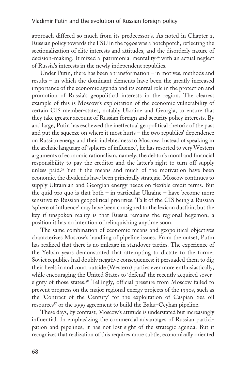approach differed so much from its predecessor's. As noted in Chapter 2, Russian policy towards the FSU in the 1990s was a hotchpotch, reflecting the sectionalization of elite interests and attitudes, and the disorderly nature of decision-making. It mixed a 'patrimonial mentality'54 with an actual neglect of Russia's interests in the newly independent republics.

Under Putin, there has been a transformation – in motives, methods and results – in which the dominant elements have been the greatly increased importance of the economic agenda and its central role in the protection and promotion of Russia's geopolitical interests in the region. The clearest example of this is Moscow's exploitation of the economic vulnerability of certain CIS member-states, notably Ukraine and Georgia, to ensure that they take greater account of Russian foreign and security policy interests. By and large, Putin has eschewed the ineffectual geopolitical rhetoric of the past and put the squeeze on where it most hurts – the two republics' dependence on Russian energy and their indebtedness to Moscow. Instead of speaking in the archaic language of 'spheres of influence', he has resorted to very Western arguments of economic rationalism, namely, the debtor's moral and financial responsibility to pay the creditor and the latter's right to turn off supply unless paid.<sup>55</sup> Yet if the means and much of the motivation have been economic, the dividends have been principally strategic. Moscow continues to supply Ukrainian and Georgian energy needs on flexible credit terms. But the quid pro quo is that both  $-$  in particular Ukraine  $-$  have become more sensitive to Russian geopolitical priorities. Talk of the CIS being a Russian 'sphere of influence' may have been consigned to the lexicon dustbin, but the key if unspoken reality is that Russia remains the regional hegemon, a position it has no intention of relinquishing anytime soon.

The same combination of economic means and geopolitical objectives characterizes Moscow's handling of pipeline issues. From the outset, Putin has realized that there is no mileage in standover tactics. The experience of the Yeltsin years demonstrated that attempting to dictate to the former Soviet republics had doubly negative consequences: it persuaded them to dig their heels in and court outside (Western) parties ever more enthusiastically, while encouraging the United States to 'defend' the recently acquired sovereignty of those states.<sup>56</sup> Tellingly, official pressure from Moscow failed to prevent progress on the major regional energy projects of the 1990s, such as the 'Contract of the Century' for the exploitation of Caspian Sea oil resources<sup>57</sup> or the 1999 agreement to build the Baku–Ceyhan pipeline.

These days, by contrast, Moscow's attitude is understated but increasingly influential. In emphasizing the commercial advantages of Russian participation and pipelines, it has not lost sight of the strategic agenda. But it recognizes that realization of this requires more subtle, economically oriented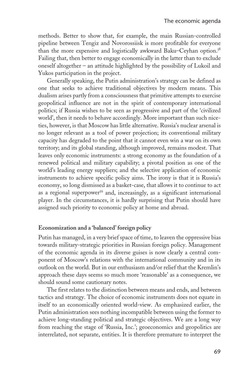methods. Better to show that, for example, the main Russian-controlled pipeline between Tengiz and Novorossiisk is more profitable for everyone than the more expensive and logistically awkward Baku–Ceyhan option.<sup>58</sup> Failing that, then better to engage economically in the latter than to exclude oneself altogether – an attitude highlighted by the possibility of Lukoil and Yukos participation in the project.

Generally speaking, the Putin administration's strategy can be defined as one that seeks to achieve traditional objectives by modern means. This dualism arises partly from a consciousness that primitive attempts to exercise geopolitical influence are not in the spirit of contemporary international politics; if Russia wishes to be seen as progressive and part of the 'civilized world', then it needs to behave accordingly. More important than such niceties, however, is that Moscow has little alternative. Russia's nuclear arsenal is no longer relevant as a tool of power projection; its conventional military capacity has degraded to the point that it cannot even win a war on its own territory; and its global standing, although improved, remains modest. That leaves only economic instruments: a strong economy as the foundation of a renewed political and military capability; a pivotal position as one of the world's leading energy suppliers; and the selective application of economic instruments to achieve specific policy aims. The irony is that it is Russia's economy, so long dismissed as a basket-case, that allows it to continue to act as a regional superpower<sup>59</sup> and, increasingly, as a significant international player. In the circumstances, it is hardly surprising that Putin should have assigned such priority to economic policy at home and abroad.

# **Economization and a 'balanced' foreign policy**

Putin has managed, in a very brief space of time, to leaven the oppressive bias towards military-strategic priorities in Russian foreign policy. Management of the economic agenda in its diverse guises is now clearly a central component of Moscow's relations with the international community and in its outlook on the world. But in our enthusiasm and/or relief that the Kremlin's approach these days seems so much more 'reasonable' as a consequence, we should sound some cautionary notes.

The first relates to the distinction between means and ends, and between tactics and strategy. The choice of economic instruments does not equate in itself to an economically oriented world-view. As emphasized earlier, the Putin administration sees nothing incompatible between using the former to achieve long-standing political and strategic objectives. We are a long way from reaching the stage of 'Russia, Inc.'; geoeconomics and geopolitics are interrelated, not separate, entities. It is therefore premature to interpret the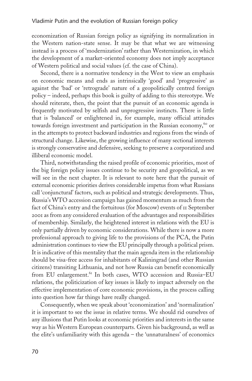economization of Russian foreign policy as signifying its normalization in the Western nation-state sense. It may be that what we are witnessing instead is a process of 'modernization'rather than Westernization, in which the development of a market-oriented economy does not imply acceptance of Western political and social values (cf. the case of China).

Second, there is a normative tendency in the West to view an emphasis on economic means and ends as intrinsically 'good' and 'progressive' as against the 'bad' or 'retrograde' nature of a geopolitically centred foreign policy – indeed, perhaps this book is guilty of adding to this stereotype. We should reiterate, then, the point that the pursuit of an economic agenda is frequently motivated by selfish and unprogressive instincts. There is little that is 'balanced' or enlightened in, for example, many official attitudes towards foreign investment and participation in the Russian economy,<sup>60</sup> or in the attempts to protect backward industries and regions from the winds of structural change. Likewise, the growing influence of many sectional interests is strongly conservative and defensive, seeking to preserve a corporatized and illiberal economic model.

Third, notwithstanding the raised profile of economic priorities, most of the big foreign policy issues continue to be security and geopolitical, as we will see in the next chapter. It is relevant to note here that the pursuit of external economic priorities derives considerable impetus from what Russians call 'conjunctural' factors, such as political and strategic developments. Thus, Russia's WTO accession campaign has gained momentum as much from the fact of China's entry and the fortuitous (for Moscow) events of 11 September 2001 as from any considered evaluation of the advantages and responsibilities of membership. Similarly, the heightened interest in relations with the EU is only partially driven by economic considerations. While there is now a more professional approach to giving life to the provisions of the PCA, the Putin administration continues to view the EU principally through a political prism. It is indicative of this mentality that the main agenda item in the relationship should be visa-free access for inhabitants of Kaliningrad (and other Russian citizens) transiting Lithuania, and not how Russia can benefit economically from EU enlargement.<sup>61</sup> In both cases, WTO accession and Russia-EU relations, the politicization of key issues is likely to impact adversely on the effective implementation of core economic provisions, in the process calling into question how far things have really changed.

Consequently, when we speak about 'economization' and 'normalization' it is important to see the issue in relative terms. We should rid ourselves of any illusions that Putin looks at economic priorities and interests in the same way as his Western European counterparts. Given his background, as well as the elite's unfamiliarity with this agenda – the 'unnaturalness' of economics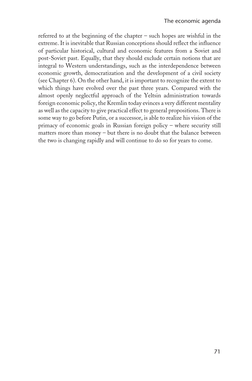referred to at the beginning of the chapter – such hopes are wishful in the extreme. It is inevitable that Russian conceptions should reflect the influence of particular historical, cultural and economic features from a Soviet and post-Soviet past. Equally, that they should exclude certain notions that are integral to Western understandings, such as the interdependence between economic growth, democratization and the development of a civil society (see Chapter 6). On the other hand, it is important to recognize the extent to which things have evolved over the past three years. Compared with the almost openly neglectful approach of the Yeltsin administration towards foreign economic policy, the Kremlin today evinces a very different mentality as well as the capacity to give practical effect to general propositions. There is some way to go before Putin, or a successor, is able to realize his vision of the primacy of economic goals in Russian foreign policy – where security still matters more than money – but there is no doubt that the balance between the two is changing rapidly and will continue to do so for years to come.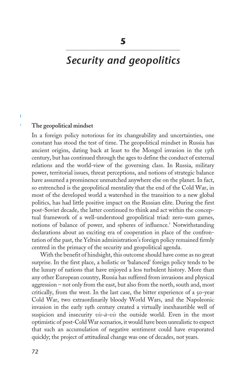# *Security and geopolitics*

#### ï

#### **The geopolitical mindset**

In a foreign policy notorious for its changeability and uncertainties, one constant has stood the test of time. The geopolitical mindset in Russia has ancient origins, dating back at least to the Mongol invasion in the 13th century, but has continued through the ages to define the conduct of external relations and the world-view of the governing class. In Russia, military power, territorial issues, threat perceptions, and notions of strategic balance have assumed a prominence unmatched anywhere else on the planet. In fact, so entrenched is the geopolitical mentality that the end of the Cold War, in most of the developed world a watershed in the transition to a new global politics, has had little positive impact on the Russian elite. During the first post-Soviet decade, the latter continued to think and act within the conceptual framework of a well-understood geopolitical triad: zero-sum games, notions of balance of power, and spheres of influence.<sup>1</sup> Notwithstanding declarations about an exciting era of cooperation in place of the confrontation of the past, the Yeltsin administration's foreign policy remained firmly centred in the primacy of the security and geopolitical agenda.

With the benefit of hindsight, this outcome should have come as no great surprise. In the first place, a holistic or 'balanced' foreign policy tends to be the luxury of nations that have enjoyed a less turbulent history. More than any other European country, Russia has suffered from invasions and physical aggression – not only from the east, but also from the north, south and, most critically, from the west. In the last case, the bitter experience of a 50-year Cold War, two extraordinarily bloody World Wars, and the Napoleonic invasion in the early 19th century created a virtually inexhaustible well of suspicion and insecurity *vis-à-vis* the outside world. Even in the most optimistic of post-Cold War scenarios, it would have been unrealistic to expect that such an accumulation of negative sentiment could have evaporated quickly; the project of attitudinal change was one of decades, not years.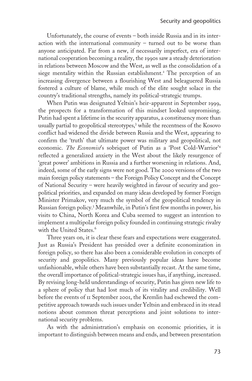Unfortunately, the course of events – both inside Russia and in its interaction with the international community – turned out to be worse than anyone anticipated. Far from a new, if necessarily imperfect, era of international cooperation becoming a reality, the 1990s saw a steady deterioration in relations between Moscow and the West, as well as the consolidation of a siege mentality within the Russian establishment.<sup>2</sup> The perception of an increasing divergence between a flourishing West and beleaguered Russia fostered a culture of blame, while much of the elite sought solace in the country's traditional strengths, namely its political-strategic trumps.

When Putin was designated Yeltsin's heir-apparent in September 1999, the prospects for a transformation of this mindset looked unpromising. Putin had spent a lifetime in the security apparatus, a constituency more than usually partial to geopolitical stereotypes,<sup>3</sup> while the recentness of the Kosovo conflict had widened the divide between Russia and the West, appearing to confirm the 'truth' that ultimate power was military and geopolitical, not economic. *The Economist*'s sobriquet of Putin as a 'Post Cold-Warrior'4 reflected a generalized anxiety in the West about the likely resurgence of 'great power' ambitions in Russia and a further worsening in relations. And, indeed, some of the early signs were not good. The 2000 versions of the two main foreign policy statements – the Foreign Policy Concept and the Concept of National Security – were heavily weighted in favour of security and geopolitical priorities, and expanded on many ideas developed by former Foreign Minister Primakov, very much the symbol of the geopolitical tendency in Russian foreign policy.<sup>5</sup> Meanwhile, in Putin's first few months in power, his visits to China, North Korea and Cuba seemed to suggest an intention to implement a multipolar foreign policy founded in continuing strategic rivalry with the United States.<sup>6</sup>

Three years on, it is clear these fears and expectations were exaggerated. Just as Russia's President has presided over a definite economization in foreign policy, so there has also been a considerable evolution in concepts of security and geopolitics. Many previously popular ideas have become unfashionable, while others have been substantially recast. At the same time, the overall importance of political-strategic issues has, if anything, increased. By revising long-held understandings of security, Putin has given new life to a sphere of policy that had lost much of its vitality and credibility. Well before the events of 11 September 2001, the Kremlin had eschewed the competitive approach towards such issues under Yeltsin and embraced in its stead notions about common threat perceptions and joint solutions to international security problems.

As with the administration's emphasis on economic priorities, it is important to distinguish between means and ends, and between presentation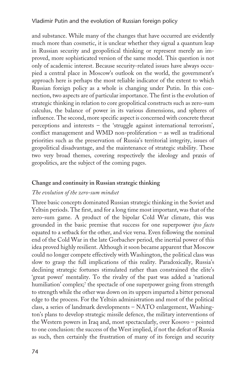# Vladimir Putin and the evolution of Russian foreign policy

and substance. While many of the changes that have occurred are evidently much more than cosmetic, it is unclear whether they signal a quantum leap in Russian security and geopolitical thinking or represent merely an improved, more sophisticated version of the same model. This question is not only of academic interest. Because security-related issues have always occupied a central place in Moscow's outlook on the world, the government's approach here is perhaps the most reliable indicator of the extent to which Russian foreign policy as a whole is changing under Putin. In this connection, two aspects are of particular importance. The first is the evolution of strategic thinking in relation to core geopolitical constructs such as zero-sum calculus, the balance of power in its various dimensions, and spheres of influence. The second, more specific aspect is concerned with concrete threat perceptions and interests – the 'struggle against international terrorism', conflict management and WMD non-proliferation – as well as traditional priorities such as the preservation of Russia's territorial integrity, issues of geopolitical disadvantage, and the maintenance of strategic stability. These two very broad themes, covering respectively the ideology and praxis of geopolitics, are the subject of the coming pages.

#### **Change and continuity in Russian strategic thinking**

# *The evolution of the zero-sum mindset*

Three basic concepts dominated Russian strategic thinking in the Soviet and Yeltsin periods. The first, and for a long time most important, was that of the zero-sum game. A product of the bipolar Cold War climate, this was grounded in the basic premise that success for one superpower *ipso facto* equated to a setback for the other, and vice versa. Even following the nominal end of the Cold War in the late Gorbachev period, the inertial power of this idea proved highly resilient. Although it soon became apparent that Moscow could no longer compete effectively with Washington, the political class was slow to grasp the full implications of this reality. Paradoxically, Russia's declining strategic fortunes stimulated rather than constrained the elite's 'great power' mentality. To the rivalry of the past was added a 'national humiliation' complex;<sup>7</sup> the spectacle of one superpower going from strength to strength while the other was down on its uppers imparted a bitter personal edge to the process. For the Yeltsin administration and most of the political class, a series of landmark developments – NATO enlargement, Washington's plans to develop strategic missile defence, the military interventions of the Western powers in Iraq and, most spectacularly, over Kosovo – pointed to one conclusion: the success of the West implied, if not the defeat of Russia as such, then certainly the frustration of many of its foreign and security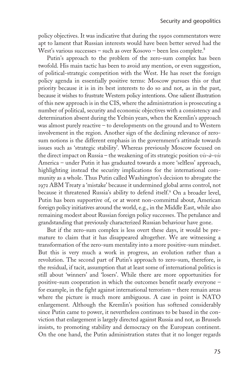policy objectives. It was indicative that during the 1990s commentators were apt to lament that Russian interests would have been better served had the West's various successes – such as over Kosovo – been less complete.<sup>8</sup>

Putin's approach to the problem of the zero-sum complex has been twofold. His main tactic has been to avoid any mention, or even suggestion, of political-strategic competition with the West. He has reset the foreign policy agenda in essentially positive terms: Moscow pursues this or that priority because it is in its best interests to do so and not, as in the past, because it wishes to frustrate Western policy intentions. One salient illustration of this new approach is in the CIS, where the administration is prosecuting a number of political, security and economic objectives with a consistency and determination absent during the Yeltsin years, when the Kremlin's approach was almost purely reactive – to developments on the ground and to Western involvement in the region. Another sign of the declining relevance of zerosum notions is the different emphasis in the government's attitude towards issues such as 'strategic stability'. Whereas previously Moscow focused on the direct impact on Russia – the weakening of its strategic position *vis-à-vis* America – under Putin it has graduated towards a more 'selfless' approach, highlighting instead the security implications for the international community as a whole. Thus Putin called Washington's decision to abrogate the 1972 ABM Treaty a 'mistake' because it undermined global arms control, not because it threatened Russia's ability to defend itself.9 On a broader level, Putin has been supportive of, or at worst non-committal about, American foreign policy initiatives around the world, e.g., in the Middle East, while also remaining modest about Russian foreign policy successes. The petulance and grandstanding that previously characterized Russian behaviour have gone.

But if the zero-sum complex is less overt these days, it would be premature to claim that it has disappeared altogether. We are witnessing a transformation of the zero-sum mentality into a more positive-sum mindset. But this is very much a work in progress, an evolution rather than a revolution. The second part of Putin's approach to zero-sum, therefore, is the residual, if tacit, assumption that at least some of international politics is still about 'winners' and 'losers'. While there are more opportunities for positive-sum cooperation in which the outcomes benefit nearly everyone – for example, in the fight against international terrorism – there remain areas where the picture is much more ambiguous. A case in point is NATO enlargement. Although the Kremlin's position has softened considerably since Putin came to power, it nevertheless continues to be based in the conviction that enlargement is largely directed against Russia and not, as Brussels insists, to promoting stability and democracy on the European continent. On the one hand, the Putin administration states that it no longer regards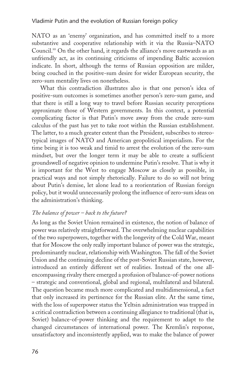NATO as an 'enemy' organization, and has committed itself to a more substantive and cooperative relationship with it via the Russia–NATO Council.10 On the other hand, it regards the alliance's move eastwards as an unfriendly act, as its continuing criticisms of impending Baltic accession indicate. In short, although the terms of Russian opposition are milder, being couched in the positive-sum desire for wider European security, the zero-sum mentality lives on nonetheless.

What this contradiction illustrates also is that one person's idea of positive-sum outcomes is sometimes another person's zero-sum game, and that there is still a long way to travel before Russian security perceptions approximate those of Western governments. In this context, a potential complicating factor is that Putin's move away from the crude zero-sum calculus of the past has yet to take root within the Russian establishment. The latter, to a much greater extent than the President, subscribes to stereotypical images of NATO and American geopolitical imperialism. For the time being it is too weak and timid to arrest the evolution of the zero-sum mindset, but over the longer term it may be able to create a sufficient groundswell of negative opinion to undermine Putin's resolve. That is why it is important for the West to engage Moscow as closely as possible, in practical ways and not simply rhetorically. Failure to do so will not bring about Putin's demise, let alone lead to a reorientation of Russian foreign policy, but it would unnecessarily prolong the influence of zero-sum ideas on the administration's thinking.

# *The balance of power – back to the future?*

As long as the Soviet Union remained in existence, the notion of balance of power was relatively straightforward. The overwhelming nuclear capabilities of the two superpowers, together with the longevity of the Cold War, meant that for Moscow the only really important balance of power was the strategic, predominantly nuclear, relationship with Washington. The fall of the Soviet Union and the continuing decline of the post-Soviet Russian state, however, introduced an entirely different set of realities. Instead of the one allencompassing rivalry there emerged a profusion of balance-of-power notions – strategic and conventional, global and regional, multilateral and bilateral. The question became much more complicated and multidimensional, a fact that only increased its pertinence for the Russian elite. At the same time, with the loss of superpower status the Yeltsin administration was trapped in a critical contradiction between a continuing allegiance to traditional (that is, Soviet) balance-of-power thinking and the requirement to adapt to the changed circumstances of international power. The Kremlin's response, unsatisfactory and inconsistently applied, was to make the balance of power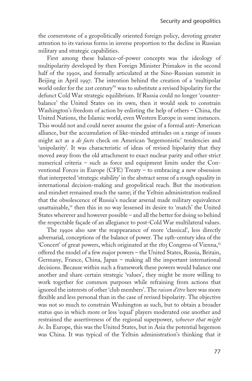the cornerstone of a geopolitically oriented foreign policy, devoting greater attention to its various forms in inverse proportion to the decline in Russian military and strategic capabilities.

First among these balance-of-power concepts was the ideology of multipolarity developed by then Foreign Minister Primakov in the second half of the 1990s, and formally articulated at the Sino-Russian summit in Beijing in April 1997. The intention behind the creation of a 'multipolar world order for the 21st century<sup>11</sup> was to substitute a revised bipolarity for the defunct Cold War strategic equilibrium. If Russia could no longer 'counterbalance' the United States on its own, then it would seek to constrain Washington's freedom of action by enlisting the help of others – China, the United Nations, the Islamic world, even Western Europe in some instances. This would not and could never assume the guise of a formal anti-American alliance, but the accumulation of like-minded attitudes on a range of issues might act as a *de facto* check on American 'hegemonistic' tendencies and 'unipolarity'. It was characteristic of ideas of revised bipolarity that they moved away from the old attachment to exact nuclear parity and other strict numerical criteria – such as force and equipment limits under the Conventional Forces in Europe (CFE) Treaty – to embracing a new obsession that interpreted 'strategic stability' in the abstract sense of a rough equality in international decision-making and geopolitical reach. But the motivation and mindset remained much the same; if the Yeltsin administration realized that the obsolescence of Russia's nuclear arsenal made military equivalence unattainable,<sup>12</sup> then this in no way lessened its desire to 'match' the United States wherever and however possible – and all the better for doing so behind the respectable façade of an allegiance to post-Cold War multilateral values.

The 1990s also saw the reappearance of more 'classical', less directly adversarial, conceptions of the balance of power. The 19th-century idea of the 'Concert' of great powers, which originated at the 1815 Congress of Vienna,<sup>13</sup> offered the model of a few major powers – the United States, Russia, Britain, Germany, France, China, Japan – making all the important international decisions. Because within such a framework these powers would balance one another and share certain strategic 'values', they might be more willing to work together for common purposes while refraining from actions that ignored the interests of other 'club members'. The *raison d'être* here was more flexible and less personal than in the case of revised bipolarity. The objective was not so much to constrain Washington as such, but to obtain a broader status quo in which more or less 'equal' players moderated one another and restrained the assertiveness of the regional superpower, *whoever that might be*. In Europe, this was the United States, but in Asia the potential hegemon was China. It was typical of the Yeltsin administration's thinking that it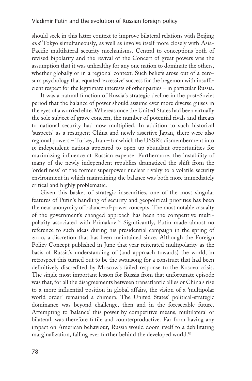should seek in this latter context to improve bilateral relations with Beijing *and* Tokyo simultaneously, as well as involve itself more closely with Asia-Pacific multilateral security mechanisms. Central to conceptions both of revised bipolarity and the revival of the Concert of great powers was the assumption that it was unhealthy for any one nation to dominate the others, whether globally or in a regional context. Such beliefs arose out of a zerosum psychology that equated 'excessive' success for the hegemon with insufficient respect for the legitimate interests of other parties – in particular Russia.

It was a natural function of Russia's strategic decline in the post-Soviet period that the balance of power should assume ever more diverse guises in the eyes of a worried elite. Whereas once the United States had been virtually the sole subject of grave concern, the number of potential rivals and threats to national security had now multiplied. In addition to such historical 'suspects' as a resurgent China and newly assertive Japan, there were also regional powers – Turkey, Iran – for which the USSR's dismemberment into 15 independent nations appeared to open up abundant opportunities for maximizing influence at Russian expense. Furthermore, the instability of many of the newly independent republics dramatized the shift from the 'orderliness' of the former superpower nuclear rivalry to a volatile security environment in which maintaining the balance was both more immediately critical and highly problematic.

Given this basket of strategic insecurities, one of the most singular features of Putin's handling of security and geopolitical priorities has been the near anonymity of balance-of-power concepts. The most notable casualty of the government's changed approach has been the competitive multipolarity associated with Primakov.14 Significantly, Putin made almost no reference to such ideas during his presidential campaign in the spring of 2000, a discretion that has been maintained since. Although the Foreign Policy Concept published in June that year reiterated multipolarity as the basis of Russia's understanding of (and approach towards) the world, in retrospect this turned out to be the swansong for a construct that had been definitively discredited by Moscow's failed response to the Kosovo crisis. The single most important lesson for Russia from that unfortunate episode was that, for all the disagreements between transatlantic allies or China's rise to a more influential position in global affairs, the vision of a 'multipolar world order' remained a chimera. The United States' political-strategic dominance was beyond challenge, then and in the foreseeable future. Attempting to 'balance' this power by competitive means, multilateral or bilateral, was therefore futile and counterproductive. Far from having any impact on American behaviour, Russia would doom itself to a debilitating marginalization, falling ever further behind the developed world.<sup>15</sup>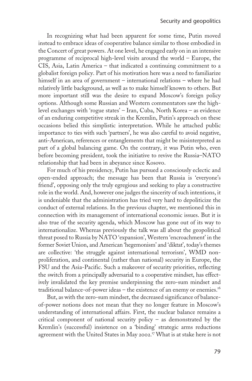In recognizing what had been apparent for some time, Putin moved instead to embrace ideas of cooperative balance similar to those embodied in the Concert of great powers. At one level, he engaged early on in an intensive programme of reciprocal high-level visits around the world – Europe, the CIS, Asia, Latin America – that indicated a continuing commitment to a globalist foreign policy. Part of his motivation here was a need to familiarize himself in an area of government – international relations – where he had relatively little background, as well as to make himself known to others. But more important still was the desire to expand Moscow's foreign policy options. Although some Russian and Western commentators saw the highlevel exchanges with 'rogue states' – Iran, Cuba, North Korea – as evidence of an enduring competitive streak in the Kremlin, Putin's approach on these occasions belied this simplistic interpretation. While he attached public importance to ties with such 'partners', he was also careful to avoid negative, anti-American, references or entanglements that might be misinterpreted as part of a global balancing game. On the contrary, it was Putin who, even before becoming president, took the initiative to revive the Russia–NATO relationship that had been in abeyance since Kosovo.

For much of his presidency, Putin has pursued a consciously eclectic and open-ended approach; the message has been that Russia is 'everyone's friend', opposing only the truly egregious and seeking to play a constructive role in the world. And, however one judges the sincerity of such intentions, it is undeniable that the administration has tried very hard to depoliticize the conduct of external relations. In the previous chapter, we mentioned this in connection with its management of international economic issues. But it is also true of the security agenda, which Moscow has gone out of its way to internationalize. Whereas previously the talk was all about the geopolitical threat posed to Russia by NATO 'expansion', Western 'encroachment' in the former Soviet Union, and American 'hegemonism' and 'diktat', today's themes are collective: 'the struggle against international terrorism', WMD nonproliferation, and continental (rather than national) security in Europe, the FSU and the Asia-Pacific. Such a makeover of security priorities, reflecting the switch from a principally adversarial to a cooperative mindset, has effectively invalidated the key premise underpinning the zero-sum mindset and traditional balance-of-power ideas – the existence of an enemy or enemies.<sup>16</sup>

But, as with the zero-sum mindset, the decreased significance of balanceof-power notions does not mean that they no longer feature in Moscow's understanding of international affairs. First, the nuclear balance remains a critical component of national security policy – as demonstrated by the Kremlin's (successful) insistence on a 'binding' strategic arms reductions agreement with the United States in May 2002.<sup>17</sup> What is at stake here is not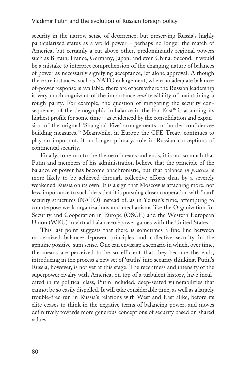security in the narrow sense of deterrence, but preserving Russia's highly particularized status as a world power – perhaps no longer the match of America, but certainly a cut above other, predominantly regional powers such as Britain, France, Germany, Japan, and even China. Second, it would be a mistake to interpret comprehension of the changing nature of balances of power as necessarily signifying acceptance, let alone approval. Although there are instances, such as NATO enlargement, where no adequate balanceof-power response is available, there are others where the Russian leadership is very much cognizant of the importance *and* feasibility of maintaining a rough parity. For example, the question of mitigating the security consequences of the demographic imbalance in the Far  $East^{18}$  is assuming its highest profile for some time – as evidenced by the consolidation and expansion of the original 'Shanghai Five' arrangements on border confidencebuilding measures.<sup>19</sup> Meanwhile, in Europe the CFE Treaty continues to play an important, if no longer primary, role in Russian conceptions of continental security.

Finally, to return to the theme of means and ends, it is not so much that Putin and members of his administration believe that the principle of the balance of power has become anachronistic, but that balance *in practice* is more likely to be achieved through collective efforts than by a severely weakened Russia on its own. It is a sign that Moscow is attaching more, not less, importance to such ideas that it is pursuing closer cooperation with 'hard' security structures (NATO) instead of, as in Yeltsin's time, attempting to counterpose weak organizations and mechanisms like the Organization for Security and Cooperation in Europe (OSCE) and the Western European Union (WEU) in virtual balance-of-power games with the United States.

This last point suggests that there is sometimes a fine line between modernized balance-of-power principles and collective security in the genuine positive-sum sense. One can envisage a scenario in which, over time, the means are perceived to be so efficient that they become the ends, introducing in the process a new set of 'truths' into security thinking. Putin's Russia, however, is not yet at this stage. The recentness and intensity of the superpower rivalry with America, on top of a turbulent history, have inculcated in its political class, Putin included, deep-seated vulnerabilities that cannot be so easily dispelled. It will take considerable time, as well as a largely trouble-free run in Russia's relations with West and East alike, before its elite ceases to think in the negative terms of balancing power, and moves definitively towards more generous conceptions of security based on shared values.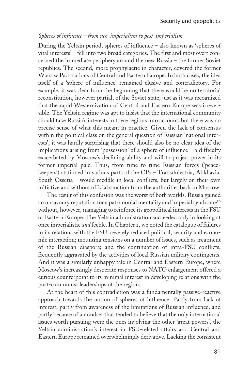## *Spheres of influence – from neo-imperialism to post-imperialism*

During the Yeltsin period, spheres of influence – also known as 'spheres of vital interests' – fell into two broad categories. The first and most overt concerned the immediate periphery around the new Russia – the former Soviet republics. The second, more prophylactic in character, covered the former Warsaw Pact nations of Central and Eastern Europe. In both cases, the idea itself of a 'sphere of influence' remained elusive and contradictory. For example, it was clear from the beginning that there would be no territorial reconstitution, however partial, of the Soviet state, just as it was recognized that the rapid Westernization of Central and Eastern Europe was irreversible. The Yeltsin regime was apt to insist that the international community should take Russia's interests in these regions into account, but there was no precise sense of what this meant in practice. Given the lack of consensus within the political class on the general question of Russian 'national interests', it was hardly surprising that there should also be no clear idea of the implications arising from 'possession' of a sphere of influence  $-$  a difficulty exacerbated by Moscow's declining ability and will to project power in its former imperial pale. Thus, from time to time Russian forces ('peacekeepers') stationed in various parts of the CIS – Transdniestria, Abkhazia, South Ossetia – would meddle in local conflicts, but largely on their own initiative and without official sanction from the authorities back in Moscow.

The result of this confusion was the worst of both worlds. Russia gained an unsavoury reputation for a patrimonial mentality and imperial syndrome<sup>20</sup> without, however, managing to reinforce its geopolitical interests in the FSU or Eastern Europe. The Yeltsin administration succeeded only in looking at once imperialistic *and* feeble. In Chapter 2, we noted the catalogue of failures in its relations with the FSU: severely reduced political, security and economic interaction; mounting tensions on a number of issues, such as treatment of the Russian diaspora; and the continuation of intra-FSU conflicts, frequently aggravated by the activities of local Russian military contingents. And it was a similarly unhappy tale in Central and Eastern Europe, where Moscow's increasingly desperate responses to NATO enlargement offered a curious counterpoint to its minimal interest in developing relations with the post-communist leaderships of the region.

At the heart of this contradiction was a fundamentally passive-reactive approach towards the notion of spheres of influence. Partly from lack of interest, partly from awareness of the limitations of Russian influence, and partly because of a mindset that tended to believe that the only international issues worth pursuing were the ones involving the other 'great powers', the Yeltsin administration's interest in FSU-related affairs and Central and Eastern Europe remained overwhelmingly derivative. Lacking the consistent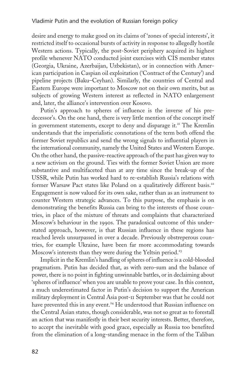desire and energy to make good on its claims of 'zones of special interests', it restricted itself to occasional bursts of activity in response to allegedly hostile Western actions. Typically, the post-Soviet periphery acquired its highest profile whenever NATO conducted joint exercises with CIS member states (Georgia, Ukraine, Azerbaijan, Uzbekistan), or in connection with American participation in Caspian oil exploitation ('Contract of the Century') and pipeline projects (Baku–Ceyhan). Similarly, the countries of Central and Eastern Europe were important to Moscow not on their own merits, but as subjects of growing Western interest as reflected in NATO enlargement and, later, the alliance's intervention over Kosovo.

Putin's approach to spheres of influence is the inverse of his predecessor's. On the one hand, there is very little mention of the concept itself in government statements, except to deny and disparage it.<sup>21</sup> The Kremlin understands that the imperialistic connotations of the term both offend the former Soviet republics and send the wrong signals to influential players in the international community, namely the United States and Western Europe. On the other hand, the passive-reactive approach of the past has given way to a new activism on the ground. Ties with the former Soviet Union are more substantive and multifaceted than at any time since the break-up of the USSR, while Putin has worked hard to re-establish Russia's relations with former Warsaw Pact states like Poland on a qualitatively different basis.<sup>22</sup> Engagement is now valued for its own sake, rather than as an instrument to counter Western strategic advances. To this purpose, the emphasis is on demonstrating the benefits Russia can bring to the interests of those countries, in place of the mixture of threats and complaints that characterized Moscow's behaviour in the 1990s. The paradoxical outcome of this understated approach, however, is that Russian influence in these regions has reached levels unsurpassed in over a decade. Previously obstreperous countries, for example Ukraine, have been far more accommodating towards Moscow's interests than they were during the Yeltsin period.<sup>23</sup>

Implicit in the Kremlin's handling of spheres of influence is a cold-blooded pragmatism. Putin has decided that, as with zero-sum and the balance of power, there is no point in fighting unwinnable battles, or in declaiming about 'spheres of influence' when you are unable to prove your case. In this context, a much underestimated factor in Putin's decision to support the American military deployment in Central Asia post-11 September was that he could not have prevented this in any event.<sup>24</sup> He understood that Russian influence on the Central Asian states, though considerable, was not so great as to forestall an action that was manifestly in their best security interests. Better, therefore, to accept the inevitable with good grace, especially as Russia too benefited from the elimination of a long-standing menace in the form of the Taliban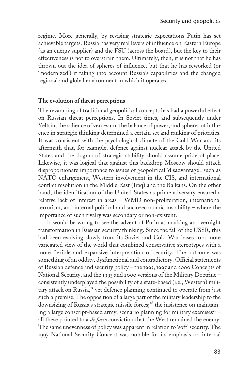regime. More generally, by revising strategic expectations Putin has set achievable targets. Russia has very real levers of influence on Eastern Europe (as an energy supplier) and the FSU (across the board), but the key to their effectiveness is not to overstrain them. Ultimately, then, it is not that he has thrown out the idea of spheres of influence, but that he has reworked (or 'modernized') it taking into account Russia's capabilities and the changed regional and global environment in which it operates.

## **The evolution of threat perceptions**

The revamping of traditional geopolitical concepts has had a powerful effect on Russian threat perceptions. In Soviet times, and subsequently under Yeltsin, the salience of zero-sum, the balance of power, and spheres of influence in strategic thinking determined a certain set and ranking of priorities. It was consistent with the psychological climate of the Cold War and its aftermath that, for example, defence against nuclear attack by the United States and the dogma of strategic stability should assume pride of place. Likewise, it was logical that against this backdrop Moscow should attach disproportionate importance to issues of geopolitical 'disadvantage', such as NATO enlargement, Western involvement in the CIS, and international conflict resolution in the Middle East (Iraq) and the Balkans. On the other hand, the identification of the United States as prime adversary ensured a relative lack of interest in areas – WMD non-proliferation, international terrorism, and internal political and socio-economic instability – where the importance of such rivalry was secondary or non-existent.

It would be wrong to see the advent of Putin as marking an overnight transformation in Russian security thinking. Since the fall of the USSR, this had been evolving slowly from its Soviet and Cold War bases to a more variegated view of the world that combined conservative stereotypes with a more flexible and expansive interpretation of security. The outcome was something of an oddity, dysfunctional and contradictory. Official statements of Russian defence and security policy – the 1993, 1997 and 2000 Concepts of National Security, and the 1993 and 2000 versions of the Military Doctrine – consistently underplayed the possibility of a state-based (i.e., Western) military attack on Russia,<sup>25</sup> yet defence planning continued to operate from just such a premise. The opposition of a large part of the military leadership to the downsizing of Russia's strategic missile forces;<sup>26</sup> the insistence on maintaining a large conscript-based army; scenario planning for military exercises $27$ all these pointed to a *de facto* conviction that the West remained the enemy. The same unevenness of policy was apparent in relation to 'soft' security. The 1997 National Security Concept was notable for its emphasis on internal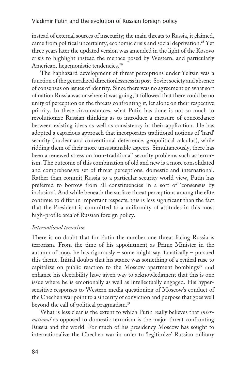instead of external sources of insecurity; the main threats to Russia, it claimed, came from political uncertainty, economic crisis and social deprivation.<sup>28</sup> Yet three years later the updated version was amended in the light of the Kosovo crisis to highlight instead the menace posed by Western, and particularly American, hegemonistic tendencies.<sup>29</sup>

The haphazard development of threat perceptions under Yeltsin was a function of the generalized directionlessness in post-Soviet society and absence of consensus on issues of identity. Since there was no agreement on what sort of nation Russia was or where it was going, it followed that there could be no unity of perception on the threats confronting it, let alone on their respective priority. In these circumstances, what Putin has done is not so much to revolutionize Russian thinking as to introduce a measure of concordance between existing ideas as well as consistency in their application. He has adopted a capacious approach that incorporates traditional notions of 'hard' security (nuclear and conventional deterrence, geopolitical calculus), while ridding them of their more unsustainable aspects. Simultaneously, there has been a renewed stress on 'non-traditional' security problems such as terrorism. The outcome of this combination of old and new is a more consolidated and comprehensive set of threat perceptions, domestic and international. Rather than commit Russia to a particular security world-view, Putin has preferred to borrow from all constituencies in a sort of 'consensus by inclusion'. And while beneath the surface threat perceptions among the elite continue to differ in important respects, this is less significant than the fact that the President is committed to a uniformity of attitudes in this most high-profile area of Russian foreign policy.

## *International terrorism*

There is no doubt that for Putin the number one threat facing Russia is terrorism. From the time of his appointment as Prime Minister in the autumn of 1999, he has rigorously – some might say, fanatically – pursued this theme. Initial doubts that his stance was something of a cynical ruse to capitalize on public reaction to the Moscow apartment bombings<sup>30</sup> and enhance his electability have given way to acknowledgment that this is one issue where he is emotionally as well as intellectually engaged. His hypersensitive responses to Western media questioning of Moscow's conduct of the Chechen war point to a sincerity of conviction and purpose that goes well beyond the call of political pragmatism.<sup>31</sup>

What is less clear is the extent to which Putin really believes that *international* as opposed to domestic terrorism is the major threat confronting Russia and the world. For much of his presidency Moscow has sought to internationalize the Chechen war in order to 'legitimize' Russian military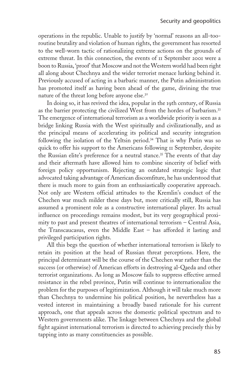operations in the republic. Unable to justify by 'normal' reasons an all-tooroutine brutality and violation of human rights, the government has resorted to the well-worn tactic of rationalizing extreme actions on the grounds of extreme threat. In this connection, the events of 11 September 2001 were a boon to Russia, 'proof' that Moscow and not the Western world had been right all along about Chechnya and the wider terrorist menace lurking behind it. Previously accused of acting in a barbaric manner, the Putin administration has promoted itself as having been ahead of the game, divining the true nature of the threat long before anyone else.<sup>32</sup>

In doing so, it has revived the idea, popular in the 19th century, of Russia as the barrier protecting the civilized West from the hordes of barbarism.33 The emergence of international terrorism as a worldwide priority is seen as a bridge linking Russia with the West spiritually and civilizationally, and as the principal means of accelerating its political and security integration following the isolation of the Yeltsin period.34 That is why Putin was so quick to offer his support to the Americans following 11 September, despite the Russian elite's preference for a neutral stance.<sup>35</sup> The events of that day and their aftermath have allowed him to combine sincerity of belief with foreign policy opportunism. Rejecting an outdated strategic logic that advocated taking advantage of American discomfiture, he has understood that there is much more to gain from an enthusiastically cooperative approach. Not only are Western official attitudes to the Kremlin's conduct of the Chechen war much milder these days but, more critically still, Russia has assumed a prominent role as a constructive international player. Its actual influence on proceedings remains modest, but its very geographical proximity to past and present theatres of international terrorism – Central Asia, the Transcaucasus, even the Middle East – has afforded it lasting and privileged participation rights.

All this begs the question of whether international terrorism is likely to retain its position at the head of Russian threat perceptions. Here, the principal determinant will be the course of the Chechen war rather than the success (or otherwise) of American efforts in destroying al-Qaeda and other terrorist organizations. As long as Moscow fails to suppress effective armed resistance in the rebel province, Putin will continue to internationalize the problem for the purposes of legitimization. Although it will take much more than Chechnya to undermine his political position, he nevertheless has a vested interest in maintaining a broadly based rationale for his current approach, one that appeals across the domestic political spectrum and to Western governments alike. The linkage between Chechnya and the global fight against international terrorism is directed to achieving precisely this by tapping into as many constituencies as possible.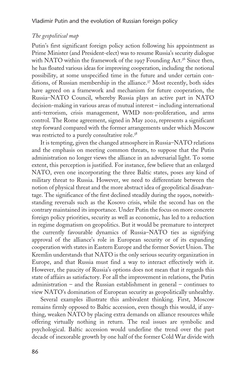# *The geopolitical map*

Putin's first significant foreign policy action following his appointment as Prime Minister (and President-elect) was to resume Russia's security dialogue with NATO within the framework of the 1997 Founding Act.<sup>36</sup> Since then, he has floated various ideas for improving cooperation, including the notional possibility, at some unspecified time in the future and under certain conditions, of Russian membership in the alliance.<sup>37</sup> Most recently, both sides have agreed on a framework and mechanism for future cooperation, the Russia–NATO Council, whereby Russia plays an active part in NATO decision-making in various areas of mutual interest – including international anti-terrorism, crisis management, WMD non-proliferation, and arms control. The Rome agreement, signed in May 2002, represents a significant step forward compared with the former arrangements under which Moscow was restricted to a purely consultative role.<sup>38</sup>

It is tempting, given the changed atmosphere in Russia–NATO relations and the emphasis on meeting common threats, to suppose that the Putin administration no longer views the alliance in an adversarial light. To some extent, this perception is justified. For instance, few believe that an enlarged NATO, even one incorporating the three Baltic states, poses any kind of military threat to Russia. However, we need to differentiate between the notion of physical threat and the more abstract idea of geopolitical disadvantage. The significance of the first declined steadily during the 1990s, notwithstanding reversals such as the Kosovo crisis, while the second has on the contrary maintained its importance. Under Putin the focus on more concrete foreign policy priorities, security as well as economic, has led to a reduction in regime dogmatism on geopolitics. But it would be premature to interpret the currently favourable dynamics of Russia–NATO ties as signifying approval of the alliance's role in European security or of its expanding cooperation with states in Eastern Europe and the former Soviet Union. The Kremlin understands that NATO is the only serious security organization in Europe, and that Russia must find a way to interact effectively with it. However, the paucity of Russia's options does not mean that it regards this state of affairs as satisfactory. For all the improvement in relations, the Putin administration – and the Russian establishment in general – continues to view NATO's domination of European security as geopolitically unhealthy.

Several examples illustrate this ambivalent thinking. First, Moscow remains firmly opposed to Baltic accession, even though this would, if anything, weaken NATO by placing extra demands on alliance resources while offering virtually nothing in return. The real issues are symbolic and psychological. Baltic accession would underline the trend over the past decade of inexorable growth by one half of the former Cold War divide with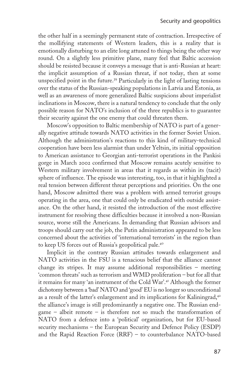the other half in a seemingly permanent state of contraction. Irrespective of the mollifying statements of Western leaders, this is a reality that is emotionally disturbing to an elite long attuned to things being the other way round. On a slightly less primitive plane, many feel that Baltic accession should be resisted because it conveys a message that is anti-Russian at heart: the implicit assumption of a Russian threat, if not today, then at some unspecified point in the future.39 Particularly in the light of lasting tensions over the status of the Russian-speaking populations in Latvia and Estonia, as well as an awareness of more generalized Baltic suspicions about imperialist inclinations in Moscow, there is a natural tendency to conclude that the only possible reason for NATO's inclusion of the three republics is to guarantee their security against the one enemy that could threaten them.

Moscow's opposition to Baltic membership of NATO is part of a generally negative attitude towards NATO activities in the former Soviet Union. Although the administration's reactions to this kind of military-technical cooperation have been less alarmist than under Yeltsin, its initial opposition to American assistance to Georgian anti-terrorist operations in the Pankisi gorge in March 2002 confirmed that Moscow remains acutely sensitive to Western military involvement in areas that it regards as within its (tacit) sphere of influence. The episode was interesting, too, in that it highlighted a real tension between different threat perceptions and priorities. On the one hand, Moscow admitted there was a problem with armed terrorist groups operating in the area, one that could only be eradicated with outside assistance. On the other hand, it resisted the introduction of the most effective instrument for resolving these difficulties because it involved a non-Russian source, worse still the Americans. In demanding that Russian advisors and troops should carry out the job, the Putin administration appeared to be less concerned about the activities of 'international terrorists' in the region than to keep US forces out of Russia's geopolitical pale.<sup>40</sup>

Implicit in the contrary Russian attitudes towards enlargement and NATO activities in the FSU is a tenacious belief that the alliance cannot change its stripes. It may assume additional responsibilities  $-$  meeting 'common threats' such as terrorism and WMD proliferation – but for all that it remains for many 'an instrument of the Cold War'.41 Although the former dichotomy between a 'bad' NATO and 'good' EU is no longer so unconditional as a result of the latter's enlargement and its implications for Kaliningrad,<sup>42</sup> the alliance's image is still predominantly a negative one. The Russian endgame – albeit remote – is therefore not so much the transformation of NATO from a defence into a 'political' organization, but for EU-based security mechanisms – the European Security and Defence Policy (ESDP) and the Rapid Reaction Force (RRF) – to counterbalance NATO-based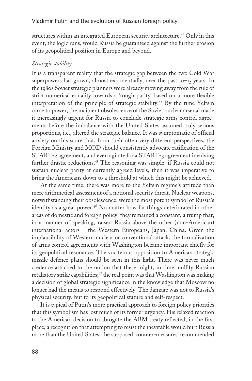structures within an integrated European security architecture.<sup>43</sup> Only in this event, the logic runs, would Russia be guaranteed against the further erosion of its geopolitical position in Europe and beyond.

## *Strategic stability*

It is a transparent reality that the strategic gap between the two Cold War superpowers has grown, almost exponentially, over the past 10–15 years. In the 1980s Soviet strategic planners were already moving away from the rule of strict numerical equality towards a 'rough parity' based on a more flexible interpretation of the principle of strategic stability.44 By the time Yeltsin came to power, the incipient obsolescence of the Soviet nuclear arsenal made it increasingly urgent for Russia to conclude strategic arms control agreements before the imbalance with the United States assumed truly serious proportions, i.e., altered the strategic balance. It was symptomatic of official anxiety on this score that, from their often very different perspectives, the Foreign Ministry and MOD should consistently advocate ratification of the START-2 agreement, and even agitate for a START-3 agreement involving further drastic reductions.<sup>45</sup> The reasoning was simple: if Russia could not sustain nuclear parity at currently agreed levels, then it was imperative to bring the Americans down to a threshold at which this might be achieved.

At the same time, there was more to the Yeltsin regime's attitude than mere arithmetical assessment of a notional security threat. Nuclear weapons, notwithstanding their obsolescence, were the most potent symbol of Russia's identity as a great power.<sup>46</sup> No matter how far things deteriorated in other areas of domestic and foreign policy, they remained a constant, a trump that, in a manner of speaking, raised Russia above the other (non-American) international actors – the Western Europeans, Japan, China. Given the implausibility of Western nuclear or conventional attack, the formalization of arms control agreements with Washington became important chiefly for its geopolitical resonance. The vociferous opposition to American strategic missile defence plans should be seen in this light. There was never much credence attached to the notion that these might, in time, nullify Russian retaliatory strike capabilities;<sup>47</sup> the real point was that Washington was making a decision of global strategic significance in the knowledge that Moscow no longer had the means to respond effectively. The damage was not to Russia's physical security, but to its geopolitical stature and self-respect.

It is typical of Putin's more practical approach to foreign policy priorities that this symbolism has lost much of its former urgency. His relaxed reaction to the American decision to abrogate the ABM treaty reflected, in the first place, a recognition that attempting to resist the inevitable would hurt Russia more than the United States; the supposed 'counter-measures' recommended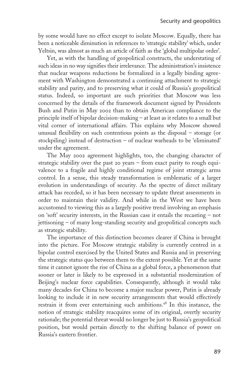by some would have no effect except to isolate Moscow. Equally, there has been a noticeable diminution in references to 'strategic stability' which, under Yeltsin, was almost as much an article of faith as the 'global multipolar order'.

Yet, as with the handling of geopolitical constructs, the understating of such ideas in no way signifies their irrelevance. The administration's insistence that nuclear weapons reductions be formalized in a legally binding agreement with Washington demonstrated a continuing attachment to strategic stability and parity, and to preserving what it could of Russia's geopolitical status. Indeed, so important are such priorities that Moscow was less concerned by the details of the framework document signed by Presidents Bush and Putin in May 2002 than to obtain American compliance to the principle itself of bipolar decision-making – at least as it relates to a small but vital corner of international affairs. This explains why Moscow showed unusual flexibility on such contentious points as the disposal – storage (or stockpiling) instead of destruction – of nuclear warheads to be 'eliminated' under the agreement.

The May 2002 agreement highlights, too, the changing character of strategic stability over the past 20 years – from exact parity to rough equivalence to a fragile and highly conditional regime of joint strategic arms control. In a sense, this steady transformation is emblematic of a larger evolution in understandings of security. As the spectre of direct military attack has receded, so it has been necessary to update threat assessments in order to maintain their validity. And while in the West we have been accustomed to viewing this as a largely positive trend involving an emphasis on 'soft' security interests, in the Russian case it entails the recasting – not jettisoning – of many long-standing security and geopolitical concepts such as strategic stability.

The importance of this distinction becomes clearer if China is brought into the picture. For Moscow strategic stability is currently centred in a bipolar control exercised by the United States and Russia and in preserving the strategic status quo between them to the extent possible. Yet at the same time it cannot ignore the rise of China as a global force, a phenomenon that sooner or later is likely to be expressed in a substantial modernization of Beijing's nuclear force capabilities. Consequently, although it would take many decades for China to become a major nuclear power, Putin is already looking to include it in new security arrangements that would effectively restrain it from ever entertaining such ambitions.<sup>48</sup> In this instance, the notion of strategic stability reacquires some of its original, overtly security rationale; the potential threat would no longer be just to Russia's geopolitical position, but would pertain directly to the shifting balance of power on Russia's eastern frontier.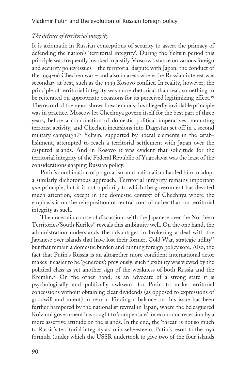# *The defence of territorial integrity*

It is axiomatic in Russian conceptions of security to assert the primacy of defending the nation's 'territorial integrity'. During the Yeltsin period this principle was frequently invoked to justify Moscow's stance on various foreign and security policy issues – the territorial dispute with Japan, the conduct of the 1994-96 Chechen war – and also in areas where the Russian interest was secondary at best, such as the 1999 Kosovo conflict. In reality, however, the principle of territorial integrity was more rhetorical than real, something to be reiterated on appropriate occasions for its perceived legitimizing effect.<sup>49</sup> The record of the 1990s shows how tenuous this allegedly inviolable principle was in practice. Moscow let Chechnya govern itself for the best part of three years, before a combination of domestic political imperatives, mounting terrorist activity, and Chechen incursions into Dagestan set off in a second military campaign.<sup>50</sup> Yeltsin, supported by liberal elements in the establishment, attempted to reach a territorial settlement with Japan over the disputed islands. And in Kosovo it was evident that solicitude for the territorial integrity of the Federal Republic of Yugoslavia was the least of the considerations shaping Russian policy.

Putin's combination of pragmatism and nationalism has led him to adopt a similarly dichotomous approach. Territorial integrity remains important *qua* principle, but it is not a priority to which the government has devoted much attention, except in the domestic context of Chechnya where the emphasis is on the reimposition of central control rather than on territorial integrity as such.

The uncertain course of discussions with the Japanese over the Northern Territories/South Kuriles<sup>51</sup> reveals this ambiguity well. On the one hand, the administration understands the advantages in brokering a deal with the Japanese over islands that have lost their former, Cold War, strategic utility $5^2$ but that remain a domestic burden and running foreign policy sore. Also, the fact that Putin's Russia is an altogether more confident international actor makes it easier to be 'generous'; previously, such flexibility was viewed by the political class as yet another sign of the weakness of both Russia and the Kremlin.<sup>53</sup> On the other hand, as an advocate of a strong state it is psychologically and politically awkward for Putin to make territorial concessions without obtaining clear dividends (as opposed to expressions of goodwill and intent) in return. Finding a balance on this issue has been further hampered by the nationalist revival in Japan, where the beleaguered Koizumi government has sought to 'compensate' for economic recession by a more assertive attitude on the islands. In the end, the 'threat' is not so much to Russia's territorial integrity as to its self-esteem. Putin's resort to the 1956 formula (under which the USSR undertook to give two of the four islands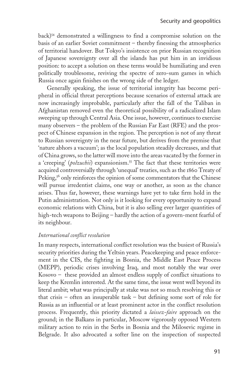back)54 demonstrated a willingness to find a compromise solution on the basis of an earlier Soviet commitment – thereby finessing the atmospherics of territorial handover. But Tokyo's insistence on prior Russian recognition of Japanese sovereignty over all the islands has put him in an invidious position: to accept a solution on these terms would be humiliating and even politically troublesome, reviving the spectre of zero-sum games in which Russia once again finishes on the wrong side of the ledger.

Generally speaking, the issue of territorial integrity has become peripheral in official threat perceptions because scenarios of external attack are now increasingly improbable, particularly after the fall of the Taliban in Afghanistan removed even the theoretical possibility of a radicalized Islam sweeping up through Central Asia. One issue, however, continues to exercise many observers – the problem of the Russian Far East (RFE) and the prospect of Chinese expansion in the region. The perception is not of any threat to Russian sovereignty in the near future, but derives from the premise that 'nature abhors a vacuum'; as the local population steadily decreases, and that of China grows, so the latter will move into the areas vacated by the former in a 'creeping' (*polzuchii*) expansionism.55 The fact that these territories were acquired controversially through 'unequal' treaties, such as the 1860 Treaty of Peking,<sup>56</sup> only reinforces the opinion of some commentators that the Chinese will pursue irredentist claims, one way or another, as soon as the chance arises. Thus far, however, these warnings have yet to take firm hold in the Putin administration. Not only is it looking for every opportunity to expand economic relations with China, but it is also selling ever larger quantities of high-tech weapons to Beijing – hardly the action of a govern-ment fearful of its neighbour.

# *International conflict resolution*

In many respects, international conflict resolution was the busiest of Russia's security priorities during the Yeltsin years. Peacekeeping and peace enforcement in the CIS, the fighting in Bosnia, the Middle East Peace Process (MEPP), periodic crises involving Iraq, and most notably the war over Kosovo – these provided an almost endless supply of conflict situations to keep the Kremlin interested. At the same time, the issue went well beyond its literal ambit; what was principally at stake was not so much resolving this or that crisis – often an insuperable task – but defining some sort of role for Russia as an influential or at least prominent actor in the conflict resolution process. Frequently, this priority dictated a *laissez-faire* approach on the ground; in the Balkans in particular, Moscow vigorously opposed Western military action to rein in the Serbs in Bosnia and the Milosevic regime in Belgrade. It also advocated a softer line on the inspection of suspected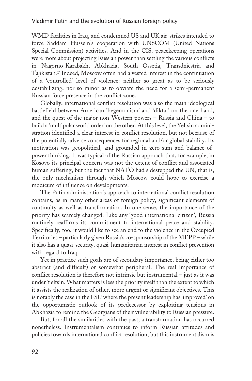WMD facilities in Iraq, and condemned US and UK air-strikes intended to force Saddam Hussein's cooperation with UNSCOM (United Nations Special Commission) activities. And in the CIS, peacekeeping operations were more about projecting Russian power than settling the various conflicts in Nagorno-Karabakh, Abkhazia, South Ossetia, Transdniestria and Tajikistan.57 Indeed, Moscow often had a vested interest in the continuation of a 'controlled' level of violence: neither so great as to be seriously destabilizing, nor so minor as to obviate the need for a semi-permanent Russian force presence in the conflict zone.

Globally, international conflict resolution was also the main ideological battlefield between American 'hegemonism' and 'diktat' on the one hand, and the quest of the major non-Western powers – Russia and China – to build a 'multipolar world order' on the other. At this level, the Yeltsin administration identified a clear interest in conflict resolution, but not because of the potentially adverse consequences for regional and/or global stability. Its motivation was geopolitical, and grounded in zero-sum and balance-ofpower thinking. It was typical of the Russian approach that, for example, in Kosovo its principal concern was not the extent of conflict and associated human suffering, but the fact that NATO had sidestepped the UN, that is, the only mechanism through which Moscow could hope to exercise a modicum of influence on developments.

The Putin administration's approach to international conflict resolution contains, as in many other areas of foreign policy, significant elements of continuity as well as transformation. In one sense, the importance of the priority has scarcely changed. Like any 'good international citizen', Russia routinely reaffirms its commitment to international peace and stability. Specifically, too, it would like to see an end to the violence in the Occupied Territories – particularly given Russia's co-sponsorship of the MEPP – while it also has a quasi-security, quasi-humanitarian interest in conflict prevention with regard to Iraq.

Yet in practice such goals are of secondary importance, being either too abstract (and difficult) or somewhat peripheral. The real importance of conflict resolution is therefore not intrinsic but instrumental – just as it was under Yeltsin. What matters is less the priority itself than the extent to which it assists the realization of other, more urgent or significant objectives. This is notably the case in the FSU where the present leadership has 'improved' on the opportunistic outlook of its predecessor by exploiting tensions in Abkhazia to remind the Georgians of their vulnerability to Russian pressure.

But, for all the similarities with the past, a transformation has occurred nonetheless. Instrumentalism continues to inform Russian attitudes and policies towards international conflict resolution, but this instrumentalism is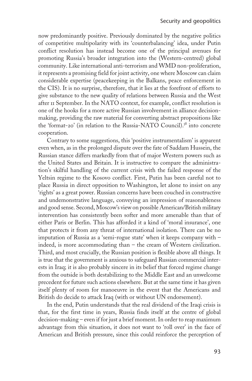now predominantly positive. Previously dominated by the negative politics of competitive multipolarity with its 'counterbalancing' idea, under Putin conflict resolution has instead become one of the principal avenues for promoting Russia's broader integration into the (Western-centred) global community. Like international anti-terrorism and WMD non-proliferation, it represents a promising field for joint activity, one where Moscow can claim considerable expertise (peacekeeping in the Balkans, peace enforcement in the CIS). It is no surprise, therefore, that it lies at the forefront of efforts to give substance to the new quality of relations between Russia and the West after 11 September. In the NATO context, for example, conflict resolution is one of the hooks for a more active Russian involvement in alliance decisionmaking, providing the raw material for converting abstract propositions like the 'format-20' (in relation to the Russia-NATO Council).<sup>58</sup> into concrete cooperation.

Contrary to some suggestions, this 'positive instrumentalism' is apparent even when, as in the prolonged dispute over the fate of Saddam Hussein, the Russian stance differs markedly from that of major Western powers such as the United States and Britain. It is instructive to compare the administration's skilful handling of the current crisis with the failed response of the Yeltsin regime to the Kosovo conflict. First, Putin has been careful not to place Russia in direct opposition to Washington, let alone to insist on any 'rights' as a great power. Russian concerns have been couched in constructive and undemonstrative language, conveying an impression of reasonableness and good sense. Second, Moscow's view on possible American/British military intervention has consistently been softer and more amenable than that of either Paris or Berlin. This has afforded it a kind of 'moral insurance', one that protects it from any threat of international isolation. There can be no imputation of Russia as a 'semi-rogue state' when it keeps company with – indeed, is more accommodating than – the cream of Western civilization. Third, and most crucially, the Russian position is flexible above all things. It is true that the government is anxious to safeguard Russian commercial interests in Iraq; it is also probably sincere in its belief that forced regime change from the outside is both destabilizing to the Middle East and an unwelcome precedent for future such actions elsewhere. But at the same time it has given itself plenty of room for manoeuvre in the event that the Americans and British do decide to attack Iraq (with or without UN endorsement).

In the end, Putin understands that the real dividend of the Iraqi crisis is that, for the first time in years, Russia finds itself at the centre of global decision-making – even if for just a brief moment. In order to reap maximum advantage from this situation, it does not want to 'roll over' in the face of American and British pressure, since this could reinforce the perception of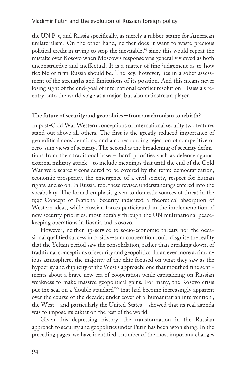## Vladimir Putin and the evolution of Russian foreign policy

the UN P-5, and Russia specifically, as merely a rubber-stamp for American unilateralism. On the other hand, neither does it want to waste precious political credit in trying to stop the inevitable,<sup>59</sup> since this would repeat the mistake over Kosovo when Moscow's response was generally viewed as both unconstructive and ineffectual. It is a matter of fine judgement as to how flexible or firm Russia should be. The key, however, lies in a sober assessment of the strengths and limitations of its position. And this means never losing sight of the end-goal of international conflict resolution – Russia's reentry onto the world stage as a major, but also mainstream player.

#### **The future of security and geopolitics – from anachronism to rebirth?**

In post-Cold War Western conceptions of international security two features stand out above all others. The first is the greatly reduced importance of geopolitical considerations, and a corresponding rejection of competitive or zero-sum views of security. The second is the broadening of security definitions from their traditional base – 'hard' priorities such as defence against external military attack – to include meanings that until the end of the Cold War were scarcely considered to be covered by the term: democratization, economic prosperity, the emergence of a civil society, respect for human rights, and so on. In Russia, too, these revised understandings entered into the vocabulary. The formal emphasis given to domestic sources of threat in the 1997 Concept of National Security indicated a theoretical absorption of Western ideas, while Russian forces participated in the implementation of new security priorities, most notably through the UN multinational peacekeeping operations in Bosnia and Kosovo.

However, neither lip-service to socio-economic threats nor the occasional qualified success in positive-sum cooperation could disguise the reality that the Yeltsin period saw the consolidation, rather than breaking down, of traditional conceptions of security and geopolitics. In an ever more acrimonious atmosphere, the majority of the elite focused on what they saw as the hypocrisy and duplicity of the West's approach: one that mouthed fine sentiments about a brave new era of cooperation while capitalizing on Russian weakness to make massive geopolitical gains. For many, the Kosovo crisis put the seal on a 'double standard'<sup>60</sup> that had become increasingly apparent over the course of the decade; under cover of a 'humanitarian intervention', the West – and particularly the United States – showed that its real agenda was to impose its diktat on the rest of the world.

Given this depressing history, the transformation in the Russian approach to security and geopolitics under Putin has been astonishing. In the preceding pages, we have identified a number of the most important changes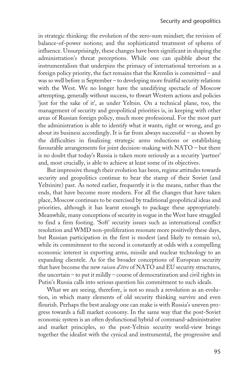in strategic thinking: the evolution of the zero-sum mindset; the revision of balance-of-power notions; and the sophisticated treatment of spheres of influence. Unsurprisingly, these changes have been significant in shaping the administration's threat perceptions. While one can quibble about the instrumentalism that underpins the primacy of international terrorism as a foreign policy priority, the fact remains that the Kremlin is committed – and was so well before 11 September – to developing more fruitful security relations with the West. We no longer have the unedifying spectacle of Moscow attempting, generally without success, to thwart Western actions and policies 'just for the sake of it', as under Yeltsin. On a technical plane, too, the management of security and geopolitical priorities is, in keeping with other areas of Russian foreign policy, much more professional. For the most part the administration is able to identify what it wants, right or wrong, and go about its business accordingly. It is far from always successful – as shown by the difficulties in finalizing strategic arms reductions or establishing favourable arrangements for joint decision-making with NATO – but there is no doubt that today's Russia is taken more seriously as a security 'partner' and, most crucially, is able to achieve at least some of its objectives.

But impressive though their evolution has been, regime attitudes towards security and geopolitics continue to bear the stamp of their Soviet (and Yeltsinite) past. As noted earlier, frequently it is the means, rather than the ends, that have become more modern. For all the changes that have taken place, Moscow continues to be exercised by traditional geopolitical ideas and priorities, although it has learnt enough to package these appropriately. Meanwhile, many conceptions of security in vogue in the West have struggled to find a firm footing. 'Soft' security issues such as international conflict resolution and WMD non-proliferation resonate more positively these days, but Russian participation in the first is modest (and likely to remain so), while its commitment to the second is constantly at odds with a compelling economic interest in exporting arms, missile and nuclear technology to an expanding clientele. As for the broader conceptions of European security that have become the new *raison d'être* of NATO and EU security structures, the uncertain – to put it mildly – course of democratization and civil rights in Putin's Russia calls into serious question his commitment to such ideals.

What we are seeing, therefore, is not so much a revolution as an evolution, in which many elements of old security thinking survive and even flourish. Perhaps the best analogy one can make is with Russia's uneven progress towards a full market economy. In the same way that the post-Soviet economic system is an often dysfunctional hybrid of command-administrative and market principles, so the post-Yeltsin security world-view brings together the idealist with the cynical and instrumental, the progressive and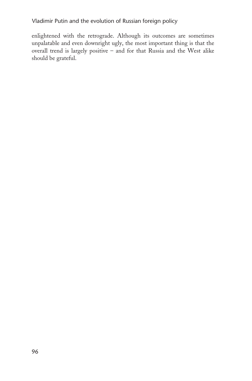Vladimir Putin and the evolution of Russian foreign policy

enlightened with the retrograde. Although its outcomes are sometimes unpalatable and even downright ugly, the most important thing is that the overall trend is largely positive – and for that Russia and the West alike should be grateful.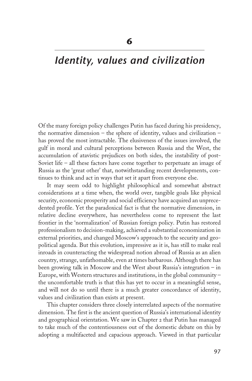# *Identity, values and civilization*

Of the many foreign policy challenges Putin has faced during his presidency, the normative dimension – the sphere of identity, values and civilization – has proved the most intractable. The elusiveness of the issues involved, the gulf in moral and cultural perceptions between Russia and the West, the accumulation of atavistic prejudices on both sides, the instability of post-Soviet life – all these factors have come together to perpetuate an image of Russia as the 'great other' that, notwithstanding recent developments, continues to think and act in ways that set it apart from everyone else.

It may seem odd to highlight philosophical and somewhat abstract considerations at a time when, the world over, tangible goals like physical security, economic prosperity and social efficiency have acquired an unprecedented profile. Yet the paradoxical fact is that the normative dimension, in relative decline everywhere, has nevertheless come to represent the last frontier in the 'normalization' of Russian foreign policy. Putin has restored professionalism to decision-making, achieved a substantial economization in external priorities, and changed Moscow's approach to the security and geopolitical agenda. But this evolution, impressive as it is, has still to make real inroads in counteracting the widespread notion abroad of Russia as an alien country, strange, unfathomable, even at times barbarous. Although there has been growing talk in Moscow and the West about Russia's integration – in Europe, with Western structures and institutions, in the global community – the uncomfortable truth is that this has yet to occur in a meaningful sense, and will not do so until there is a much greater concordance of identity, values and civilization than exists at present.

This chapter considers three closely interrelated aspects of the normative dimension. The first is the ancient question of Russia's international identity and geographical orientation. We saw in Chapter 2 that Putin has managed to take much of the contentiousness out of the domestic debate on this by adopting a multifaceted and capacious approach. Viewed in that particular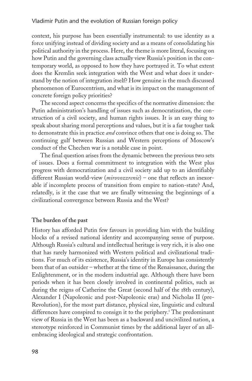context, his purpose has been essentially instrumental: to use identity as a force unifying instead of dividing society and as a means of consolidating his political authority in the process. Here, the theme is more literal, focusing on how Putin and the governing class actually view Russia's position in the contemporary world, as opposed to how they have portrayed it. To what extent does the Kremlin seek integration with the West and what does it understand by the notion of integration itself? How genuine is the much discussed phenomenon of Eurocentrism, and what is its impact on the management of concrete foreign policy priorities?

The second aspect concerns the specifics of the normative dimension: the Putin administration's handling of issues such as democratization, the construction of a civil society, and human rights issues. It is an easy thing to speak about sharing moral perceptions and values, but it is a far tougher task to demonstrate this in practice *and* convince others that one is doing so. The continuing gulf between Russian and Western perceptions of Moscow's conduct of the Chechen war is a notable case in point.

The final question arises from the dynamic between the previous two sets of issues. Does a formal commitment to integration with the West plus progress with democratization and a civil society add up to an identifiably different Russian world-view (*mirovozzrenie*) – one that reflects an inexorable if incomplete process of transition from empire to nation-state? And, relatedly, is it the case that we are finally witnessing the beginnings of a civilizational convergence between Russia and the West?

# **The burden of the past**

History has afforded Putin few favours in providing him with the building blocks of a revised national identity and accompanying sense of purpose. Although Russia's cultural and intellectual heritage is very rich, it is also one that has rarely harmonized with Western political and civilizational traditions. For much of its existence, Russia's identity in Europe has consistently been that of an outsider – whether at the time of the Renaissance, during the Enlightenment, or in the modern industrial age. Although there have been periods when it has been closely involved in continental politics, such as during the reigns of Catherine the Great (second half of the 18th century), Alexander I (Napoleonic and post-Napoleonic eras) and Nicholas II (pre-Revolution), for the most part distance, physical size, linguistic and cultural differences have conspired to consign it to the periphery.<sup>1</sup> The predominant view of Russia in the West has been as a backward and uncivilized nation, a stereotype reinforced in Communist times by the additional layer of an allembracing ideological and strategic confrontation.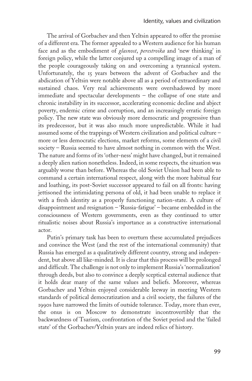The arrival of Gorbachev and then Yeltsin appeared to offer the promise of a different era. The former appealed to a Western audience for his human face and as the embodiment of *glasnost*, *perestroika* and 'new thinking' in foreign policy, while the latter conjured up a compelling image of a man of the people courageously taking on and overcoming a tyrannical system. Unfortunately, the 15 years between the advent of Gorbachev and the abdication of Yeltsin were notable above all as a period of extraordinary and sustained chaos. Very real achievements were overshadowed by more immediate and spectacular developments – the collapse of one state and chronic instability in its successor, accelerating economic decline and abject poverty, endemic crime and corruption, and an increasingly erratic foreign policy. The new state was obviously more democratic and progressive than its predecessor, but it was also much more unpredictable. While it had assumed some of the trappings of Western civilization and political culture – more or less democratic elections, market reforms, some elements of a civil society – Russia seemed to have almost nothing in common with the West. The nature and forms of its 'other-ness' might have changed, but it remained a deeply alien nation nonetheless. Indeed, in some respects, the situation was arguably worse than before. Whereas the old Soviet Union had been able to command a certain international respect, along with the more habitual fear and loathing, its post-Soviet successor appeared to fail on all fronts: having jettisoned the intimidating persona of old, it had been unable to replace it with a fresh identity as a properly functioning nation-state. A culture of disappointment and resignation – 'Russia-fatigue' – became embedded in the consciousness of Western governments, even as they continued to utter ritualistic noises about Russia's importance as a constructive international actor.

Putin's primary task has been to overturn these accumulated prejudices and convince the West (and the rest of the international community) that Russia has emerged as a qualitatively different country, strong and independent, but above all like-minded. It is clear that this process will be prolonged and difficult. The challenge is not only to implement Russia's 'normalization' through deeds, but also to convince a deeply sceptical external audience that it holds dear many of the same values and beliefs. Moreover, whereas Gorbachev and Yeltsin enjoyed considerable leeway in meeting Western standards of political democratization and a civil society, the failures of the 1990s have narrowed the limits of outside tolerance. Today, more than ever, the onus is on Moscow to demonstrate incontrovertibly that the backwardness of Tsarism, confrontation of the Soviet period and the 'failed state' of the Gorbachev/Yeltsin years are indeed relics of history.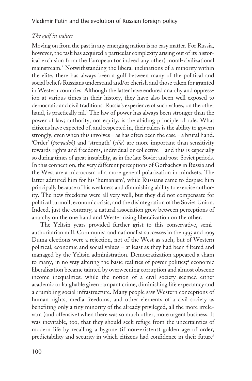# *The gulf in values*

Moving on from the past in any emerging nation is no easy matter. For Russia, however, the task has acquired a particular complexity arising out of its historical exclusion from the European (or indeed any other) moral-civilizational mainstream.2 Notwithstanding the liberal inclinations of a minority within the elite, there has always been a gulf between many of the political and social beliefs Russians understand and/or cherish and those taken for granted in Western countries. Although the latter have endured anarchy and oppression at various times in their history, they have also been well exposed to democratic and civil traditions. Russia's experience of such values, on the other hand, is practically nil.<sup>3</sup> The law of power has always been stronger than the power of law; authority, not equity, is the abiding principle of rule. What citizens have expected of, and respected in, their rulers is the ability to govern strongly, even when this involves – as has often been the case – a brutal hand. 'Order' (*poryadok*) and 'strength' (*sila*) are more important than sensitivity towards rights and freedoms, individual or collective – and this is especially so during times of great instability, as in the late Soviet and post-Soviet periods. In this connection, the very different perceptions of Gorbachev in Russia and the West are a microcosm of a more general polarization in mindsets. The latter admired him for his 'humanism', while Russians came to despise him principally because of his weakness and diminishing ability to exercise authority. The new freedoms were all very well, but they did not compensate for political turmoil, economic crisis, and the disintegration of the Soviet Union. Indeed, just the contrary; a natural association grew between perceptions of anarchy on the one hand and Westernizing liberalization on the other.

The Yeltsin years provided further grist to this conservative, semiauthoritarian mill. Communist and nationalist successes in the 1993 and 1995 Duma elections were a rejection, not of the West as such, but of Western political, economic and social values – at least as they had been filtered and managed by the Yeltsin administration. Democratization appeared a sham to many, in no way altering the basic realities of power politics;<sup>4</sup> economic liberalization became tainted by overweening corruption and almost obscene income inequalities; while the notion of a civil society seemed either academic or laughable given rampant crime, diminishing life expectancy and a crumbling social infrastructure. Many people saw Western conceptions of human rights, media freedoms, and other elements of a civil society as benefiting only a tiny minority of the already privileged, all the more irrelevant (and offensive) when there was so much other, more urgent business. It was inevitable, too, that they should seek refuge from the uncertainties of modern life by recalling a bygone (if non-existent) golden age of order, predictability and security in which citizens had confidence in their future<sup>5</sup>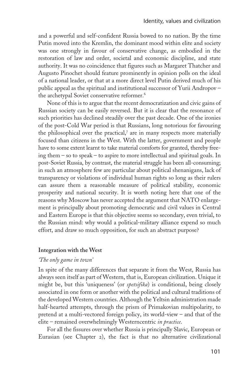and a powerful and self-confident Russia bowed to no nation. By the time Putin moved into the Kremlin, the dominant mood within elite and society was one strongly in favour of conservative change, as embodied in the restoration of law and order, societal and economic discipline, and state authority. It was no coincidence that figures such as Margaret Thatcher and Augusto Pinochet should feature prominently in opinion polls on the ideal of a national leader, or that at a more direct level Putin derived much of his public appeal as the spiritual and institutional successor of Yurii Andropov – the archetypal Soviet conservative reformer.<sup>6</sup>

None of this is to argue that the recent democratization and civic gains of Russian society can be easily reversed. But it is clear that the resonance of such priorities has declined steadily over the past decade. One of the ironies of the post-Cold War period is that Russians, long notorious for favouring the philosophical over the practical,7 are in many respects more materially focused than citizens in the West. With the latter, government and people have to some extent learnt to take material comforts for granted, thereby freeing them – so to speak – to aspire to more intellectual and spiritual goals. In post-Soviet Russia, by contrast, the material struggle has been all-consuming; in such an atmosphere few are particular about political shenanigans, lack of transparency or violations of individual human rights so long as their rulers can assure them a reasonable measure of political stability, economic prosperity and national security. It is worth noting here that one of the reasons why Moscow has never accepted the argument that NATO enlargement is principally about promoting democratic and civil values in Central and Eastern Europe is that this objective seems so secondary, even trivial, to the Russian mind: why would a political-military alliance expend so much effort, and draw so much opposition, for such an abstract purpose?

# **Integration with the West**

#### *'The only game in town'*

In spite of the many differences that separate it from the West, Russia has always seen itself as part of Western, that is, European civilization. Unique it might be, but this 'uniqueness' (or *spetsifika*) is conditional, being closely associated in one form or another with the political and cultural traditions of the developed Western countries. Although the Yeltsin administration made half-hearted attempts, through the prism of Primakovian multipolarity, to pretend at a multi-vectored foreign policy, its world-view – and that of the elite – remained overwhelmingly Westerncentric *in practice*.

For all the fissures over whether Russia is principally Slavic, European or Eurasian (see Chapter 2), the fact is that no alternative civilizational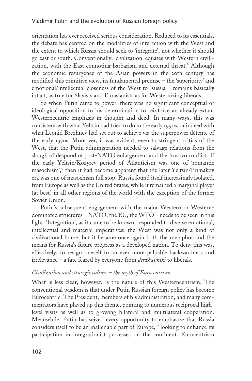orientation has ever received serious consideration. Reduced to its essentials, the debate has centred on the modalities of interaction with the West and the extent to which Russia should seek to 'integrate', not whether it should go east or south. Conventionally, 'civilization' equates with Western civilization, with the East connoting barbarism and external threat.<sup>8</sup> Although the economic resurgence of the Asian powers in the 20th century has modified this primitive view, its fundamental premise – the 'superiority' and emotional/intellectual closeness of the West to Russia – remains basically intact, as true for Slavists and Eurasianists as for Westernizing liberals.

So when Putin came to power, there was no significant conceptual or ideological opposition to his determination to reinforce an already extant Westerncentric emphasis in thought and deed. In many ways, this was consistent with what Yeltsin had tried to do in the early 1990s, or indeed with what Leonid Brezhnev had set out to achieve via the superpower détente of the early 1970s. Moreover, it was evident, even to stringent critics of the West, that the Putin administration needed to salvage relations from the slough of despond of post-NATO enlargement and the Kosovo conflict. If the early Yeltsin/Kozyrev period of Atlanticism was one of 'romantic masochism',<sup>9</sup> then it had become apparent that the later Yeltsin/Primakov era was one of masochism full stop. Russia found itself increasingly isolated, from Europe as well as the United States, while it remained a marginal player (at best) in all other regions of the world with the exception of the former Soviet Union.

Putin's subsequent engagement with the major Western or Westerndominated structures – NATO, the EU, the WTO – needs to be seen in this light. 'Integration', as it came to be known, responded to diverse emotional, intellectual and material imperatives; the West was not only a kind of civilizational home, but it became once again both the metaphor and the means for Russia's future progress as a developed nation. To deny this was, effectively, to resign oneself to an ever more palpable backwardness and irrelevance – a fate feared by everyone from *derzhavniki* to liberals.

# *Civilization and strategic culture – the myth of Eurocentrism*

What is less clear, however, is the nature of this Westerncentrism. The conventional wisdom is that under Putin Russian foreign policy has become Eurocentric. The President, members of his administration, and many commentators have played up this theme, pointing to numerous reciprocal highlevel visits as well as to growing bilateral and multilateral cooperation. Meanwhile, Putin has seized every opportunity to emphasize that Russia considers itself to be an inalienable part of Europe,<sup>10</sup> looking to enhance its participation in integrationist processes on the continent. Eurocentrism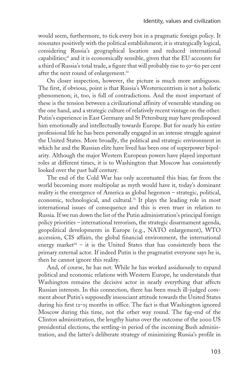would seem, furthermore, to tick every box in a pragmatic foreign policy. It resonates positively with the political establishment; it is strategically logical, considering Russia's geographical location and reduced international capabilities; $\mu$  and it is economically sensible, given that the EU accounts for a third of Russia's total trade, a figure that will probably rise to 50–60 per cent after the next round of enlargement.<sup>12</sup>

On closer inspection, however, the picture is much more ambiguous. The first, if obvious, point is that Russia's Westerncentrism is not a holistic phenomenon; it, too, is full of contradictions. And the most important of these is the tension between a civilizational affinity of venerable standing on the one hand, and a strategic culture of relatively recent vintage on the other. Putin's experience in East Germany and St Petersburg may have predisposed him emotionally and intellectually towards Europe. But for nearly his entire professional life he has been personally engaged in an intense struggle against the United States. More broadly, the political and strategic environment in which he and the Russian elite have lived has been one of superpower bipolarity. Although the major Western European powers have played important roles at different times, it is to Washington that Moscow has consistently looked over the past half century.

The end of the Cold War has only accentuated this bias; far from the world becoming more multipolar as myth would have it, today's dominant reality is the emergence of America as global hegemon – strategic, political, economic, technological, and cultural.<sup>13</sup> It plays the leading role in most international issues of consequence and this is even truer in relation to Russia. If we run down the list of the Putin administration's principal foreign policy priorities – international terrorism, the strategic disarmament agenda, geopolitical developments in Europe (e.g., NATO enlargement), WTO accession, CIS affairs, the global financial environment, the international energy market<sup>14</sup> – it is the United States that has consistently been the primary external actor. If indeed Putin is the pragmatist everyone says he is, then he cannot ignore this reality.

And, of course, he has not. While he has worked assiduously to expand political and economic relations with Western Europe, he understands that Washington remains the decisive actor in nearly everything that affects Russian interests. In this connection, there has been much ill-judged comment about Putin's supposedly insouciant attitude towards the United States during his first 12–15 months in office. The fact is that Washington ignored Moscow during this time, not the other way round. The fag-end of the Clinton administration, the lengthy hiatus over the outcome of the 2000 US presidential elections, the settling-in period of the incoming Bush administration, and the latter's deliberate strategy of minimizing Russia's profile in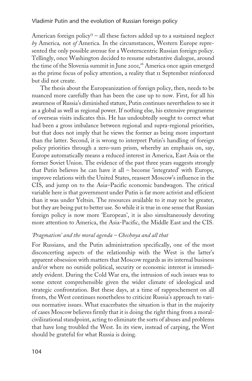## Vladimir Putin and the evolution of Russian foreign policy

American foreign policy<sup>15</sup> – all these factors added up to a sustained neglect *by* America*,* not *of* America. In the circumstances, Western Europe represented the only possible avenue for a Westerncentric Russian foreign policy. Tellingly, once Washington decided to resume substantive dialogue, around the time of the Slovenia summit in June 2001,<sup>16</sup> America once again emerged as the prime focus of policy attention, a reality that 11 September reinforced but did not create.

The thesis about the Europeanization of foreign policy, then, needs to be nuanced more carefully than has been the case up to now. First, for all his awareness of Russia's diminished stature, Putin continues nevertheless to see it as a global as well as regional power. If nothing else, his extensive programme of overseas visits indicates this. He has undoubtedly sought to correct what had been a gross imbalance between regional and supra-regional priorities, but that does not imply that he views the former as being more important than the latter. Second, it is wrong to interpret Putin's handling of foreign policy priorities through a zero-sum prism, whereby an emphasis on, say, Europe automatically means a reduced interest in America, East Asia or the former Soviet Union. The evidence of the past three years suggests strongly that Putin believes he can have it all – become 'integrated' with Europe, improve relations with the United States, reassert Moscow's influence in the CIS, and jump on to the Asia–Pacific economic bandwagon. The critical variable here is that government under Putin is far more activist and efficient than it was under Yeltsin. The resources available to it may not be greater, but they are being put to better use. So while it is true in one sense that Russian foreign policy is now more 'European', it is also simultaneously devoting more attention to America, the Asia-Pacific, the Middle East and the CIS.

#### *'Pragmatism' and the moral agenda – Chechnya and all that*

For Russians, and the Putin administration specifically, one of the most disconcerting aspects of the relationship with the West is the latter's apparent obsession with matters that Moscow regards as its internal business and/or where no outside political, security or economic interest is immediately evident. During the Cold War era, the intrusion of such issues was to some extent comprehensible given the wider climate of ideological and strategic confrontation. But these days, at a time of rapprochement on all fronts, the West continues nonetheless to criticize Russia's approach to various normative issues. What exacerbates the situation is that in the majority of cases Moscow believes firmly that it is doing the right thing from a moralcivilizational standpoint, acting to eliminate the sorts of abuses and problems that have long troubled the West. In its view, instead of carping, the West should be grateful for what Russia is doing.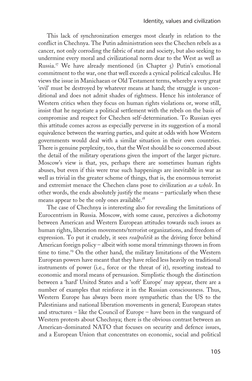This lack of synchronization emerges most clearly in relation to the conflict in Chechnya. The Putin administration sees the Chechen rebels as a cancer, not only corroding the fabric of state and society, but also seeking to undermine every moral and civilizational norm dear to the West as well as Russia.<sup>17</sup> We have already mentioned (in Chapter  $\zeta$ ) Putin's emotional commitment to the war, one that well exceeds a cynical political calculus. He views the issue in Manichaean or Old Testament terms, whereby a very great 'evil' must be destroyed by whatever means at hand; the struggle is unconditional and does not admit shades of rightness. Hence his intolerance of Western critics when they focus on human rights violations or, worse still, insist that he negotiate a political settlement with the rebels on the basis of compromise and respect for Chechen self-determination. To Russian eyes this attitude comes across as especially perverse in its suggestion of a moral equivalence between the warring parties, and quite at odds with how Western governments would deal with a similar situation in their own countries. There is genuine perplexity, too, that the West should be so concerned about the detail of the military operations given the import of the larger picture. Moscow's view is that, yes, perhaps there are sometimes human rights abuses, but even if this were true such happenings are inevitable in war as well as trivial in the greater scheme of things, that is, the enormous terrorist and extremist menace the Chechen clans pose to civilization *as a whole*. In other words, the ends absolutely justify the means – particularly when these means appear to be the only ones available.<sup>18</sup>

The case of Chechnya is interesting also for revealing the limitations of Eurocentrism in Russia. Moscow, with some cause, perceives a dichotomy between American and Western European attitudes towards such issues as human rights, liberation movements/terrorist organizations, and freedom of expression. To put it crudely, it sees *realpolitik* as the driving force behind American foreign policy – albeit with some moral trimmings thrown in from time to time.<sup>19</sup> On the other hand, the military limitations of the Western European powers have meant that they have relied less heavily on traditional instruments of power (i.e., force or the threat of it), resorting instead to economic and moral means of persuasion. Simplistic though the distinction between a 'hard' United States and a 'soft' Europe' may appear, there are a number of examples that reinforce it in the Russian consciousness. Thus, Western Europe has always been more sympathetic than the US to the Palestinians and national liberation movements in general; European states and structures – like the Council of Europe – have been in the vanguard of Western protests about Chechnya; there is the obvious contrast between an American-dominated NATO that focuses on security and defence issues, and a European Union that concentrates on economic, social and political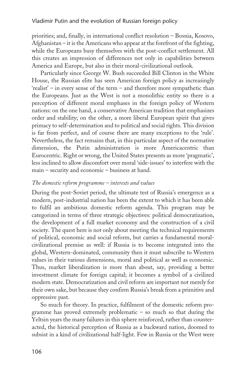priorities; and, finally, in international conflict resolution – Bosnia, Kosovo, Afghanistan – it is the Americans who appear at the forefront of the fighting, while the Europeans busy themselves with the post-conflict settlement. All this creates an impression of differences not only in capabilities between America and Europe, but also in their moral-civilizational outlook.

Particularly since George W. Bush succeeded Bill Clinton in the White House, the Russian elite has seen American foreign policy as increasingly 'realist' – in every sense of the term – and therefore more sympathetic than the Europeans. Just as the West is not a monolithic entity so there is a perception of different moral emphases in the foreign policy of Western nations: on the one hand, a conservative American tradition that emphasizes order and stability; on the other, a more liberal European spirit that gives primacy to self-determination and to political and social rights. This division is far from perfect, and of course there are many exceptions to the 'rule'. Nevertheless, the fact remains that, in this particular aspect of the normative dimension, the Putin administration is more Americacentric than Eurocentric. Right or wrong, the United States presents as more 'pragmatic', less inclined to allow discomfort over moral 'side-issues' to interfere with the main – security and economic – business at hand.

# *The domestic reform programme – interests and values*

During the post-Soviet period, the ultimate test of Russia's emergence as a modern, post-industrial nation has been the extent to which it has been able to fulfil an ambitious domestic reform agenda. This program may be categorized in terms of three strategic objectives: political democratization, the development of a full market economy and the construction of a civil society. The quest here is not only about meeting the technical requirements of political, economic and social reform, but carries a fundamental moralcivilizational premise as well: if Russia is to become integrated into the global, Western-dominated, community then it must subscribe to Western values in their various dimensions, moral and political as well as economic. Thus, market liberalization is more than about, say, providing a better investment climate for foreign capital; it becomes a symbol of a civilized modern state. Democratization and civil reform are important not merely for their own sake, but because they confirm Russia's break from a primitive and oppressive past.

So much for theory. In practice, fulfilment of the domestic reform programme has proved extremely problematic – so much so that during the Yeltsin years the many failures in this sphere reinforced, rather than counteracted, the historical perception of Russia as a backward nation, doomed to subsist in a kind of civilizational half-light. Few in Russia or the West were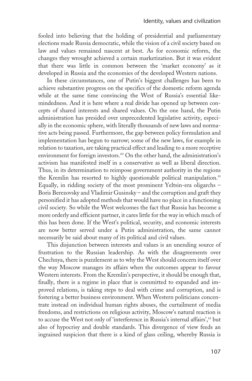fooled into believing that the holding of presidential and parliamentary elections made Russia democratic, while the vision of a civil society based on law and values remained nascent at best. As for economic reform, the changes they wrought achieved a certain marketization. But it was evident that there was little in common between the 'market economy' as it developed in Russia and the economies of the developed Western nations.

In these circumstances, one of Putin's biggest challenges has been to achieve substantive progress on the specifics of the domestic reform agenda while at the same time convincing the West of Russia's essential likemindedness. And it is here where a real divide has opened up between concepts of shared interests and shared values. On the one hand, the Putin administration has presided over unprecedented legislative activity, especially in the economic sphere, with literally thousands of new laws and normative acts being passed. Furthermore, the gap between policy formulation and implementation has begun to narrow; some of the new laws, for example in relation to taxation, are taking practical effect and leading to a more receptive environment for foreign investors.<sup>20</sup> On the other hand, the administration's activism has manifested itself in a conservative as well as liberal direction. Thus, in its determination to reimpose government authority in the regions the Kremlin has resorted to highly questionable political manipulation.<sup>21</sup> Equally, in ridding society of the most prominent Yeltsin-era oligarchs – Boris Berezovsky and Vladimir Gusinsky – and the corruption and graft they personified it has adopted methods that would have no place in a functioning civil society. So while the West welcomes the fact that Russia has become a more orderly and efficient partner, it cares little for the way in which much of this has been done. If the West's political, security, and economic interests are now better served under a Putin administration, the same cannot necessarily be said about many of its political and civil values.

This disjunction between interests and values is an unending source of frustration to the Russian leadership. As with the disagreements over Chechnya, there is puzzlement as to why the West should concern itself over the way Moscow manages its affairs when the outcomes appear to favour Western interests. From the Kremlin's perspective, it should be enough that, finally, there is a regime in place that is committed to expanded and improved relations, is taking steps to deal with crime and corruption, and is fostering a better business environment. When Western politicians concentrate instead on individual human rights abuses, the curtailment of media freedoms, and restrictions on religious activity, Moscow's natural reaction is to accuse the West not only of 'interference in Russia's internal affairs',<sup>22</sup> but also of hypocrisy and double standards. This divergence of view feeds an ingrained suspicion that there is a kind of glass ceiling, whereby Russia is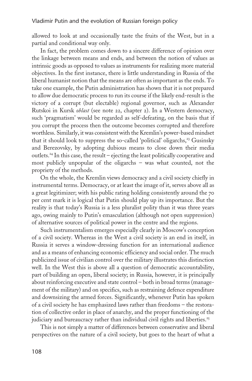## Vladimir Putin and the evolution of Russian foreign policy

allowed to look at and occasionally taste the fruits of the West, but in a partial and conditional way only.

In fact, the problem comes down to a sincere difference of opinion over the linkage between means and ends, and between the notion of values as intrinsic goods as opposed to values as instruments for realizing more material objectives. In the first instance, there is little understanding in Russia of the liberal humanist notion that the means are often as important as the ends. To take one example, the Putin administration has shown that it is not prepared to allow due democratic process to run its course if the likely end-result is the victory of a corrupt (but electable) regional governor, such as Alexander Rutskoi in Kursk *oblast* (see note 22, chapter 2). In a Western democracy, such 'pragmatism' would be regarded as self-defeating, on the basis that if you corrupt the process then the outcome becomes corrupted and therefore worthless. Similarly, it was consistent with the Kremlin's power-based mindset that it should look to suppress the so-called 'political' oligarchs, $3$ <sup>3</sup> Gusinsky and Berezovsky, by adopting dubious means to close down their media outlets.24 In this case, the result – ejecting the least politically cooperative and most publicly unpopular of the oligarchs – was what counted, not the propriety of the methods.

On the whole, the Kremlin views democracy and a civil society chiefly in instrumental terms. Democracy, or at least the image of it, serves above all as a great legitimizer; with his public rating holding consistently around the 70 per cent mark it is logical that Putin should play up its importance. But the reality is that today's Russia is a less pluralist polity than it was three years ago, owing mainly to Putin's emasculation (although not open suppression) of alternative sources of political power in the centre and the regions.

Such instrumentalism emerges especially clearly in Moscow's conception of a civil society. Whereas in the West a civil society is an end in itself, in Russia it serves a window-dressing function for an international audience and as a means of enhancing economic efficiency and social order. The much publicized issue of civilian control over the military illustrates this distinction well. In the West this is above all a question of democratic accountability, part of building an open, liberal society; in Russia, however, it is principally about reinforcing executive and state control – both in broad terms (management of the military) and on specifics, such as restraining defence expenditure and downsizing the armed forces. Significantly, whenever Putin has spoken of a civil society he has emphasized laws rather than freedoms – the restoration of collective order in place of anarchy, and the proper functioning of the judiciary and bureaucracy rather than individual civil rights and liberties.<sup>25</sup>

This is not simply a matter of differences between conservative and liberal perspectives on the nature of a civil society, but goes to the heart of what a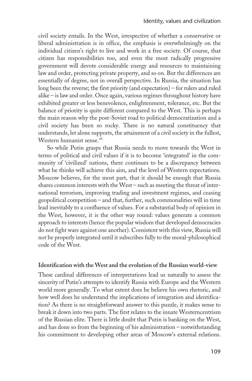civil society entails. In the West, irrespective of whether a conservative or liberal administration is in office, the emphasis is overwhelmingly on the individual citizen's right to live and work in a free society. Of course, that citizen has responsibilities too, and even the most radically progressive government will devote considerable energy and resources to maintaining law and order, protecting private property, and so on. But the differences are essentially of degree, not in overall perspective. In Russia, the situation has long been the reverse; the first priority (and expectation) – for rulers and ruled alike – is law and order. Once again, various regimes throughout history have exhibited greater or less benevolence, enlightenment, tolerance, etc. But the balance of priority is quite different compared to the West. This is perhaps the main reason why the post-Soviet road to political democratization and a civil society has been so rocky. There is no natural constituency that understands, let alone supports, the attainment of a civil society in the fullest, Western humanist sense.<sup>26</sup>

So while Putin grasps that Russia needs to move towards the West in terms of political and civil values if it is to become 'integrated' in the community of 'civilized' nations, there continues to be a discrepancy between what he thinks will achieve this aim, and the level of Western expectations. Moscow believes, for the most part, that it should be enough that Russia shares common interests with the West – such as meeting the threat of international terrorism, improving trading and investment regimes, and ceasing geopolitical competition – and that, further, such commonalities will in time lead inevitably to a confluence of values. For a substantial body of opinion in the West, however, it is the other way round: values generate a common approach to interests (hence the popular wisdom that developed democracies do not fight wars against one another). Consistent with this view, Russia will not be properly integrated until it subscribes fully to the moral-philosophical code of the West.

#### **Identification with the West and the evolution of the Russian world-view**

These cardinal differences of interpretations lead us naturally to assess the sincerity of Putin's attempts to identify Russia with Europe and the Western world more generally. To what extent does he believe his own rhetoric, and how well does he understand the implications of integration and identification? As there is no straightforward answer to this puzzle, it makes sense to break it down into two parts. The first relates to the innate Westerncentrism of the Russian elite. There is little doubt that Putin is banking on the West, and has done so from the beginning of his administration – notwithstanding his commitment to developing other areas of Moscow's external relations.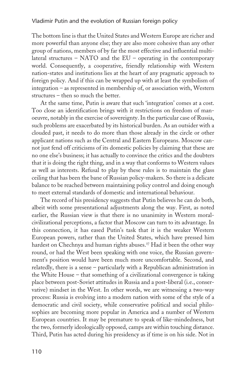The bottom line is that the United States and Western Europe are richer and more powerful than anyone else; they are also more cohesive than any other group of nations, members of by far the most effective and influential multilateral structures – NATO and the EU – operating in the contemporary world. Consequently, a cooperative, friendly relationship with Western nation-states and institutions lies at the heart of any pragmatic approach to foreign policy. And if this can be wrapped up with at least the symbolism of integration – as represented in membership of, or association with, Western structures – then so much the better.

At the same time, Putin is aware that such 'integration' comes at a cost. Too close an identification brings with it restrictions on freedom of manoeuvre, notably in the exercise of sovereignty. In the particular case of Russia, such problems are exacerbated by its historical burden. As an outsider with a clouded past, it needs to do more than those already in the circle or other applicant nations such as the Central and Eastern Europeans. Moscow cannot just fend off criticisms of its domestic policies by claiming that these are no one else's business; it has actually to convince the critics and the doubters that it is doing the right thing, and in a way that conforms to Western values as well as interests. Refusal to play by these rules is to maintain the glass ceiling that has been the bane of Russian policy-makers. So there is a delicate balance to be reached between maintaining policy control and doing enough to meet external standards of domestic and international behaviour.

The record of his presidency suggests that Putin believes he can do both, albeit with some presentational adjustments along the way. First, as noted earlier, the Russian view is that there is no unanimity in Western moralcivilizational perceptions, a factor that Moscow can turn to its advantage. In this connection, it has eased Putin's task that it is the weaker Western European powers, rather than the United States, which have pressed him hardest on Chechnya and human rights abuses.<sup>27</sup> Had it been the other way round, or had the West been speaking with one voice, the Russian government's position would have been much more uncomfortable. Second, and relatedly, there is a sense – particularly with a Republican administration in the White House – that something of a civilizational convergence is taking place between post-Soviet attitudes in Russia and a post-liberal (i.e., conservative) mindset in the West. In other words, we are witnessing a two-way process: Russia is evolving into a modern nation with some of the style of a democratic and civil society, while conservative political and social philosophies are becoming more popular in America and a number of Western European countries. It may be premature to speak of like-mindedness, but the two, formerly ideologically opposed, camps are within touching distance. Third, Putin has acted during his presidency as if time is on his side. Not in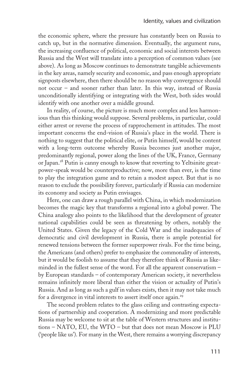the economic sphere, where the pressure has constantly been on Russia to catch up, but in the normative dimension. Eventually, the argument runs, the increasing confluence of political, economic and social interests between Russia and the West will translate into a perception of common values (see above). As long as Moscow continues to demonstrate tangible achievements in the key areas, namely security and economic, and pass enough appropriate signposts elsewhere, then there should be no reason why convergence should not occur – and sooner rather than later. In this way, instead of Russia unconditionally identifying or integrating with the West, both sides would identify with one another over a middle ground.

In reality, of course, the picture is much more complex and less harmonious than this thinking would suppose. Several problems, in particular, could either arrest or reverse the process of rapprochement in attitudes. The most important concerns the end-vision of Russia's place in the world. There is nothing to suggest that the political elite, or Putin himself, would be content with a long-term outcome whereby Russia becomes just another major, predominantly regional, power along the lines of the UK, France, Germany or Japan.28 Putin is canny enough to know that reverting to Yeltsinite greatpower-speak would be counterproductive; now, more than ever, is the time to play the integration game and to retain a modest aspect. But that is no reason to exclude the possibility forever, particularly if Russia can modernize its economy and society as Putin envisages.

Here, one can draw a rough parallel with China, in which modernization becomes the magic key that transforms a regional into a global power. The China analogy also points to the likelihood that the development of greater national capabilities could be seen as threatening by others, notably the United States. Given the legacy of the Cold War and the inadequacies of democratic and civil development in Russia, there is ample potential for renewed tensions between the former superpower rivals. For the time being, the Americans (and others) prefer to emphasize the commonality of interests, but it would be foolish to assume that they therefore think of Russia as likeminded in the fullest sense of the word. For all the apparent conservatism – by European standards – of contemporary American society, it nevertheless remains infinitely more liberal than either the vision or actuality of Putin's Russia. And as long as such a gulf in values exists, then it may not take much for a divergence in vital interests to assert itself once again.<sup>29</sup>

The second problem relates to the glass ceiling and contrasting expectations of partnership and cooperation. A modernizing and more predictable Russia may be welcome to sit at the table of Western structures and institutions – NATO, EU, the WTO – but that does not mean Moscow is PLU ('people like us'). For many in the West, there remains a worrying discrepancy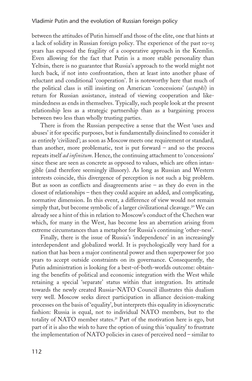between the attitudes of Putin himself and those of the elite, one that hints at a lack of solidity in Russian foreign policy. The experience of the past 10–15 years has exposed the fragility of a cooperative approach in the Kremlin. Even allowing for the fact that Putin is a more stable personality than Yeltsin, there is no guarantee that Russia's approach to the world might not lurch back, if not into confrontation, then at least into another phase of reluctant and conditional 'cooperation'. It is noteworthy here that much of the political class is still insisting on American 'concessions' (*ustupki*) in return for Russian assistance, instead of viewing cooperation and likemindedness as ends in themselves. Typically, such people look at the present relationship less as a strategic partnership than as a bargaining process between two less than wholly trusting parties.

There is from the Russian perspective a sense that the West 'uses and abuses' it for specific purposes, but is fundamentally disinclined to consider it as entirely 'civilized'; as soon as Moscow meets one requirement or standard, than another, more problematic, test is put forward – and so the process repeats itself *ad infinitum*. Hence, the continuing attachment to 'concessions' since these are seen as concrete as opposed to values, which are often intangible (and therefore seemingly illusory). As long as Russian and Western interests coincide, this divergence of perception is not such a big problem. But as soon as conflicts and disagreements arise  $-$  as they do even in the closest of relationships – then they could acquire an added, and complicating, normative dimension. In this event, a difference of view would not remain simply that, but become symbolic of a larger civilizational cleavage.<sup>30</sup> We can already see a hint of this in relation to Moscow's conduct of the Chechen war which, for many in the West, has become less an aberration arising from extreme circumstances than a metaphor for Russia's continuing 'other-ness'.

Finally, there is the issue of Russia's 'independence' in an increasingly interdependent and globalized world. It is psychologically very hard for a nation that has been a major continental power and then superpower for 300 years to accept outside constraints on its governance. Consequently, the Putin administration is looking for a best-of-both-worlds outcome: obtaining the benefits of political and economic integration with the West while retaining a special 'separate' status within that integration. Its attitude towards the newly created Russia–NATO Council illustrates this dualism very well. Moscow seeks direct participation in alliance decision-making processes on the basis of 'equality', but interprets this equality in idiosyncratic fashion: Russia is equal, not to individual NATO members, but to the totality of NATO member states.<sup>31</sup> Part of the motivation here is ego, but part of it is also the wish to have the option of using this 'equality' to frustrate the implementation of NATO policies in cases of perceived need – similar to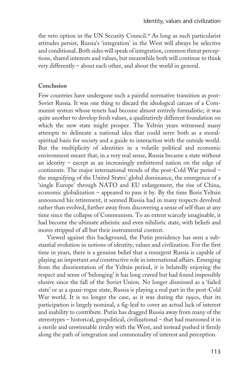the veto option in the UN Security Council.32 As long as such particularist attitudes persist, Russia's 'integration' in the West will always be selective and conditional. Both sides will speak of integration, common threat perceptions, shared interests and values, but meanwhile both will continue to think very differently – about each other, and about the world in general.

# **Conclusion**

Few countries have undergone such a painful normative transition as post-Soviet Russia. It was one thing to discard the ideological carcass of a Communist system whose tenets had become almost entirely formalistic; it was quite another to develop fresh values, a qualitatively different foundation on which the new state might prosper. The Yeltsin years witnessed many attempts to delineate a national idea that could serve both as a moralspiritual basis for society and a guide to interaction with the outside world. But the multiplicity of identities in a volatile political and economic environment meant that, in a very real sense, Russia became a state without an identity – except as an increasingly embittered nation on the edge of continents. The major international trends of the post-Cold War period – the magnifying of the United States' global dominance, the emergence of a 'single Europe' through NATO and EU enlargement, the rise of China, economic globalization – appeared to pass it by. By the time Boris Yeltsin announced his retirement, it seemed Russia had in many respects devolved rather than evolved, further away from discovering a sense of self than at any time since the collapse of Communism. To an extent scarcely imaginable, it had become the ultimate atheistic and even nihilistic state, with beliefs and mores stripped of all but their instrumental content.

Viewed against this background, the Putin presidency has seen a substantial evolution in notions of identity, values and civilization. For the first time in years, there is a genuine belief that a resurgent Russia is capable of playing an important *and* constructive role in international affairs. Emerging from the disorientation of the Yeltsin period, it is belatedly enjoying the respect and sense of 'belonging' it has long craved but had found impossibly elusive since the fall of the Soviet Union. No longer dismissed as a 'failed state' or as a quasi-rogue state, Russia is playing a real part in the post-Cold War world. It is no longer the case, as it was during the 1990s, that its participation is largely nominal, a fig-leaf to cover an actual lack of interest and inability to contribute. Putin has dragged Russia away from many of the stereotypes – historical, geopolitical, civilizational – that had marooned it in a sterile and unwinnable rivalry with the West, and instead pushed it firmly along the path of integration and commonality of interest and perception.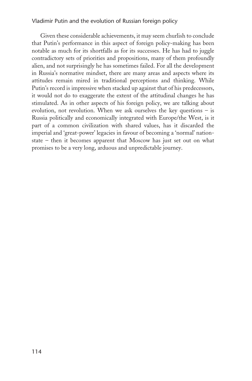# Vladimir Putin and the evolution of Russian foreign policy

Given these considerable achievements, it may seem churlish to conclude that Putin's performance in this aspect of foreign policy-making has been notable as much for its shortfalls as for its successes. He has had to juggle contradictory sets of priorities and propositions, many of them profoundly alien, and not surprisingly he has sometimes failed. For all the development in Russia's normative mindset, there are many areas and aspects where its attitudes remain mired in traditional perceptions and thinking. While Putin's record is impressive when stacked up against that of his predecessors, it would not do to exaggerate the extent of the attitudinal changes he has stimulated. As in other aspects of his foreign policy, we are talking about evolution, not revolution. When we ask ourselves the key questions  $-$  is Russia politically and economically integrated with Europe/the West, is it part of a common civilization with shared values, has it discarded the imperial and 'great-power' legacies in favour of becoming a 'normal' nationstate – then it becomes apparent that Moscow has just set out on what promises to be a very long, arduous and unpredictable journey.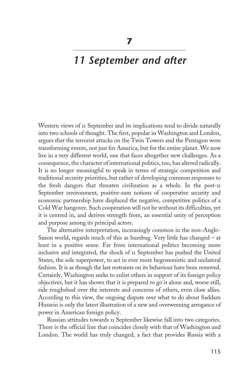# *11 September and after*

Western views of 11 September and its implications tend to divide naturally into two schools of thought. The first, popular in Washington and London, argues that the terrorist attacks on the Twin Towers and the Pentagon were transforming events, not just for America, but for the entire planet. We now live in a very different world, one that faces altogether new challenges. As a consequence, the character of international politics, too, has altered radically. It is no longer meaningful to speak in terms of strategic competition and traditional security priorities, but rather of developing common responses to the fresh dangers that threaten civilization as a whole. In the post-11 September environment, positive-sum notions of cooperative security and economic partnership have displaced the negative, competitive politics of a Cold War hangover. Such cooperation will not be without its difficulties, yet it is centred in, and derives strength from, an essential unity of perception and purpose among its principal actors.

The alternative interpretation, increasingly common in the non-Anglo-Saxon world, regards much of this as humbug. Very little has changed – at least in a positive sense. Far from international politics becoming more inclusive and integrated, the shock of 11 September has pushed the United States, the sole superpower, to act in ever more hegemonistic and unilateral fashion. It is as though the last restraints on its behaviour have been removed. Certainly, Washington seeks to enlist others in support of its foreign policy objectives, but it has shown that it is prepared to go it alone and, worse still, ride roughshod over the interests and concerns of others, even close allies. According to this view, the ongoing dispute over what to do about Saddam Hussein is only the latest illustration of a new and overweening arrogance of power in American foreign policy.

Russian attitudes towards 11 September likewise fall into two categories. There is the official line that coincides closely with that of Washington and London. The world has truly changed, a fact that provides Russia with a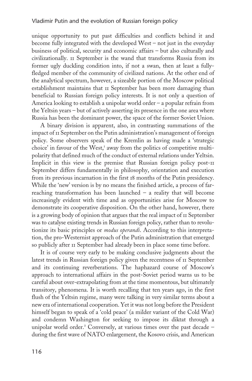unique opportunity to put past difficulties and conflicts behind it and become fully integrated with the developed West – not just in the everyday business of political, security and economic affairs – but also culturally and civilizationally. 11 September is the wand that transforms Russia from its former ugly duckling condition into, if not a swan, then at least a fullyfledged member of the community of civilized nations. At the other end of the analytical spectrum, however, a sizeable portion of the Moscow political establishment maintains that 11 September has been more damaging than beneficial to Russian foreign policy interests. It is not only a question of America looking to establish a unipolar world order – a popular refrain from the Yeltsin years – but of actively asserting its presence in the one area where Russia has been the dominant power, the space of the former Soviet Union.

A binary division is apparent, also, in contrasting summations of the impact of 11 September on the Putin administration's management of foreign policy. Some observers speak of the Kremlin as having made a 'strategic choice' in favour of the West,<sup>1</sup> away from the politics of competitive multipolarity that defined much of the conduct of external relations under Yeltsin. Implicit in this view is the premise that Russian foreign policy post-11 September differs fundamentally in philosophy, orientation and execution from its previous incarnation in the first 18 months of the Putin presidency. While the 'new' version is by no means the finished article, a process of farreaching transformation has been launched – a reality that will become increasingly evident with time and as opportunities arise for Moscow to demonstrate its cooperative disposition. On the other hand, however, there is a growing body of opinion that argues that the real impact of 11 September was to catalyse existing trends in Russian foreign policy, rather than to revolutionize its basic principles or *modus operandi*. According to this interpretation, the pro-Westernist approach of the Putin administration that emerged so publicly after 11 September had already been in place some time before.

It is of course very early to be making conclusive judgments about the latest trends in Russian foreign policy given the recentness of 11 September and its continuing reverberations. The haphazard course of Moscow's approach to international affairs in the post-Soviet period warns us to be careful about over-extrapolating from at the time momentous, but ultimately transitory, phenomena. It is worth recalling that ten years ago, in the first flush of the Yeltsin regime, many were talking in very similar terms about a new era of international cooperation. Yet it was not long before the President himself began to speak of a 'cold peace' (a milder variant of the Cold War) and condemn Washington for seeking to impose its diktat through a unipolar world order.<sup>2</sup> Conversely, at various times over the past decade during the first wave of NATO enlargement, the Kosovo crisis, and American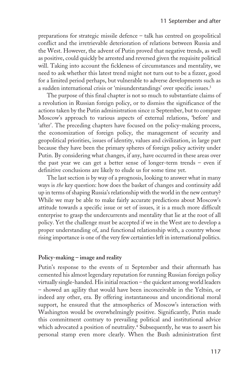preparations for strategic missile defence – talk has centred on geopolitical conflict and the irretrievable deterioration of relations between Russia and the West. However, the advent of Putin proved that negative trends, as well as positive, could quickly be arrested and reversed given the requisite political will. Taking into account the fickleness of circumstances and mentality, we need to ask whether this latest trend might not turn out to be a fizzer, good for a limited period perhaps, but vulnerable to adverse developments such as a sudden international crisis or 'misunderstandings' over specific issues.3

The purpose of this final chapter is not so much to substantiate claims of a revolution in Russian foreign policy, or to dismiss the significance of the actions taken by the Putin administration since 11 September, but to compare Moscow's approach to various aspects of external relations, 'before' and 'after'. The preceding chapters have focused on the policy-making process, the economization of foreign policy, the management of security and geopolitical priorities, issues of identity, values and civilization, in large part because they have been the primary spheres of foreign policy activity under Putin. By considering what changes, if any, have occurred in these areas over the past year we can get a better sense of longer-term trends – even if definitive conclusions are likely to elude us for some time yet.

The last section is by way of a prognosis, looking to answer what in many ways is *the* key question: how does the basket of changes and continuity add up in terms of shaping Russia's relationship with the world in the new century? While we may be able to make fairly accurate predictions about Moscow's attitude towards a specific issue or set of issues, it is a much more difficult enterprise to grasp the undercurrents and mentality that lie at the root of all policy. Yet the challenge must be accepted if we in the West are to develop a proper understanding of, and functional relationship with, a country whose rising importance is one of the very few certainties left in international politics.

# **Policy-making – image and reality**

Putin's response to the events of  $\pi$  September and their aftermath has cemented his almost legendary reputation for running Russian foreign policy virtually single-handed. His initial reaction – the quickest among world leaders – showed an agility that would have been inconceivable in the Yeltsin, or indeed any other, era. By offering instantaneous and unconditional moral support, he ensured that the atmospherics of Moscow's interaction with Washington would be overwhelmingly positive. Significantly, Putin made this commitment contrary to prevailing political and institutional advice which advocated a position of neutrality.<sup>4</sup> Subsequently, he was to assert his personal stamp even more clearly. When the Bush administration first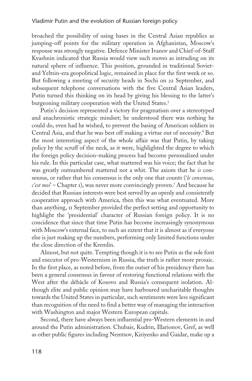broached the possibility of using bases in the Central Asian republics as jumping-off points for the military operation in Afghanistan, Moscow's response was strongly negative. Defence Minister Ivanov and Chief-of-Staff Kvashnin indicated that Russia would view such moves as intruding on its natural sphere of influence. This position, grounded in traditional Sovietand Yeltsin-era geopolitical logic, remained in place for the first week or so. But following a meeting of security heads in Sochi on 22 September, and subsequent telephone conversations with the five Central Asian leaders, Putin turned this thinking on its head by giving his blessing to the latter's burgeoning military cooperation with the United States.<sup>5</sup>

Putin's decision represented a victory for pragmatism over a stereotyped and anachronistic strategic mindset; he understood there was nothing he could do, even had he wished, to prevent the basing of American soldiers in Central Asia, and that he was best off making a virtue out of necessity.<sup>6</sup> But the most interesting aspect of the whole affair was that Putin, by taking policy by the scruff of the neck, as it were, highlighted the degree to which the foreign policy decision-making process had become personalized under his rule. In this particular case, what mattered was his voice; the fact that he was greatly outnumbered mattered not a whit. The axiom that he *is* consensus, or rather that his consensus is the only one that counts ('*le consensus, c'est moi*' – Chapter 1), was never more convincingly proven.7 And because he decided that Russian interests were best served by an openly and consistently cooperative approach with America, then this was what eventuated. More than anything, 11 September provided the perfect setting and opportunity to highlight the 'presidential' character of Russian foreign policy. It is no concidence that since that time Putin has become increasingly synonymous with Moscow's external face, to such an extent that it is almost as if everyone else is just making up the numbers, performing only limited functions under the close direction of the Kremlin.

Almost, but not quite. Tempting though it is to see Putin as the sole font and executor of pro-Westernism in Russia, the truth is rather more prosaic. In the first place, as noted before, from the outset of his presidency there has been a general consensus in favour of restoring functional relations with the West after the débâcle of Kosovo and Russia's consequent isolation. Although elite and public opinion may have harboured uncharitable thoughts towards the United States in particular, such sentiments were less significant than recognition of the need to find a better way of managing the interaction with Washington and major Western European capitals.

Second, there have always been influential pro-Western elements in and around the Putin administration. Chubais, Kudrin, Illarionov, Gref, as well as other public figures including Nemtsov, Kiriyenko and Gaidar, make up a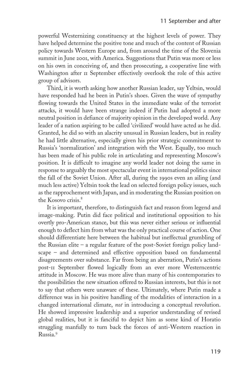powerful Westernizing constituency at the highest levels of power. They have helped determine the positive tone and much of the content of Russian policy towards Western Europe and, from around the time of the Slovenia summit in June 2001, with America. Suggestions that Putin was more or less on his own in conceiving of, and then prosecuting, a cooperative line with Washington after 11 September effectively overlook the role of this active group of advisors.

Third, it is worth asking how another Russian leader, say Yeltsin, would have responded had he been in Putin's shoes. Given the wave of sympathy flowing towards the United States in the immediate wake of the terrorist attacks, it would have been strange indeed if Putin had adopted a more neutral position in defiance of majority opinion in the developed world. Any leader of a nation aspiring to be called 'civilized' would have acted as he did. Granted, he did so with an alacrity unusual in Russian leaders, but in reality he had little alternative, especially given his prior strategic commitment to Russia's 'normalization' and integration with the West. Equally, too much has been made of his public role in articulating and representing Moscow's position. It is difficult to imagine any world leader not doing the same in response to arguably the most spectacular event in international politics since the fall of the Soviet Union. After all, during the 1990s even an ailing (and much less active) Yeltsin took the lead on selected foreign policy issues, such as the rapprochement with Japan, and in moderating the Russian position on the Kosovo crisis.<sup>8</sup>

It is important, therefore, to distinguish fact and reason from legend and image-making. Putin did face political and institutional opposition to his overtly pro-American stance, but this was never either serious or influential enough to deflect him from what was the only practical course of action. One should differentiate here between the habitual but ineffectual grumbling of the Russian elite – a regular feature of the post-Soviet foreign policy landscape – and determined and effective opposition based on fundamental disagreements over substance. Far from being an aberration, Putin's actions post-11 September flowed logically from an ever more Westerncentric attitude in Moscow. He was more alive than many of his contemporaries to the possibilities the new situation offered to Russian interests, but this is not to say that others were unaware of these. Ultimately, where Putin made a difference was in his positive handling of the modalities of interaction in a changed international climate, *not* in introducing a conceptual revolution. He showed impressive leadership and a superior understanding of revised global realities, but it is fanciful to depict him as some kind of Horatio struggling manfully to turn back the forces of anti-Western reaction in Russia.9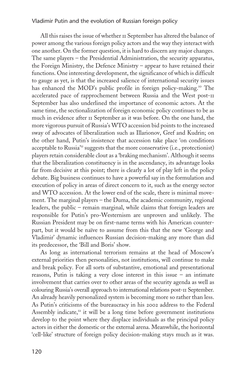## Vladimir Putin and the evolution of Russian foreign policy

All this raises the issue of whether 11 September has altered the balance of power among the various foreign policy actors and the way they interact with one another. On the former question, it is hard to discern any major changes. The same players – the Presidential Administration, the security apparatus, the Foreign Ministry, the Defence Ministry – appear to have retained their functions. One interesting development, the significance of which is difficult to gauge as yet, is that the increased salience of international security issues has enhanced the MOD's public profile in foreign policy-making.<sup>10</sup> The accelerated pace of rapprochement between Russia and the West post-11 September has also underlined the importance of economic actors. At the same time, the sectionalization of foreign economic policy continues to be as much in evidence after 11 September as it was before. On the one hand, the more vigorous pursuit of Russia's WTO accession bid points to the increased sway of advocates of liberalization such as Illarionov, Gref and Kudrin; on the other hand, Putin's insistence that accession take place 'on conditions acceptable to Russia<sup>'n</sup> suggests that the more conservative (i.e., protectionist) players retain considerable clout as a 'braking mechanism'. Although it seems that the liberalization constituency is in the ascendancy, its advantage looks far from decisive at this point; there is clearly a lot of play left in the policy debate. Big business continues to have a powerful say in the formulation and execution of policy in areas of direct concern to it, such as the energy sector and WTO accession. At the lower end of the scale, there is minimal movement. The marginal players – the Duma, the academic community, regional leaders, the public – remain marginal, while claims that foreign leaders are responsible for Putin's pro-Westernism are unproven and unlikely. The Russian President may be on first-name terms with his American counterpart, but it would be naïve to assume from this that the new 'George and Vladimir' dynamic influences Russian decision-making any more than did its predecessor, the 'Bill and Boris' show.

As long as international terrorism remains at the head of Moscow's external priorities then personalities, not institutions, will continue to make and break policy. For all sorts of substantive, emotional and presentational reasons, Putin is taking a very close interest in this issue – an intimate involvement that carries over to other areas of the security agenda as well as colouring Russia's overall approach to international relations post-11 September. An already heavily personalized system is becoming more so rather than less. As Putin's criticisms of the bureaucracy in his 2002 address to the Federal Assembly indicate, $\frac{12}{12}$  it will be a long time before government institutions develop to the point where they displace individuals as the principal policy actors in either the domestic or the external arena. Meanwhile, the horizontal 'cell-like' structure of foreign policy decision-making stays much as it was.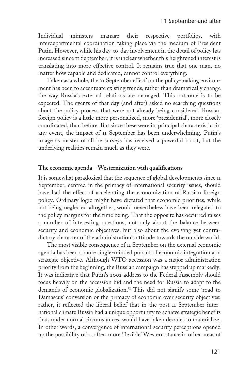Individual ministers manage their respective portfolios, with interdepartmental coordination taking place via the medium of President Putin. However, while his day-to-day involvement in the detail of policy has increased since 11 September, it is unclear whether this heightened interest is translating into more effective control. It remains true that one man, no matter how capable and dedicated, cannot control everything.

Taken as a whole, the '<sub>II</sub> September effect' on the policy-making environment has been to accentuate existing trends, rather than dramatically change the way Russia's external relations are managed. This outcome is to be expected. The events of that day (and after) asked no searching questions about the policy process that were not already being considered. Russian foreign policy is a little more personalized, more 'presidential', more closely coordinated, than before. But since these were its principal characteristics in any event, the impact of 11 September has been underwhelming. Putin's image as master of all he surveys has received a powerful boost, but the underlying realities remain much as they were.

# **The economic agenda – Westernization with qualifications**

It is somewhat paradoxical that the sequence of global developments since 11 September, centred in the primacy of international security issues, should have had the effect of accelerating the economization of Russian foreign policy. Ordinary logic might have dictated that economic priorities, while not being neglected altogether, would nevertheless have been relegated to the policy margins for the time being. That the opposite has occurred raises a number of interesting questions, not only about the balance between security and economic objectives, but also about the evolving yet contradictory character of the administration's attitude towards the outside world.

The most visible consequence of 11 September on the external economic agenda has been a more single-minded pursuit of economic integration as a strategic objective. Although WTO accession was a major administration priority from the beginning, the Russian campaign has stepped up markedly. It was indicative that Putin's 2002 address to the Federal Assembly should focus heavily on the accession bid and the need for Russia to adapt to the demands of economic globalization.13 This did not signify some 'road to Damascus' conversion or the primacy of economic over security objectives; rather, it reflected the liberal belief that in the post-11 September international climate Russia had a unique opportunity to achieve strategic benefits that, under normal circumstances, would have taken decades to materialize. In other words, a convergence of international security perceptions opened up the possibility of a softer, more 'flexible' Western stance in other areas of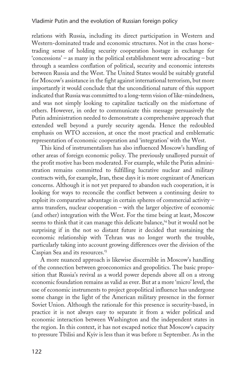relations with Russia, including its direct participation in Western and Western-dominated trade and economic structures. Not in the crass horsetrading sense of holding security cooperation hostage in exchange for 'concessions' – as many in the political establishment were advocating – but through a seamless conflation of political, security and economic interests between Russia and the West. The United States would be suitably grateful for Moscow's assistance in the fight against international terrorism, but more importantly it would conclude that the unconditional nature of this support indicated that Russia was committed to a long-term vision of like-mindedness, and was not simply looking to capitalize tactically on the misfortune of others. However, in order to communicate this message persuasively the Putin administration needed to demonstrate a comprehensive approach that extended well beyond a purely security agenda. Hence the redoubled emphasis on WTO accession, at once the most practical and emblematic representation of economic cooperation and 'integration' with the West.

This kind of instrumentalism has also influenced Moscow's handling of other areas of foreign economic policy. The previously unalloyed pursuit of the profit motive has been moderated. For example, while the Putin administration remains committed to fulfilling lucrative nuclear and military contracts with, for example, Iran, these days it is more cognizant of American concerns. Although it is not yet prepared to abandon such cooperation, it is looking for ways to reconcile the conflict between a continuing desire to exploit its comparative advantage in certain spheres of commercial activity – arms transfers, nuclear cooperation – with the larger objective of economic (and other) integration with the West. For the time being at least, Moscow seems to think that it can manage this delicate balance, $<sup>14</sup>$  but it would not be</sup> surprising if in the not so distant future it decided that sustaining the economic relationship with Tehran was no longer worth the trouble, particularly taking into account growing differences over the division of the Caspian Sea and its resources.15

A more nuanced approach is likewise discernible in Moscow's handling of the connection between geoeconomics and geopolitics. The basic proposition that Russia's revival as a world power depends above all on a strong economic foundation remains as valid as ever. But at a more 'micro' level, the use of economic instruments to project geopolitical influence has undergone some change in the light of the American military presence in the former Soviet Union. Although the rationale for this presence is security-based, in practice it is not always easy to separate it from a wider political and economic interaction between Washington and the independent states in the region. In this context, it has not escaped notice that Moscow's capacity to pressure Tbilisi and Kyiv is less than it was before 11 September. As in the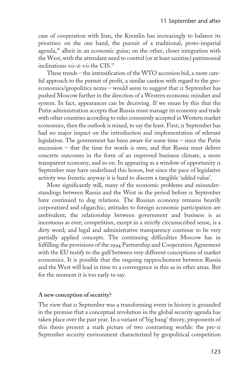case of cooperation with Iran, the Kremlin has increasingly to balance its priorities: on the one hand, the pursuit of a traditional, proto-imperial  $a$ genda,<sup>16</sup> albeit in an economic guise; on the other, closer integration with the West, with the attendant need to control (or at least sanitize) patrimonial inclinations *vis-à-vis* the CIS.<sup>17</sup>

These trends – the intensification of the WTO accession bid, a more careful approach to the pursuit of profit, a similar caution with regard to the geoeconomics/geopolitics nexus – would seem to suggest that 11 September has pushed Moscow further in the direction of a Western economic mindset and system. In fact, appearances can be deceiving. If we mean by this that the Putin administration accepts that Russia must manage its economy and trade with other countries according to rules commonly accepted in Western market economies, then the outlook is mixed, to say the least. First, 11 September has had no major impact on the introduction and implementation of relevant legislation. The government has been aware for some time – since the Putin succession – that the time for words is over, and that Russia must deliver concrete outcomes in the form of an improved business climate, a more transparent economy, and so on. In appearing as a window of opportunity 11 September may have underlined this lesson, but since the pace of legislative activity was frenetic anyway it is hard to discern a tangible 'added value'.

More significantly still, many of the economic problems and misunderstandings between Russia and the West in the period before 11 September have continued to dog relations. The Russian economy remains heavily corporatized and oligarchic; attitudes to foreign economic participation are ambivalent; the relationship between government and business is as incestuous as ever; competition, except in a strictly circumscribed sense, is a dirty word; and legal and administrative transparency continue to be very partially applied concepts. The continuing difficulties Moscow has in fulfilling the provisions of the 1994 Partnership and Cooperation Agreement with the EU testify to the gulf between very different conceptions of market economics. It is possible that the ongoing rapprochement between Russia and the West will lead in time to a convergence in this as in other areas. But for the moment it is too early to say.

# **A new conception of security?**

The view that 11 September was a transforming event in history is grounded in the premise that a conceptual revolution in the global security agenda has taken place over the past year. In a variant of 'big bang' theory, proponents of this thesis present a stark picture of two contrasting worlds: the pre-11 September security environment characterized by geopolitical competition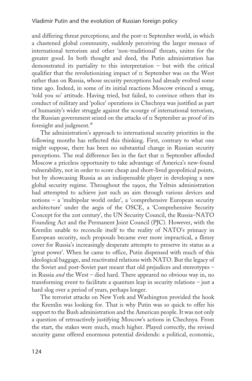and differing threat perceptions; and the post-11 September world, in which a chastened global community, suddenly perceiving the larger menace of international terrorism and other 'non-traditional' threats, unites for the greater good. In both thought and deed, the Putin administration has demonstrated its partiality to this interpretation – but with the critical qualifier that the revolutionizing impact of 11 September was on the West rather than on Russia, whose security perceptions had already evolved some time ago. Indeed, in some of its initial reactions Moscow evinced a smug, 'told you so' attitude. Having tried, but failed, to convince others that its conduct of military and 'police' operations in Chechnya was justified as part of humanity's wider struggle against the scourge of international terrorism, the Russian government seized on the attacks of 11 September as proof of its foresight and judgment.<sup>18</sup>

The administration's approach to international security priorities in the following months has reflected this thinking. First, contrary to what one might suppose, there has been no substantial change in Russian security perceptions. The real difference lies in the fact that 11 September afforded Moscow a priceless opportunity to take advantage of America's new-found vulnerability, not in order to score cheap and short-lived geopolitical points, but by showcasing Russia as an indispensable player in developing a new global security regime. Throughout the 1990s, the Yeltsin administration had attempted to achieve just such an aim through various devices and notions – a 'multipolar world order', a 'comprehensive European security architecture' under the aegis of the OSCE, a 'Comprehensive Security Concept for the 21st century', the UN Security Council, the Russia–NATO Founding Act and the Permanent Joint Council (PJC). However, with the Kremlin unable to reconcile itself to the reality of NATO's primacy in European security, such proposals became ever more impractical, a flimsy cover for Russia's increasingly desperate attempts to preserve its status as a 'great power'. When he came to office, Putin dispensed with much of this ideological baggage, and reactivated relations with NATO. But the legacy of the Soviet and post-Soviet past meant that old prejudices and stereotypes – in Russia *and* the West – died hard. There appeared no obvious way in, no transforming event to facilitate a quantum leap in security relations – just a hard slog over a period of years, perhaps longer.

The terrorist attacks on New York and Washington provided the hook the Kremlin was looking for. That is why Putin was so quick to offer his support to the Bush administration and the American people. It was not only a question of retroactively justifying Moscow's actions in Chechnya. From the start, the stakes were much, much higher. Played correctly, the revised security game offered enormous potential dividends: a political, economic,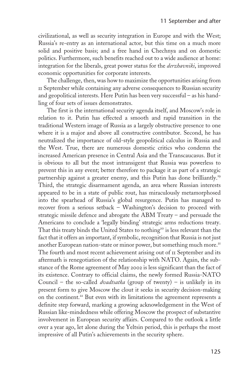civilizational, as well as security integration in Europe and with the West; Russia's re-entry as an international actor, but this time on a much more solid and positive basis; and a free hand in Chechnya and on domestic politics. Furthermore, such benefits reached out to a wide audience at home: integration for the liberals, great power status for the *derzhavniki*, improved economic opportunities for corporate interests.

The challenge, then, was how to maximize the opportunities arising from 11 September while containing any adverse consequences to Russian security and geopolitical interests. Here Putin has been very successful – as his handling of four sets of issues demonstrates.

The first is the international security agenda itself, and Moscow's role in relation to it. Putin has effected a smooth and rapid transition in the traditional Western image of Russia as a largely obstructive presence to one where it is a major and above all constructive contributor. Second, he has neutralized the importance of old-style geopolitical calculus in Russia and the West. True, there are numerous domestic critics who condemn the increased American presence in Central Asia and the Transcaucasus. But it is obvious to all but the most intransigent that Russia was powerless to prevent this in any event; better therefore to package it as part of a strategic partnership against a greater enemy, and this Putin has done brilliantly.19 Third, the strategic disarmament agenda, an area where Russian interests appeared to be in a state of public rout, has miraculously metamorphosed into the spearhead of Russia's global resurgence. Putin has managed to recover from a serious setback – Washington's decision to proceed with strategic missile defence and abrogate the ABM Treaty – and persuade the Americans to conclude a 'legally binding' strategic arms reductions treaty. That this treaty binds the United States to nothing<sup>20</sup> is less relevant than the fact that it offers an important, if symbolic, recognition that Russia is not just another European nation-state or minor power, but something much more.<sup>21</sup> The fourth and most recent achievement arising out of 11 September and its aftermath is renegotiation of the relationship with NATO. Again, the substance of the Rome agreement of May 2002 is less significant than the fact of its existence. Contrary to official claims, the newly formed Russia-NATO Council – the so-called *dvadtsatka* (group of twenty) – is unlikely in its present form to give Moscow the clout it seeks in security decision-making on the continent.22 But even with its limitations the agreement represents a definite step forward, marking a growing acknowledgement in the West of Russian like-mindedness while offering Moscow the prospect of substantive involvement in European security affairs. Compared to the outlook a little over a year ago, let alone during the Yeltsin period, this is perhaps the most impressive of all Putin's achievements in the security sphere.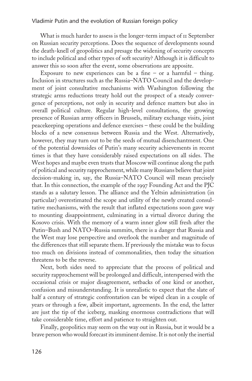## Vladimir Putin and the evolution of Russian foreign policy

What is much harder to assess is the longer-term impact of  $\pi$  September on Russian security perceptions. Does the sequence of developments sound the death-knell of geopolitics and presage the widening of security concepts to include political and other types of soft security? Although it is difficult to answer this so soon after the event, some observations are apposite.

Exposure to new experiences can be a fine – or a harmful – thing. Inclusion in structures such as the Russia–NATO Council and the development of joint consultative mechanisms with Washington following the strategic arms reductions treaty hold out the prospect of a steady convergence of perceptions, not only in security and defence matters but also in overall political culture. Regular high-level consultations, the growing presence of Russian army officers in Brussels, military exchange visits, joint peacekeeping operations and defence exercises – these could be the building blocks of a new consensus between Russia and the West. Alternatively, however, they may turn out to be the seeds of mutual disenchantment. One of the potential downsides of Putin's many security achievements in recent times is that they have considerably raised expectations on all sides. The West hopes and maybe even trusts that Moscow will continue along the path of political and security rapprochement, while many Russians believe that joint decision-making in, say, the Russia–NATO Council will mean precisely that. In this connection, the example of the 1997 Founding Act and the PJC stands as a salutary lesson. The alliance and the Yeltsin administration (in particular) overestimated the scope and utility of the newly created consultative mechanisms, with the result that inflated expectations soon gave way to mounting disappointment, culminating in a virtual divorce during the Kosovo crisis. With the memory of a warm inner glow still fresh after the Putin–Bush and NATO–Russia summits, there is a danger that Russia and the West may lose perspective and overlook the number and magnitude of the differences that still separate them. If previously the mistake was to focus too much on divisions instead of commonalities, then today the situation threatens to be the reverse.

Next, both sides need to appreciate that the process of political and security rapprochement will be prolonged and difficult, interspersed with the occasional crisis or major disagreement, setbacks of one kind or another, confusion and misunderstanding. It is unrealistic to expect that the slate of half a century of strategic confrontation can be wiped clean in a couple of years or through a few, albeit important, agreements. In the end, the latter are just the tip of the iceberg, masking enormous contradictions that will take considerable time, effort and patience to straighten out.

Finally, geopolitics may seem on the way out in Russia, but it would be a brave person who would forecast its imminent demise. It is not only the inertial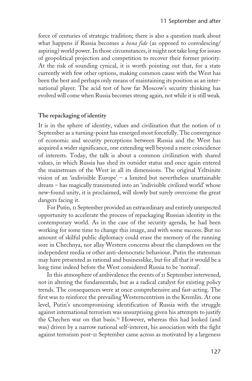force of centuries of strategic tradition; there is also a question mark about what happens if Russia becomes a *bona fide* (as opposed to convalescing/ aspiring) world power. In those circumstances, it might not take long for issues of geopolitical projection and competition to recover their former priority. At the risk of sounding cynical, it is worth pointing out that, for a state currently with few other options, making common cause with the West has been the best and perhaps only means of maintaining its position as an international player. The acid test of how far Moscow's security thinking has evolved will come when Russia becomes strong again, not while it is still weak.

#### **The repackaging of identity**

It is in the sphere of identity, values and civilization that the notion of 11 September as a turning-point has emerged most forcefully. The convergence of economic and security perceptions between Russia and the West has acquired a wider significance, one extending well beyond a mere coincidence of interests. Today, the talk is about a common civilization with shared values, in which Russia has shed its outsider status and once again entered the mainstream of the West in all its dimensions. The original Yeltsinite vision of an 'indivisible Europe' – a limited but nevertheless unattainable dream – has magically transmuted into an 'indivisible civilized world' whose new-found unity, it is proclaimed, will slowly but surely overcome the great dangers facing it.

For Putin, 11 September provided an extraordinary and entirely unexpected opportunity to accelerate the process of repackaging Russian identity in the contemporary world. As in the case of the security agenda, he had been working for some time to change this image, and with some success. But no amount of skilful public diplomacy could erase the memory of the running sore in Chechnya, nor allay Western concerns about the clampdown on the independent media or other anti-democratic behaviour. Putin the statesman may have presented as rational and businesslike, but for all that it would be a long time indeed before the West considered Russia to be 'normal'.

In this atmosphere of ambivalence the events of 11 September intervened, not in altering the fundamentals, but as a radical catalyst for existing policy trends. The consequences were at once comprehensive and fast-acting. The first was to reinforce the prevailing Westerncentrism in the Kremlin. At one level, Putin's uncompromising identification of Russia with the struggle against international terrorism was unsurprising given his attempts to justify the Chechen war on that basis.<sup>23</sup> However, whereas this had looked (and was) driven by a narrow national self-interest, his association with the fight against terrorism post-11 September came across as motivated by a largeness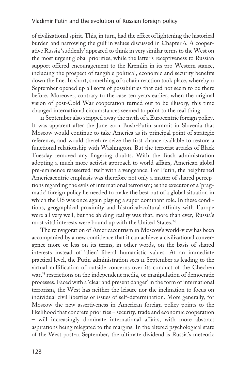of civilizational spirit. This, in turn, had the effect of lightening the historical burden and narrowing the gulf in values discussed in Chapter 6. A cooperative Russia 'suddenly' appeared to think in very similar terms to the West on the most urgent global priorities, while the latter's receptiveness to Russian support offered encouragement to the Kremlin in its pro-Western stance, including the prospect of tangible political, economic and security benefits down the line. In short, something of a chain reaction took place, whereby 11 September opened up all sorts of possibilities that did not seem to be there before. Moreover, contrary to the case ten years earlier, when the original vision of post-Cold War cooperation turned out to be illusory, this time changed international circumstances seemed to point to the real thing.

11 September also stripped away the myth of a Eurocentric foreign policy. It was apparent after the June 2001 Bush-Putin summit in Slovenia that Moscow would continue to take America as its principal point of strategic reference, and would therefore seize the first chance available to restore a functional relationship with Washington. But the terrorist attacks of Black Tuesday removed any lingering doubts. With the Bush administration adopting a much more activist approach to world affairs, American global pre-eminence reasserted itself with a vengeance. For Putin, the heightened Americacentric emphasis was therefore not only a matter of shared perceptions regarding the evils of international terrorism; as the executor of a 'pragmatic' foreign policy he needed to make the best out of a global situation in which the US was once again playing a super dominant role. In these conditions, geographical proximity and historical-cultural affinity with Europe were all very well, but the abiding reality was that, more than ever, Russia's most vital interests were bound up with the United States.<sup>24</sup>

The reinvigoration of Americacentrism in Moscow's world-view has been accompanied by a new confidence that it can achieve a civilizational convergence more or less on its terms, in other words, on the basis of shared interests instead of 'alien' liberal humanistic values. At an immediate practical level, the Putin administration sees 11 September as leading to the virtual nullification of outside concerns over its conduct of the Chechen war,<sup>25</sup> restrictions on the independent media, or manipulation of democratic processes. Faced with a 'clear and present danger' in the form of international terrorism, the West has neither the leisure nor the inclination to focus on individual civil liberties or issues of self-determination. More generally, for Moscow the new assertiveness in American foreign policy points to the likelihood that concrete priorities – security, trade and economic cooperation – will increasingly dominate international affairs, with more abstract aspirations being relegated to the margins. In the altered psychological state of the West post-11 September, the ultimate dividend is Russia's meteoric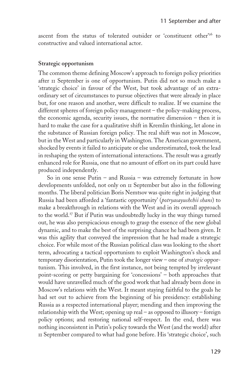ascent from the status of tolerated outsider or 'constituent other'26 to constructive and valued international actor.

### **Strategic opportunism**

The common theme defining Moscow's approach to foreign policy priorities after 11 September is one of opportunism. Putin did not so much make a 'strategic choice' in favour of the West, but took advantage of an extraordinary set of circumstances to pursue objectives that were already in place but, for one reason and another, were difficult to realize. If we examine the different spheres of foreign policy management – the policy-making process, the economic agenda, security issues, the normative dimension – then it is hard to make the case for a qualitative shift in Kremlin thinking, let alone in the substance of Russian foreign policy. The real shift was not in Moscow, but in the West and particularly in Washington. The American government, shocked by events it failed to anticipate or else underestimated, took the lead in reshaping the system of international interactions. The result was a greatly enhanced role for Russia, one that no amount of effort on its part could have produced independently.

So in one sense Putin – and Russia – was extremely fortunate in how developments unfolded, not only on 11 September but also in the following months. The liberal politician Boris Nemtsov was quite right in judging that Russia had been afforded a 'fantastic opportunity' (*potryasayushchii shans*) to make a breakthrough in relations with the West and in its overall approach to the world.27 But if Putin was undoubtedly lucky in the way things turned out, he was also perspicacious enough to grasp the essence of the new global dynamic, and to make the best of the surprising chance he had been given. It was this agility that conveyed the impression that he had made a strategic choice. For while most of the Russian political class was looking to the short term, advocating a tactical opportunism to exploit Washington's shock and temporary disorientation, Putin took the longer view – one of *strategic* opportunism. This involved, in the first instance, not being tempted by irrelevant point-scoring or petty bargaining for 'concessions' – both approaches that would have unravelled much of the good work that had already been done in Moscow's relations with the West. It meant staying faithful to the goals he had set out to achieve from the beginning of his presidency: establishing Russia as a respected international player; mending and then improving the relationship with the West; opening up real – as opposed to illusory – foreign policy options; and restoring national self-respect. In the end, there was nothing inconsistent in Putin's policy towards the West (and the world) after 11 September compared to what had gone before. His 'strategic choice', such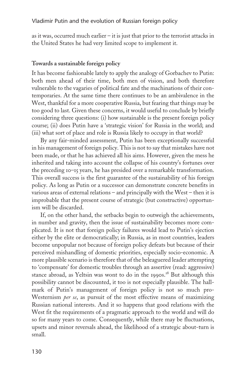## Vladimir Putin and the evolution of Russian foreign policy

as it was, occurred much earlier – it is just that prior to the terrorist attacks in the United States he had very limited scope to implement it.

# **Towards a sustainable foreign policy**

It has become fashionable lately to apply the analogy of Gorbachev to Putin: both men ahead of their time, both men of vision, and both therefore vulnerable to the vagaries of political fate and the machinations of their contemporaries. At the same time there continues to be an ambivalence in the West, thankful for a more cooperative Russia, but fearing that things may be too good to last. Given these concerns, it would useful to conclude by briefly considering three questions: (i) how sustainable is the present foreign policy course; (ii) does Putin have a 'strategic vision' for Russia in the world; and (iii) what sort of place and role is Russia likely to occupy in that world?

By any fair-minded assessment, Putin has been exceptionally successful in his management of foreign policy. This is not to say that mistakes have not been made, or that he has achieved all his aims. However, given the mess he inherited and taking into account the collapse of his country's fortunes over the preceding 10–15 years, he has presided over a remarkable transformation. This overall success is the first guarantee of the sustainability of his foreign policy. As long as Putin or a successor can demonstrate concrete benefits in various areas of external relations – and principally with the West – then it is improbable that the present course of strategic (but constructive) opportunism will be discarded.

If, on the other hand, the setbacks begin to outweigh the achievements, in number and gravity, then the issue of sustainability becomes more complicated. It is not that foreign policy failures would lead to Putin's ejection either by the elite or democratically; in Russia, as in most countries, leaders become unpopular not because of foreign policy defeats but because of their perceived mishandling of domestic priorities, especially socio-economic. A more plausible scenario is therefore that of the beleaguered leader attempting to 'compensate' for domestic troubles through an assertive (read: aggressive) stance abroad, as Yeltsin was wont to do in the 1990s.<sup>28</sup> But although this possibility cannot be discounted, it too is not especially plausible. The hallmark of Putin's management of foreign policy is not so much pro-Westernism *per se*, as pursuit of the most effective means of maximizing Russian national interests. And it so happens that good relations with the West fit the requirements of a pragmatic approach to the world and will do so for many years to come. Consequently, while there may be fluctuations, upsets and minor reversals ahead, the likelihood of a strategic about-turn is small.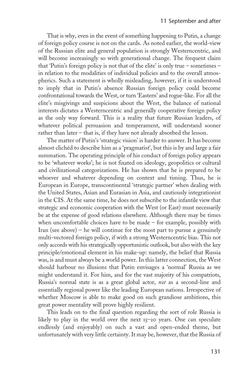That is why, even in the event of something happening to Putin, a change of foreign policy course is not on the cards. As noted earlier, the world-view of the Russian elite and general population is strongly Westerncentric, and will become increasingly so with generational change. The frequent claim that 'Putin's foreign policy is not that of the elite' is only true – sometimes – in relation to the modalities of individual policies and to the overall atmospherics. Such a statement is wholly misleading, however, if it is understood to imply that in Putin's absence Russian foreign policy could become confrontational towards the West, or turn 'Eastern' and rogue-like. For all the elite's misgivings and suspicions about the West, the balance of national interests dictates a Westerncentric and generally cooperative foreign policy as the only way forward. This is a reality that future Russian leaders, of whatever political persuasion and temperament, will understand sooner rather than later – that is, if they have not already absorbed the lesson.

The matter of Putin's 'strategic vision' is harder to answer. It has become almost clichéd to describe him as a 'pragmatist', but this is by and large a fair summation. The operating principle of his conduct of foreign policy appears to be 'whatever works'; he is not fixated on ideology, geopolitics or cultural and civilizational categorizations. He has shown that he is prepared to be whoever and whatever depending on context and timing. Thus, he is European in Europe, transcontinental 'strategic partner' when dealing with the United States, Asian and Eurasian in Asia, and cautiously integrationist in the CIS. At the same time, he does not subscribe to the infantile view that strategic and economic cooperation with the West (or East) must necessarily be at the expense of good relations elsewhere. Although there may be times when uncomfortable choices have to be made  $-$  for example, possibly with Iran (see above) – he will continue for the most part to pursue a genuinely multi-vectored foreign policy, if with a strong Westerncentric bias. This not only accords with his strategically opportunistic outlook, but also with the key principle/emotional element in his make-up: namely, the belief that Russia was, is and must always be a world power. In this latter connection, the West should harbour no illusions that Putin envisages a 'normal' Russia as we might understand it. For him, and for the vast majority of his compatriots, Russia's normal state is as a great global actor, *not* as a second-line and essentially regional power like the leading European nations. Irrespective of whether Moscow is able to make good on such grandiose ambitions, this great power mentality will prove highly resilient.

This leads on to the final question regarding the sort of role Russia is likely to play in the world over the next 15-20 years. One can speculate endlessly (and enjoyably) on such a vast and open-ended theme, but unfortunately with very little certainty. It may be, however, that the Russia of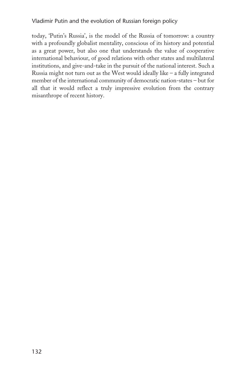today, 'Putin's Russia', is the model of the Russia of tomorrow: a country with a profoundly globalist mentality, conscious of its history and potential as a great power, but also one that understands the value of cooperative international behaviour, of good relations with other states and multilateral institutions, and give-and-take in the pursuit of the national interest. Such a Russia might not turn out as the West would ideally like – a fully integrated member of the international community of democratic nation-states – but for all that it would reflect a truly impressive evolution from the contrary misanthrope of recent history.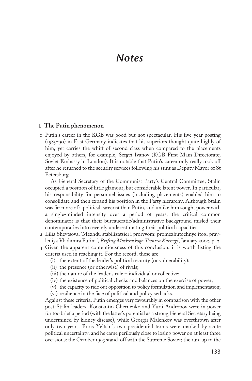## *Notes*

#### **1 The Putin phenomenon**

11 Putin's career in the KGB was good but not spectacular. His five-year posting (1985–90) in East Germany indicates that his superiors thought quite highly of him, yet carries the whiff of second class when compared to the placements enjoyed by others, for example, Sergei Ivanov (KGB First Main Directorate; Soviet Embassy in London). It is notable that Putin's career only really took off after he returned to the security services following his stint as Deputy Mayor of St Petersburg.

As General Secretary of the Communist Party's Central Committee, Stalin occupied a position of little glamour, but considerable latent power. In particular, his responsibility for personnel issues (including placements) enabled him to consolidate and then expand his position in the Party hierarchy. Although Stalin was far more of a political careerist than Putin, and unlike him sought power with a single-minded intensity over a period of years, the critical common denominator is that their bureaucratic/administrative background misled their contemporaries into severely underestimating their political capacities.

- 12 Lilia Shevtsova, 'Mezhdu stabilizatsiei i proryvom: promezhutochnye itogi pravleniya Vladimira Putina', *Brifing Moskovskogo Tsentra Karnegi*, January 2002, p. 2.
- 13 Given the apparent contentiousness of this conclusion, it is worth listing the criteria used in reaching it. For the record, these are:
	- (i) the extent of the leader's political security (or vulnerability);
	- (ii) the presence (or otherwise) of rivals;
	- (iii) the nature of the leader's rule individual or collective;
	- (iv) the existence of political checks and balances on the exercise of power;
	- (v) the capacity to ride out opposition to policy formulation and implementation;
	- (vi) resilience in the face of political and policy setbacks.

Against these criteria, Putin emerges very favourably in comparison with the other post-Stalin leaders. Konstantin Chernenko and Yurii Andropov were in power for too brief a period (with the latter's potential as a strong General Secretary being undermined by kidney disease), while Georgii Malenkov was overthrown after only two years. Boris Yeltsin's two presidential terms were marked by acute political uncertainty, and he came perilously close to losing power on at least three occasions: the October 1993 stand-off with the Supreme Soviet; the run-up to the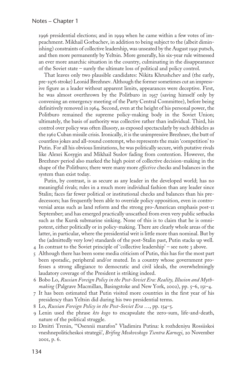1996 presidential elections; and in 1999 when he came within a few votes of impeachment. Mikhail Gorbachev, in addition to being subject to the (albeit diminishing) constraints of collective leadership, was unseated by the August 1991 putsch, and then more permanently by Yeltsin. More generally, his six-year rule witnessed an ever more anarchic situation in the country, culminating in the disappearance of the Soviet state – surely the ultimate loss of political and policy control.

That leaves only two plausible candidates: Nikita Khrushchev and (the early, pre-1976 stroke) Leonid Brezhnev. Although the former sometimes cut an impressive figure as a leader without apparent limits, appearances were deceptive. First, he was almost overthrown by the Politburo in 1957 (saving himself only by convening an emergency meeting of the Party Central Committee), before being definitively removed in 1964. Second, even at the height of his personal power, the Politburo remained the supreme policy-making body in the Soviet Union; ultimately, the basis of authority was collective rather than individual. Third, his control over policy was often illusory, as exposed spectacularly by such débâcles as the 1962 Cuban missile crisis. Ironically, it is the unimpressive Brezhnev, the butt of countless jokes and all-round contempt, who represents the main 'competition' to Putin. For all his obvious limitations, he was politically secure, with putative rivals like Alexei Kosygin and Mikhail Suslov fading from contention. However, the Brezhnev period also marked the high point of collective decision-making in the shape of the Politburo; there were many more *effective* checks and balances in the system than exist today.

Putin, by contrast, is as secure as any leader in the developed world; has no meaningful rivals; rules in a much more individual fashion than any leader since Stalin; faces far fewer political or institutional checks and balances than his predecessors; has frequently been able to override policy opposition, even in controversial areas such as land reform and the strong pro-American emphasis post-11 September; and has emerged practically unscathed from even very public setbacks such as the Kursk submarine sinking. None of this is to claim that he is omnipotent, either politically or in policy-making. There are clearly whole areas of the latter, in particular, where the presidential writ is little more than nominal. But by the (admittedly very low) standards of the post-Stalin past, Putin stacks up well.

- 4 In contrast to the Soviet principle of 'collective leadership' see note 3 above.
- 15 Although there has been some media criticism of Putin, this has for the most part been sporadic, peripheral and/or muted. In a country whose government professes a strong allegiance to democratic and civil ideals, the overwhelmingly laudatory coverage of the President is striking indeed.
- 16 Bobo Lo, *Russian Foreign Policy in the Post-Soviet Era: Reality, Illusion and Mythmaking* (Palgrave Macmillan, Basingstoke and New York, 2002), pp. 5–6, 151–4.
- 17 It has been estimated that Putin visited more countries in the first year of his presidency than Yeltsin did during his two presidential terms.
- 18 Lo, *Russian Foreign Policy in the Post-Soviet Era* …, pp. 154–5.
- 19 Lenin used the phrase *kto kogo* to encapsulate the zero-sum, life-and-death, nature of the political struggle.
- 10 Dmitri Trenin, '"Osennii marafon" Vladimira Putina: k rozhdeniyu Rossiiskoi vneshnepoliticheskoi strategii', *Brifing Moskovskogo Tsentra Karnegi*, 20 November 2001, p. 6.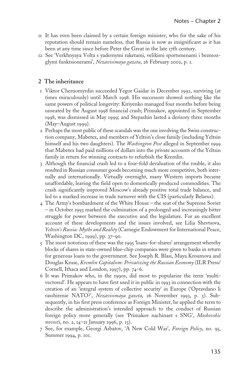- 11 It has even been claimed by a certain foreign minister, who for the sake of his reputation should remain nameless, that Russia is now as insignificant as it has been at any time since before Peter the Great in the late 17th century.
- 12 See 'Verkhnyaya Volta s yadernymi raketami, velikimi sportsmenami i bezmozglymi funktsionerami', *Nezavisimaya gazeta*, 26 February 2002, p. 1.

## **2 The inheritance**

- 11 Viktor Chernomyrdin succeeded Yegor Gaidar in December 1992, surviving (at times miraculously) until March 1998. His successors showed nothing like the same powers of political longevity: Kiriyenko managed four months before being unseated by the August 1998 financial crash; Primakov, appointed in September 1998, was dismissed in May 1999; and Stepashin lasted a derisory three months (May–August 1999).
- 12 Perhaps the most public of these scandals was the one involving the Swiss construction company, Mabetex, and members of Yeltsin's close family (including Yeltsin himself and his two daughters). The *Washington Post* alleged in September 1999 that Mabetex had paid millions of dollars into the private accounts of the Yeltsin family in return for winning contracts to refurbish the Kremlin.
- 13 Although the financial crash led to a four-fold devaluation of the rouble, it also resulted in Russian consumer goods becoming much more competitive, both internally and internationally. Virtually overnight, many Western imports became unaffordable, leaving the field open to domestically produced commodities. The crash significantly improved Moscow's already positive total trade balance, and led to a marked increase in trade turnover with the CIS (particularly Belarus).
- 14 The Army's bombardment of the White House the seat of the Supreme Soviet – in October 1993 marked the culmination of a prolonged and increasingly bitter struggle for power between the executive and the legislature. For an excellent account of these developments and the issues involved, see Lilia Shevtsova, *Yeltsin's Russia: Myths and Reality* (Carnegie Endowment for International Peace, Washington DC, 1999), pp. 37–90.
- 15 The most notorious of these was the 1995 'loans-for-shares' arrangement whereby blocks of shares in state-owned blue-chip companies were given to banks in return for generous loans to the government. See Joseph R. Blasi, Maya Kroumova and Douglas Kruse, *Kremlin Capitalism: Privatizing the Russian Economy* (ILR Press/ Cornell, Ithaca and London, 1997), pp. 74–6.
- 16 It was Primakov who, in the 1990s, did most to popularize the term 'multivectored'. He appears to have first used it in public in 1993 in connection with the creation of an 'integral system of collective security' in Europe ('Opravdano li rasshirenie NATO?', *Nezavisimaya gazeta*, 26 November 1993, p. 3). Subsequently, in his first press conference as Foreign Minister, he applied the term to describe the administration's intended approach to the conduct of Russian foreign policy more generally (see 'Primakov nachinaet s SNG', *Moskovskie novosti*, no. 2, 14–21 January 1996, p. 13).
- 17 See, for example, Georgi Arbatov, 'A New Cold War', *Foreign Policy*, no. 95, Summer 1994, p. 101.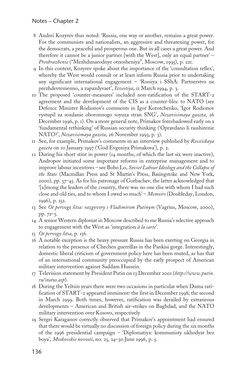## Notes – Chapter 2

- 18 Andrei Kozyrev thus noted: 'Russia, one way or another, remains a great power. For the communists and nationalists, an aggressive and threatening power, for the democrats, a peaceful and prosperous one. But in all cases a great power. And therefore it cannot be a junior partner [with the West], only an equal partner' – *Preobrazhenie* ("Mezhdunarodnye otnosheniya", Moscow, 1995), p. 221.
- 19 In this context, Kozyrev spoke about the importance of the 'consultation reflex', whereby the West would consult or at least inform Russia prior to undertaking any significant international engagement – 'Rossiya i SShA: Partnerstvo ne prezhdevremenno, a zapazdyvaet', *Izvestiya*, 11 March 1994, p. 3.
- 10 The proposed 'counter-measures' included non-ratification of the START-2 agreement and the development of the CIS as a counter-bloc to NATO (see Defence Minister Rodionov's comments in Igor Korotchenko, 'Igor Rodionov vystupil za sozdanie oboronnogo soyuza stran SNG', *Nezavisimaya gazeta*, 26 December 1996, p. 1). On a more general note, Primakov foreshadowed early on a 'fundamental rethinking' of Russian security thinking ('Opravdano li rasshirenie NATO?', *Nezavisimaya gazeta*, 26 November 1993, p. 3).
- 11 See, for example, Primakov's comments in an interview published by *Rossiiskaya gazeta* on 10 January 1997 ('God Evgeniya Primakova'), p. 2.
- 12 During his short stint in power (14 months, of which the last six were inactive), Andropov initiated some important reforms in enterprise management and to improve labour incentives – see Bobo Lo, *Soviet Labour Ideology and the Collapse of the State* (Macmillan Press and St Martin's Press, Basingstoke and New York, 2000), pp. 37–45. As for his patronage of Gorbachev, the latter acknowledged that '[a]mong the leaders of the country, there was no one else with whom I had such close and old ties, and to whom I owed so much' – *Memoirs* (Doubleday, London, 1996), p. 152.
- 13 See *Ot pervogo litsa: razgovory s Vladimirom Putinym* (Vagrius, Moscow, 2000), pp. 72–5.
- 14 A senior Western diplomat in Moscow described to me Russia's selective approach to engagement with the West as 'integration *à la carte*'.
- 15 *Ot pervogo litsa*, p. 156.
- 16 A notable exception is the heavy pressure Russia has been exerting on Georgia in relation to the presence of Chechen guerrillas in the Pankisi gorge. Interestingly, domestic liberal criticism of government policy here has been muted, as has that of an international community preoccupied by the early prospect of American military intervention against Saddam Hussein.
- 17 Television statement by President Putin on 13 December 2001 (*http://www.putin. ru/status.asp*).
- 18 During the Yeltsin years there were two occasions in particular when Duma ratification of START-2 appeared imminent: the first in December 1998; the second in March 1999. Both times, however, ratification was derailed by extraneous developments – American and British air-strikes on Baghdad, and the NATO military intervention over Kosovo, respectively
- 19 Sergei Karaganov correctly observed that Primakov's appointment had ensured that there would be virtually no discussion of foreign policy during the six months of the 1996 presidential campaign – 'Diplomatiya: kommunisty ukhodyat bez boya', *Moskovskie novosti*, no. 25, 24–30 June 1996, p. 5.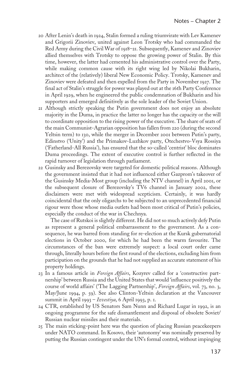- 20 After Lenin's death in 1924, Stalin formed a ruling triumvirate with Lev Kamenev and Grigorii Zinoviev, united against Leon Trotsky who had commanded the Red Army during the Civil War of 1918–21. Subsequently, Kamenev and Zinoviev allied themselves with Trotsky to oppose the growing power of Stalin. By this time, however, the latter had cemented his administrative control over the Party, while making common cause with its right wing led by Nikolai Bukharin, architect of the (relatively) liberal New Economic Policy. Trotsky, Kamenev and Zinoviev were defeated and then expelled from the Party in November 1927. The final act of Stalin's struggle for power was played out at the 16th Party Conference in April 1929, when he engineered the public condemnation of Bukharin and his supporters and emerged definitively as the sole leader of the Soviet Union.
- 21 Although strictly speaking the Putin government does not enjoy an absolute majority in the Duma, in practice the latter no longer has the capacity or the will to coordinate opposition to the rising power of the executive. The share of seats of the main Communist-Agrarian opposition has fallen from 220 (during the second Yeltsin term) to 130, while the merger in December 2001 between Putin's party, Edinstvo ('Unity') and the Primakov-Luzhkov party, Otechestvo-Vsya Rossiya ('Fatherland-All Russia'), has ensured that the so-called 'centrist' bloc dominates Duma proceedings. The extent of executive control is further reflected in the rapid turnover of legislation through parliament.
- 22 Gusinsky and Berezovsky were targeted for domestic political reasons. Although the government insisted that it had not influenced either Gazprom's takeover of the Gusinsky Media-Most group (including the NTV channel) in April 2001, or the subsequent closure of Berezovsky's TV6 channel in January 2002, these disclaimers were met with widespread scepticism. Certainly, it was hardly coincidental that the only oligarchs to be subjected to an unprecedented financial rigour were those whose media outlets had been most critical of Putin's policies, especially the conduct of the war in Chechnya.

The case of Rutskoi is slightly different. He did not so much actively defy Putin as represent a general political embarrassment to the government. As a consequence, he was barred from standing for re-election at the Kursk gubernatorial elections in October 2000, for which he had been the warm favourite. The circumstances of the ban were extremely suspect: a local court order came through, literally hours before the first round of the elections, excluding him from participation on the grounds that he had not supplied an accurate statement of his property holdings.

- 23 In a famous article in *Foreign Affairs*, Kozyrev called for a 'constructive partnership' between Russia and the United States that would 'influence positively the course of world affairs' ('The Lagging Partnership', *Foreign Affairs*, vol. 73, no. 3, May/June 1994, p. 59). See also Clinton-Yeltsin declaration at the Vancouver summit in April 1993 – *Izvestiya*, 6 April 1993, p. 1.
- 24 CTR, established by US Senators Sam Nunn and Richard Lugar in 1992, is an ongoing programme for the safe dismantlement and disposal of obsolete Soviet/ Russian nuclear missiles and their materials.
- 25 The main sticking-point here was the question of placing Russian peacekeepers under NATO command. In Kosovo, their 'autonomy' was nominally preserved by putting the Russian contingent under the UN's formal control, without impinging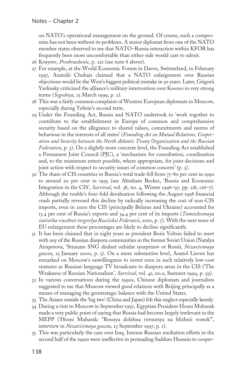on NATO's operational management on the ground. Of course, such a compromise has not been without its problems. A senior diplomat from one of the NATO member states observed to me that NATO–Russia interaction within KFOR has frequently been more uncomfortable than either side would care to admit.

- 26 Kozyrev, *Preobrazhenie*, p. 221 (see note 8 above).
- 27 For example, at the World Economic Forum in Davos, Switzerland, in February 1997, Anatolii Chubais claimed that a NATO enlargement over Russian objections would be the West's biggest political mistake in 50 years. Later, Grigorii Yavlinsky criticized the alliance's military intervention over Kosovo in very strong terms (*Segodnya*, 25 March 1999, p. 2).
- 28 This was a fairly common complaint of Western European diplomats in Moscow, especially during Yeltsin's second term.
- 29 Under the Founding Act, Russia and NATO undertook to 'work together to contribute to the establishment in Europe of common and comprehensive security based on the allegiance to shared values, commitments and norms of behaviour in the interests of all states' (*Founding Act on Mutual Relations, Cooperation and Security between the North Atlantic Treaty Organization and the Russian Federation*, p. 3). On a slightly more concrete level, the Founding Act established a Permanent Joint Council (PJC), a 'mechanism for consultation, coordination and, to the maximum extent possible, where appropriate, for joint decisions and joint action with respect to security issues of common concern'  $(p, \zeta)$ .
- 30 The share of CIS countries in Russia's total trade fell from 75–80 per cent in 1990 to around 20 per cent in 1995 (see Abraham Becker, 'Russia and Economic Integration in the CIS', *Survival*, vol. 38, no. 4, Winter 1996–97, pp. 118, 126–7). Although the rouble's four-fold devaluation following the August 1998 financial crash partially reversed this decline by radically increasing the cost of non-CIS imports, even in 2000 the CIS (principally Belarus and Ukraine) accounted for 13.4 per cent of Russia's exports and 34.4 per cent of its imports (*Tamozhennaya statistika vneshnei torgovlya Rossiiskoi Federatsii*, 2001, p. 7). With the next wave of EU enlargement these percentages are likely to decline significantly.
- 31 It has been claimed that in eight years as president Boris Yeltsin failed to meet with any of the Russian diaspora communities in the former Soviet Union (Natalya Airapetova, 'Stranam SNG sleduet ozhidat syurprizov ot Rossii, *Nezavisimaya gazeta*, 25 January 2000, p. 5). On a more substantive level, Anatol Lieven has remarked on Moscow's unwillingness to invest even in such relatively low-cost ventures as Russian-language TV broadcasts to diaspora areas in the CIS ('The Weakness of Russian Nationalism', *Survival*, vol. 41, no.2, Summer 1999, p. 59).
- 32 In various conversations during the 1990s, Chinese diplomats and journalists suggested to me that Moscow viewed good relations with Beijing principally as a means of managing the geostrategic balance with the United States.
- 33 The Asians outside the 'big two' (China and Japan) felt this neglect especially keenly.
- 34 During a visit to Moscow in September 1997, Egyptian President Hosni Mubarak made a very public point of saying that Russia had become largely irrelevant in the MEPP ('Hosni Mubarak: "Rossiya dolzhna vernutsya na blizhnii vostok"', interview in *Nezavisimaya gazeta*, 23 September 1997, p. 1).
- 35 This was particularly the case over Iraq. Intense Russian mediation efforts in the second half of the 1990s were ineffective in persuading Saddam Hussein to cooper-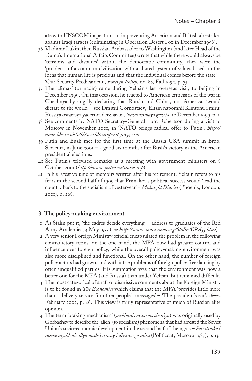ate with UNSCOM inspections or in preventing American and British air-strikes against Iraqi targets (culminating in Operation Desert Fox in December 1998).

- 36 Vladimir Lukin, then Russian Ambassador to Washington (and later Head of the Duma's International Affairs Committee) wrote that while there would always be 'tensions and disputes' within the democratic community, they were the 'problems of a common civilization with a shared system of values based on the ideas that human life is precious and that the individual comes before the state' – 'Our Security Predicament', *Foreign Policy*, no. 88, Fall 1992, p. 75.
- 37 The 'climax' (or nadir) came during Yeltsin's last overseas visit, to Beijing in December 1999. On this occasion, he reacted to American criticisms of the war in Chechnya by angrily declaring that Russia and China, not America, 'would dictate to the world' – see Dmitrii Gornostaev, 'Eltsin napomnil Klintonu i miru: Rossiya ostaetsya yadernoi derzhavoi', *Nezavisimaya gazeta*, 10 December 1999, p. 1.
- 38 See comments by NATO Secretary-General Lord Robertson during a visit to Moscow in November 2001, in 'NATO brings radical offer to Putin', *http:// news.bbc.co.uk/1/hi/world/europe/1671654.stm.*
- 39 Putin and Bush met for the first time at the Russia–USA summit in Brdo, Slovenia, in June 2001 – a good six months after Bush's victory in the American presidential elections.
- 40 See Putin's televised remarks at a meeting with government ministers on 8 October 2001 (*http://www.putin.ru/status.asp*).
- 41 In his latest volume of memoirs written after his retirement, Yeltsin refers to his fears in the second half of 1999 that Primakov's political success would 'lead the country back to the socialism of yesteryear' – *Midnight Diaries* (Phoenix, London, 2001), p. 268.

#### **3 The policy-making environment**

- 11 As Stalin put it, 'the cadres decide everything' address to graduates of the Red Army Academies, 4 May 1935 (see *http://www.marx2mao.org/Stalin/GRA35.html*).
- 12 A very senior Foreign Ministry official encapsulated the problem in the following contradictory terms: on the one hand, the MFA now had greater control and influence over foreign policy, while the overall policy-making environment was also more disciplined and functional. On the other hand, the number of foreign policy actors had grown, and with it the problems of foreign policy free-lancing by often unqualified parties. His summation was that the environment was now a better one for the MFA (and Russia) than under Yeltsin, but remained difficult.
- 13 The most categorical of a raft of dismissive comments about the Foreign Ministry is to be found in *The Economist* which claims that the MFA 'provides little more than a delivery service for other people's messages' – 'The president's ear', 16–22 February 2002, p. 46. This view is fairly representative of much of Russian elite opinion.
- 14 The term 'braking mechanism' (*mekhanizm tormozheniya*) was originally used by Gorbachev to describe the 'alien' (to socialism) phenomena that had arrested the Soviet Union's socio-economic development in the second half of the 1970s – *Perestroika i novoe myshlenie dlya nashei strany i dlya vsego mira* (Politizdat, Moscow 1987), p. 13.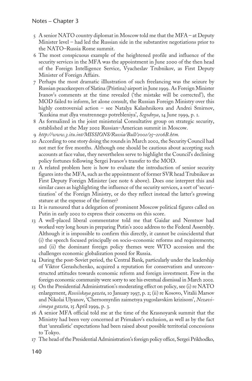- 15 A senior NATO country diplomat in Moscow told me that the MFA at Deputy Minister level – had led the Russian side in the substantive negotiations prior to the NATO–Russia Rome summit.
- 16 The most conspicuous example of the heightened profile and influence of the security services in the MFA was the appointment in June 2000 of the then head of the Foreign Intelligence Service, Vyacheslav Trubnikov, as First Deputy Minister of Foreign Affairs.
- 17 Perhaps the most dramatic illlustration of such freelancing was the seizure by Russian peacekeepers of Slatina (Pristina) airport in June 1999. As Foreign Minister Ivanov's comments at the time revealed ('the mistake will be corrected'), the MOD failed to inform, let alone consult, the Russian Foreign Ministry over this highly controversial action – see Natalya Kalashnikova and Andrei Smirnov, 'Kuzkina mat dlya vnutrennego potrebleniya', *Segodnya*, 14 June 1999, p. 1.
- 18 As formalized in the joint ministerial Consultative group on strategic security, established at the May 2002 Russian–American summit in Moscow.
- 19 *http://www.3.itu.int/MISSIONS/Russia/Bull/2001/25–2106B.htm.*
- 10 According to one story doing the rounds in March 2002, the Security Council had not met for five months. Although one should be cautious about accepting such accounts at face value, they nevertheless serve to highlight the Council's declining policy fortunes following Sergei Ivanov's transfer to the MOD.
- 11 A related problem here is how to evaluate the introduction of senior security figures into the MFA, such as the appointment of former SVR head Trubnikov as First Deputy Foreign Minister (see note 6 above). Does one interpret this and similar cases as highlighting the influence of the security services, a sort of 'securitization' of the Foreign Ministry, or do they reflect instead the latter's growing stature at the expense of the former?
- 12 It is rumoured that a delegation of prominent Moscow political figures called on Putin in early 2002 to express their concerns on this score.
- 13 A well-placed liberal commentator told me that Gaidar and Nemtsov had worked very long hours in preparing Putin's 2002 address to the Federal Assembly. Although it is impossible to confirm this directly, it cannot be coincidental that (i) the speech focused principally on socio-economic reforms and requirements; and (ii) the dominant foreign policy themes were WTO accession and the challenges economic globalization posed for Russia.
- 14 During the post-Soviet period, the Central Bank, particularly under the leadership of Viktor Gerashchenko, acquired a reputation for conservatism and unreconstructed attitudes towards economic reform and foreign investment. Few in the foreign economic community were sorry to see his eventual dismissal in March 2002.
- 15 On the Presidential Administration's moderating effect on policy, see (i) re NATO enlargement, *Rossiiskaya gazeta*, 10 January 1997, p. 2; (ii) re Kosovo, Vitalii Marsov and Nikolai Ulyanov, 'Chernomyrdin zaimetsya yugoslavskim krizisom', *Nezavisimaya gazeta*, 15 April 1999, p. 3.
- 16 A senior MFA official told me at the time of the Krasnoyarsk summit that the Ministry had been very concerned at Primakov's exclusion, as well as by the fact that 'unrealistic' expectations had been raised about possible territorial concessions to Tokyo.
- 17 The head of the Presidential Administration's foreign policy office, Sergei Prikhodko,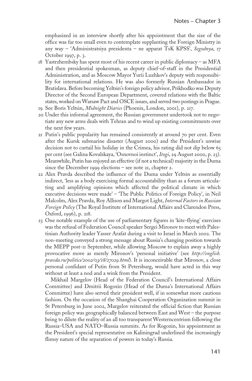emphasized in an interview shortly after his appointment that the size of the office was far too small even to contemplate supplanting the Foreign Ministry in any way – 'Administratsiya prezidenta – ne apparat TsK KPSS', *Segodnya*, 17 October 1997, p. 3.

- 18 Yastrzhembsky has spent most of his recent career in public diplomacy as MFA and then presidential spokesman, as deputy chief-of-staff in the Presidential Administration, and as Moscow Mayor Yurii Luzhkov's deputy with responsibility for international relations. He was also formerly Russian Ambassador in Bratislava. Before becoming Yeltsin's foreign policy advisor, Prikhodko was Deputy Director of the Second European Department, covered relations with the Baltic states, worked on Warsaw Pact and OSCE issues, and served two postings in Prague.
- 19 See Boris Yeltsin, *Midnight Diaries* (Phoenix, London, 2001), p. 217.
- 20 Under this informal agreement, the Russian government undertook not to negotiate any new arms deals with Tehran and to wind up existing commitments over the next few years.
- 21 Putin's public popularity has remained consistently at around 70 per cent. Even after the Kursk submarine disaster (August 2000) and the President's unwise decision not to curtail his holiday in the Crimea, his rating did not dip below 65 per cent (see Galina Kovalskaya, 'Osnovnoi instinct', *Itogi*, 29 August 2000, p. 23). Meanwhile, Putin has enjoyed an effective (if not a technical) majority in the Duma since the December 1999 elections – see note 21, chapter 2.
- 22 Alex Pravda described the influence of the Duma under Yeltsin as essentially indirect, 'less as a body exercising formal accountability than as a forum articulating and amplifying opinions which affected the political climate in which executive decisions were made' – 'The Public Politics of Foreign Policy', in Neil Malcolm, Alex Pravda, Roy Allison and Margot Light, *Internal Factors in Russian Foreign Policy* (The Royal Institute of International Affairs and Clarendon Press, Oxford, 1996), p. 218.
- 23 One notable example of the use of parliamentary figures in 'kite-flying' exercises was the refusal of Federation Council speaker Sergei Mironov to meet with Palestinian Authority leader Yasser Arafat during a visit to Israel in March 2002. The non-meeting conveyed a strong message about Russia's changing position towards the MEPP post-11 September, while allowing Moscow to explain away a highly provocative move as merely Mironov's 'personal initiative' (see *http://english. pravda.ru/politics/2002/03/18/27029.html*). It is inconceivable that Mironov, a close personal confidant of Putin from St Petersburg, would have acted in this way without at least a nod and a wink from the President.

Mikhail Margelov (Head of the Federation Council's International Affairs Committee) and Dmitrii Rogozin (Head of the Duma's International Affairs Committee) have also served their president well, if in somewhat more cautious fashion. On the occasion of the Shanghai Cooperation Organization summit in St Petersburg in June 2002, Margelov reiterated the official fiction that Russian foreign policy was geographically balanced between East and West – the purpose being to dilute the reality of an all too transparent Westerncentrism following the Russia–USA and NATO–Russia summits. As for Rogozin, his appointment as the President's special representative on Kaliningrad underlined the increasingly flimsy nature of the separation of powers in today's Russia.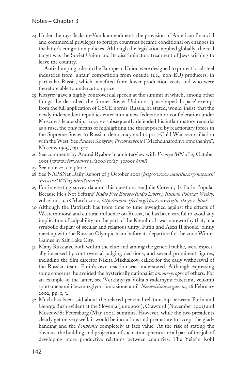### Notes – Chapter 3

24 Under the 1974 Jackson-Vanik amendment, the provision of American financial and commercial privileges to foreign countries became conditional on changes in the latter's emigration policies. Although the legislation applied globally, the real target was the Soviet Union and its discriminatory treatment of Jews wishing to leave the country.

Anti-dumping rules in the European Union were designed to protect local steel industries from 'unfair' competition from outside (i.e., non-EU) producers, in particular Russia, which benefited from lower production costs and who were therefore able to undercut on price.

- 25 Kozyrev gave a highly controversial speech at the summit in which, among other things, he described the former Soviet Union as 'post-imperial space' exempt from the full application of CSCE norms. Russia, he stated, would 'insist' that the newly independent republics enter into a new federation or confederation under Moscow's leadership. Kozyrev subsequently defended his inflammatory remarks as a ruse, the only means of highlighting the threat posed by reactionary forces in the Supreme Soviet to Russian democracy and to post-Cold War reconciliation with the West. See Andrei Kozyrev, *Preobrazhenie* ("Mezhdunarodnye otnosheniya", Moscow 1995), pp.  $5-7$ .
- 26 See comments by Andrei Ryabov in an interview with *Vremya MN* of 19 October 2001 (*www.rferl.com/rpw/2001/10/27–301001.html*).
- 27 See note 22, chapter 2.
- 28 See NAPSNet Daily Report of 3 October 2001 (*http://www.nautilus.org/napsnet/ dr/0110/OCT03.html#item17*).
- 29 For interesting survey data on this question, see Julie Corwin, 'Is Putin Popular Because He's Not Yeltsin?' *Radio Free Europe/Radio Liberty*, *Russian Political Weekly*, vol. 2, no. 9, 18 March 2002, *http://www.rferl.org/rpw/2002/03/9-180302. html.*
- 30 Although the Patriarch has from time to time inveighed against the effects of Western moral and cultural influence on Russia, he has been careful to avoid any implication of culpability on the part of the Kremlin. It was noteworthy that, in a symbolic display of secular and religious unity, Putin and Alexi II should jointly meet up with the Russian Olympic team before its departure for the 2002 Winter Games in Salt Lake City.
- 31 Many Russians, both within the elite and among the general public, were especially incensed by controversial judging decisions, and several prominent figures, including the film director Nikita Mikhalkov, called for the early withdrawal of the Russian team. Putin's own reaction was understated. Although expressing some concerns, he avoided the hysterically nationalist *amour-propre* of others. For an example of the latter, see 'Verkhnyaya Volta s yadernymi raketami, velikimi sportsmenami i bezmozglymi funktsionerami', *Nezavisimaya gazeta*, 26 February 2002, pp. 1, 3.
- 32 Much has been said about the relaxed personal relationship between Putin and George Bush evident at the Slovenia (June 2001), Crawford (November 2001) and Moscow/St Petersburg (May 2002) summits. However, while the two presidents clearly get on very well, it would be incautious and premature to accept the gladhanding and the *bonhomie* completely at face value. At the risk of stating the obvious, the building and projection of such atmospherics are all part of the job of developing more productive relations between countries. The Yeltsin–Kohl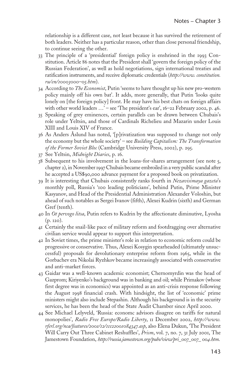relationship is a different case, not least because it has survived the retirement of both leaders. Neither has a particular reason, other than close personal friendship, to continue seeing the other.

- 33 The principle of a 'presidential' foreign policy is enshrined in the 1993 Constitution. Article 86 notes that the President shall 'govern the foreign policy of the Russian Federation', as well as hold negotiations, sign international treaties and ratification instruments, and receive diplomatic credentials (*http://www. constitution. ru/en/10003000–05.htm*).
- 34 According to *The Economist*, Putin 'seems to have thought up his new pro-western policy mainly off his own bat'. It adds, more generally, that Putin 'looks quite lonely on [the foreign policy] front. He may have his best chats on foreign affairs with other world leaders ...' – see 'The president's ear', 16–22 February 2002, p. 46.
- 35 Speaking of grey eminences, certain parallels can be drawn between Chubais's role under Yeltsin, and those of Cardinals Richelieu and Mazarin under Louis XIII and Louis XIV of France.
- 36 As Anders Åslund has noted, '[p]rivatization was supposed to change not only the economy but the whole society' – see *Building Capitalism: The Transformation of the Former Soviet Bloc* (Cambridge University Press, 2002), p. 295.
- 37 See Yeltsin, *Midnight Diaries*, p. 16.
- 38 Subsequent to his involvement in the loans-for-shares arrangement (see note 5, chapter 2), in November 1997 Chubais became embroiled in a very public scandal after he accepted a US\$90,000 advance payment for a proposed book on privatization.
- 39 It is interesting that Chubais consistently ranks fourth in *Nezavisimaya gazeta*'s monthly poll, Russia's 'roo leading politicians', behind Putin, Prime Minister Kasyanov, and Head of the Presidential Administration Alexander Voloshin, but ahead of such notables as Sergei Ivanov (fifth), Alexei Kudrin (sixth) and German Gref (tenth).
- 40 In *Ot pervogo litsa*, Putin refers to Kudrin by the affectionate diminutive, Lyosha (p. 120).
- 41 Certainly the snail-like pace of military reform and footdragging over alternative civilian service would appear to support this interpretation.
- 42 In Soviet times, the prime minister's role in relation to economic reform could be progressive or conservative. Thus, Alexei Kosygin spearheaded (ultimately unsuccessful) proposals for devolutionary enterprise reform from 1965, while in the Gorbachev era Nikolai Ryzhkov became increasingly associated with conservative and anti-market forces.
- 43 Gaidar was a well-known academic economist; Chernomyrdin was the head of Gazprom; Kiriyenko's background was in banking and oil; while Primakov (whose first degree was in economics) was appointed as an anti-crisis response following the August 1998 financial crash. With hindsight, the list of 'economic' prime ministers might also include Stepashin. Although his background is in the security services, he has been the head of the State Audit Chamber since April 2000.
- 44 See Michael Lelyveld, 'Russia: economc advisors disagree on tariffs for natural monopolies', *Radio Free Europe/Radio Liberty*, 11 December 2002, *http://www. rferl.org/nca/features/2001/12/11122001084347.asp*, also Elena Dukun, 'The President Will Carry Out Three Cabinet Reshuffles', *Prism*, vol. 7, no. 7, 31 July 2001, The Jamestown Foundation, *http://russia.jamestown.org/pubs/view/pri\_007\_007\_ 004.htm*.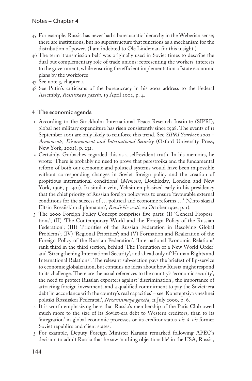### Notes – Chapter 4

- 45 For example, Russia has never had a bureaucratic hierarchy in the Weberian sense; there are institutions, but no superstructure that functions as a mechanism for the distribution of power. (I am indebted to Ole Lindeman for this insight.)
- 46 The term 'transmission belt' was originally used in Soviet times to describe the dual but complementary role of trade unions: representing the workers' interests to the government, while ensuring the efficient implementation of state economic plans by the workforce
- 47 See note 3, chapter 1.
- 48 See Putin's criticisms of the bureaucracy in his 2002 address to the Federal Assembly, *Rossiiskaya gazeta*, 19 April 2002, p. 4.

## **4 The economic agenda**

- 11 According to the Stockholm International Peace Research Institute (SIPRI), global net military expenditure has risen consistently since 1998. The events of 11 September 2001 are only likely to reinforce this trend. See *SIPRI Yearbook 2002 – Armaments, Disarmament and International Security* (Oxford University Press, New York, 2002), p. 232.
- 12 Certainly, Gorbachev regarded this as a self-evident truth. In his memoirs, he wrote: 'There is probably no need to prove that perestroika and the fundamental reform of both our economic and political systems would have been impossible without corresponding changes in Soviet foreign policy and the creation of propitious international conditions' (*Memoirs*, Doubleday, London and New York, 1996, p. 401). In similar vein, Yeltsin emphasized early in his presidency that the chief priority of Russian foreign policy was to ensure 'favourable external conditions for the success of … political and economic reforms …' ('Chto skazal Eltsin Rossiiskim diplomatam', *Rossiiskie vesti*, 29 October 1992, p. 1).
- 13 The 2000 Foreign Policy Concept comprises five parts: (I) 'General Propositions'; (II) 'The Contemporary World and the Foreign Policy of the Russian Federation'; (III) 'Priorities of the Russian Federation in Resolving Global Problems'; (IV) 'Regional Priorities'; and (V) Formation and Realization of the Foreign Policy of the Russian Federation'. 'International Economic Relations' rank third in the third section, behind 'The Formation of a New World Order' and 'Strengthening International Security', and ahead only of 'Human Rights and International Relations'. The relevant sub-section pays the briefest of lip-service to economic globalization, but contains no ideas about how Russia might respond to its challenge. There are the usual references to the country's 'economic security', the need to protect Russian exporters against 'discrimination', the importance of attracting foreign investment, and a qualified commitment to pay the Soviet-era debt 'in accordance with the country's real capacities' – see 'Konsteptsiya vneshnei politiki Rossiiskoi Federatsii', *Nezavisimaya gazeta*, 11 July 2000, p. 6.
- 14 It is worth emphasizing here that Russia's membership of the Paris Club owed much more to the size of its Soviet-era debt to Western creditors, than to its 'integration' in global economic processes or its creditor status *vis-à-vis* former Soviet republics and client states.
- 15 For example, Deputy Foreign Minister Karasin remarked following APEC's decision to admit Russia that he saw 'nothing objectionable' in the USA, Russia,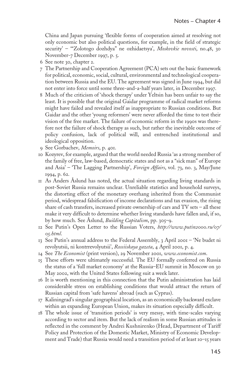China and Japan pursuing 'flexible forms of cooperation aimed at resolving not only economic but also political questions, for example, in the field of strategic security' – '"Zolotogo dozhdya" ne ozhidaetsya', *Moskovkie novosti*, no.48, 30 November-7 December 1997, p. 5.

- 16 See note 30, chapter 2.
- 17 The Partnership and Cooperation Agreement (PCA) sets out the basic framework for political, economic, social, cultural, environmental and technological cooperation between Russia and the EU. The agreement was signed in June 1994, but did not enter into force until some three-and-a-half years later, in December 1997.
- 18 Much of the criticism of 'shock therapy' under Yeltsin has been unfair to say the least. It is possible that the original Gaidar programme of radical market reforms might have failed and revealed itself as inappropriate to Russian conditions. But Gaidar and the other 'young reformers' were never afforded the time to test their vision of the free market. The failure of economic reform in the 1990s was therefore not the failure of shock therapy as such, but rather the inevitable outcome of policy confusion, lack of political will, and entrenched institutional and ideological opposition.
- 19 See Gorbachev, *Memoirs*, p. 401.
- 10 Kozyrev, for example, argued that the world needed Russia 'as a strong member of the family of free, law-based, democratic states and not as a "sick man" of Europe and Asia' – 'The Lagging Partnership', *Foreign Affairs*, vol. 73, no. 3, May/June 1994, p. 62.
- 11 As Anders Åslund has noted, the actual situation regarding living standards in post-Soviet Russia remains unclear. Unreliable statistics and household surveys, the distorting effect of the monetary overhang inherited from the Communist period, widespread falsification of income declarations and tax evasion, the rising share of cash transfers, increased private ownership of cars and TV sets – all these make it very difficult to determine whether living standards have fallen and, if so, by how much. See Åslund, *Building Capitalism*, pp. 305–9.
- 12 See Putin's Open Letter to the Russian Voters, *http://www.putin2000.ru/07/ 05.html*.
- 13 See Putin's annual address to the Federal Assembly, 3 April 2001 'Ne budet ni revolyutsii, ni kontrrevolyutsii', *Rossiiskaya gazeta*, 4 April 2001, p. 4.
- 14 See *The Economist* (print version), 29 November 2001, *www.economist.com*.
- 15 These efforts were ultimately successful. The EU formally conferred on Russia the status of a 'full market economy' at the Russia–EU summit in Moscow on 30 May 2002, with the United States following suit a week later.
- 16 It is worth mentioning in this connection that the Putin administration has laid considerable stress on establishing conditions that would attract the return of Russian capital from 'safe havens' abroad (such as Cyprus).
- 17 Kaliningrad's singular geographical location, as an economically backward exclave within an expanding European Union, makes its situation especially difficult.
- 18 The whole issue of 'transition periods' is very messy, with time-scales varying according to sector and item. But the lack of realism in some Russian attitudes is reflected in the comment by Andrei Kushnirenko (Head, Department of Tariff Policy and Protection of the Domestic Market, Ministry of Economic Development and Trade) that Russia would need a transition period of at least 10–15 years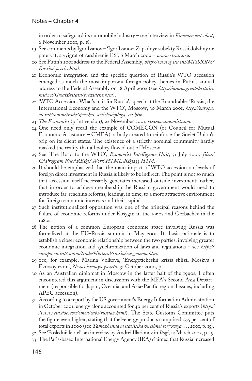in order to safeguard its automobile industry – see interview in *Kommersant vlast*, 6 November 2001, p. 18.

- 19 See comments by Igor Ivanov 'Igor Ivanov: Zapadnye subekty Rossii dolzhny ne poteryat, a vyigrat ot rasshirenie ES', 6 March 2002 – *www.strana.ru*.
- 20 See Putin's 2001 address to the Federal Assembly, *http://www3.itu.int/MISSIONS/ Russia/speechs.html*.
- 21 Economic integration and the specific question of Russia's WTO accession emerged as much the most important foreign policy themes in Putin's annual address to the Federal Assembly on 18 April 2002 (see *http://www.great-britain. mid.ru/GreatBritain/prezident.htm*).
- 22 'WTO Accession: What's in it for Russia', speech at the Roundtable: 'Russia, the International Economy and the WTO', Moscow, 30 March 2001, *http://europa. eu.int/comm/trade/speeches\_articles/spla54\_en.htm*.
- 23 *The Economist* (print version), 22 November 2001, *www.economist.com*.
- 24 One need only recall the example of COMECON (or Council for Mutual Economic Assistance – CMEA), a body created to reinforce the Soviet Union's grip on its client states. The existence of a strictly nominal community hardly masked the reality that all policy flowed out of Moscow.
- 25 See 'The Road to the WTO', *Economist Intelligence Unit*, 31 July 2001, *file:// C:\Program Files\RBB31\Work\HTML\RB3233.HTM*.
- 26 It should be emphasized that the main impact of WTO accession on levels of foreign direct investment in Russia is likely to be indirect. The point is not so much that accession itself necessarily generates increased outside investment; rather, that in order to achieve membership the Russian government would need to introduce far-reaching reforms, leading, in time, to a more attractive environment for foreign economic interests and their capital.
- 27 Such institutionalized opposition was one of the principal reasons behind the failure of economic reforms under Kosygin in the 1960s and Gorbachev in the 1980s.
- 28 The notion of a common European economic space involving Russia was formalized at the EU–Russia summit in May 2001. Its basic rationale is to establish a closer economic relationship between the two parties, involving greater economic integration and synchronization of laws and regulations – see *http:// europa.eu.int/comm/trade/bilateral/russia/rus\_memo.htm*.
- 29 See, for example, Marina Volkova, 'Energeticheskii krizis sblizil Moskvu s Evrosoyuzom', *Nezavisimaya gazeta*, 31 October 2000, p. 1.
- 30 As an Australian diplomat in Moscow in the latter half of the 1990s, I often encountered this argument in discussions with the MFA's Second Asia Department (responsible for Japan, Oceania, and Asia-Pacific regional issues, including APEC accession).
- 31 According to a report by the US government's Energy Information Administration in October 2001, energy alone accounted for 40 per cent of Russia's exports (*http:/ /www.eia.doe.gov/emeu/cabs/russia2.html*). The State Customs Committee puts the figure even higher, stating that fuel-energy products comprised 53.5 per cent of total exports in 2000 (see *Tamozhennaya statistika vneshnei torgovlya …*, 2001, p. 15).
- 32 See 'Poslednii kartel', an interview by Andrei Illarionov in *Itogi*, 12 March 2002, p. 15.
- 33 The Paris-based International Energy Agency (IEA) claimed that Russia increased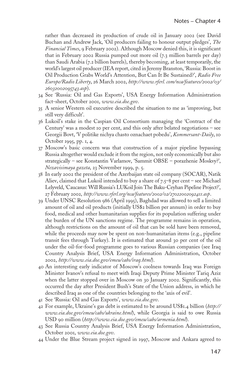rather than decreased its production of crude oil in January 2002 (see David Buchan and Andrew Jack, 'Oil producers failing to honour output pledges', *The Financial Times*, 9 February 2002). Although Moscow denied this, it is significant that in February 2002 Russia pumped out more oil (7.3 million barrels per day) than Saudi Arabia (7.2 billion barrels), thereby becoming, at least temporarily, the world's largest oil producer (IEA report, cited in Jeremy Branston, 'Russia: Boost in Oil Production Grabs World's Attention, But Can It Be Sustained?', *Radio Free Europe/Radio Liberty*, 26 March 2002, *http://www.rferl. com/nca/features/2002/03/ 26032002095743.asp*).

- 34 See 'Russia: Oil and Gas Exports', USA Energy Information Administration fact-sheet, October 2001, *www.eia.doe.gov*.
- 35 A senior Western oil executive described the situation to me as 'improving, but still very difficult'.
- 36 Lukoil's stake in the Caspian Oil Consortium managing the 'Contract of the Century' was a modest 10 per cent, and this only after belated negotiations – see Georgii Bovt, 'V politike nichya chasto oznachaet pobedu', *Kommersant-Daily*, 10 October 1995, pp. 1, 4.
- 37 Moscow's basic concern was that construction of a major pipeline bypassing Russia altogether would exclude it from the region, not only economically but also strategically – see Konstantin Varlamov, 'Sammit OBSE – porazhenie Moskvy?', *Nezavisimaya gazeta*, 23 November 1999, p. 5.
- 38 In early 2002 the president of the Azerbaijan state oil company (SOCAR), Natik Aliev, claimed that Lukoil intended to buy a share of 7.5–8 per cent – see Michael Lelyveld, 'Caucasus: Will Russia's LUKoil Join The Baku-Ceyhan Pipeline Project?', 27 February 2002, *http://www.rferl.org/nca/features/2002/02/27022002092411.asp*.
- 39 Under UNSC Resolution 986 (April 1995), Baghdad was allowed to sell a limited amount of oil and oil products (initially US\$2 billion per annum) in order to buy food, medical and other humanitarian supplies for its population suffering under the burden of the UN sanctions regime. The programme remains in operation, although restrictions on the amount of oil that can be sold have been removed, while the proceeds may now be spent on non-humanitarian items (e.g., pipeline transit fees through Turkey). It is estimated that around 30 per cent of the oil under the oil-for-food programme goes to various Russian companies (see Iraq Country Analysis Brief, USA Energy Information Administration, October 2002, *http://www.eia.doe.gov/emeu/cabs/iraq.html*).
- 40 An interesting early indicator of Moscow's coolness towards Iraq was Foreign Minister Ivanov's refusal to meet with Iraqi Deputy Prime Minister Tariq Aziz when the latter stopped over in Moscow on 30 January 2002. Significantly, this occurred the day after President Bush's State of the Union address, in which he described Iraq as one of the countries belonging to the 'axis of evil'.
- 41 See 'Russia: Oil and Gas Exports', *www.eia.doe.gov*.
- 42 For example, Ukraine's gas debt is estimated to be around US\$1.4 billion (*http:// www.eia.doe.gov/emeu/cabs/ukraine.html*), while Georgia is said to owe Russia USD 90 million (*http://www.eia.doe.gov/emeu/cabs/armenia.html*).
- 43 See Russia Country Analysis Brief, USA Energy Information Administration, October 2001, *www.eia.doe.gov*.
- 44 Under the Blue Stream project signed in 1997, Moscow and Ankara agreed to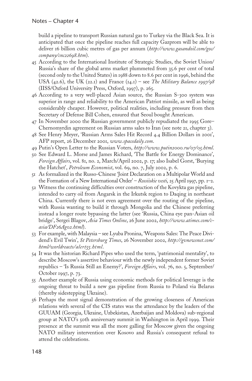build a pipeline to transport Russian natural gas to Turkey via the Black Sea. It is anticipated that once the pipeline reaches full capacity Gazprom will be able to deliver 16 billion cubic metres of gas per annum (*http://www.gasandoil.com/goc/ company/cnc22698.htm*).

- 45 According to the International Institute of Strategic Studies, the Soviet Union/ Russia's share of the global arms market plummeted from 35.6 per cent of total (second only to the United States) in 1988 down to 8.6 per cent in 1996, behind the USA (42.6), the UK (22.1) and France (14.1) – see *The Military Balance 1997/98* (IISS/Oxford University Press, Oxford, 1997), p. 265.
- 46 According to a very well-placed Asian source, the Russian S-300 system was superior in range and reliability to the American Patriot missile, as well as being considerably cheaper. However, political realities, including pressure from then Secretary of Defense Bill Cohen, ensured that Seoul bought American.
- 47 In November 2000 the Russian government publicly repudiated the 1995 Gore– Chernomyrdin agreement on Russian arms sales to Iran (see note 21, chapter 3).
- 48 See Henry Meyer, 'Russian Arms Sales Hit Record 4.4 Billion Dollars in 2001', AFP report, 26 December 2001, *www.spacedaily.com*.
- 49 Putin's Open Letter to the Russian Voters, *http://www.putin2000.ru/07/05.html*.
- 50 See Edward L. Morse and James Richard, 'The Battle for Energy Dominance', *Foreign Affairs*, vol. 81, no. 2, March/April 2002, p. 17; also Isabel Gorst, 'Burying the Hatchet', *Petroleum Economist*, vol. 69, no. 7, July 2002, p. 6.
- 51 As formalized in the Russo-Chinese 'Joint Declaration on a Multipolar World and the Formation of a New International Order' – *Rossiiskie vesti*, 25 April 1997, pp. 1–2.
- 52 Witness the continuing difficulties over construction of the Kovykta gas pipeline, intended to carry oil from Angarsk in the Irkutsk region to Daqing in northeast China. Currently there is not even agreement over the routing of the pipeline, with Russia wanting to build it through Mongolia and the Chinese preferring instead a longer route bypassing the latter (see 'Russia, China eye pan-Asian oil bridge', Sergei Blagov, *Asia Times Online*, 26 June 2002, *http://www.atimes.com/casia/DF26Ag02.html*).
- 53 For example, with Malaysia see Lyuba Pronina, 'Weapons Sales: The Peace Dividend's Evil Twin', *St Petersburg Times*, 26 November 2002, *http://gvnewsnet.com/ html/worldreacts/alert55.html*.
- 54 It was the historian Richard Pipes who used the term, 'patrimonial mentality', to describe Moscow's assertive behaviour with the newly independent former Soviet republics – 'Is Russia Still an Enemy?', *Foreign Affairs*, vol. 76, no. 5, September/ October 1997, p. 73.
- 55 Another example of Russia using economic methods for political leverage is the ongoing threat to build a new gas pipeline from Russia to Poland via Belarus (thereby sidestepping Ukraine).
- 56 Perhaps the most signal demonstration of the growing closeness of American relations with several of the CIS states was the attendance by the leaders of the GUUAM (Georgia, Ukraine, Uzbekistan, Azerbaijan and Moldova) sub-regional group at NATO's 50th anniversary summit in Washington in April 1999. Their presence at the summit was all the more galling for Moscow given the ongoing NATO military intervention over Kosovo and Russia's consequent refusal to attend the celebrations.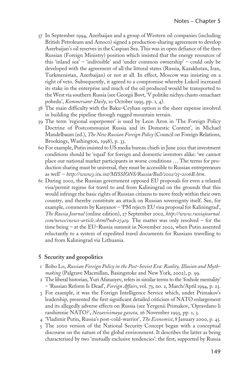- 57 In September 1994, Azerbaijan and a group of Western oil companies (including British Petroleum and Amoco) signed a production-sharing agreement to develop Azerbaijan's oil reserves in the Caspian Sea. This was in open defiance of the then Russian (Foreign Ministry) position which insisted that the energy resources of this 'inland sea' – 'indivisible' and 'under common ownership' – could only be developed with the agreement of all the littoral states (Russia, Kazakhstan, Iran, Turkmenistan, Azerbaijan) or not at all. In effect, Moscow was insisting on a right of veto. Subsequently, it agreed to a compromise whereby Lukoil increased its stake in the enterprise and much of the oil produced would be transported to the West via southern Russia (see Georgii Bovt, 'V politike nichya chasto oznachaet pobedu', *Kommersant-Daily*, 10 October 1995, pp. 1, 4).
- 58 The main difficulty with the Baku–Ceyhan option is the sheer expense involved in building the pipeline through rugged mountain terrain.
- 59 The term 'regional superpower' is used by Leon Aron in 'The Foreign Policy Doctrine of Postcommunist Russia and its Domestic Context', in Michael Mandelbaum (ed.), *The New Russian Foreign Policy* (Council on Foreign Relations, Brookings, Washington, 1998), p. 33.
- 60 For example, Putin insisted to US media bureau chiefs in June 2001 that investment conditions should be 'equal' for foreign and domestic investors alike: 'we cannot place our national market participants in worse conditions … The terms for production sharing must be universal, they must be accessible to Russian entrepreneurs as well' – *http://www3.itu.int/MISSIONS/Russia/Bull/2001/25–2106B.htm*.
- 61 During 2002, the Russian government opposed EU proposals for even a relaxed visa/permit regime for travel to and from Kaliningrad on the grounds that this would infringe the basic rights of Russian citizens to move freely within their own country, and thereby constitute an attack on Russian sovereignty itself. See, for example, comments by Kasyanov – 'PM rejects EU visa proposal for Kaliningrad', *The Russia Journal* (online edition), 27 September 2002, *http://www.russiajournal. com/news/cnews-article.shtml?nd=27419.* The matter was only resolved – for the time being – at the EU–Russia summit in November 2002, when Putin assented reluctantly to a system of expedited travel documents for Russians travelling to and from Kaliningrad via Lithuania.

#### **5 Security and geopolitics**

- 11 Bobo Lo, *Russian Foreign Policy in the Post-Soviet Era: Reality, Illusion and Mythmaking* (Palgrave Macmillan, Basingstoke and New York, 2002), p. 99.
- 12 The liberal historian, Yuri Afanasyev, refers in similar terms to the 'foxhole mentality' – 'Russian Reform Is Dead', *Foreign Affairs*, vol. 73, no. 2, March/April 1994, p. 23.
- 13 For example, it was the Foreign Intelligence Service which, under Primakov's leadership, presented the first significant detailed criticism of NATO enlargement and its allegedly adverse effects on Russia (see Yevgenii Primakov, 'Opravdano li rasshirenie NATO?', *Nezavisimaya gazeta*, 26 November 1993, pp. 1, 3.
- 14 'Vladimir Putin, Russia's post-cold-warrior', *The Economist*, 8 January 2000, p. 45.
- 15 The 2000 version of the National Security Concept began with a conceptual discourse on the nature of the global environment. It describes the latter as being characterized by two 'mutually exclusive tendencies': the first, supported by Russia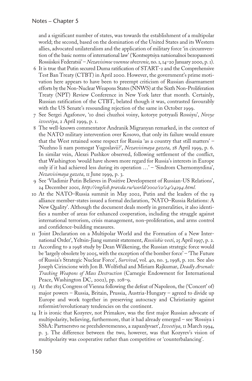and a significant number of states, was towards the establishment of a multipolar world; the second, based on the domination of the United States and its Western allies, advocated unilateralism and the application of military force 'in circumvention of the basic norms of international law' ('Kontseptsiya natsionalnoi bezopasnosti Rossiiskoi Federatsii' – *Nezavisimoe voennoe obozrenie*, no. 1, 14–20 January 2000, p. 1).

- 16 It is true that Putin secured Duma ratification of START-2 and the Comprehensive Test Ban Treaty (CTBT) in April 2000. However, the government's prime motivation here appears to have been to preempt criticism of Russian disarmament efforts by the Non-Nuclear Weapons States (NNWS) at the Sixth Non-Proliferation Treaty (NPT) Review Conference in New York later that month. Certainly, Russian ratification of the CTBT, belated though it was, contrasted favourably with the US Senate's resounding rejection of the same in October 1999.
- 17 See Sergei Agafonov, '10 dnei chuzhoi voiny, kotorye potryasli Rossiyu', *Novye izvestiya*, 2 April 1999, p. 1.
- 18 The well-known commentator Andranik Migranyan remarked, in the context of the NATO military intervention over Kosovo, that only its failure would ensure that the West retained some respect for Russia 'as a country that still matters' – 'Nuzhno li nam pomogat Yugoslavii?', *Nezavisimaya gazeta*, 28 April 1999, p. 6. In similar vein, Alexei Pushkov observed, following settlement of the conflict, that Washington 'would have shown more regard for Russia's interests in Europe only if it had achieved less during its operation …' – 'Sindrom Chernomyrdina', *Nezavisimaya gazeta*, 11 June 1999, p. 3.
- 19 See 'Vladimir Putin Believes in Positive Development of Russian-US Relations', 24 December 2001, *http://english.pravda.ru/world/2001/12/24/24294.html.*
- 10 At the NATO–Russia summit in May 2002, Putin and the leaders of the 19 alliance member-states issued a formal declaration, 'NATO–Russia Relations: A New Quality'. Although the document deals mostly in generalities, it also identifies a number of areas for enhanced cooperation, including the struggle against international terrorism, crisis management, non-proliferation, and arms control and confidence-building measures.
- 11 'Joint Declaration on a Multipolar World and the Formation of a New International Order', Yeltsin-Jiang summit statement, *Rossiiskie vesti*, 25 April 1997, p. 2.
- 12 According to a 1998 study by Dean Wilkening, the Russian strategic force would be 'largely obsolete by 2005, with the exception of the bomber force' – 'The Future of Russia's Strategic Nuclear Force', *Survival*, vol. 40, no. 3, 1998, p. 101. See also Joseph Cirincione with Jon B. Wolfsthal and Miriam Rajkumar, *Deadly Arsenals: Tracking Weapons of Mass Destruction* (Carnegie Endowment for International Peace, Washington DC, 2002), pp. 108–9.
- 13 At the 1815 Congress of Vienna following the defeat of Napoleon, the ('Concert' of) major powers – Russia, Britain, Prussia, Austria-Hungary – agreed to divide up Europe and work together in preserving autocracy and Christianity against reformist/revolutionary tendencies on the continent.
- 14 It is ironic that Kozyrev, not Primakov, was the first major Russian advocate of multipolarity, believing, furthermore, that it had already emerged – see 'Rossiya i SShA: Partnerstvo ne prezhdevremenno, a zapazdyvaet', *Izvestiya*, 11 March 1994, p. 3. The difference between the two, however, was that Kozyrev's vision of multipolarity was cooperative rather than competitive or 'counterbalancing'.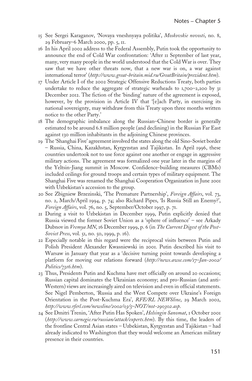- 15 See Sergei Karaganov, 'Novaya vneshnyaya politika', *Moskovskie novosti*, no. 8, 29 February–6 March 2000, pp. 5, 11.
- 16 In his April 2002 address to the Federal Assembly, Putin took the opportunity to announce the end of Cold War confrontation: 'After 11 September of last year, many, very many people in the world understood that the Cold War is over. They saw that we have other threats now, that a new war is on, a war against international terror' (*http://www.great-britain.mid.ru/GreatBritain/prezident.htm*).
- 17 Under Article I of the 2002 Strategic Offensive Reductions Treaty, both parties undertake to reduce the aggregate of strategic warheads to 1,700–2,200 by 31 December 2012. The fiction of the 'binding' nature of the agreement is exposed, however, by the provision in Article IV that '[e]ach Party, in exercising its national sovereignty, may withdraw from this Treaty upon three months written notice to the other Party.'
- 18 The demographic imbalance along the Russian–Chinese border is generally estimated to be around 6.8 million people (and declining) in the Russian Far East against 130 million inhabitants in the adjoining Chinese provinces.
- 19 The 'Shanghai Five' agreement involved the states along the old Sino-Soviet border – Russia, China, Kazakhstan, Kyrgyzstan and Tajikistan. In April 1996, these countries undertook not to use force against one another or engage in aggressive military actions. The agreement was formalized one year later in the margins of the Yeltsin-Jiang summit in Moscow. Confidence-building measures (CBMs) included ceilings for ground troops and certain types of military equipment. The Shanghai Five was renamed the Shanghai Cooperation Organization in June 2001 with Uzbekistan's accession to the group.
- 20 See Zbigniew Brzezinski, 'The Premature Partnership', *Foreign Affairs*, vol. 73, no. 2, March/April 1994, p. 74; also Richard Pipes, 'Is Russia Still an Enemy?', *Foreign Affairs*, vol. 76, no. 5, September/October 1997, p. 71.
- 21 During a visit to Uzbekistan in December 1999, Putin explicitly denied that Russia viewed the former Soviet Union as a 'sphere of influence' – see Arkady Dubnov in *Vremya MN*, 16 December 1999, p. 6 (in *The Current Digest of the Post-Soviet Press*, vol. 51, no. 50, 1999, p. 16).
- 22 Especially notable in this regard were the reciprocal visits between Putin and Polish President Alexander Kwasniewski in 2001. Putin described his visit to Warsaw in January that year as a 'decisive turning point towards developing a platform for moving our relations forward (*http://news.awse.com/17–Jan-2002/ Politics/7316.htm*).
- 23 Thus, Presidents Putin and Kuchma have met officially on around 20 occasions; Russian capital dominates the Ukrainian economy; and pro-Russian (and anti-Western) views are increasingly aired on television and even in official statements. See Nigel Pemberton, 'Russia and the West Compete over Ukraine's Foreign Orientation in the Post-Kuchma Era', *RFE/RL NEWSline*, 29 March 2002, *http://www.rferl.com/newsline/2002/03/5–NOT/not-290302.asp*.
- 24 See Dmitri Trenin, 'After Putin Has Spoken', *Helsingin Sanomat*, 1 October 2001 (*http://www.carnegie.ru/russian/attack/experts.htm*). By this time, the leaders of the frontline Central Asian states – Uzbekistan, Kyrgyzstan and Tajikistan – had already indicated to Washington that they would welcome an American military presence in their countries.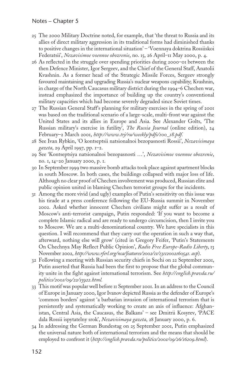## Notes – Chapter 5

- 25 The 2000 Military Doctrine noted, for example, that 'the threat to Russia and its allies of direct military aggression in its traditional forms had diminished thanks to positive changes in the international situation' – 'Voennaya doktrina Rossiiskoi Federatsii', *Nezavisimoe voennoe obozrenie*, no. 15, 26 April–11 May 2000, p. 4.
- 26 As reflected in the struggle over spending priorities during 2000–01 between the then Defence Minister, Igor Sergeev, and the Chief of the General Staff, Anatolii Kvashnin. As a former head of the Strategic Missile Forces, Sergeev strongly favoured maintaining and upgrading Russia's nuclear weapons capability; Kvashnin, in charge of the North Caucasus military district during the 1994–6 Chechen war, instead emphasized the importance of building up the country's conventional military capacities which had become severely degraded since Soviet times.
- 27 The Russian General Staff's planning for military exercises in the spring of 2001 was based on the traditional scenario of a large-scale, multi-front war against the United States and its allies in Europe and Asia. See Alexander Golts, 'The Russian military's exercise in futility', *The Russia Journal* (online edition), 24 February–2 March 2001, *http://www.trj/ru/weekly/pdfs/100\_18.pdf.*
- 28 See Ivan Rybkin, 'O kontseptsii natsionalnoi bezopasnosti Rossii', *Nezavisimaya gazeta*, 29 April 1997, pp. 1–2.
- 29 See 'Kontseptsiya natsionalnoi bezopasnosti …', *Nezavisimoe voennoe obozrenie*, no. 1, 14–20 January 2000, p. 1.
- 30 In September 1999 two massive bomb attacks took place against apartment blocks in south Moscow. In both cases, the buildings collapsed with major loss of life. Although no clear proof of Chechen involvement was produced, Russian elite and public opinion united in blaming Chechen terrorist groups for the incidents.
- 31 Among the more vivid (and ugly) examples of Putin's sensitivity on this issue was his tirade at a press conference following the EU-Russia summit in November 2002. Asked whether innocent Chechen civilians might suffer as a result of Moscow's anti-terrorist campaign, Putin responded: 'If you want to become a complete Islamic radical and are ready to undergo circumcision, then I invite you to Moscow. We are a multi-denominational country. We have specialists in this question. I will recommend that they carry out the operation in such a way that, afterward, nothing else will grow' (cited in Gregory Feifer, 'Putin's Statements On Chechnya May Reflect Public Opinion', *Radio Free Europe-Radio Liberty*, 13 November 2002, *http://www.rferl.org/nca/features/2002/11/13112002160541. asp*).
- 32 Following a meeting with Russian security chiefs in Sochi on 22 September 2001, Putin asserted that Russia had been the first to propose that the global community unite in the fight against international terrorism. See *http://english.pravda.ru/ politics/2001/09/22/15922.html.*
- 33 This motif was popular well before 11 September 2001. In an address to the Council of Europe in January 2000, Igor Ivanov depicted Russia as the defender of Europe's 'common borders' against 'a barbarian invasion of international terrorism that is persistently and systematically working to create an axis of influence: Afghanistan, Central Asia, the Caucasus, the Balkans' – see Dmitrii Kosyrev, 'PACE dala Rossii ispytatelny srok', *Nezavisimaya gazeta*, 28 January 2000, p. 6.
- 34 In addressing the German Bundestag on 25 September 2001, Putin emphasized the universal nature both of international terrorism and the means that should be employed to confront it (*http://english.pravda.ru/politics/2001/09/26/16209.html*).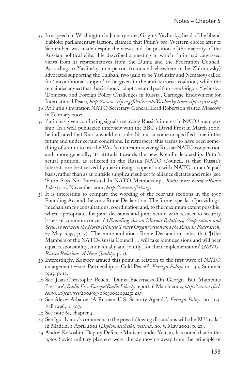- 35 In a speech in Washington in January 2002, Grigory Yavlinsky, head of the liberal Yabloko parliamentary faction, claimed that Putin's pro-Western choice after 11 September 'was made despite the views and the position of the majority of the Russian political elite.' He described a meeting in which Putin had canvassed views from 21 representatives from the Duma and the Federation Council. According to Yavlinsky, one person (rumoured elsewhere to be Zhirinovsky) advocated supporting the Taliban, two (said to be Yavlinsky and Nemtsov) called for 'unconditional support' to be given to the anti-terrorist coalition, while the remainder argued that Russia should adopt a neutral position – see Grigory Yavlinsky, 'Domestic and Foreign Policy Challenges in Russia', Carnegie Endowment for International Peace, *http://www.ceip.org/files/events/Yavlinsky transcript013102.asp*.
- 36 At Putin's invitation NATO Secretary-General Lord Robertson visited Moscow in February 2002.
- 37 Putin has given conflicting signals regarding Russia's interest in NATO membership. In a well-publicized interview with the BBC's David Frost in March 2000, he indicated that Russia would not rule this out at some unspecified time in the future and under certain conditions. In retrospect, this seems to have been something of a stunt to test the West's interest in reviving Russia–NATO cooperation and, more generally, its attitude towards the new Kremlin leadership. Putin's actual position, as reflected in the Russia–NATO Council, is that Russia's interests are best served by maximizing cooperation with NATO on an 'equal' basis, rather than as an outside supplicant subject to alliance dictates and rules (see 'Putin Says Not Interested In NATO Membership', *Radio Free Europe/Radio Liberty*, 22 November 2001, *http://www.rferl.org*.
- 38 It is interesting to compare the wording of the relevant sections in the 1997 Founding Act and the 2002 Rome Declaration. The former speaks of providing a 'mechanism for consultations, coordination and, to the maximum extent possible, where appropriate, for joint decisions and joint action with respect to security issues of common concern' (*Founding Act on Mutual Relations, Cooperation and Security between the North Atlantic Treaty Organization and the Russian Federation*,  $27$  May 1997, p.  $\zeta$ ). The more ambitious Rome Declaration states that '[t]he Members of the NATO-Russia Council … will take joint decisions and will bear equal responsibility, individually and jointly, for their implementation' (*NATO-Russia Relations: A New Quality*, p. 1).
- 39 Interestingly, Kozyrev argued this point in relation to the first wave of NATO enlargement – see 'Partnership or Cold Peace?', *Foreign Policy*, no. 99, Summer 1995, p. 12.
- 40 See Jean-Christophe Peuch, 'Duma Backtracks On Georgia But Maintains Pressure', *Radio Free Europe/Radio Liberty* report, 6 March 2002, *http://www.rferl. com/nca/features/2002/03/06032002092252.asp.*
- 41 See Alexei Arbatov, 'A Russian-U.S. Security Agenda', *Foreign Policy*, no. 104, Fall 1996, p. 107.
- 42 See note 61, chapter 4.
- 43 See Igor Ivanov's comments to the press following discussions with the EU 'troika' in Madrid, 2 April 2002 (*Diplomaticheskii vestnik*, no. 5, May 2002, p. 21).
- 44 Andrei Kokoshin, Deputy Defence Minister under Yeltsin, has noted that in the 1980s Soviet military planners were already moving away from the principle of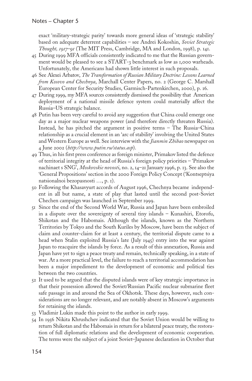exact 'military-strategic parity' towards more general ideas of 'strategic stability' based on adequate deterrent capabilities – see Andrei Kokoshin, *Soviet Strategic Thought, 1917–91* (The MIT Press, Cambridge, MA and London, 1998), p. 141.

- 45 During 1999 MFA officials consistently indicated to me that the Russian government would be pleased to see a START-3 benchmark as low as 1,000 warheads. Unfortunately, the Americans had shown little interest in such proposals.
- 46 See Alexei Arbatov, *The Transformation of Russian Military Doctrine: Lessons Learned from Kosovo and Chechnya*, Marchall Center Papers, no. 2 (George C. Marshall European Center for Security Studies, Garmisch-Partenkirchen, 2000), p. 16.
- 47 During 1999, my MFA sources consistently dismissed the possibility that American deployment of a national missile defence system could materially affect the Russia–US strategic balance.
- 48 Putin has been very careful to avoid any suggestion that China could emerge one day as a major nuclear weapons power (and therefore directly threaten Russia). Instead, he has pitched the argument in positive terms – The Russia–China relationship as a crucial element in an 'arc of stability' involving the United States and Western Europe as well. See interview with the *Jianmin Zhibao* newspaper on 4 June 2002 (*http://www.putin.ru/status.asp*).
- 49 Thus, in his first press conference as foreign minister, Primakov listed the defence of territorial integrity at the head of Russia's foreign policy priorities – 'Primakov nachinaet s SNG', *Moskovskie novosti*, no. 2, 14–21 January 1996, p. 13. See also the 'General Propositions' section in the 2000 Foreign Policy Concept ('Kontseptsiya natsionalnoi bezopasnosti …, p. 1).
- 50 Following the Khasavyurt accords of August 1996, Chechnya became independent in all but name, a state of play that lasted until the second post-Soviet Chechen campaign was launched in September 1999.
- 51 Since the end of the Second World War, Russia and Japan have been embroiled in a dispute over the sovereignty of several tiny islands – Kunashiri, Etorofu, Shikotan and the Habomais. Although the islands, known as the Northern Territories by Tokyo and the South Kuriles by Moscow, have been the subject of claim and counter-claim for at least a century, the territorial dispute came to a head when Stalin exploited Russia's late (July 1945) entry into the war against Japan to reacquire the islands by force. As a result of this annexation, Russia and Japan have yet to sign a peace treaty and remain, technically speaking, in a state of war. At a more practical level, the failure to reach a territorial accommodation has been a major impediment to the development of economic and political ties between the two countries.
- 52 It used to be argued that the disputed islands were of key strategic importance in that their possession allowed the Soviet/Russian Pacific nuclear submarine fleet safe passage in and around the Sea of Okhotsk. These days, however, such considerations are no longer relevant, and are notably absent in Moscow's arguments for retaining the islands.
- 53 Vladimir Lukin made this point to the author in early 1999.
- 54 In 1956 Nikita Khrushchev indicated that the Soviet Union would be willing to return Shikotan and the Habomais in return for a bilateral peace treaty, the restoration of full diplomatic relations and the development of economic cooperation. The terms were the subject of a joint Soviet–Japanese declaration in October that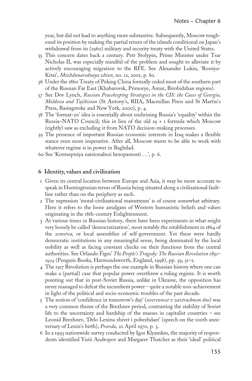year, but did not lead to anything more substantive. Subsequently, Moscow toughened its position by making the partial return of the islands conditional on Japan's withdrawal from its (1960) military and security treaty with the United States.

- 55 This concern dates back a century. Petr Stolypin, Prime Minister under Tsar Nicholas II, was especially mindful of the problem and sought to alleviate it by actively encouraging migration to the RFE. See Alexander Lukin, 'Rossiya-Kitai', *Mezhdunarodnaya zhizn*, no. 12, 2001, p. 80.
- 56 Under the 1860 Treaty of Peking China formally ceded most of the southern part of the Russian Far East (Khabarovsk, Primorye, Amur, Birobidzhan regions).
- 57 See Dov Lynch, *Russian Peacekeeping Strategies in the CIS: the Cases of Georgia, Moldova and Tajikistan* (St Antony's, RIIA, Macmillan Press and St Martin's Press, Basingstoke and New York, 2000), p. 4.
- 58 The 'format-20' idea is essentially about enshrining Russia's 'equality' within the Russia–NATO Council; this in lieu of the old 19 + 1 formula which Moscow (rightly) saw as excluding it from NATO decision-making processes.
- 59 The presence of important Russian economic interests in Iraq makes a flexible stance even more imperative. After all, Moscow wants to be able to work with whatever regime is in power in Baghdad.
- 60 See 'Kontseptsiya natsionalnoi bezopasnosti …', p. 6.

#### **6 Identity, values and civilization**

- 11 Given its central location between Europe and Asia, it may be more accurate to speak in Huntingtonian terms of Russia being situated along a civilizational faultline rather than on the periphery as such.
- 12 The expression 'moral-civilizational mainstream' is of course somewhat arbitrary. Here it refers to the loose amalgam of Western humanistic beliefs and values originating in the 18th-century Enlightenment.
- 13 At various times in Russian history, there have been experiments in what might very loosely be called 'democratization', most notably the establishment in 1864 of the *zemstva*, or local assemblies of self-government. Yet these were hardly democratic institutions in any meaningful sense, being dominated by the local nobility as well as facing constant checks on their functions from the central authorities. See Orlando Figes' *The People's Tragedy: The Russian Revolution 1891– 1924* (Penguin Books, Harmondsworth, England, 1998), pp. 39, 51–2.
- 14 The 1917 Revolution is perhaps the one example in Russian history where one can make a (partial) case that popular power overthrew a ruling regime. It is worth pointing out that in post-Soviet Russia, unlike in Ukraine, the opposition has never managed to defeat the incumbent power – quite a notable non-achievement in light of the political and socio-economic troubles of the past decade.
- 15 The notion of 'confidence in tomorrow's day' (*uverennost v zavtrashnem dne*) was a very common theme of the Brezhnev period, contrasting the stability of Soviet life to the uncertainty and hardship of the masses in capitalist countries – see Leonid Brezhnev, 'Delo Lenina zhivet i pobezhdaet' (speech on the 100th anniversary of Lenin's birth), *Pravda*, 22 April 1970, p. 3.
- 16 In a 1993 nationwide survey conducted by Igor Klyamkin, the majority of respondents identified Yurii Andropov and Margaret Thatcher as their 'ideal' political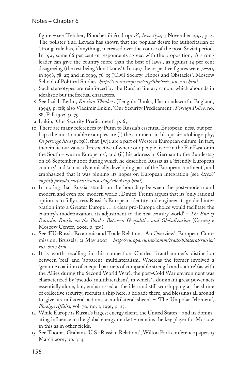figure – see 'Tetcher, Pinochet ili Andropov?', *Izvestiya*, 4 November 1993, p. 4. The pollster Yuri Levada has shown that the popular desire for authoritarian or 'strong' rule has, if anything, increased over the course of the post-Soviet period. In 1995 some 66 per cent of respondents agreed with the proposition, 'A strong leader can give the country more than the best of laws', as against 24 per cent disagreeing (the rest being 'don't know'). In 1997 the respective figures were 72–20; in 1998, 78–21; and in 1999, 76–15 ('Civil Society: Hopes and Obstacles', Moscow School of Political Studies, *http://www.msps.ru/eng/libr/rr/r\_un\_r10.html.*

- 17 Such stereotypes are reinforced by the Russian literary canon, which abounds in idealistic but ineffectual characters.
- 18 See Isaiah Berlin, *Russian Thinkers* (Penguin Books, Harmondsworth, England, 1994), p. 118; also Vladimir Lukin, 'Our Security Predicament', *Foreign Policy*, no. 88, Fall 1992, p. 75.
- 19 Lukin, 'Our Security Predicament', p. 65.
- 10 There are many references by Putin to Russia's essential European-ness, but perhaps the most notable examples are (i) the comment in his quasi-autobiography, *Ot pervogo litsa* (p. 156), that '[w]e are a part of Western European culture. In fact, therein lie our values. Irrespective of where our people live – in the Far East or in the South – we are Europeans'; and (ii) his address in German to the Bundestag on 26 September 2001 during which he described Russia as a 'friendly European country' and 'a most dynamically developing part of the European continent', and emphasized that it was pinning its hopes on European integration (see *http:// english.pravda.ru/politics/2001/09/26/16209.html*).
- 11 In noting that Russia 'stands on the boundary between the post-modern and modern and even pre-modern world', Dmitri Trenin argues that its 'only rational option is to fully stress Russia's European identity and engineer its gradual integration into a Greater Europe … a clear pro-Europe choice would facilitate the country's modernization, its adjustment to the 21st century world' – *The End of Eurasia: Russia on the Border Between Geopolitics and Globalization* (Carnegie Moscow Center, 2001, p. 319).
- 12 See 'EU-Russia Economic and Trade Relations: An Overview', European Commission, Brussels, 21 May 2001 – *http://europa.eu.int/comm/trade/bilateral/russia/ rus\_ovw.htm*.
- 13 It is worth recalling in this connection Charles Krauthammer's distinction between 'real' and 'apparent' multilateralism. Whereas the former involved a 'genuine coalition of coequal partners of comparable strength and stature' (as with the Allies during the Second World War), the post-Cold War environment was characterized by 'pseudo-multilateralism', in which 'a dominant great power acts essentially alone, but, embarrassed at the idea and still worshipping at the shrine of collective security, recruits a ship here, a brigade there, and blessings all around to give its unilateral actions a multilateral sheen' – 'The Unipolar Moment', *Foreign Affairs*, vol. 70, no. 1, 1991, p. 25.
- 14 While Europe is Russia's largest energy client, the United States and its dominating influence in the global energy market – remains the key player for Moscow in this as in other fields.
- 15 See Thomas Graham, 'U.S.-Russian Relations', Wilton Park conference paper, 15 March 2001, pp. 3–4.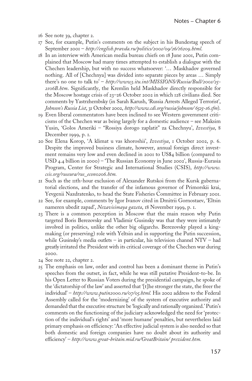- 16 See note 39, chapter 2.
- 17 See, for example, Putin's comments on the subject in his Bundestag speech of September 2001 – *http://english.pravda.ru/politics/2001/09/26/16209.html*.
- 18 In an interview with American media bureau chiefs on 18 June 2001, Putin complained that Moscow had many times attempted to establish a dialogue with the Chechen leadership, but with no success whatsoever: '… Maskhadov governed nothing. All of [Chechnya] was divided into separate pieces by areas … Simply there's no one to talk to' – *http://www3.itu.int/MISSIONS/Russia/Bull/2001/25- 2106B.htm*. Significantly, the Kremlin held Maskhadov directly responsible for the Moscow hostage crisis of 23–26 October 2002 in which 128 civilians died. See comments by Yastrzhembsky (in Sarah Karush, 'Russia Arrests Alleged Terrorist', *Johnson's Russia List*, 31 October 2002, *http://www.cdi.org/russia/johnson/ 6525-16.cfm*).
- 19 Even liberal commentators have been inclined to see Western government criticisms of the Chechen war as being largely for a domestic audience – see Maksim Yusin, 'Golos Ameriki – "Rossiya dorogo zaplatit" za Chechnyu', *Izvestiya*, 8 December 1999, p. 1.
- 20 See Elena Korop, 'A klimat u vas khoroshii', *Izvestiya*, 1 October 2002, p. 6. Despite the improved business climate, however, annual foreign direct investment remains very low and even declined in 2001 to US\$4 billion (compared to USD 4.4 billion in 2000) – 'The Russian Economy in June 2002', Russia-Eurasia Program, Center for Strategic and International Studies (CSIS), *http://www. csis.org/ruseura/rus\_econ0206.htm.*
- 21 Such as the 11th-hour exclusion of Alexander Rutskoi from the Kursk gubernatorial elections, and the transfer of the infamous governor of Primorskii krai, Yevgenii Nazdratenko, to head the State Fisheries Committee in February 2001.
- 22 See, for example, comments by Igor Ivanov cited in Dmitrii Gornostaev, 'Eltsin nameren ubedit zapad', *Nezavisimaya gazeta*, 18 November 1999, p. 1.
- 23 There is a common perception in Moscow that the main reason why Putin targeted Boris Berezovsky and Vladimir Gusinsky was that they were intimately involved in politics, unlike the other big oligarchs. Berezovsky played a kingmaking (or preserving) role with Yeltsin and in supporting the Putin succession, while Gusinsky's media outlets – in particular, his television channel NTV – had greatly irritated the President with its critical coverage of the Chechen war during 2000.
- 24 See note 22, chapter 2.
- 25 The emphasis on law, order and control has been a dominant theme in Putin's speeches from the outset, in fact, while he was still putative President-to-be. In his Open Letter to Russian Voters during the presidential campaign, he spoke of the 'dictatorship of the law' and asserted that '[t]he stronger the state, the freer the individual' – *http://www.putin2000.ru/07/05.html.* His 2002 address to the Federal Assembly called for the 'modernizing' of the system of executive authority and demanded that the executive structure be 'logically and rationally organized.' Putin's comments on the functioning of the judiciary acknowledged the need for 'protection of the individual's rights' and 'more humane' penalties, but nevertheless laid primary emphasis on efficiency: 'An effective judicial system is also needed so that both domestic and foreign companies have no doubt about its authority and efficiency' – *http://www.great-britain.mid.ru/GreatBritain/ prezident.htm.*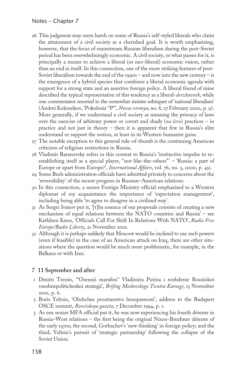## Notes – Chapter 7

- 26 This judgment may seem harsh on some of Russia's self-styled liberals who claim the attainment of a civil society as a cherished goal. It is worth emphasizing, however, that the focus of mainstream Russian liberalism during the post-Soviet period has been overwhelmingly economic. A civil society, or what passes for it, is principally a means to achieve a liberal (or neo-liberal) economic vision, rather than an end in itself. In this connection, one of the more striking features of post-Soviet liberalism towards the end of the 1990s – and now into the new century – is the emergence of a hybrid species that combines a liberal economic agenda with support for a strong state and an assertive foreign policy. A liberal friend of mine described the typical representative of this tendency as a liberal-*derzhavnik*, while one commentator resorted to the somewhat sinister sobriquet of 'national liberalism' (Andrei Kolesnikov, 'Pokolenie "P"', *Novoe vremya*, no. 8, 27 February 2000, p. 9). More generally, if we understand a civil society as meaning the primacy of laws over the exercise of arbitrary power or covert and shady (*na levo*) practices – in practice and not just in theory – then it is apparent that few in Russia's elite understand or support the notion, at least in its Western humanist guise.
- 27 The notable exception to this general rule-of-thumb is the continuing American criticism of religious restrictions in Russia.
- 28 Vladimir Baranovsky refers in this context to Russia's 'instinctive impulse to reestablishing itself as a special player, "not-like-the-others"' – 'Russia: a part of Europe or apart from Europe?', *International Affairs*, vol. 76, no. 3, 2000, p. 451.
- 29 Some Bush administration officials have admitted privately to concerns about the 'reversibility' of the recent progress in Russian–American relations.
- 30 In this connection, a senior Foreign Ministry official emphasized to a Western diplomat of my acquaintance the importance of 'expectation management', including being able 'to agree to disagree in a civilized way'.
- 31 As Sergei Ivanov put it, '[t]he essence of our proposals consists of creating a new mechanism of equal relations between the NATO countries and Russia' – see Kathleen Knox, 'Officials Call For Shift In Relations With NATO', *Radio Free Europe/Radio Liberty*, 21 November 2001.
- 32 Although it is perhaps unlikely that Moscow would be inclined to use such powers (even if feasible) in the case of an American attack on Iraq, there are other situations where the question would be much more problematic, for example, in the Balkans or with Iran.

## **7 11 September and after**

- 11 Dmitri Trenin, '"Osennii marafon" Vladimira Putina i rozhdenie Rossiiskoi vneshnepoliticheskoi strategii', *Brifing Moskovskogo Tsentra Karnegi*, 15 November 2001, p. 6.
- 12 Boris Yeltsin, 'Obshchee prostranstvo bezopasnosti', address to the Budapest OSCE summit, *Rossiiskaya gazeta*, 7 December 1994, p. 1.
- 13 As one senior MFA official put it, he was now experiencing his fourth détente in Russia–West relations – the first being the original Nixon-Brezhnev détente of the early 1970s; the second, Gorbachev's 'new thinking' in foreign policy; and the third, Yeltsin's pursuit of 'strategic partnership' following the collapse of the Soviet Union.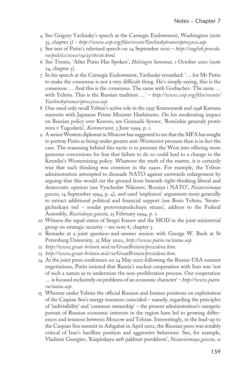- 14 See Grigory Yavlinsky's speech at the Carnegie Endowment, Washington (note 35, chapter 5) – *http://www.ceip.org/files/events/Yavlinskytranscript013102.asp*.
- 15 See text of Putin's televised speech on 24 September 2001 *http://english.pravda. ru/politics/2001/09/25/16106.html.*
- 16 See Trenin, 'After Putin Has Spoken', *Helsingin Sanomat*, 1 October 2001 (note  $24$ , chapter  $\zeta$ ).
- 17 In his speech at the Carnegie Endowment, Yavlinsky remarked: '… for Mr Putin to make the consensus is not a very difficult thing. He's simply saying, this is the consensus … And this is the consensus. The same with Gorbachev. The same … with Yeltsin. This is the Russian tradition …' – *http://www.ceip.org/files/events/ Yavlinskytranscript013102.asp*.
- 18 One need only recall Yeltsin's active role in the 1997 Krasnoyarsk and 1998 Kawana summits with Japanese Prime Minister Hashimoto. On his moderating impact on Russian policy over Kosovo, see Gennadii Sysoev, 'Rossiiskie generaly protiv mira v Yugoslavii', *Kommersant*, 5 June 1999, p. 1.
- 19 A senior Western diplomat in Moscow has suggested to me that the MFA has sought to portray Putin as being under greater anti-Westernist pressure than is in fact the case. The reasoning behind this tactic is to pressure the West into offering more generous concessions for fear that failure to do so could lead to a change in the Kremlin's Westernizing policy. Whatever the truth of the matter, it is certainly true that such thinking was common in the 1990s. For example, the Yeltsin administration attempted to dissuade NATO against eastwards enlargement by arguing that this would cut the ground from beneath right-thinking liberal and democratic opinion (see Vyacheslav Nikonov, 'Rossiya i NATO', *Nezavisimaya gazeta*, 14 September 1994, p. 4), and used 'implosion' arguments more generally to extract additional political and financial support (see Boris Yeltsin, 'Strategicheskaya tsel – sozdat protsvetayushchuyu stranu', address to the Federal Assembly, *Rossiiskaya gazeta*, 25 February 1994, p. 1.
- 10 Witness the equal status of Sergei Ivanov and the MOD in the joint ministerial group on strategic security – see note 8, chapter 3.
- 11 Remarks at a joint question-and-answer session with George W. Bush at St Petersburg University, 25 May 2002, *http://www.putin.ru/status.asp*.
- 12 *http://www.great-britain.mid.ru/GreatBritain/prezident.htm*.
- 13 *http://www.great-britain.mid.ru/GreatBritain/prezident.htm*.
- 14 At the joint press conference on 24 May 2002 following the Russia–USA summit negotiations, Putin insisted that Russia's nuclear cooperation with Iran was 'not of such a nature as to undermine the non-proliferation process. Our cooperation … is focused exclusively on problems of an economic character' – *http://www.putin. ru/status.asp*.
- 15 Whereas under Yeltsin the official Russian and Iranian positions on exploitation of the Caspian Sea's energy resources coincided – namely, regarding the principles of 'indivisibility' and 'common ownership' – the present administration's energetic pursuit of Russian economic interests in the region have led to growing differences and tensions between Moscow and Tehran. Interestingly, in the lead-up to the Caspian Sea summit in Ashgabat in April 2002, the Russian press was notably critical of Iran's hardline position and aggressive behaviour. See, for example, Vladimir Georgiev, 'Kaspiiskaya neft pakhnet porokhom', *Nezavisimaya gazeta*, 11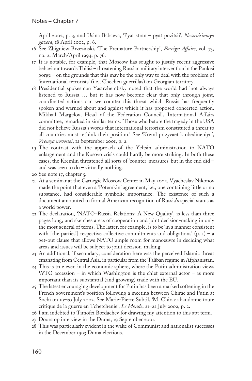April 2002, p. 3, and Usina Babaeva, 'Pyat stran – pyat pozitsii', *Nezavisimaya gazeta*, 18 April 2002, p. 6.

- 16 See Zbigniew Brzezinski, 'The Premature Partnership', *Foreign Affairs*, vol. 73, no. 2, March/April 1994, p. 76.
- 17 It is notable, for example, that Moscow has sought to justify recent aggressive behaviour towards Tbilisi – threatening Russian military intervention in the Pankisi gorge – on the grounds that this may be the only way to deal with the problem of 'international terrorists' (i.e., Chechen guerrillas) on Georgian territory.
- 18 Presidential spokesman Yastrzhembsky noted that the world had 'not always listened to Russia … but it has now become clear that only through joint, coordinated actions can we counter this threat which Russia has frequently spoken and warned about and against which it has proposed concerted action. Mikhail Margelov, Head of the Federation Council's International Affairs committee, remarked in similar terms: 'Those who before the tragedy in the USA did not believe Russia's words that international terrorism constituted a threat to all countries must rethink their position.' See 'Kreml prizyvaet k obedineniyu', *Vremya novostei*, 12 September 2001, p. 2.
- 19 The contrast with the approach of the Yeltsin administration to NATO enlargement and the Kosovo crisis could hardly be more striking. In both these cases, the Kremlin threatened all sorts of 'counter-measures' but in the end did – and was seen to do – virtually nothing.
- 20 See note 17, chapter 5.
- 21 At a seminar at the Carnegie Moscow Center in May 2002, Vyacheslav Nikonov made the point that even a 'Potemkin' agreement, i.e., one containing little or no substance, had considerable symbolic importance. The existence of such a document amounted to formal American recognition of Russia's special status as a world power.
- 22 The declaration, 'NATO–Russia Relations: A New Quality', is less than three pages long, and sketches areas of cooperation and joint decision-making in only the most general of terms. The latter, for example, is to be 'in a manner consistent with [the parties'] respective collective commitments and obligations'  $(p, r) - a$ get-out clause that allows NATO ample room for manoeuvre in deciding what areas and issues will be subject to joint decision-making.
- 23 An additional, if secondary, consideration here was the perceived Islamic threat emanating from Central Asia, in particular from the Taliban regime in Afghanistan.
- 24 This is true even in the economic sphere, where the Putin administration views WTO accession – in which Washington is the chief external actor – as more important than its substantial (and growing) trade with the EU.
- 25 The latest encouraging development for Putin has been a marked softening in the French government's position following a meeting between Chirac and Putin at Sochi on 19–20 July 2002. See Marie-Pierre Subtil, 'M. Chirac abandonne toute critique de la guerre en Tchetchenie', *Le Monde*, 21–22 July 2002, p. 2.
- 26 I am indebted to Timofei Bordachev for drawing my attention to this apt term.
- 27 Doorstop interview in the Duma, 19 September 2001.
- 28 This was particularly evident in the wake of Communist and nationalist successes in the December 1993 Duma elections.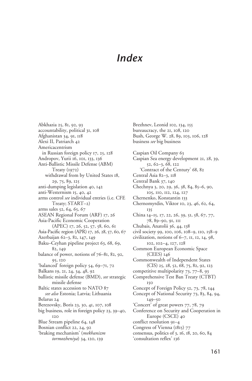# *Index*

Abkhazia 25, 81, 92, 93 accountability, political 31, 108 Afghanistan 34, 91, 118 Alexi II, Patriarch 42 Americacentrism in Russian foreign policy 17, 25, 128 Andropov, Yurii 16, 101, 133, 136 Anti-Ballistic Missile Defense (ABM) Treaty (1972) withdrawal from by United States 18, 29, 75, 89, 125 anti-dumping legislation 40, 142 anti-Westernism 15, 40, 42 arms control *see* individual entries (i.e. CFE Treaty; START–2) arms sales 52, 64, 65, 67 ASEAN Regional Forum (ARF) 17, 26 Asia-Pacific Economic Cooperation (APEC) 17, 26, 52, 57, 58, 60, 61 Asia-Pacific region (APR) 17, 26, 28, 57, 60, 67 Azerbaijan 62–3, 82, 147, 149 Baku–Ceyhan pipeline project 63, 68, 69, 82, 149 balance of power, notions of 76–81, 82, 92, 95, 120 'balanced' foreign policy 54, 69–71, 72 Balkans 19, 21, 24, 34, 48, 92 ballistic missile defense (BMD), *see* strategic missile defense Baltic states accession to NATO 87 *see also* Estonia; Latvia; Lithuania Belarus 24 Berezovsky, Boris 23, 30, 41, 107, 108 big business, role in foreign policy 23, 39–40,  $12C$ Blue Stream pipeline 64, 148 Bosnian conflict 22, 24, 92 'braking mechanism' (*mekhanizm tormozheniya*) 34, 120, 139

Brezhnev, Leonid 102, 134, 155 bureaucracy, the 21, 108, 120 Bush, George W. 28, 89, 103, 106, 128 business *see* big business Caspian Oil Company 63 Caspian Sea energy development 21, 28, 39, 52, 62–3, 68, 122 'Contract of the Century' 68, 82 Central Asia 82–3, 118 Central Bank 37, 140 Chechnya 3, 20, 29, 36, 38, 84, 85–6, 90, 105, 110, 112, 124, 127 Chernenko, Konstantin 133 Chernomyrdin, Viktor 10, 23, 46, 62, 64, 135 China 14–15, 17, 22, 26, 39, 51, 58, 67, 77, 78, 89–90, 91, 111 Chubais, Anatolii 36, 44, 138 civil society 99, 100, 106, 108–9, 110, 158–9 civilization, notions of 6–7, 11, 12, 14, 98, 102, 102–4, 127, 128 Common European Economic Space (CEES) 146 Commonwealth of Independent States (CIS) 25, 28, 52, 68, 75, 82, 92, 123 competitive multipolarity 73, 77–8, 93 Comprehensive Test Ban Treaty (CTBT) 150 Concept of Foreign Policy 52, 73, 78, 144 Concept of National Security 73, 83, 84, 94, 149–50 'Concert' of great powers 77, 78, 79 Conference on Security and Cooperation in Europe (CSCE) 40 conflict resolution 91–4 Congress of Vienna (1815) 77 consensus, politics of 3, 16, 18, 20, 60, 84 'consultation reflex' 136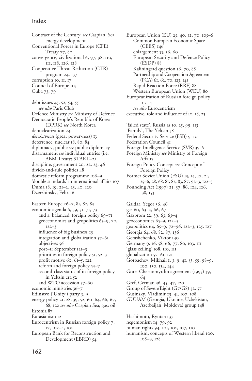#### Index

Contract of the Century' *see* Caspian Sea energy development Conventional Forces in Europe (CFE) Treaty 77, 80 convergence, civilizational 6, 97, 98, 110, 111, 118, 126, 128 Cooperative Threat Reduction (CTR) program 24, 137 corruption 10, 11, 17 Council of Europe 105 Cuba 73, 79

debt issues 45, 52, 54, 55 *see also* Paris Club Defence Ministry *see* Ministry of Defence Democratic People's Republic of Korea (DPRK) *see* North Korea denuclearization 24 *derzhavnost* (great power-ness) 13 deterrence, nuclear 18, 80, 84 diplomacy, public *see* public diplomacy disarmament *see* individual entries (i.e. ABM Treaty; START–2) discipline, government 20, 22, 23, 46 divide-and-rule politics 48 domestic reform programme 106–9 'double standards' in international affairs 107 Duma 18, 19, 21–2, 23, 40, 120 Dzerzhinsky, Felix 16

Eastern Europe 26–7, 81, 82, 83 economic agenda 6, 39, 51–71, 73 and a 'balanced' foreign policy 69–71 geoeconomics and geopolitics 65–9, 70, 122–3 influence of big business 23 integration and globalization 57–61 objectives 56 post–11 September 121–3 priorities in foreign policy 51, 52–3 profit motive 60, 61–5, 122 reform and foreign policy 53–7 second-class status of in foreign policy in Yeltsin era 52 and WTO accession 57–60 economic ministries 36–7 Edinstvo ('Unity') party 5, 9 energy policy 21, 28, 39, 52, 60–64, 66, 67, 68, 122 *see also* Caspian Sea; gas; oil Estonia 87 Eurasianism 12 Eurocentrism in Russian foreign policy 7, 17, 102–4, 105 European Bank for Reconstruction and Development (EBRD) 54

European Union (EU) 25, 40, 52, 70, 105–6 Common European Economic Space (CEES) 146 enlargement 55, 56, 60 European Security and Defence Policy (ESDP) 88 Kaliningrad question 56, 70, 88 Partnership and Cooperation Agreement (PCA) 61, 62, 70, 123, 145 Rapid Reaction Force (RRF) 88 Western European Union (WEU) 80 Europeanization of Russian foreign policy 102–4 *see also* Eurocentrism executive, role and influence of 10, 18, 23 'failed state', Russia as 10, 25, 99, 113 'Family', The Yeltsin 38 Federal Security Service (FSB) 9–10 Federation Council 41 Foreign Intelligence Service (SVR) 35–6 Foreign Ministry *see* Ministry of Foreign Affairs Foreign Policy Concept *see* Concept of Foreign Policy Former Soviet Union (FSU) 13, 14, 17, 21, 25–6, 28, 68, 81, 82, 83, 87, 92–3, 122–3 Founding Act (1997) 25, 37, 86, 124, 126, 138, 153 Gaidar, Yegor 36, 46 gas 60, 63–4, 66, 67 Gazprom 22, 39, 63, 63–4 geoeconomics 65–9, 122–3 geopolitics 64, 65–9, 72–96, 122–3, 125, 127 Georgia 64, 68, 82, 87, 136 Gerashchenko, Viktor 140 Germany 9, 16, 58, 66, 77, 80, 103, 111

'glass ceiling' 108, 110, 111 globalization 57–61, 121

Gorbachev, Mikhail 1, 3, 9, 41, 53, 59, 98–9, 100, 130, 134, 144

Gore–Chernomyrdin agreement (1995) 39, 64

Gref, German 36, 45, 47, 120

- Group of Seven/Eight (G7/G8) 52, 57
- Gusinsky, Vladimir 23, 41, 107, 108
- GUUAM (Georgia, Ukraine, Uzbekistan, Azerbaijan, Moldova) group 148

Hashimoto, Ryutaro 37

hegemonism 14, 79, 92

- human rights 94, 101, 105, 107, 110
- humanism, concepts of Western liberal 100, 108–9, 128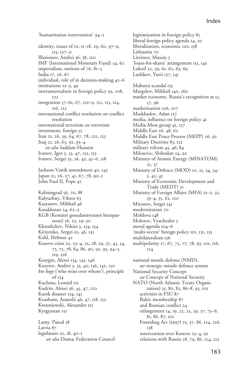'humanitarian intervention' 94–5 identity, issues of 10, 11–18, 29, 60, 97–9, 113, 127–9 Illarionov, Andrei 36, 38, 120 IMF (International Monetary Fund) 54, 62 imperialism, notions of 76, 81–3 India 17, 26, 67 individual, role of in decision-making 42–6 institutions 21–3, 49 instrumentalism in foreign policy 93, 108, 122 integration 57–61, 67, 101–9, 112, 113, 114, 116, 122 international conflict resolution *see* conflict resolution international terrorism *see* terrorism investment, foreign 55 Iran 21, 26, 39, 64, 67, 78, 122, 123 Iraq 21, 26, 63, 92, 93–4 *see also* Saddam Hussein Ivanov, Igor 3, 33, 47, 152, 153 Ivanov, Sergei 35, 36, 42, 45–6, 118 Jackson-Vanik amendment 40, 142 Japan 21, 26, 37, 41, 67, 78, 90–1 John Paul II, Pope 42 Kaliningrad 56, 70, 88 Kalyuzhny, Viktor 63 Kasyanov, Mikhail 46 Kazakhstan 24, 62–3 KGB (Komitet gosudarstvennoi bezopasnosti) 16, 23, 29–30 Khrushchev, Nikita 3, 134, 154 Kiriyenko, Sergei 10, 46, 135 Kohl, Helmut 42 Kosovo crisis 22, 23–4, 25, 28, 29, 37, 43, 54, 73, 75, 78, 84, 86, 90, 92, 93, 94–5, 119, 126 Kosygin, Alexei 134, 143, 146 Kozyrev, Andrei 3, 33, 40, 136, 142, 150 *kto kogo* ('who wins over whom'), principle of 134 Kuchma, Leonid 151 Kudrin, Alexei 36, 45, 47, 120 Kursk disaster 134, 141 Kvashnin, Anatolii 46, 47, 118, 152 Kwasniewski, Alexander 151 Kyrgyzstan 151 Lamy, Pascal 58 Latvia 87 legislature 10, 18, 40–1

*see also* Duma; Federation Council

legitimization in foreign policy 85 liberal foreign policy agenda 14, 20 liberalization, economic 120, 158 Lithuania 70 Litvinov, Maxim 3 'loans-for-shares' arrangement 135, 143 Lukoil 22, 39, 61, 62, 63, 69 Luzhkov, Yurii 137, 141 Mabetex scandal 135 Margelov, Mikhail 140, 160 market economy, Russia's recognition as 55, 57, 96 marketization 106, 107 Maskhadov, Aslan 157 media, influence on foreign policy 41 Media-Most group 41, 137 Middle East 26, 48, 62 Middle East Peace Process (MEPP) 26, 92 Military Doctrine 83, 152 military reform 45, 46, 84 Milosevic, Slobodan 24, 92 Ministry of Atomic Energy (MINATOM) 21, 37 Ministry of Defence (MOD) 10, 21, 34, 34– 5, 42, 45 Ministry of Economic Development and Trade (MEDT) 21 Ministry of Foreign Affairs (MFA) 21–2, 32, 33–4, 35, 62, 120 Mironov, Sergei 141 modernization 70 Moldova 148 Molotov, Vyacheslav 3 moral agenda 104–6 'multi-vector' foreign policy 101, 131, 135 multilateralism 156 multipolarity 17, 67, 73, 77, 78, 93, 101, 116, 124 national missile defense (NMD), *see* strategic missile defence system National Security Concept *see* Concept of National Security NATO (North Atlantic Treaty Organization) 35, 80, 82, 86–8, 93, 105 activities in FSU 87 Baltic membership 87 and Bosnian conflict 24 enlargement 14, 19, 22, 25, 29, 37, 75–6, 81, 86, 87, 101 Founding Act (1997) 25, 37, 86, 124, 126, 138 intervention over Kosovo 23–4, 92 relations with Russia 28, 79, 86, 124, 125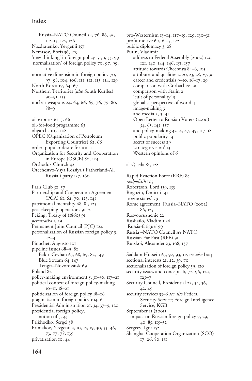#### Index

Russia–NATO Council 34, 76, 86, 93, 112–13, 125, 126 Nazdratenko, Yevgenii 157 Nemtsov, Boris 36, 129 'new thinking' in foreign policy 1, 50, 53, 99 'normalization' of foreign policy 70, 97, 99, 119 normative dimension in foreign policy 70, 97, 98, 104, 106, 111, 112, 113, 114, 129 North Korea 17, 64, 67 Northern Territories (*also* South Kuriles) 90–91, 155 nuclear weapons 24, 64, 66, 69, 76, 79–80, 88–9 oil exports 61–3, 66 oil-for-food programme 63 oligarchs 107, 108 OPEC (Organization of Petroleum Exporting Countries) 62, 66 order, popular desire for 100–1 Organization for Security and Cooperation in Europe (OSCE) 80, 124 Orthodox Church 42 Otechestvo-Vsya Rossiya ('Fatherland-All Russia') party 137, 160 Paris Club 52, 57 Partnership and Cooperation Agreement (PCA) 61, 62, 70, 123, 145 patrimonial mentality 68, 81, 123 peacekeeping operations 91–2 Peking, Treaty of (1860) 91 *perestroika* 1, 59 Permanent Joint Council (PJC) 124 personalization of Russian foreign policy 3, 42–4 Pinochet, Augusto 101 pipeline issues 68–9, 82 Baku–Ceyhan 63, 68, 69, 82, 149 Blue Stream 64, 147 Tengiz–Novorossiisk 69 Poland 82 policy-making environment 5, 31–50, 117–21 political context of foreign policy-making 10–11, 18–21 politicization of foreign policy 18–26 pragmatism in foreign policy 104–6 Presidential Administration 21, 34, 37–9, 120 presidential foreign policy, notion of 3, 43 Prikhodko, Sergei 38 Primakov, Yevgenii 3, 10, 15, 19, 30, 33, 46, 73, 77, 78, 135 privatization 10, 44

pro-Westernism 13–14, 117–19, 129, 130–31 profit motive 60, 61–5, 122 public diplomacy 3, 28 Putin, Vladimir address to Federal Assembly (2002) 120, 121, 140, 144, 146, 151, 157 attitude towards Chechnya 84–6, 105 attributes and qualities 2, 20, 23, 28, 29, 30 career and credentials 9–10, 16–17, 29 comparison with Gorbachev 130 comparison with Stalin 2 'cult of personality' 3 globalist perspective of world 4 image-making 3 and media 2, 3, 41 Open Letter to Russian Voters (2000) 54, 65, 145, 157 and policy-making 42–4, 47, 49, 117–18 public popularity 141 secret of success 29 'strategic vision' 131 Western opinions of 6

al-Qaeda 85, 128

Rapid Reaction Force (RRF) 88 *realpolitik* 105 Robertson, Lord 139, 153 Rogozin, Dmitrii 141 'rogue states' 79 Rome agreement, Russia–NATO (2002) 86, 125 Rosvooruzhenie 22 Rushailo, Vladimir 36 'Russia-fatigue' 99 Russia –NATO Council *see* NATO Russian Far East (RFE) 91 Rutskoi, Alexander 23, 108, 137

Saddam Hussein 63, 92, 93, 115 *see also* Iraq sectional interests 21, 22, 39, 70 sectionalization of foreign policy 59, 120 security issues and concepts 6, 72–96, 120, 123–7 Security Council, Presidential 22, 34, 36, 42, 45 security services 35–6 *see also* Federal Security Service; Foreign Intelligence Service; KGB September II (2001) impact on Russian foreign policy 7, 29, 40, 85, 115–32 Sergeev, Igor 152 Shanghai Cooperation Organization (SCO) 17, 26, 80, 151